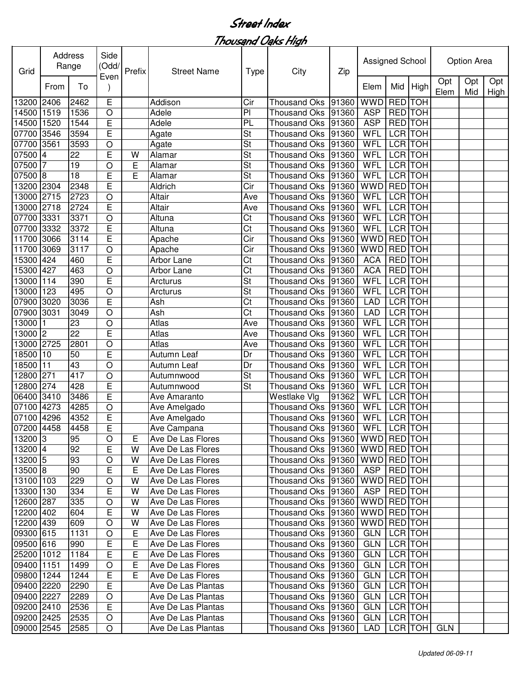| Grid       |                | Address<br>Range | Side<br>(Odd/<br>Even | Prefix | <b>Street Name</b> | <b>Type</b>              | City                 | Zip   | Assigned School |                |                |             | Option Area |             |
|------------|----------------|------------------|-----------------------|--------|--------------------|--------------------------|----------------------|-------|-----------------|----------------|----------------|-------------|-------------|-------------|
|            | From           | To               |                       |        |                    |                          |                      |       | Elem            | Mid            | High           | Opt<br>Elem | Opt<br>Mid  | Opt<br>High |
| 13200      | 2406           | 2462             | E                     |        | Addison            | Cir                      | <b>Thousand Oks</b>  | 91360 | <b>WWD</b>      | <b>RED</b> TOH |                |             |             |             |
| 14500      | 1519           | 1536             | $\circ$               |        | Adele              | PI                       | <b>Thousand Oks</b>  | 91360 | <b>ASP</b>      | RED TOH        |                |             |             |             |
| 14500      | 1520           | 1544             | E                     |        | Adele              | PL                       | <b>Thousand Oks</b>  | 91360 | <b>ASP</b>      | <b>RED</b> TOH |                |             |             |             |
| 07700      | 3546           | 3594             | E                     |        | Agate              | <b>St</b>                | <b>Thousand Oks</b>  | 91360 | WFL             | <b>LCR TOH</b> |                |             |             |             |
| 07700      | 3561           | 3593             | $\circ$               |        | Agate              | $\overline{\mathsf{St}}$ | <b>Thousand Oks</b>  | 91360 | WFL             |                | <b>LCR</b> TOH |             |             |             |
| 07500      | $\overline{4}$ | 22               | E                     | W      | Alamar             | $\overline{\mathsf{St}}$ | <b>Thousand Oks</b>  | 91360 | WFL             |                | <b>LCR</b> TOH |             |             |             |
| 07500      | 7              | 19               | O                     | E      | Alamar             | St                       | <b>Thousand Oks</b>  | 91360 | <b>WFL</b>      |                | <b>LCR</b> TOH |             |             |             |
| 07500      | 8              | 18               | E                     | E      | Alamar             | <b>St</b>                | <b>Thousand Oks</b>  | 91360 | <b>WFL</b>      |                | <b>LCR</b> TOH |             |             |             |
| 13200      | 2304           | 2348             | E                     |        | Aldrich            | Cir                      | <b>Thousand Oks</b>  | 91360 | <b>WWD</b>      | <b>RED</b> TOH |                |             |             |             |
| 13000      | 2715           | 2723             | $\circ$               |        | Altair             | Ave                      | <b>Thousand Oks</b>  | 91360 | <b>WFL</b>      | <b>LCR</b> TOH |                |             |             |             |
| 13000      | 2718           | 2724             | E                     |        | Altair             | Ave                      | <b>Thousand Oks</b>  | 91360 | WFL             | LCR TOH        |                |             |             |             |
| 07700      | 3331           | 3371             | $\circ$               |        | Altuna             | Ct                       | <b>Thousand Oks</b>  | 91360 | WFL             | <b>LCR</b> TOH |                |             |             |             |
| 07700      | 3332           | 3372             | E                     |        | Altuna             | Ct                       | <b>Thousand Oks</b>  | 91360 | <b>WFL</b>      | LCR TOH        |                |             |             |             |
| 11700      | 3066           | 3114             | E                     |        | Apache             | Cir                      | <b>Thousand Oks</b>  | 91360 | <b>WWD</b>      | <b>RED</b> TOH |                |             |             |             |
| 11700      | 3069           | 3117             | O                     |        | Apache             | Cir                      | <b>Thousand Oks</b>  | 91360 | <b>WWD</b>      | <b>RED</b>     | <b>TOH</b>     |             |             |             |
| 15300      | 424            | 460              | E                     |        | Arbor Lane         | Ct                       | <b>Thousand Oks</b>  | 91360 | <b>ACA</b>      | <b>RED</b>     | <b>TOH</b>     |             |             |             |
| 15300      | 427            | 463              | O                     |        | Arbor Lane         | Ct                       | <b>Thousand Oks</b>  | 91360 | <b>ACA</b>      | <b>RED</b>     | <b>TOH</b>     |             |             |             |
| 13000      | 114            | 390              | E                     |        | Arcturus           | St                       | <b>Thousand Oks</b>  | 91360 | WFL             | <b>LCR</b>     | <b>TOH</b>     |             |             |             |
| 13000      | 123            | 495              | $\bigcirc$            |        | Arcturus           | St                       | <b>Thousand Oks</b>  | 91360 | WFL             | LCR TOH        |                |             |             |             |
| 07900      | 3020           | 3036             | E                     |        | Ash                | Ct                       | <b>Thousand Oks</b>  | 91360 | <b>LAD</b>      | LCR TOH        |                |             |             |             |
| 07900      | 3031           | 3049             | $\circ$               |        | Ash                | Ct                       | <b>Thousand Oks</b>  | 91360 | <b>LAD</b>      | <b>LCR</b> TOH |                |             |             |             |
| 13000      |                | 23               | $\circ$               |        | Atlas              | Ave                      | <b>Thousand Oks</b>  | 91360 | WFL             |                | LCR TOH        |             |             |             |
| 13000      | 2              | 22               | E                     |        | Atlas              | Ave                      | <b>Thousand Oks</b>  | 91360 | WFL             |                | LCR TOH        |             |             |             |
| 3000       | 2725           | 2801             | O                     |        | Atlas              | Ave                      | <b>Thousand Oks</b>  | 91360 | WFL             | LCR TOH        |                |             |             |             |
| 18500      | 10             | 50               | E                     |        | Autumn Leaf        | Dr                       | <b>Thousand Oks</b>  | 91360 | WFL             | LCR TOH        |                |             |             |             |
| 18500      | l11            | 43               | $\circ$               |        | Autumn Leaf        | Dr                       | <b>Thousand Oks</b>  | 91360 | WFL             | LCR TOH        |                |             |             |             |
| 12800      | 271            | 417              | $\circ$               |        | Autumnwood         | St                       | <b>Thousand Oks</b>  | 91360 | WFL             | LCR TOH        |                |             |             |             |
| 12800      | 274            | 428              | E                     |        | Autumnwood         | St                       | <b>Thousand Oks</b>  | 91360 | WFL             | LCR TOH        |                |             |             |             |
| 06400      | 3410           | 3486             | E                     |        | Ave Amaranto       |                          | Westlake Vlg         | 91362 | WFL             | LCR TOH        |                |             |             |             |
| 07100      | 4273           | 4285             | $\circ$               |        | Ave Amelgado       |                          | <b>Thousand Oks</b>  | 91360 | WFL             | <b>LCR</b> TOH |                |             |             |             |
| 07100 4296 |                | 4352             | E                     |        | Ave Amelgado       |                          | Thousand Oks         | 91360 | WFL             | LCR TOH        |                |             |             |             |
| 07200 4458 |                | 4458             | E                     |        | Ave Campana        |                          | Thousand Oks 91360   |       | WFL LCR TOH     |                |                |             |             |             |
| 13200 3    |                | 95               | $\circ$               | Е      | Ave De Las Flores  |                          | Thousand Oks   91360 |       | WWD RED TOH     |                |                |             |             |             |
| 13200 4    |                | 92               | E                     | W      | Ave De Las Flores  |                          | Thousand Oks   91360 |       | WWD RED TOH     |                |                |             |             |             |
| 13200 5    |                | 93               | $\circ$               | W      | Ave De Las Flores  |                          | Thousand Oks   91360 |       | WWD RED TOH     |                |                |             |             |             |
| 13500 8    |                | 90               | Е                     | E      | Ave De Las Flores  |                          | Thousand Oks   91360 |       | ASP             | RED TOH        |                |             |             |             |
| 13100 103  |                | 229              | $\bigcirc$            | W      | Ave De Las Flores  |                          | Thousand Oks   91360 |       | WWD RED TOH     |                |                |             |             |             |
| 13300 130  |                | 334              | Е                     | W      | Ave De Las Flores  |                          | Thousand Oks  91360  |       | <b>ASP</b>      | RED TOH        |                |             |             |             |
| 12600 287  |                | 335              | O                     | W      | Ave De Las Flores  |                          | Thousand Oks   91360 |       | <b>WWD</b>      | RED TOH        |                |             |             |             |
| 12200 402  |                | 604              | Е                     | W      | Ave De Las Flores  |                          | Thousand Oks   91360 |       | <b>WWD</b>      | RED TOH        |                |             |             |             |
| 12200 439  |                | 609              | O                     | W      | Ave De Las Flores  |                          | Thousand Oks   91360 |       | <b>WWD</b>      | RED TOH        |                |             |             |             |
| 09300 615  |                | 1131             |                       |        | Ave De Las Flores  |                          | Thousand Oks 91360   |       | <b>GLN</b>      |                | LCR TOH        |             |             |             |
|            |                |                  | $\circ$               | Ε      |                    |                          |                      |       |                 |                |                |             |             |             |
| 09500 616  |                | 990              | E                     | Е      | Ave De Las Flores  |                          | Thousand Oks   91360 |       | GLN             |                | LCR TOH        |             |             |             |
| 25200 1012 |                | 1184             | Е                     | Ε      | Ave De Las Flores  |                          | Thousand Oks   91360 |       | GLN             |                | LCR TOH        |             |             |             |
| 09400 1151 |                | 1499             | O                     | E      | Ave De Las Flores  |                          | Thousand Oks 91360   |       | <b>GLN</b>      |                | LCR TOH        |             |             |             |
| 09800 1244 |                | 1244             | E                     | Е      | Ave De Las Flores  |                          | Thousand Oks   91360 |       | <b>GLN</b>      |                | LCR TOH        |             |             |             |
| 09400 2220 |                | 2290             | E                     |        | Ave De Las Plantas |                          | Thousand Oks   91360 |       | <b>GLN</b>      | LCR TOH        |                |             |             |             |
| 09400 2227 |                | 2289             | $\circ$               |        | Ave De Las Plantas |                          | Thousand Oks   91360 |       | <b>GLN</b>      | LCR TOH        |                |             |             |             |
| 09200 2410 |                | 2536             | E                     |        | Ave De Las Plantas |                          | Thousand Oks   91360 |       | <b>GLN</b>      | LCR TOH        |                |             |             |             |
| 09200 2425 |                | 2535             | $\bigcirc$            |        | Ave De Las Plantas |                          | Thousand Oks   91360 |       | <b>GLN</b>      |                | LCR TOH        |             |             |             |
| 09000 2545 |                | 2585             | O                     |        | Ave De Las Plantas |                          | Thousand Oks 91360   |       | LAD             |                | LCR   TOH      | <b>GLN</b>  |             |             |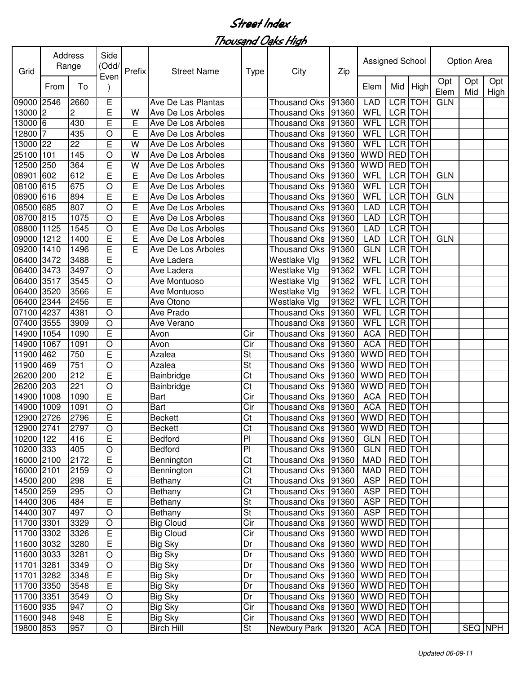| Opt<br>Opt<br>Opt<br>To<br>Mid<br>From<br>Elem<br>High<br>Elem<br>Mid<br>Е<br>LCR TOH<br>09000 2546<br>2660<br>Ave De Las Plantas<br><b>LAD</b><br><b>GLN</b><br><b>Thousand Oks</b><br>91360<br>Ē<br>LCR TOH<br>13000 2<br>$\overline{c}$<br>WFL<br>W<br>91360<br>Ave De Los Arboles<br>Thousand Oks<br><b>LCR</b> TOH<br>E<br>E<br>430<br>WFL<br>13000 6<br>91360<br>Ave De Los Arboles<br>Thousand Oks<br><b>TOH</b><br>12800<br>7<br>435<br>E<br>WFL<br><b>LCR</b><br>O<br>91360<br>Ave De Los Arboles<br><b>Thousand Oks</b><br><b>LCR</b> TOH<br>22<br>E<br>W<br>WFL<br>13000<br> 22<br>91360<br>Ave De Los Arboles<br>Thousand Oks<br><b>RED</b> TOH<br>145<br>WWD<br>25100<br>101<br>O<br>W<br>91360<br>Ave De Los Arboles<br><b>Thousand Oks</b><br><b>RED</b> TOH<br>E<br>WWD<br>12500<br>250<br>364<br>W<br>91360<br>Ave De Los Arboles<br><b>Thousand Oks</b><br>E<br><b>LCR</b> TOH<br>08901<br>E<br>WFL<br><b>GLN</b><br>602<br>612<br><b>Thousand Oks</b><br>91360<br>Ave De Los Arboles<br>E<br>WFL<br>LCR TOH<br>08100<br>615<br>675<br><b>Thousand Oks</b><br>91360<br>$\circ$<br>Ave De Los Arboles<br>E<br>08900<br>E<br>WFL<br>LCR TOH<br>616<br>894<br>91360<br><b>GLN</b><br>Ave De Los Arboles<br><b>Thousand Oks</b><br><b>LCR</b> TOH<br>08500<br>E<br>685<br>807<br>Ave De Los Arboles<br><b>Thousand Oks</b><br>91360<br><b>LAD</b><br>$\circ$<br>08700 815<br>1075<br>E<br><b>LAD</b><br>LCR TOH<br><b>Thousand Oks</b><br>91360<br>$\circ$<br>Ave De Los Arboles<br>E<br>LCR TOH<br>08800<br>1125<br>1545<br>$\circ$<br>91360<br><b>LAD</b><br>Ave De Los Arboles<br><b>Thousand Oks</b><br>E<br>E<br>LCR TOH<br><b>GLN</b><br>09000<br>1212<br>1400<br>91360<br><b>LAD</b><br>Ave De Los Arboles<br><b>Thousand Oks</b><br>E<br>E<br>LCR TOH<br><b>GLN</b><br>09200<br>1410<br>1496<br>91360<br>Ave De Los Arboles<br><b>Thousand Oks</b><br>E<br><b>TOH</b><br>WFL<br><b>LCR</b><br>06400<br>3472<br>3488<br>91362<br>Ave Ladera<br>Westlake Vlg<br><b>TOH</b><br>O<br>91362<br>WFL<br><b>LCR</b><br>06400 3473<br>3497<br>Ave Ladera<br>Westlake Vlg<br><b>TOH</b><br>O<br><b>LCR</b><br>06400 3517<br>3545<br>91362<br>WFL<br>Ave Montuoso<br>Westlake Vlg<br><b>TOH</b><br>E<br>WFL<br><b>LCR</b><br>06400 3520<br>3566<br>91362<br>Ave Montuoso<br>Westlake Vlg<br>E<br><b>TOH</b><br>2456<br>WFL<br><b>LCR</b><br>06400 2344<br>Ave Otono<br>91362<br>Westlake Vlg<br>O<br><b>LCR</b><br><b>TOH</b><br>WFL<br>4237<br>4381<br>Ave Prado<br>91360<br>07100<br>Thousand Oks<br>LCR TOH<br>$\circ$<br>WFL<br>07400<br>3555<br>3909<br>Ave Verano<br>91360<br><b>Thousand Oks</b><br>E<br>RED TOH<br>14900<br>1054<br>1090<br><b>ACA</b><br>Avon<br>Cir<br><b>Thousand Oks</b><br>91360<br>O<br><b>ACA</b><br><b>TOH</b><br>14900<br>1067<br>Cir<br><b>RED</b><br>1091<br>Avon<br><b>Thousand Oks</b><br>91360<br>E<br>St<br><b>WWD</b><br>RED TOH<br>11900<br>750<br>Azalea<br>91360<br>462<br><b>Thousand Oks</b><br>O<br>St<br>RED TOH<br>11900<br>469<br>751<br>91360<br>WWD<br>Azalea<br><b>Thousand Oks</b><br>E<br>26200<br>Ct<br><b>WWD</b><br>RED TOH<br>200<br>212<br>91360<br>Bainbridge<br><b>Thousand Oks</b><br>O<br><b>WWD</b><br>RED TOH<br>26200<br>203<br>221<br>Ct<br><b>Thousand Oks</b><br>91360<br>Bainbridge<br>E<br>Cir<br><b>ACA</b><br>RED TOH<br>14900<br>1008<br>1090<br>91360<br><b>Bart</b><br><b>Thousand Oks</b><br><b>ACA</b><br><b>RED</b> TOH<br>14900<br>1009<br>1091<br>O<br>Cir<br><b>Thousand Oks</b><br>91360<br><b>Bart</b><br>E<br><b>WWD</b><br>12900 2726<br>2796<br>Ct<br>Thousand Oks 91360<br><b>RED</b> TOH<br><b>Beckett</b><br>$\overline{C}$ t<br>Thousand Oks 91360 WWD RED TOH<br>12900 2741<br>2797<br>$\bigcirc$<br><b>Beckett</b><br>$\overline{P}$<br>E<br>RED TOH<br>10200 122<br>416<br>GLN  <br>Bedford<br>Thousand Oks 91360<br>10200 333<br>$\mathsf O$<br>Bedford<br>P <sub>1</sub><br>RED TOH<br>405<br>Thousand Oks 91360<br>GLN  <br>$\overline{\text{C}t}$<br>2172<br>E<br>RED TOH<br>16000 2100<br>Bennington<br>Thousand Oks   91360<br>MAD<br>16000 2101<br>Ct<br>RED TOH<br>2159<br>$\mathsf O$<br>Thousand Oks   91360<br><b>MAD</b><br>Bennington<br>14500 200<br>$\mathsf E$<br>Ct<br><b>ASP</b><br>RED TOH<br>298<br>Thousand Oks 91360<br>Bethany<br>RED TOH<br>14500 259<br>$\bigcirc$<br>Ct<br>Thousand Oks 91360<br><b>ASP</b><br>295<br>Bethany<br>$\mathsf E$<br><b>St</b><br>RED TOH<br>14400 306<br>484<br>Thousand Oks 91360<br><b>ASP</b><br>Bethany<br>St<br>ASP<br>RED TOH<br>14400 307<br>Thousand Oks 91360<br>497<br>$\bigcirc$<br><b>Bethany</b><br>11700 3301<br>3329<br>Cir<br>Thousand Oks 91360<br><b>WWD</b><br><b>RED</b> TOH<br>$\bigcirc$<br><b>Big Cloud</b><br>E<br>11700 3302<br>3326<br>Cir<br>Thousand Oks   91360<br>WWD RED TOH<br><b>Big Cloud</b><br>E<br>11600 3032<br>Dr<br>Thousand Oks   91360   WWD   RED   TOH<br>3280<br>Big Sky<br>11600 3033<br><b>Big Sky</b><br>Dr<br>Thousand Oks   91360   WWD   RED   TOH<br>3281<br>$\circ$<br>WWD RED TOH<br>11701 3281<br>$\circ$<br>Thousand Oks   91360<br>3349<br>Big Sky<br>Dr<br>11701 3282<br>E<br>WWD RED TOH<br>3348<br>Thousand Oks   91360<br>Big Sky<br>Dr<br>E<br>11700 3350<br>3548<br><b>Big Sky</b><br>Thousand Oks   91360<br>WWD RED TOH<br>Dr<br>WWD RED TOH<br>11700 3351<br>3549<br>O<br>Thousand Oks   91360<br>Big Sky<br>Dr<br><b>WWD</b><br>RED TOH<br>11600 935<br>$\circ$<br><b>Big Sky</b><br>Cir<br>Thousand Oks   91360<br>947<br>E<br>Cir<br>WWD RED TOH<br>11600 948<br>948<br>Big Sky<br>Thousand Oks   91360<br>19800 853<br>SEQ NPH<br>91320<br>RED TOH | Grid | <b>Address</b><br>Range | Side<br>(Odd/ | Prefix | <b>Street Name</b> | Type | City         | Zip | Assigned School |  | Option Area |      |
|-----------------------------------------------------------------------------------------------------------------------------------------------------------------------------------------------------------------------------------------------------------------------------------------------------------------------------------------------------------------------------------------------------------------------------------------------------------------------------------------------------------------------------------------------------------------------------------------------------------------------------------------------------------------------------------------------------------------------------------------------------------------------------------------------------------------------------------------------------------------------------------------------------------------------------------------------------------------------------------------------------------------------------------------------------------------------------------------------------------------------------------------------------------------------------------------------------------------------------------------------------------------------------------------------------------------------------------------------------------------------------------------------------------------------------------------------------------------------------------------------------------------------------------------------------------------------------------------------------------------------------------------------------------------------------------------------------------------------------------------------------------------------------------------------------------------------------------------------------------------------------------------------------------------------------------------------------------------------------------------------------------------------------------------------------------------------------------------------------------------------------------------------------------------------------------------------------------------------------------------------------------------------------------------------------------------------------------------------------------------------------------------------------------------------------------------------------------------------------------------------------------------------------------------------------------------------------------------------------------------------------------------------------------------------------------------------------------------------------------------------------------------------------------------------------------------------------------------------------------------------------------------------------------------------------------------------------------------------------------------------------------------------------------------------------------------------------------------------------------------------------------------------------------------------------------------------------------------------------------------------------------------------------------------------------------------------------------------------------------------------------------------------------------------------------------------------------------------------------------------------------------------------------------------------------------------------------------------------------------------------------------------------------------------------------------------------------------------------------------------------------------------------------------------------------------------------------------------------------------------------------------------------------------------------------------------------------------------------------------------------------------------------------------------------------------------------------------------------------------------------------------------------------------------------------------------------------------------------------------------------------------------------------------------------------------------------------------------------------------------------------------------------------------------------------------------------------------------------------------------------------------------------------------------------------------------------------------------------------------------------------------------------------------------------------------------------------------------------------------------------------------------------------------------------------------------------------------------------------------------------------------------------------------------------------------------------------------------------------------------------------------------------------------------------------------------------------------------------------------------------------------------------------------------------------------------------------------------------------------------------------------------------------------------------------------------------------------------------------------------------------------------------------------------------------------------------------------------------------------------------------------------------------------------------------------------------------------------|------|-------------------------|---------------|--------|--------------------|------|--------------|-----|-----------------|--|-------------|------|
|                                                                                                                                                                                                                                                                                                                                                                                                                                                                                                                                                                                                                                                                                                                                                                                                                                                                                                                                                                                                                                                                                                                                                                                                                                                                                                                                                                                                                                                                                                                                                                                                                                                                                                                                                                                                                                                                                                                                                                                                                                                                                                                                                                                                                                                                                                                                                                                                                                                                                                                                                                                                                                                                                                                                                                                                                                                                                                                                                                                                                                                                                                                                                                                                                                                                                                                                                                                                                                                                                                                                                                                                                                                                                                                                                                                                                                                                                                                                                                                                                                                                                                                                                                                                                                                                                                                                                                                                                                                                                                                                                                                                                                                                                                                                                                                                                                                                                                                                                                                                                                                                                                                                                                                                                                                                                                                                                                                                                                                                                                                                                                                         |      |                         | Even          |        |                    |      |              |     |                 |  |             | High |
|                                                                                                                                                                                                                                                                                                                                                                                                                                                                                                                                                                                                                                                                                                                                                                                                                                                                                                                                                                                                                                                                                                                                                                                                                                                                                                                                                                                                                                                                                                                                                                                                                                                                                                                                                                                                                                                                                                                                                                                                                                                                                                                                                                                                                                                                                                                                                                                                                                                                                                                                                                                                                                                                                                                                                                                                                                                                                                                                                                                                                                                                                                                                                                                                                                                                                                                                                                                                                                                                                                                                                                                                                                                                                                                                                                                                                                                                                                                                                                                                                                                                                                                                                                                                                                                                                                                                                                                                                                                                                                                                                                                                                                                                                                                                                                                                                                                                                                                                                                                                                                                                                                                                                                                                                                                                                                                                                                                                                                                                                                                                                                                         |      |                         |               |        |                    |      |              |     |                 |  |             |      |
|                                                                                                                                                                                                                                                                                                                                                                                                                                                                                                                                                                                                                                                                                                                                                                                                                                                                                                                                                                                                                                                                                                                                                                                                                                                                                                                                                                                                                                                                                                                                                                                                                                                                                                                                                                                                                                                                                                                                                                                                                                                                                                                                                                                                                                                                                                                                                                                                                                                                                                                                                                                                                                                                                                                                                                                                                                                                                                                                                                                                                                                                                                                                                                                                                                                                                                                                                                                                                                                                                                                                                                                                                                                                                                                                                                                                                                                                                                                                                                                                                                                                                                                                                                                                                                                                                                                                                                                                                                                                                                                                                                                                                                                                                                                                                                                                                                                                                                                                                                                                                                                                                                                                                                                                                                                                                                                                                                                                                                                                                                                                                                                         |      |                         |               |        |                    |      |              |     |                 |  |             |      |
|                                                                                                                                                                                                                                                                                                                                                                                                                                                                                                                                                                                                                                                                                                                                                                                                                                                                                                                                                                                                                                                                                                                                                                                                                                                                                                                                                                                                                                                                                                                                                                                                                                                                                                                                                                                                                                                                                                                                                                                                                                                                                                                                                                                                                                                                                                                                                                                                                                                                                                                                                                                                                                                                                                                                                                                                                                                                                                                                                                                                                                                                                                                                                                                                                                                                                                                                                                                                                                                                                                                                                                                                                                                                                                                                                                                                                                                                                                                                                                                                                                                                                                                                                                                                                                                                                                                                                                                                                                                                                                                                                                                                                                                                                                                                                                                                                                                                                                                                                                                                                                                                                                                                                                                                                                                                                                                                                                                                                                                                                                                                                                                         |      |                         |               |        |                    |      |              |     |                 |  |             |      |
|                                                                                                                                                                                                                                                                                                                                                                                                                                                                                                                                                                                                                                                                                                                                                                                                                                                                                                                                                                                                                                                                                                                                                                                                                                                                                                                                                                                                                                                                                                                                                                                                                                                                                                                                                                                                                                                                                                                                                                                                                                                                                                                                                                                                                                                                                                                                                                                                                                                                                                                                                                                                                                                                                                                                                                                                                                                                                                                                                                                                                                                                                                                                                                                                                                                                                                                                                                                                                                                                                                                                                                                                                                                                                                                                                                                                                                                                                                                                                                                                                                                                                                                                                                                                                                                                                                                                                                                                                                                                                                                                                                                                                                                                                                                                                                                                                                                                                                                                                                                                                                                                                                                                                                                                                                                                                                                                                                                                                                                                                                                                                                                         |      |                         |               |        |                    |      |              |     |                 |  |             |      |
|                                                                                                                                                                                                                                                                                                                                                                                                                                                                                                                                                                                                                                                                                                                                                                                                                                                                                                                                                                                                                                                                                                                                                                                                                                                                                                                                                                                                                                                                                                                                                                                                                                                                                                                                                                                                                                                                                                                                                                                                                                                                                                                                                                                                                                                                                                                                                                                                                                                                                                                                                                                                                                                                                                                                                                                                                                                                                                                                                                                                                                                                                                                                                                                                                                                                                                                                                                                                                                                                                                                                                                                                                                                                                                                                                                                                                                                                                                                                                                                                                                                                                                                                                                                                                                                                                                                                                                                                                                                                                                                                                                                                                                                                                                                                                                                                                                                                                                                                                                                                                                                                                                                                                                                                                                                                                                                                                                                                                                                                                                                                                                                         |      |                         |               |        |                    |      |              |     |                 |  |             |      |
|                                                                                                                                                                                                                                                                                                                                                                                                                                                                                                                                                                                                                                                                                                                                                                                                                                                                                                                                                                                                                                                                                                                                                                                                                                                                                                                                                                                                                                                                                                                                                                                                                                                                                                                                                                                                                                                                                                                                                                                                                                                                                                                                                                                                                                                                                                                                                                                                                                                                                                                                                                                                                                                                                                                                                                                                                                                                                                                                                                                                                                                                                                                                                                                                                                                                                                                                                                                                                                                                                                                                                                                                                                                                                                                                                                                                                                                                                                                                                                                                                                                                                                                                                                                                                                                                                                                                                                                                                                                                                                                                                                                                                                                                                                                                                                                                                                                                                                                                                                                                                                                                                                                                                                                                                                                                                                                                                                                                                                                                                                                                                                                         |      |                         |               |        |                    |      |              |     |                 |  |             |      |
|                                                                                                                                                                                                                                                                                                                                                                                                                                                                                                                                                                                                                                                                                                                                                                                                                                                                                                                                                                                                                                                                                                                                                                                                                                                                                                                                                                                                                                                                                                                                                                                                                                                                                                                                                                                                                                                                                                                                                                                                                                                                                                                                                                                                                                                                                                                                                                                                                                                                                                                                                                                                                                                                                                                                                                                                                                                                                                                                                                                                                                                                                                                                                                                                                                                                                                                                                                                                                                                                                                                                                                                                                                                                                                                                                                                                                                                                                                                                                                                                                                                                                                                                                                                                                                                                                                                                                                                                                                                                                                                                                                                                                                                                                                                                                                                                                                                                                                                                                                                                                                                                                                                                                                                                                                                                                                                                                                                                                                                                                                                                                                                         |      |                         |               |        |                    |      |              |     |                 |  |             |      |
|                                                                                                                                                                                                                                                                                                                                                                                                                                                                                                                                                                                                                                                                                                                                                                                                                                                                                                                                                                                                                                                                                                                                                                                                                                                                                                                                                                                                                                                                                                                                                                                                                                                                                                                                                                                                                                                                                                                                                                                                                                                                                                                                                                                                                                                                                                                                                                                                                                                                                                                                                                                                                                                                                                                                                                                                                                                                                                                                                                                                                                                                                                                                                                                                                                                                                                                                                                                                                                                                                                                                                                                                                                                                                                                                                                                                                                                                                                                                                                                                                                                                                                                                                                                                                                                                                                                                                                                                                                                                                                                                                                                                                                                                                                                                                                                                                                                                                                                                                                                                                                                                                                                                                                                                                                                                                                                                                                                                                                                                                                                                                                                         |      |                         |               |        |                    |      |              |     |                 |  |             |      |
|                                                                                                                                                                                                                                                                                                                                                                                                                                                                                                                                                                                                                                                                                                                                                                                                                                                                                                                                                                                                                                                                                                                                                                                                                                                                                                                                                                                                                                                                                                                                                                                                                                                                                                                                                                                                                                                                                                                                                                                                                                                                                                                                                                                                                                                                                                                                                                                                                                                                                                                                                                                                                                                                                                                                                                                                                                                                                                                                                                                                                                                                                                                                                                                                                                                                                                                                                                                                                                                                                                                                                                                                                                                                                                                                                                                                                                                                                                                                                                                                                                                                                                                                                                                                                                                                                                                                                                                                                                                                                                                                                                                                                                                                                                                                                                                                                                                                                                                                                                                                                                                                                                                                                                                                                                                                                                                                                                                                                                                                                                                                                                                         |      |                         |               |        |                    |      |              |     |                 |  |             |      |
|                                                                                                                                                                                                                                                                                                                                                                                                                                                                                                                                                                                                                                                                                                                                                                                                                                                                                                                                                                                                                                                                                                                                                                                                                                                                                                                                                                                                                                                                                                                                                                                                                                                                                                                                                                                                                                                                                                                                                                                                                                                                                                                                                                                                                                                                                                                                                                                                                                                                                                                                                                                                                                                                                                                                                                                                                                                                                                                                                                                                                                                                                                                                                                                                                                                                                                                                                                                                                                                                                                                                                                                                                                                                                                                                                                                                                                                                                                                                                                                                                                                                                                                                                                                                                                                                                                                                                                                                                                                                                                                                                                                                                                                                                                                                                                                                                                                                                                                                                                                                                                                                                                                                                                                                                                                                                                                                                                                                                                                                                                                                                                                         |      |                         |               |        |                    |      |              |     |                 |  |             |      |
|                                                                                                                                                                                                                                                                                                                                                                                                                                                                                                                                                                                                                                                                                                                                                                                                                                                                                                                                                                                                                                                                                                                                                                                                                                                                                                                                                                                                                                                                                                                                                                                                                                                                                                                                                                                                                                                                                                                                                                                                                                                                                                                                                                                                                                                                                                                                                                                                                                                                                                                                                                                                                                                                                                                                                                                                                                                                                                                                                                                                                                                                                                                                                                                                                                                                                                                                                                                                                                                                                                                                                                                                                                                                                                                                                                                                                                                                                                                                                                                                                                                                                                                                                                                                                                                                                                                                                                                                                                                                                                                                                                                                                                                                                                                                                                                                                                                                                                                                                                                                                                                                                                                                                                                                                                                                                                                                                                                                                                                                                                                                                                                         |      |                         |               |        |                    |      |              |     |                 |  |             |      |
|                                                                                                                                                                                                                                                                                                                                                                                                                                                                                                                                                                                                                                                                                                                                                                                                                                                                                                                                                                                                                                                                                                                                                                                                                                                                                                                                                                                                                                                                                                                                                                                                                                                                                                                                                                                                                                                                                                                                                                                                                                                                                                                                                                                                                                                                                                                                                                                                                                                                                                                                                                                                                                                                                                                                                                                                                                                                                                                                                                                                                                                                                                                                                                                                                                                                                                                                                                                                                                                                                                                                                                                                                                                                                                                                                                                                                                                                                                                                                                                                                                                                                                                                                                                                                                                                                                                                                                                                                                                                                                                                                                                                                                                                                                                                                                                                                                                                                                                                                                                                                                                                                                                                                                                                                                                                                                                                                                                                                                                                                                                                                                                         |      |                         |               |        |                    |      |              |     |                 |  |             |      |
|                                                                                                                                                                                                                                                                                                                                                                                                                                                                                                                                                                                                                                                                                                                                                                                                                                                                                                                                                                                                                                                                                                                                                                                                                                                                                                                                                                                                                                                                                                                                                                                                                                                                                                                                                                                                                                                                                                                                                                                                                                                                                                                                                                                                                                                                                                                                                                                                                                                                                                                                                                                                                                                                                                                                                                                                                                                                                                                                                                                                                                                                                                                                                                                                                                                                                                                                                                                                                                                                                                                                                                                                                                                                                                                                                                                                                                                                                                                                                                                                                                                                                                                                                                                                                                                                                                                                                                                                                                                                                                                                                                                                                                                                                                                                                                                                                                                                                                                                                                                                                                                                                                                                                                                                                                                                                                                                                                                                                                                                                                                                                                                         |      |                         |               |        |                    |      |              |     |                 |  |             |      |
|                                                                                                                                                                                                                                                                                                                                                                                                                                                                                                                                                                                                                                                                                                                                                                                                                                                                                                                                                                                                                                                                                                                                                                                                                                                                                                                                                                                                                                                                                                                                                                                                                                                                                                                                                                                                                                                                                                                                                                                                                                                                                                                                                                                                                                                                                                                                                                                                                                                                                                                                                                                                                                                                                                                                                                                                                                                                                                                                                                                                                                                                                                                                                                                                                                                                                                                                                                                                                                                                                                                                                                                                                                                                                                                                                                                                                                                                                                                                                                                                                                                                                                                                                                                                                                                                                                                                                                                                                                                                                                                                                                                                                                                                                                                                                                                                                                                                                                                                                                                                                                                                                                                                                                                                                                                                                                                                                                                                                                                                                                                                                                                         |      |                         |               |        |                    |      |              |     |                 |  |             |      |
|                                                                                                                                                                                                                                                                                                                                                                                                                                                                                                                                                                                                                                                                                                                                                                                                                                                                                                                                                                                                                                                                                                                                                                                                                                                                                                                                                                                                                                                                                                                                                                                                                                                                                                                                                                                                                                                                                                                                                                                                                                                                                                                                                                                                                                                                                                                                                                                                                                                                                                                                                                                                                                                                                                                                                                                                                                                                                                                                                                                                                                                                                                                                                                                                                                                                                                                                                                                                                                                                                                                                                                                                                                                                                                                                                                                                                                                                                                                                                                                                                                                                                                                                                                                                                                                                                                                                                                                                                                                                                                                                                                                                                                                                                                                                                                                                                                                                                                                                                                                                                                                                                                                                                                                                                                                                                                                                                                                                                                                                                                                                                                                         |      |                         |               |        |                    |      |              |     |                 |  |             |      |
|                                                                                                                                                                                                                                                                                                                                                                                                                                                                                                                                                                                                                                                                                                                                                                                                                                                                                                                                                                                                                                                                                                                                                                                                                                                                                                                                                                                                                                                                                                                                                                                                                                                                                                                                                                                                                                                                                                                                                                                                                                                                                                                                                                                                                                                                                                                                                                                                                                                                                                                                                                                                                                                                                                                                                                                                                                                                                                                                                                                                                                                                                                                                                                                                                                                                                                                                                                                                                                                                                                                                                                                                                                                                                                                                                                                                                                                                                                                                                                                                                                                                                                                                                                                                                                                                                                                                                                                                                                                                                                                                                                                                                                                                                                                                                                                                                                                                                                                                                                                                                                                                                                                                                                                                                                                                                                                                                                                                                                                                                                                                                                                         |      |                         |               |        |                    |      |              |     |                 |  |             |      |
|                                                                                                                                                                                                                                                                                                                                                                                                                                                                                                                                                                                                                                                                                                                                                                                                                                                                                                                                                                                                                                                                                                                                                                                                                                                                                                                                                                                                                                                                                                                                                                                                                                                                                                                                                                                                                                                                                                                                                                                                                                                                                                                                                                                                                                                                                                                                                                                                                                                                                                                                                                                                                                                                                                                                                                                                                                                                                                                                                                                                                                                                                                                                                                                                                                                                                                                                                                                                                                                                                                                                                                                                                                                                                                                                                                                                                                                                                                                                                                                                                                                                                                                                                                                                                                                                                                                                                                                                                                                                                                                                                                                                                                                                                                                                                                                                                                                                                                                                                                                                                                                                                                                                                                                                                                                                                                                                                                                                                                                                                                                                                                                         |      |                         |               |        |                    |      |              |     |                 |  |             |      |
|                                                                                                                                                                                                                                                                                                                                                                                                                                                                                                                                                                                                                                                                                                                                                                                                                                                                                                                                                                                                                                                                                                                                                                                                                                                                                                                                                                                                                                                                                                                                                                                                                                                                                                                                                                                                                                                                                                                                                                                                                                                                                                                                                                                                                                                                                                                                                                                                                                                                                                                                                                                                                                                                                                                                                                                                                                                                                                                                                                                                                                                                                                                                                                                                                                                                                                                                                                                                                                                                                                                                                                                                                                                                                                                                                                                                                                                                                                                                                                                                                                                                                                                                                                                                                                                                                                                                                                                                                                                                                                                                                                                                                                                                                                                                                                                                                                                                                                                                                                                                                                                                                                                                                                                                                                                                                                                                                                                                                                                                                                                                                                                         |      |                         |               |        |                    |      |              |     |                 |  |             |      |
|                                                                                                                                                                                                                                                                                                                                                                                                                                                                                                                                                                                                                                                                                                                                                                                                                                                                                                                                                                                                                                                                                                                                                                                                                                                                                                                                                                                                                                                                                                                                                                                                                                                                                                                                                                                                                                                                                                                                                                                                                                                                                                                                                                                                                                                                                                                                                                                                                                                                                                                                                                                                                                                                                                                                                                                                                                                                                                                                                                                                                                                                                                                                                                                                                                                                                                                                                                                                                                                                                                                                                                                                                                                                                                                                                                                                                                                                                                                                                                                                                                                                                                                                                                                                                                                                                                                                                                                                                                                                                                                                                                                                                                                                                                                                                                                                                                                                                                                                                                                                                                                                                                                                                                                                                                                                                                                                                                                                                                                                                                                                                                                         |      |                         |               |        |                    |      |              |     |                 |  |             |      |
|                                                                                                                                                                                                                                                                                                                                                                                                                                                                                                                                                                                                                                                                                                                                                                                                                                                                                                                                                                                                                                                                                                                                                                                                                                                                                                                                                                                                                                                                                                                                                                                                                                                                                                                                                                                                                                                                                                                                                                                                                                                                                                                                                                                                                                                                                                                                                                                                                                                                                                                                                                                                                                                                                                                                                                                                                                                                                                                                                                                                                                                                                                                                                                                                                                                                                                                                                                                                                                                                                                                                                                                                                                                                                                                                                                                                                                                                                                                                                                                                                                                                                                                                                                                                                                                                                                                                                                                                                                                                                                                                                                                                                                                                                                                                                                                                                                                                                                                                                                                                                                                                                                                                                                                                                                                                                                                                                                                                                                                                                                                                                                                         |      |                         |               |        |                    |      |              |     |                 |  |             |      |
|                                                                                                                                                                                                                                                                                                                                                                                                                                                                                                                                                                                                                                                                                                                                                                                                                                                                                                                                                                                                                                                                                                                                                                                                                                                                                                                                                                                                                                                                                                                                                                                                                                                                                                                                                                                                                                                                                                                                                                                                                                                                                                                                                                                                                                                                                                                                                                                                                                                                                                                                                                                                                                                                                                                                                                                                                                                                                                                                                                                                                                                                                                                                                                                                                                                                                                                                                                                                                                                                                                                                                                                                                                                                                                                                                                                                                                                                                                                                                                                                                                                                                                                                                                                                                                                                                                                                                                                                                                                                                                                                                                                                                                                                                                                                                                                                                                                                                                                                                                                                                                                                                                                                                                                                                                                                                                                                                                                                                                                                                                                                                                                         |      |                         |               |        |                    |      |              |     |                 |  |             |      |
|                                                                                                                                                                                                                                                                                                                                                                                                                                                                                                                                                                                                                                                                                                                                                                                                                                                                                                                                                                                                                                                                                                                                                                                                                                                                                                                                                                                                                                                                                                                                                                                                                                                                                                                                                                                                                                                                                                                                                                                                                                                                                                                                                                                                                                                                                                                                                                                                                                                                                                                                                                                                                                                                                                                                                                                                                                                                                                                                                                                                                                                                                                                                                                                                                                                                                                                                                                                                                                                                                                                                                                                                                                                                                                                                                                                                                                                                                                                                                                                                                                                                                                                                                                                                                                                                                                                                                                                                                                                                                                                                                                                                                                                                                                                                                                                                                                                                                                                                                                                                                                                                                                                                                                                                                                                                                                                                                                                                                                                                                                                                                                                         |      |                         |               |        |                    |      |              |     |                 |  |             |      |
|                                                                                                                                                                                                                                                                                                                                                                                                                                                                                                                                                                                                                                                                                                                                                                                                                                                                                                                                                                                                                                                                                                                                                                                                                                                                                                                                                                                                                                                                                                                                                                                                                                                                                                                                                                                                                                                                                                                                                                                                                                                                                                                                                                                                                                                                                                                                                                                                                                                                                                                                                                                                                                                                                                                                                                                                                                                                                                                                                                                                                                                                                                                                                                                                                                                                                                                                                                                                                                                                                                                                                                                                                                                                                                                                                                                                                                                                                                                                                                                                                                                                                                                                                                                                                                                                                                                                                                                                                                                                                                                                                                                                                                                                                                                                                                                                                                                                                                                                                                                                                                                                                                                                                                                                                                                                                                                                                                                                                                                                                                                                                                                         |      |                         |               |        |                    |      |              |     |                 |  |             |      |
|                                                                                                                                                                                                                                                                                                                                                                                                                                                                                                                                                                                                                                                                                                                                                                                                                                                                                                                                                                                                                                                                                                                                                                                                                                                                                                                                                                                                                                                                                                                                                                                                                                                                                                                                                                                                                                                                                                                                                                                                                                                                                                                                                                                                                                                                                                                                                                                                                                                                                                                                                                                                                                                                                                                                                                                                                                                                                                                                                                                                                                                                                                                                                                                                                                                                                                                                                                                                                                                                                                                                                                                                                                                                                                                                                                                                                                                                                                                                                                                                                                                                                                                                                                                                                                                                                                                                                                                                                                                                                                                                                                                                                                                                                                                                                                                                                                                                                                                                                                                                                                                                                                                                                                                                                                                                                                                                                                                                                                                                                                                                                                                         |      |                         |               |        |                    |      |              |     |                 |  |             |      |
|                                                                                                                                                                                                                                                                                                                                                                                                                                                                                                                                                                                                                                                                                                                                                                                                                                                                                                                                                                                                                                                                                                                                                                                                                                                                                                                                                                                                                                                                                                                                                                                                                                                                                                                                                                                                                                                                                                                                                                                                                                                                                                                                                                                                                                                                                                                                                                                                                                                                                                                                                                                                                                                                                                                                                                                                                                                                                                                                                                                                                                                                                                                                                                                                                                                                                                                                                                                                                                                                                                                                                                                                                                                                                                                                                                                                                                                                                                                                                                                                                                                                                                                                                                                                                                                                                                                                                                                                                                                                                                                                                                                                                                                                                                                                                                                                                                                                                                                                                                                                                                                                                                                                                                                                                                                                                                                                                                                                                                                                                                                                                                                         |      |                         |               |        |                    |      |              |     |                 |  |             |      |
|                                                                                                                                                                                                                                                                                                                                                                                                                                                                                                                                                                                                                                                                                                                                                                                                                                                                                                                                                                                                                                                                                                                                                                                                                                                                                                                                                                                                                                                                                                                                                                                                                                                                                                                                                                                                                                                                                                                                                                                                                                                                                                                                                                                                                                                                                                                                                                                                                                                                                                                                                                                                                                                                                                                                                                                                                                                                                                                                                                                                                                                                                                                                                                                                                                                                                                                                                                                                                                                                                                                                                                                                                                                                                                                                                                                                                                                                                                                                                                                                                                                                                                                                                                                                                                                                                                                                                                                                                                                                                                                                                                                                                                                                                                                                                                                                                                                                                                                                                                                                                                                                                                                                                                                                                                                                                                                                                                                                                                                                                                                                                                                         |      |                         |               |        |                    |      |              |     |                 |  |             |      |
|                                                                                                                                                                                                                                                                                                                                                                                                                                                                                                                                                                                                                                                                                                                                                                                                                                                                                                                                                                                                                                                                                                                                                                                                                                                                                                                                                                                                                                                                                                                                                                                                                                                                                                                                                                                                                                                                                                                                                                                                                                                                                                                                                                                                                                                                                                                                                                                                                                                                                                                                                                                                                                                                                                                                                                                                                                                                                                                                                                                                                                                                                                                                                                                                                                                                                                                                                                                                                                                                                                                                                                                                                                                                                                                                                                                                                                                                                                                                                                                                                                                                                                                                                                                                                                                                                                                                                                                                                                                                                                                                                                                                                                                                                                                                                                                                                                                                                                                                                                                                                                                                                                                                                                                                                                                                                                                                                                                                                                                                                                                                                                                         |      |                         |               |        |                    |      |              |     |                 |  |             |      |
|                                                                                                                                                                                                                                                                                                                                                                                                                                                                                                                                                                                                                                                                                                                                                                                                                                                                                                                                                                                                                                                                                                                                                                                                                                                                                                                                                                                                                                                                                                                                                                                                                                                                                                                                                                                                                                                                                                                                                                                                                                                                                                                                                                                                                                                                                                                                                                                                                                                                                                                                                                                                                                                                                                                                                                                                                                                                                                                                                                                                                                                                                                                                                                                                                                                                                                                                                                                                                                                                                                                                                                                                                                                                                                                                                                                                                                                                                                                                                                                                                                                                                                                                                                                                                                                                                                                                                                                                                                                                                                                                                                                                                                                                                                                                                                                                                                                                                                                                                                                                                                                                                                                                                                                                                                                                                                                                                                                                                                                                                                                                                                                         |      |                         |               |        |                    |      |              |     |                 |  |             |      |
|                                                                                                                                                                                                                                                                                                                                                                                                                                                                                                                                                                                                                                                                                                                                                                                                                                                                                                                                                                                                                                                                                                                                                                                                                                                                                                                                                                                                                                                                                                                                                                                                                                                                                                                                                                                                                                                                                                                                                                                                                                                                                                                                                                                                                                                                                                                                                                                                                                                                                                                                                                                                                                                                                                                                                                                                                                                                                                                                                                                                                                                                                                                                                                                                                                                                                                                                                                                                                                                                                                                                                                                                                                                                                                                                                                                                                                                                                                                                                                                                                                                                                                                                                                                                                                                                                                                                                                                                                                                                                                                                                                                                                                                                                                                                                                                                                                                                                                                                                                                                                                                                                                                                                                                                                                                                                                                                                                                                                                                                                                                                                                                         |      |                         |               |        |                    |      |              |     |                 |  |             |      |
|                                                                                                                                                                                                                                                                                                                                                                                                                                                                                                                                                                                                                                                                                                                                                                                                                                                                                                                                                                                                                                                                                                                                                                                                                                                                                                                                                                                                                                                                                                                                                                                                                                                                                                                                                                                                                                                                                                                                                                                                                                                                                                                                                                                                                                                                                                                                                                                                                                                                                                                                                                                                                                                                                                                                                                                                                                                                                                                                                                                                                                                                                                                                                                                                                                                                                                                                                                                                                                                                                                                                                                                                                                                                                                                                                                                                                                                                                                                                                                                                                                                                                                                                                                                                                                                                                                                                                                                                                                                                                                                                                                                                                                                                                                                                                                                                                                                                                                                                                                                                                                                                                                                                                                                                                                                                                                                                                                                                                                                                                                                                                                                         |      |                         |               |        |                    |      |              |     |                 |  |             |      |
|                                                                                                                                                                                                                                                                                                                                                                                                                                                                                                                                                                                                                                                                                                                                                                                                                                                                                                                                                                                                                                                                                                                                                                                                                                                                                                                                                                                                                                                                                                                                                                                                                                                                                                                                                                                                                                                                                                                                                                                                                                                                                                                                                                                                                                                                                                                                                                                                                                                                                                                                                                                                                                                                                                                                                                                                                                                                                                                                                                                                                                                                                                                                                                                                                                                                                                                                                                                                                                                                                                                                                                                                                                                                                                                                                                                                                                                                                                                                                                                                                                                                                                                                                                                                                                                                                                                                                                                                                                                                                                                                                                                                                                                                                                                                                                                                                                                                                                                                                                                                                                                                                                                                                                                                                                                                                                                                                                                                                                                                                                                                                                                         |      |                         |               |        |                    |      |              |     |                 |  |             |      |
|                                                                                                                                                                                                                                                                                                                                                                                                                                                                                                                                                                                                                                                                                                                                                                                                                                                                                                                                                                                                                                                                                                                                                                                                                                                                                                                                                                                                                                                                                                                                                                                                                                                                                                                                                                                                                                                                                                                                                                                                                                                                                                                                                                                                                                                                                                                                                                                                                                                                                                                                                                                                                                                                                                                                                                                                                                                                                                                                                                                                                                                                                                                                                                                                                                                                                                                                                                                                                                                                                                                                                                                                                                                                                                                                                                                                                                                                                                                                                                                                                                                                                                                                                                                                                                                                                                                                                                                                                                                                                                                                                                                                                                                                                                                                                                                                                                                                                                                                                                                                                                                                                                                                                                                                                                                                                                                                                                                                                                                                                                                                                                                         |      |                         |               |        |                    |      |              |     |                 |  |             |      |
|                                                                                                                                                                                                                                                                                                                                                                                                                                                                                                                                                                                                                                                                                                                                                                                                                                                                                                                                                                                                                                                                                                                                                                                                                                                                                                                                                                                                                                                                                                                                                                                                                                                                                                                                                                                                                                                                                                                                                                                                                                                                                                                                                                                                                                                                                                                                                                                                                                                                                                                                                                                                                                                                                                                                                                                                                                                                                                                                                                                                                                                                                                                                                                                                                                                                                                                                                                                                                                                                                                                                                                                                                                                                                                                                                                                                                                                                                                                                                                                                                                                                                                                                                                                                                                                                                                                                                                                                                                                                                                                                                                                                                                                                                                                                                                                                                                                                                                                                                                                                                                                                                                                                                                                                                                                                                                                                                                                                                                                                                                                                                                                         |      |                         |               |        |                    |      |              |     |                 |  |             |      |
|                                                                                                                                                                                                                                                                                                                                                                                                                                                                                                                                                                                                                                                                                                                                                                                                                                                                                                                                                                                                                                                                                                                                                                                                                                                                                                                                                                                                                                                                                                                                                                                                                                                                                                                                                                                                                                                                                                                                                                                                                                                                                                                                                                                                                                                                                                                                                                                                                                                                                                                                                                                                                                                                                                                                                                                                                                                                                                                                                                                                                                                                                                                                                                                                                                                                                                                                                                                                                                                                                                                                                                                                                                                                                                                                                                                                                                                                                                                                                                                                                                                                                                                                                                                                                                                                                                                                                                                                                                                                                                                                                                                                                                                                                                                                                                                                                                                                                                                                                                                                                                                                                                                                                                                                                                                                                                                                                                                                                                                                                                                                                                                         |      |                         |               |        |                    |      |              |     |                 |  |             |      |
|                                                                                                                                                                                                                                                                                                                                                                                                                                                                                                                                                                                                                                                                                                                                                                                                                                                                                                                                                                                                                                                                                                                                                                                                                                                                                                                                                                                                                                                                                                                                                                                                                                                                                                                                                                                                                                                                                                                                                                                                                                                                                                                                                                                                                                                                                                                                                                                                                                                                                                                                                                                                                                                                                                                                                                                                                                                                                                                                                                                                                                                                                                                                                                                                                                                                                                                                                                                                                                                                                                                                                                                                                                                                                                                                                                                                                                                                                                                                                                                                                                                                                                                                                                                                                                                                                                                                                                                                                                                                                                                                                                                                                                                                                                                                                                                                                                                                                                                                                                                                                                                                                                                                                                                                                                                                                                                                                                                                                                                                                                                                                                                         |      |                         |               |        |                    |      |              |     |                 |  |             |      |
|                                                                                                                                                                                                                                                                                                                                                                                                                                                                                                                                                                                                                                                                                                                                                                                                                                                                                                                                                                                                                                                                                                                                                                                                                                                                                                                                                                                                                                                                                                                                                                                                                                                                                                                                                                                                                                                                                                                                                                                                                                                                                                                                                                                                                                                                                                                                                                                                                                                                                                                                                                                                                                                                                                                                                                                                                                                                                                                                                                                                                                                                                                                                                                                                                                                                                                                                                                                                                                                                                                                                                                                                                                                                                                                                                                                                                                                                                                                                                                                                                                                                                                                                                                                                                                                                                                                                                                                                                                                                                                                                                                                                                                                                                                                                                                                                                                                                                                                                                                                                                                                                                                                                                                                                                                                                                                                                                                                                                                                                                                                                                                                         |      |                         |               |        |                    |      |              |     |                 |  |             |      |
|                                                                                                                                                                                                                                                                                                                                                                                                                                                                                                                                                                                                                                                                                                                                                                                                                                                                                                                                                                                                                                                                                                                                                                                                                                                                                                                                                                                                                                                                                                                                                                                                                                                                                                                                                                                                                                                                                                                                                                                                                                                                                                                                                                                                                                                                                                                                                                                                                                                                                                                                                                                                                                                                                                                                                                                                                                                                                                                                                                                                                                                                                                                                                                                                                                                                                                                                                                                                                                                                                                                                                                                                                                                                                                                                                                                                                                                                                                                                                                                                                                                                                                                                                                                                                                                                                                                                                                                                                                                                                                                                                                                                                                                                                                                                                                                                                                                                                                                                                                                                                                                                                                                                                                                                                                                                                                                                                                                                                                                                                                                                                                                         |      |                         |               |        |                    |      |              |     |                 |  |             |      |
|                                                                                                                                                                                                                                                                                                                                                                                                                                                                                                                                                                                                                                                                                                                                                                                                                                                                                                                                                                                                                                                                                                                                                                                                                                                                                                                                                                                                                                                                                                                                                                                                                                                                                                                                                                                                                                                                                                                                                                                                                                                                                                                                                                                                                                                                                                                                                                                                                                                                                                                                                                                                                                                                                                                                                                                                                                                                                                                                                                                                                                                                                                                                                                                                                                                                                                                                                                                                                                                                                                                                                                                                                                                                                                                                                                                                                                                                                                                                                                                                                                                                                                                                                                                                                                                                                                                                                                                                                                                                                                                                                                                                                                                                                                                                                                                                                                                                                                                                                                                                                                                                                                                                                                                                                                                                                                                                                                                                                                                                                                                                                                                         |      |                         |               |        |                    |      |              |     |                 |  |             |      |
|                                                                                                                                                                                                                                                                                                                                                                                                                                                                                                                                                                                                                                                                                                                                                                                                                                                                                                                                                                                                                                                                                                                                                                                                                                                                                                                                                                                                                                                                                                                                                                                                                                                                                                                                                                                                                                                                                                                                                                                                                                                                                                                                                                                                                                                                                                                                                                                                                                                                                                                                                                                                                                                                                                                                                                                                                                                                                                                                                                                                                                                                                                                                                                                                                                                                                                                                                                                                                                                                                                                                                                                                                                                                                                                                                                                                                                                                                                                                                                                                                                                                                                                                                                                                                                                                                                                                                                                                                                                                                                                                                                                                                                                                                                                                                                                                                                                                                                                                                                                                                                                                                                                                                                                                                                                                                                                                                                                                                                                                                                                                                                                         |      |                         |               |        |                    |      |              |     |                 |  |             |      |
|                                                                                                                                                                                                                                                                                                                                                                                                                                                                                                                                                                                                                                                                                                                                                                                                                                                                                                                                                                                                                                                                                                                                                                                                                                                                                                                                                                                                                                                                                                                                                                                                                                                                                                                                                                                                                                                                                                                                                                                                                                                                                                                                                                                                                                                                                                                                                                                                                                                                                                                                                                                                                                                                                                                                                                                                                                                                                                                                                                                                                                                                                                                                                                                                                                                                                                                                                                                                                                                                                                                                                                                                                                                                                                                                                                                                                                                                                                                                                                                                                                                                                                                                                                                                                                                                                                                                                                                                                                                                                                                                                                                                                                                                                                                                                                                                                                                                                                                                                                                                                                                                                                                                                                                                                                                                                                                                                                                                                                                                                                                                                                                         |      |                         |               |        |                    |      |              |     |                 |  |             |      |
|                                                                                                                                                                                                                                                                                                                                                                                                                                                                                                                                                                                                                                                                                                                                                                                                                                                                                                                                                                                                                                                                                                                                                                                                                                                                                                                                                                                                                                                                                                                                                                                                                                                                                                                                                                                                                                                                                                                                                                                                                                                                                                                                                                                                                                                                                                                                                                                                                                                                                                                                                                                                                                                                                                                                                                                                                                                                                                                                                                                                                                                                                                                                                                                                                                                                                                                                                                                                                                                                                                                                                                                                                                                                                                                                                                                                                                                                                                                                                                                                                                                                                                                                                                                                                                                                                                                                                                                                                                                                                                                                                                                                                                                                                                                                                                                                                                                                                                                                                                                                                                                                                                                                                                                                                                                                                                                                                                                                                                                                                                                                                                                         |      |                         |               |        |                    |      |              |     |                 |  |             |      |
|                                                                                                                                                                                                                                                                                                                                                                                                                                                                                                                                                                                                                                                                                                                                                                                                                                                                                                                                                                                                                                                                                                                                                                                                                                                                                                                                                                                                                                                                                                                                                                                                                                                                                                                                                                                                                                                                                                                                                                                                                                                                                                                                                                                                                                                                                                                                                                                                                                                                                                                                                                                                                                                                                                                                                                                                                                                                                                                                                                                                                                                                                                                                                                                                                                                                                                                                                                                                                                                                                                                                                                                                                                                                                                                                                                                                                                                                                                                                                                                                                                                                                                                                                                                                                                                                                                                                                                                                                                                                                                                                                                                                                                                                                                                                                                                                                                                                                                                                                                                                                                                                                                                                                                                                                                                                                                                                                                                                                                                                                                                                                                                         |      |                         |               |        |                    |      |              |     |                 |  |             |      |
|                                                                                                                                                                                                                                                                                                                                                                                                                                                                                                                                                                                                                                                                                                                                                                                                                                                                                                                                                                                                                                                                                                                                                                                                                                                                                                                                                                                                                                                                                                                                                                                                                                                                                                                                                                                                                                                                                                                                                                                                                                                                                                                                                                                                                                                                                                                                                                                                                                                                                                                                                                                                                                                                                                                                                                                                                                                                                                                                                                                                                                                                                                                                                                                                                                                                                                                                                                                                                                                                                                                                                                                                                                                                                                                                                                                                                                                                                                                                                                                                                                                                                                                                                                                                                                                                                                                                                                                                                                                                                                                                                                                                                                                                                                                                                                                                                                                                                                                                                                                                                                                                                                                                                                                                                                                                                                                                                                                                                                                                                                                                                                                         |      |                         |               |        |                    |      |              |     |                 |  |             |      |
|                                                                                                                                                                                                                                                                                                                                                                                                                                                                                                                                                                                                                                                                                                                                                                                                                                                                                                                                                                                                                                                                                                                                                                                                                                                                                                                                                                                                                                                                                                                                                                                                                                                                                                                                                                                                                                                                                                                                                                                                                                                                                                                                                                                                                                                                                                                                                                                                                                                                                                                                                                                                                                                                                                                                                                                                                                                                                                                                                                                                                                                                                                                                                                                                                                                                                                                                                                                                                                                                                                                                                                                                                                                                                                                                                                                                                                                                                                                                                                                                                                                                                                                                                                                                                                                                                                                                                                                                                                                                                                                                                                                                                                                                                                                                                                                                                                                                                                                                                                                                                                                                                                                                                                                                                                                                                                                                                                                                                                                                                                                                                                                         |      |                         |               |        |                    |      |              |     |                 |  |             |      |
|                                                                                                                                                                                                                                                                                                                                                                                                                                                                                                                                                                                                                                                                                                                                                                                                                                                                                                                                                                                                                                                                                                                                                                                                                                                                                                                                                                                                                                                                                                                                                                                                                                                                                                                                                                                                                                                                                                                                                                                                                                                                                                                                                                                                                                                                                                                                                                                                                                                                                                                                                                                                                                                                                                                                                                                                                                                                                                                                                                                                                                                                                                                                                                                                                                                                                                                                                                                                                                                                                                                                                                                                                                                                                                                                                                                                                                                                                                                                                                                                                                                                                                                                                                                                                                                                                                                                                                                                                                                                                                                                                                                                                                                                                                                                                                                                                                                                                                                                                                                                                                                                                                                                                                                                                                                                                                                                                                                                                                                                                                                                                                                         |      |                         |               |        |                    |      |              |     |                 |  |             |      |
|                                                                                                                                                                                                                                                                                                                                                                                                                                                                                                                                                                                                                                                                                                                                                                                                                                                                                                                                                                                                                                                                                                                                                                                                                                                                                                                                                                                                                                                                                                                                                                                                                                                                                                                                                                                                                                                                                                                                                                                                                                                                                                                                                                                                                                                                                                                                                                                                                                                                                                                                                                                                                                                                                                                                                                                                                                                                                                                                                                                                                                                                                                                                                                                                                                                                                                                                                                                                                                                                                                                                                                                                                                                                                                                                                                                                                                                                                                                                                                                                                                                                                                                                                                                                                                                                                                                                                                                                                                                                                                                                                                                                                                                                                                                                                                                                                                                                                                                                                                                                                                                                                                                                                                                                                                                                                                                                                                                                                                                                                                                                                                                         |      |                         |               |        |                    |      |              |     |                 |  |             |      |
|                                                                                                                                                                                                                                                                                                                                                                                                                                                                                                                                                                                                                                                                                                                                                                                                                                                                                                                                                                                                                                                                                                                                                                                                                                                                                                                                                                                                                                                                                                                                                                                                                                                                                                                                                                                                                                                                                                                                                                                                                                                                                                                                                                                                                                                                                                                                                                                                                                                                                                                                                                                                                                                                                                                                                                                                                                                                                                                                                                                                                                                                                                                                                                                                                                                                                                                                                                                                                                                                                                                                                                                                                                                                                                                                                                                                                                                                                                                                                                                                                                                                                                                                                                                                                                                                                                                                                                                                                                                                                                                                                                                                                                                                                                                                                                                                                                                                                                                                                                                                                                                                                                                                                                                                                                                                                                                                                                                                                                                                                                                                                                                         |      |                         |               |        |                    |      |              |     |                 |  |             |      |
|                                                                                                                                                                                                                                                                                                                                                                                                                                                                                                                                                                                                                                                                                                                                                                                                                                                                                                                                                                                                                                                                                                                                                                                                                                                                                                                                                                                                                                                                                                                                                                                                                                                                                                                                                                                                                                                                                                                                                                                                                                                                                                                                                                                                                                                                                                                                                                                                                                                                                                                                                                                                                                                                                                                                                                                                                                                                                                                                                                                                                                                                                                                                                                                                                                                                                                                                                                                                                                                                                                                                                                                                                                                                                                                                                                                                                                                                                                                                                                                                                                                                                                                                                                                                                                                                                                                                                                                                                                                                                                                                                                                                                                                                                                                                                                                                                                                                                                                                                                                                                                                                                                                                                                                                                                                                                                                                                                                                                                                                                                                                                                                         |      |                         |               |        |                    |      |              |     |                 |  |             |      |
|                                                                                                                                                                                                                                                                                                                                                                                                                                                                                                                                                                                                                                                                                                                                                                                                                                                                                                                                                                                                                                                                                                                                                                                                                                                                                                                                                                                                                                                                                                                                                                                                                                                                                                                                                                                                                                                                                                                                                                                                                                                                                                                                                                                                                                                                                                                                                                                                                                                                                                                                                                                                                                                                                                                                                                                                                                                                                                                                                                                                                                                                                                                                                                                                                                                                                                                                                                                                                                                                                                                                                                                                                                                                                                                                                                                                                                                                                                                                                                                                                                                                                                                                                                                                                                                                                                                                                                                                                                                                                                                                                                                                                                                                                                                                                                                                                                                                                                                                                                                                                                                                                                                                                                                                                                                                                                                                                                                                                                                                                                                                                                                         |      |                         |               |        |                    |      |              |     |                 |  |             |      |
|                                                                                                                                                                                                                                                                                                                                                                                                                                                                                                                                                                                                                                                                                                                                                                                                                                                                                                                                                                                                                                                                                                                                                                                                                                                                                                                                                                                                                                                                                                                                                                                                                                                                                                                                                                                                                                                                                                                                                                                                                                                                                                                                                                                                                                                                                                                                                                                                                                                                                                                                                                                                                                                                                                                                                                                                                                                                                                                                                                                                                                                                                                                                                                                                                                                                                                                                                                                                                                                                                                                                                                                                                                                                                                                                                                                                                                                                                                                                                                                                                                                                                                                                                                                                                                                                                                                                                                                                                                                                                                                                                                                                                                                                                                                                                                                                                                                                                                                                                                                                                                                                                                                                                                                                                                                                                                                                                                                                                                                                                                                                                                                         |      |                         |               |        |                    |      |              |     |                 |  |             |      |
|                                                                                                                                                                                                                                                                                                                                                                                                                                                                                                                                                                                                                                                                                                                                                                                                                                                                                                                                                                                                                                                                                                                                                                                                                                                                                                                                                                                                                                                                                                                                                                                                                                                                                                                                                                                                                                                                                                                                                                                                                                                                                                                                                                                                                                                                                                                                                                                                                                                                                                                                                                                                                                                                                                                                                                                                                                                                                                                                                                                                                                                                                                                                                                                                                                                                                                                                                                                                                                                                                                                                                                                                                                                                                                                                                                                                                                                                                                                                                                                                                                                                                                                                                                                                                                                                                                                                                                                                                                                                                                                                                                                                                                                                                                                                                                                                                                                                                                                                                                                                                                                                                                                                                                                                                                                                                                                                                                                                                                                                                                                                                                                         |      | 957                     | O             |        | <b>Birch Hill</b>  | St   | Newbury Park |     | ACA             |  |             |      |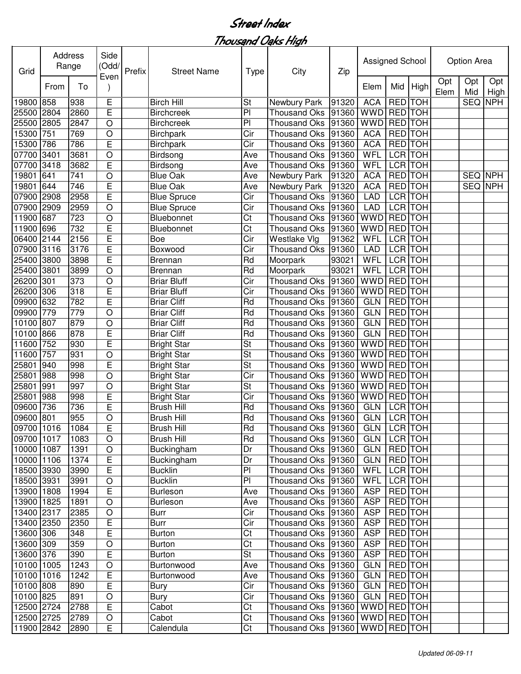Thousand Oaks High

| Grid       | Address | Range | Side<br>(Odd/<br>Even | Prefix | <b>Street Name</b> | Type | City                 | Zip   | Assigned School    |                |            |             | Option Area    |             |
|------------|---------|-------|-----------------------|--------|--------------------|------|----------------------|-------|--------------------|----------------|------------|-------------|----------------|-------------|
|            | From    | To    |                       |        |                    |      |                      |       | Elem               | Mid            | High       | Opt<br>Elem | Opt<br>Mid     | Opt<br>High |
| 19800      | 858     | 938   | E                     |        | <b>Birch Hill</b>  | St   | Newbury Park         | 91320 | <b>ACA</b>         | <b>RED</b>     | <b>TOH</b> |             | <b>SEQ</b>     | <b>NPH</b>  |
| 25500      | 2804    | 2860  | E                     |        | <b>Birchcreek</b>  | PI   | <b>Thousand Oks</b>  | 91360 | <b>WWD</b>         | <b>RED</b>     | <b>TOH</b> |             |                |             |
| 25500      | 2805    | 2847  | $\circ$               |        | <b>Birchcreek</b>  | PI   | <b>Thousand Oks</b>  | 91360 | <b>WWD</b>         | <b>RED</b>     | <b>TOH</b> |             |                |             |
| 15300      | 751     | 769   | $\circ$               |        | <b>Birchpark</b>   | Cir  | <b>Thousand Oks</b>  | 91360 | <b>ACA</b>         | <b>RED</b>     | <b>TOH</b> |             |                |             |
| 15300      | 786     | 786   | E                     |        | <b>Birchpark</b>   | Cir  | Thousand Oks         | 91360 | <b>ACA</b>         | <b>RED TOH</b> |            |             |                |             |
| 07700      | 3401    | 3681  | $\bigcirc$            |        | Birdsong           | Ave  | <b>Thousand Oks</b>  | 91360 | WFL                | <b>LCR TOH</b> |            |             |                |             |
| 07700      | 3418    | 3682  | E                     |        | Birdsong           | Ave  | <b>Thousand Oks</b>  | 91360 | <b>WFL</b>         | <b>LCR</b>     | <b>TOH</b> |             |                |             |
| 19801      | 641     | 741   | $\circ$               |        | <b>Blue Oak</b>    | Ave  | Newbury Park         | 91320 | <b>ACA</b>         | <b>RED</b>     | <b>TOH</b> |             | SEQ NPH        |             |
| 19801      | 644     | 746   | E                     |        | <b>Blue Oak</b>    | Ave  | Newbury Park         | 91320 | <b>ACA</b>         | <b>RED</b>     | <b>TOH</b> |             | <b>SEQ NPH</b> |             |
| 07900      | 2908    | 2958  | E                     |        | <b>Blue Spruce</b> | Cir  | <b>Thousand Oks</b>  | 91360 | <b>LAD</b>         | <b>LCR</b> TOH |            |             |                |             |
| 07900      | 2909    | 2959  | $\circ$               |        | <b>Blue Spruce</b> | Cir  | <b>Thousand Oks</b>  | 91360 | <b>LAD</b>         | <b>LCR</b>     | <b>TOH</b> |             |                |             |
| 11900      | 687     | 723   | $\circ$               |        | Bluebonnet         | Ct   | <b>Thousand Oks</b>  | 91360 | <b>WWD</b>         | <b>RED</b>     | <b>TOH</b> |             |                |             |
| 11900      | 696     | 732   | E                     |        | Bluebonnet         | Ct   | <b>Thousand Oks</b>  | 91360 | <b>WWD</b>         | <b>RED</b> TOH |            |             |                |             |
| 06400      | 2144    | 2156  | E                     |        | Boe                | Cir  | Westlake Vlg         | 91362 | WFL                | LCR TOH        |            |             |                |             |
| 07900      | 3116    | 3176  | E                     |        | Boxwood            | Cir  | <b>Thousand Oks</b>  | 91360 | <b>LAD</b>         | <b>LCR</b>     | <b>TOH</b> |             |                |             |
| 25400      | 3800    | 3898  | E                     |        | <b>Brennan</b>     | Rd   | Moorpark             | 93021 | WFL                | <b>LCR</b>     | <b>TOH</b> |             |                |             |
| 25400      | 3801    | 3899  | $\circ$               |        | Brennan            | Rd   | Moorpark             | 93021 | WFL                | <b>LCR</b>     | <b>TOH</b> |             |                |             |
| 26200      | 301     | 373   | $\circ$               |        | <b>Briar Bluff</b> | Cir  | <b>Thousand Oks</b>  | 91360 | <b>WWD</b>         | <b>RED</b>     | <b>TOH</b> |             |                |             |
| 26200      | 306     | 318   | E                     |        | <b>Briar Bluff</b> | Cir  | <b>Thousand Oks</b>  | 91360 | <b>WWD</b>         | <b>RED</b>     | <b>TOH</b> |             |                |             |
| 09900      | 632     | 782   | E                     |        | <b>Briar Cliff</b> | Rd   | <b>Thousand Oks</b>  | 91360 | <b>GLN</b>         | <b>RED</b>     | <b>TOH</b> |             |                |             |
| 09900      | 779     | 779   | $\circ$               |        | <b>Briar Cliff</b> | Rd   | <b>Thousand Oks</b>  | 91360 | <b>GLN</b>         | RED TOH        |            |             |                |             |
| 10100      | 807     | 879   | $\circ$               |        | <b>Briar Cliff</b> | Rd   | <b>Thousand Oks</b>  | 91360 | <b>GLN</b>         | <b>RED</b> TOH |            |             |                |             |
| 10100      | 866     | 878   | E                     |        | <b>Briar Cliff</b> | Rd   | <b>Thousand Oks</b>  | 91360 | <b>GLN</b>         | <b>RED</b>     | <b>TOH</b> |             |                |             |
| 11600      | 752     | 930   | E                     |        | <b>Bright Star</b> | St   | <b>Thousand Oks</b>  | 91360 | <b>WWD</b>         | <b>RED</b>     | <b>TOH</b> |             |                |             |
| 11600      | 757     | 931   | $\circ$               |        | <b>Bright Star</b> | St   | <b>Thousand Oks</b>  | 91360 | <b>WWD</b>         | <b>RED</b>     | <b>TOH</b> |             |                |             |
| 25801      | 940     | 998   | E                     |        | <b>Bright Star</b> | St   | Thousand Oks         | 91360 | <b>WWD</b>         | <b>RED</b>     | <b>TOH</b> |             |                |             |
| 25801      | 988     | 998   | $\circ$               |        | <b>Bright Star</b> | Cir  | <b>Thousand Oks</b>  | 91360 | <b>WWD</b>         | <b>RED</b>     | <b>TOH</b> |             |                |             |
| 25801      | 991     | 997   | $\circ$               |        | <b>Bright Star</b> | St   | <b>Thousand Oks</b>  | 91360 | <b>WWD</b>         | <b>RED</b>     | <b>TOH</b> |             |                |             |
| 25801      | 988     | 998   | E                     |        | <b>Bright Star</b> | Cir  | <b>Thousand Oks</b>  | 91360 | <b>WWD</b>         | <b>RED</b> TOH |            |             |                |             |
| 09600      | 736     | 736   | E                     |        | <b>Brush Hill</b>  | Rd   | <b>Thousand Oks</b>  | 91360 | <b>GLN</b>         | <b>LCR</b> TOH |            |             |                |             |
| 09600 801  |         | 955   | $\circ$               |        | <b>Brush Hill</b>  | Rd   | <b>Thousand Oks</b>  | 91360 | <b>GLN</b>         | LCR TOH        |            |             |                |             |
| 09700 1016 |         | 1084  | E                     |        | Brush Hill         | Rd   | Thousand Oks 91360   |       | <b>GLN LCR TOH</b> |                |            |             |                |             |
| 09700 1017 |         | 1083  | $\circ$               |        | Brush Hill         | Rd   | Thousand Oks   91360 |       | GLN                | LCR TOH        |            |             |                |             |
| 10000 1087 |         | 1391  | $\circ$               |        | <b>Buckingham</b>  | Dr   | Thousand Oks   91360 |       | <b>GLN</b>         | <b>RED</b> TOH |            |             |                |             |
| 10000 1106 |         | 1374  | E                     |        | Buckingham         | Dr   | Thousand Oks 91360   |       | <b>GLN</b>         | <b>RED</b> TOH |            |             |                |             |
| 18500 3930 |         | 3990  | E                     |        | <b>Bucklin</b>     | PI   | Thousand Oks 91360   |       | <b>WFL</b>         | LCR TOH        |            |             |                |             |
| 18500 3931 |         | 3991  | $\mathsf O$           |        | <b>Bucklin</b>     | PI   | Thousand Oks 91360   |       | <b>WFL</b>         | LCR TOH        |            |             |                |             |
| 13900 1808 |         | 1994  | $\overline{E}$        |        | <b>Burleson</b>    | Ave  | Thousand Oks 91360   |       | <b>ASP</b>         | RED TOH        |            |             |                |             |
| 13900 1825 |         | 1891  | $\mathsf O$           |        | <b>Burleson</b>    | Ave  | Thousand Oks 91360   |       | <b>ASP</b>         | RED TOH        |            |             |                |             |
| 13400 2317 |         | 2385  | $\mathsf O$           |        | Burr               | Cir  | Thousand Oks 91360   |       | <b>ASP</b>         | RED TOH        |            |             |                |             |
| 13400 2350 |         | 2350  | Е                     |        | Burr               | Cir  | Thousand Oks 91360   |       | <b>ASP</b>         | RED TOH        |            |             |                |             |
| 13600 306  |         | 348   | E                     |        | <b>Burton</b>      | Ct   | Thousand Oks 91360   |       | <b>ASP</b>         | RED TOH        |            |             |                |             |
| 13600 309  |         | 359   | $\bigcirc$            |        | <b>Burton</b>      | Ct   | Thousand Oks 91360   |       | <b>ASP</b>         | RED TOH        |            |             |                |             |
| 13600 376  |         | 390   | E                     |        | <b>Burton</b>      | St   | Thousand Oks 91360   |       | <b>ASP</b>         | RED TOH        |            |             |                |             |
| 10100 1005 |         | 1243  | $\bigcirc$            |        | Burtonwood         | Ave  | Thousand Oks 91360   |       | GLN                | RED TOH        |            |             |                |             |
| 10100 1016 |         | 1242  | E                     |        | Burtonwood         | Ave  | Thousand Oks 91360   |       | GLN                | RED TOH        |            |             |                |             |
| 10100 808  |         | 890   | E                     |        | Bury               | Cir  | Thousand Oks 91360   |       | <b>GLN</b>         | RED TOH        |            |             |                |             |
| 10100 825  |         | 891   | $\mathsf O$           |        | Bury               | Cir  | Thousand Oks 91360   |       | <b>GLN</b>         | RED TOH        |            |             |                |             |
| 12500 2724 |         | 2788  | $\mathsf E$           |        | Cabot              | Ct   | Thousand Oks   91360 |       | WWD RED TOH        |                |            |             |                |             |
| 12500 2725 |         | 2789  | $\mathsf O$           |        | Cabot              | Ct   | Thousand Oks 91360   |       | WWD RED TOH        |                |            |             |                |             |
| 11900 2842 |         | 2890  | E                     |        | Calendula          | Ct   | Thousand Oks 91360   |       | WWD RED TOH        |                |            |             |                |             |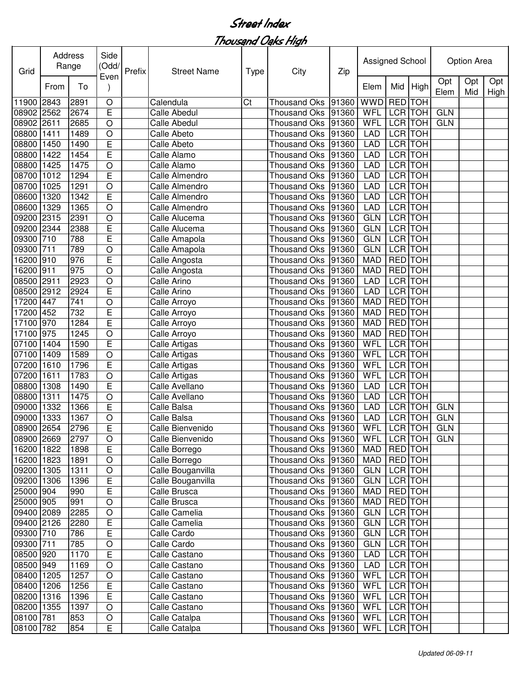| Grid       |      | <b>Address</b><br>Range | Side<br>(Odd/  | Prefix | <b>Street Name</b>  | Type | City                 | Zip   | Assigned School |                |                |             | Option Area |             |
|------------|------|-------------------------|----------------|--------|---------------------|------|----------------------|-------|-----------------|----------------|----------------|-------------|-------------|-------------|
|            | From | To                      | Even           |        |                     |      |                      |       | Elem            | Mid            | High           | Opt<br>Elem | Opt<br>Mid  | Opt<br>High |
| 11900 2843 |      | 2891                    | $\bigcirc$     |        | Calendula           | Ct   | <b>Thousand Oks</b>  | 91360 | <b>WWD</b>      | RED TOH        |                |             |             |             |
| 08902 2562 |      | 2674                    | E              |        | <b>Calle Abedul</b> |      | <b>Thousand Oks</b>  | 91360 | WFL             | LCR TOH        |                | <b>GLN</b>  |             |             |
| 08902      | 2611 | 2685                    | $\bigcirc$     |        | <b>Calle Abedul</b> |      | Thousand Oks         | 91360 | WFL             | <b>LCR</b>     | <b>TOH</b>     | <b>GLN</b>  |             |             |
| 08800      | 1411 | 1489                    | $\circ$        |        | Calle Abeto         |      | <b>Thousand Oks</b>  | 91360 | <b>LAD</b>      |                | <b>LCR</b> TOH |             |             |             |
| 08800      | 1450 | 1490                    | E              |        | Calle Abeto         |      | <b>Thousand Oks</b>  | 91360 | <b>LAD</b>      |                | <b>LCR</b> TOH |             |             |             |
| 08800      | 1422 | 1454                    | E              |        | Calle Alamo         |      | <b>Thousand Oks</b>  | 91360 | <b>LAD</b>      |                | <b>LCR</b> TOH |             |             |             |
| 08800      | 1425 | 1475                    | O              |        | Calle Alamo         |      | <b>Thousand Oks</b>  | 91360 | <b>LAD</b>      | <b>LCR</b> TOH |                |             |             |             |
| 08700      | 1012 | 1294                    | E              |        | Calle Almendro      |      | <b>Thousand Oks</b>  | 91360 | <b>LAD</b>      | <b>LCR</b> TOH |                |             |             |             |
| 08700      | 1025 | 1291                    | O              |        | Calle Almendro      |      | <b>Thousand Oks</b>  | 91360 | <b>LAD</b>      | <b>LCR</b> TOH |                |             |             |             |
| 08600      | 1320 | 1342                    | E              |        | Calle Almendro      |      | <b>Thousand Oks</b>  | 91360 | <b>LAD</b>      | <b>LCR</b> TOH |                |             |             |             |
| 08600      | 1329 | 1365                    | O              |        | Calle Almendro      |      | <b>Thousand Oks</b>  | 91360 | <b>LAD</b>      | <b>LCR TOH</b> |                |             |             |             |
| 09200      | 2315 | 2391                    | $\circ$        |        | Calle Alucema       |      | <b>Thousand Oks</b>  | 91360 | <b>GLN</b>      | <b>LCR</b> TOH |                |             |             |             |
| 09200 2344 |      | 2388                    | E              |        | Calle Alucema       |      | <b>Thousand Oks</b>  | 91360 | <b>GLN</b>      | <b>LCR</b> TOH |                |             |             |             |
| 09300 710  |      | 788                     | E              |        | Calle Amapola       |      | <b>Thousand Oks</b>  | 91360 | <b>GLN</b>      | <b>LCR TOH</b> |                |             |             |             |
| 09300 711  |      | 789                     | O              |        | Calle Amapola       |      | <b>Thousand Oks</b>  | 91360 | <b>GLN</b>      | LCR TOH        |                |             |             |             |
| 16200 910  |      | 976                     | E              |        | Calle Angosta       |      | <b>Thousand Oks</b>  | 91360 | <b>MAD</b>      | RED TOH        |                |             |             |             |
| 16200 911  |      | 975                     | O              |        | Calle Angosta       |      | <b>Thousand Oks</b>  | 91360 | <b>MAD</b>      | RED TOH        |                |             |             |             |
| 08500 2911 |      | 2923                    | O              |        | Calle Arino         |      | <b>Thousand Oks</b>  | 91360 | <b>LAD</b>      | LCR TOH        |                |             |             |             |
| 08500      | 2912 | 2924                    | E              |        | Calle Arino         |      | <b>Thousand Oks</b>  | 91360 | <b>LAD</b>      |                | <b>LCR</b> TOH |             |             |             |
| 17200      | 447  | 741                     | O              |        | Calle Arroyo        |      | Thousand Oks         | 91360 | <b>MAD</b>      | RED TOH        |                |             |             |             |
| 17200      | 452  | 732                     | E              |        | Calle Arroyo        |      | Thousand Oks         | 91360 | <b>MAD</b>      | <b>RED</b>     | <b>TOH</b>     |             |             |             |
| 17100      | 970  | $\overline{1}284$       | E              |        | Calle Arroyo        |      | Thousand Oks         | 91360 | <b>MAD</b>      | <b>RED</b> TOH |                |             |             |             |
| 17100      | 975  | 1245                    | O              |        | Calle Arroyo        |      | <b>Thousand Oks</b>  | 91360 | <b>MAD</b>      | RED TOH        |                |             |             |             |
| 07100      | 1404 | 1590                    | E              |        | Calle Artigas       |      | <b>Thousand Oks</b>  | 91360 | WFL             | LCR TOH        |                |             |             |             |
| 07100      | 1409 | 1589                    | $\circ$        |        | Calle Artigas       |      | <b>Thousand Oks</b>  | 91360 | WFL             | LCR TOH        |                |             |             |             |
| 07200      | 1610 | 1796                    | E              |        | Calle Artigas       |      | <b>Thousand Oks</b>  | 91360 | WFL             | LCR TOH        |                |             |             |             |
| 07200      | 1611 | 1783                    | O              |        | Calle Artigas       |      | <b>Thousand Oks</b>  | 91360 | WFL             | LCR TOH        |                |             |             |             |
| 08800      | 1308 | 1490                    | E              |        | Calle Avellano      |      | <b>Thousand Oks</b>  | 91360 | <b>LAD</b>      | LCR TOH        |                |             |             |             |
| 08800      | 1311 | 1475                    | O              |        | Calle Avellano      |      | <b>Thousand Oks</b>  | 91360 | <b>LAD</b>      | LCR TOH        |                |             |             |             |
| 09000      | 1332 | 1366                    | E              |        | Calle Balsa         |      | <b>Thousand Oks</b>  | 91360 | LAD             | LCR TOH        |                | <b>GLN</b>  |             |             |
| 09000 1333 |      | 1367                    | O              |        | Calle Balsa         |      | <b>Thousand Oks</b>  | 91360 | <b>LAD</b>      | <b>LCR</b> TOH |                | <b>GLN</b>  |             |             |
| 08900 2654 |      | 2796                    | E              |        | Calle Bienvenido    |      | Thousand Oks 91360   |       | WFL LCR TOH     |                |                | GLN         |             |             |
| 08900 2669 |      | 2797                    | O              |        | Calle Bienvenido    |      | Thousand Oks   91360 |       | WFL             |                | LCR TOH        | <b>GLN</b>  |             |             |
| 16200 1822 |      | 1898                    | E              |        | Calle Borrego       |      | Thousand Oks 91360   |       | MAD             | RED TOH        |                |             |             |             |
| 16200 1823 |      | 1891                    | $\bigcirc$     |        | Calle Borrego       |      | Thousand Oks 91360   |       | MAD             | RED TOH        |                |             |             |             |
| 09200 1305 |      | 1311                    | $\bigcirc$     |        | Calle Bouganvilla   |      | Thousand Oks 91360   |       | <b>GLN</b>      | LCR TOH        |                |             |             |             |
| 09200 1306 |      | 1396                    | $\overline{E}$ |        | Calle Bouganvilla   |      | Thousand Oks 91360   |       | <b>GLN</b>      | <b>LCR</b> TOH |                |             |             |             |
| 25000 904  |      | 990                     | $\overline{E}$ |        | Calle Brusca        |      | Thousand Oks 91360   |       | MAD             | RED TOH        |                |             |             |             |
| 25000 905  |      | 991                     | O              |        | Calle Brusca        |      | Thousand Oks 91360   |       | <b>MAD</b>      |                | RED TOH        |             |             |             |
| 09400 2089 |      | 2285                    | $\bigcirc$     |        | Calle Camelia       |      | Thousand Oks 91360   |       | <b>GLN</b>      |                | LCR TOH        |             |             |             |
| 09400 2126 |      | 2280                    | $\mathsf E$    |        | Calle Camelia       |      | Thousand Oks 91360   |       | <b>GLN</b>      |                | LCR TOH        |             |             |             |
| 09300 710  |      | 786                     | E              |        | Calle Cardo         |      | Thousand Oks 91360   |       | <b>GLN</b>      | LCR TOH        |                |             |             |             |
| 09300 711  |      | 785                     | $\bigcirc$     |        | Calle Cardo         |      | Thousand Oks 91360   |       | <b>GLN</b>      | LCR TOH        |                |             |             |             |
| 08500 920  |      | 1170                    | E              |        | Calle Castano       |      | Thousand Oks         | 91360 | <b>LAD</b>      |                | LCR TOH        |             |             |             |
| 08500 949  |      | 1169                    | $\bigcirc$     |        | Calle Castano       |      | Thousand Oks 91360   |       | <b>LAD</b>      | LCR TOH        |                |             |             |             |
| 08400 1205 |      | 1257                    | $\bigcirc$     |        | Calle Castano       |      | Thousand Oks 91360   |       | WFL             |                | LCR TOH        |             |             |             |
| 08400 1206 |      | 1256                    | $\overline{E}$ |        | Calle Castano       |      | Thousand Oks         | 91360 | WFL             |                | LCR TOH        |             |             |             |
| 08200 1316 |      | 1396                    | E              |        | Calle Castano       |      | Thousand Oks         | 91360 | WFL             |                | LCR TOH        |             |             |             |
| 08200 1355 |      | 1397                    | O              |        | Calle Castano       |      | Thousand Oks 91360   |       | WFL             |                | LCR TOH        |             |             |             |
| 08100 781  |      | 853                     | $\mathsf O$    |        | Calle Catalpa       |      | Thousand Oks 91360   |       | <b>WFL</b>      |                | LCR TOH        |             |             |             |
| 08100 782  |      | 854                     | E              |        | Calle Catalpa       |      | Thousand Oks 91360   |       | WFL             |                | LCR TOH        |             |             |             |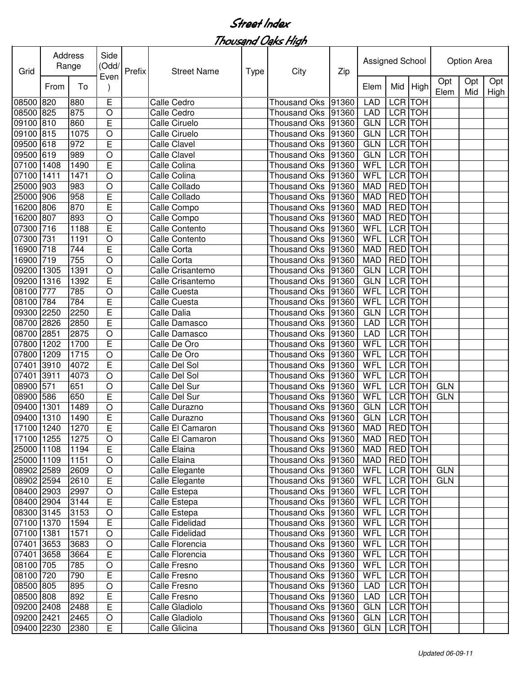| Grid       |      | Address<br>Range | Side<br>(Odd/  | Prefix | <b>Street Name</b>  | <b>Type</b> | City                 | Zip   | Assigned School |                |                |             | Option Area |             |
|------------|------|------------------|----------------|--------|---------------------|-------------|----------------------|-------|-----------------|----------------|----------------|-------------|-------------|-------------|
|            | From | To               | Even           |        |                     |             |                      |       | Elem            | Mid            | <b>High</b>    | Opt<br>Elem | Opt<br>Mid  | Opt<br>High |
| 08500 820  |      | 880              | E              |        | Calle Cedro         |             | <b>Thousand Oks</b>  | 91360 | <b>LAD</b>      |                | LCR TOH        |             |             |             |
| 08500 825  |      | 875              | O              |        | Calle Cedro         |             | Thousand Oks         | 91360 | <b>LAD</b>      |                | LCR TOH        |             |             |             |
| 09100 810  |      | 860              | E              |        | Calle Ciruelo       |             | <b>Thousand Oks</b>  | 91360 | <b>GLN</b>      |                | LCR TOH        |             |             |             |
| 09100 815  |      | 1075             | O              |        | Calle Ciruelo       |             | <b>Thousand Oks</b>  | 91360 | <b>GLN</b>      |                | LCR TOH        |             |             |             |
| 09500      | 618  | 972              | E              |        | <b>Calle Clavel</b> |             | <b>Thousand Oks</b>  | 91360 | <b>GLN</b>      |                | <b>LCR</b> TOH |             |             |             |
| 09500      | 619  | 989              | O              |        | <b>Calle Clavel</b> |             | <b>Thousand Oks</b>  | 91360 | <b>GLN</b>      |                | <b>LCR</b> TOH |             |             |             |
| 07100      | 1408 | 1490             | E              |        | Calle Colina        |             | <b>Thousand Oks</b>  | 91360 | WFL             |                | <b>LCR</b> TOH |             |             |             |
| 07100      | 1411 | 1471             | $\circ$        |        | Calle Colina        |             | <b>Thousand Oks</b>  | 91360 | WFL             |                | <b>LCR</b> TOH |             |             |             |
| 25000 903  |      | 983              | $\circ$        |        | Calle Collado       |             | <b>Thousand Oks</b>  | 91360 | <b>MAD</b>      | RED TOH        |                |             |             |             |
| 25000 906  |      | 958              | E              |        | Calle Collado       |             | <b>Thousand Oks</b>  | 91360 | <b>MAD</b>      | RED TOH        |                |             |             |             |
| 16200 806  |      | 870              | E              |        | Calle Compo         |             | <b>Thousand Oks</b>  | 91360 | <b>MAD</b>      | <b>RED</b> TOH |                |             |             |             |
| 16200 807  |      | 893              | O              |        | Calle Compo         |             | <b>Thousand Oks</b>  | 91360 | <b>MAD</b>      | RED TOH        |                |             |             |             |
| 07300 716  |      | 1188             | E              |        | Calle Contento      |             | <b>Thousand Oks</b>  | 91360 | WFL             | <b>LCR</b> TOH |                |             |             |             |
| 07300      | 731  | 1191             | O              |        | Calle Contento      |             | <b>Thousand Oks</b>  | 91360 | WFL             |                | LCR TOH        |             |             |             |
| 16900 718  |      | 744              | E              |        | Calle Corta         |             | <b>Thousand Oks</b>  | 91360 | <b>MAD</b>      | <b>RED</b> TOH |                |             |             |             |
| 16900 719  |      | 755              | O              |        | Calle Corta         |             | <b>Thousand Oks</b>  | 91360 | <b>MAD</b>      | RED TOH        |                |             |             |             |
| 09200      | 1305 | 1391             | $\circ$        |        | Calle Crisantemo    |             | <b>Thousand Oks</b>  | 91360 | <b>GLN</b>      |                | LCR TOH        |             |             |             |
| 09200      | 1316 | 1392             | E              |        | Calle Crisantemo    |             | Thousand Oks         | 91360 | <b>GLN</b>      |                | LCR TOH        |             |             |             |
| 08100      | 777  | 785              | O              |        | Calle Cuesta        |             | <b>Thousand Oks</b>  | 91360 | WFL             |                | LCR TOH        |             |             |             |
| 08100      | 784  | 784              | E              |        | Calle Cuesta        |             | Thousand Oks         | 91360 | WFL             |                | LCR TOH        |             |             |             |
| 09300      | 2250 | 2250             | E              |        | Calle Dalia         |             | Thousand Oks         | 91360 | <b>GLN</b>      |                | LCR TOH        |             |             |             |
| 08700      | 2826 | 2850             | E              |        | Calle Damasco       |             | Thousand Oks         | 91360 | <b>LAD</b>      |                | LCR TOH        |             |             |             |
| 08700      | 2851 | 2875             | O              |        | Calle Damasco       |             | <b>Thousand Oks</b>  | 91360 | <b>LAD</b>      |                | LCR TOH        |             |             |             |
| 07800      | 1202 | 1700             | E              |        | Calle De Oro        |             | <b>Thousand Oks</b>  | 91360 | WFL             |                | LCR TOH        |             |             |             |
| 07800      | 1209 | 1715             | $\circ$        |        | Calle De Oro        |             | <b>Thousand Oks</b>  | 91360 | WFL             |                | LCR TOH        |             |             |             |
| 07401      | 3910 | 4072             | E              |        | Calle Del Sol       |             | <b>Thousand Oks</b>  | 91360 | WFL             | LCR TOH        |                |             |             |             |
| 07401      | 3911 | 4073             | $\bigcirc$     |        | Calle Del Sol       |             | <b>Thousand Oks</b>  | 91360 | WFL             |                | LCR TOH        |             |             |             |
| 08900      | 571  | 651              | $\circ$        |        | Calle Del Sur       |             | <b>Thousand Oks</b>  | 91360 | WFL             | LCR TOH        |                | <b>GLN</b>  |             |             |
| 08900      | 586  | 650              | E              |        | Calle Del Sur       |             | <b>Thousand Oks</b>  | 91360 | WFL             | LCR TOH        |                | <b>GLN</b>  |             |             |
| 09400      | 1301 | 1489             | O              |        | Calle Durazno       |             | <b>Thousand Oks</b>  | 91360 | <b>GLN</b>      | <b>LCR</b> TOH |                |             |             |             |
| 09400 1310 |      | 1490             | E              |        | Calle Durazno       |             | Thousand Oks 91360   |       | GLN             | <b>LCR</b> TOH |                |             |             |             |
| 17100 1240 |      | 1270             | $\overline{E}$ |        | Calle El Camaron    |             | Thousand Oks 91360   |       | MAD RED TOH     |                |                |             |             |             |
| 17100 1255 |      | 1275             | O              |        | Calle El Camaron    |             | Thousand Oks   91360 |       | MAD             | <b>RED</b> TOH |                |             |             |             |
| 25000 1108 |      | 1194             | E              |        | Calle Elaina        |             | Thousand Oks   91360 |       | <b>MAD</b>      | RED TOH        |                |             |             |             |
| 25000 1109 |      | 1151             | $\circ$        |        | Calle Elaina        |             | Thousand Oks   91360 |       | <b>MAD</b>      | <b>RED</b> TOH |                |             |             |             |
| 08902 2589 |      | 2609             | $\bigcirc$     |        | Calle Elegante      |             | Thousand Oks 91360   |       | WFL             |                | LCR TOH        | <b>GLN</b>  |             |             |
| 08902 2594 |      | 2610             | E              |        | Calle Elegante      |             | Thousand Oks 91360   |       | <b>WFL</b>      |                | LCR TOH        | <b>GLN</b>  |             |             |
| 08400 2903 |      | 2997             | $\hbox{O}$     |        | Calle Estepa        |             | Thousand Oks 91360   |       | WFL             |                | LCR TOH        |             |             |             |
| 08400 2904 |      | 3144             | $\mathsf E$    |        | Calle Estepa        |             | Thousand Oks 91360   |       | WFL             |                | LCR TOH        |             |             |             |
| 08300 3145 |      | 3153             | $\bigcirc$     |        | Calle Estepa        |             | Thousand Oks 91360   |       | WFL             |                | LCR TOH        |             |             |             |
| 07100 1370 |      | 1594             | $\mathsf E$    |        | Calle Fidelidad     |             | Thousand Oks 91360   |       | WFL             |                | LCR TOH        |             |             |             |
| 07100 1381 |      | 1571             | $\circ$        |        | Calle Fidelidad     |             | Thousand Oks 91360   |       | <b>WFL</b>      |                | LCR TOH        |             |             |             |
| 07401 3653 |      | 3683             | $\circ$        |        | Calle Florencia     |             | Thousand Oks 91360   |       | WFL             |                | LCR TOH        |             |             |             |
| 07401 3658 |      | 3664             | E              |        | Calle Florencia     |             | Thousand Oks 91360   |       | <b>WFL</b>      |                | LCR TOH        |             |             |             |
| 08100 705  |      | 785              | $\mathsf O$    |        | Calle Fresno        |             | Thousand Oks 91360   |       | WFL             |                | LCR TOH        |             |             |             |
| 08100 720  |      | 790              | E              |        | Calle Fresno        |             | Thousand Oks 91360   |       | WFL             |                | LCR TOH        |             |             |             |
| 08500 805  |      | 895              | $\hbox{O}$     |        | Calle Fresno        |             | Thousand Oks 91360   |       | <b>LAD</b>      |                | LCR TOH        |             |             |             |
| 08500 808  |      | 892              | $\overline{E}$ |        | Calle Fresno        |             | Thousand Oks 91360   |       | <b>LAD</b>      |                | LCR TOH        |             |             |             |
| 09200 2408 |      | 2488             | E              |        | Calle Gladiolo      |             | Thousand Oks 91360   |       | <b>GLN</b>      |                | LCR TOH        |             |             |             |
| 09200 2421 |      | 2465             | $\mathsf O$    |        | Calle Gladiolo      |             | Thousand Oks 91360   |       | GLN             |                | LCR TOH        |             |             |             |
| 09400 2230 |      | 2380             | E              |        | Calle Glicina       |             | Thousand Oks 91360   |       | GLN             |                | LCR TOH        |             |             |             |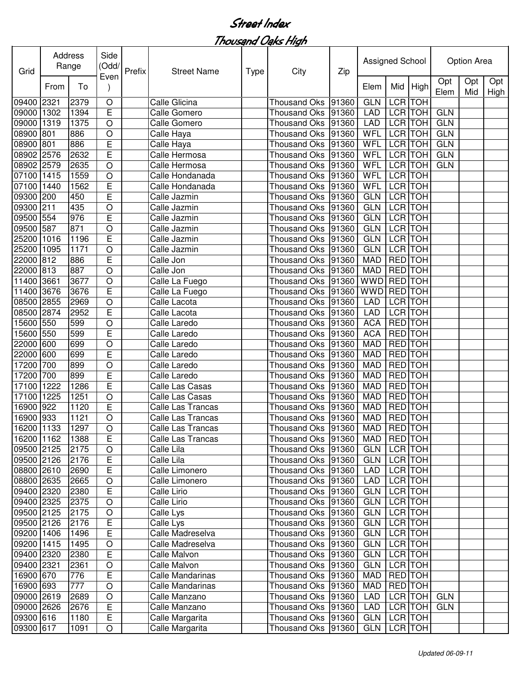| Grid       |      | Address<br>Range | Side<br>(Odd/  | Prefix | <b>Street Name</b> | <b>Type</b> | City                           | Zip   | Assigned School |                |            |             | <b>Option Area</b> |             |
|------------|------|------------------|----------------|--------|--------------------|-------------|--------------------------------|-------|-----------------|----------------|------------|-------------|--------------------|-------------|
|            | From | To               | Even           |        |                    |             |                                |       | Elem            | Mid            | High       | Opt<br>Elem | Opt<br>Mid         | Opt<br>High |
| 09400 2321 |      | 2379             | $\circ$        |        | Calle Glicina      |             | <b>Thousand Oks</b>            | 91360 | <b>GLN</b>      | LCR TOH        |            |             |                    |             |
| 09000 1302 |      | 1394             | E              |        | Calle Gomero       |             | Thousand Oks                   | 91360 | <b>LAD</b>      | LCR TOH        |            | <b>GLN</b>  |                    |             |
| 09000      | 1319 | 1375             | $\bigcirc$     |        | Calle Gomero       |             | Thousand Oks                   | 91360 | <b>LAD</b>      | <b>LCR</b>     | <b>TOH</b> | <b>GLN</b>  |                    |             |
| 08900      | 801  | 886              | O              |        | Calle Haya         |             | <b>Thousand Oks</b>            | 91360 | WFL             | <b>LCR TOH</b> |            | <b>GLN</b>  |                    |             |
| 08900      | 801  | 886              | E              |        | Calle Haya         |             | <b>Thousand Oks</b>            | 91360 | WFL             | <b>LCR</b> TOH |            | <b>GLN</b>  |                    |             |
| 08902 2576 |      | 2632             | E              |        | Calle Hermosa      |             | <b>Thousand Oks</b>            | 91360 | WFL             | <b>LCR</b>     | <b>TOH</b> | <b>GLN</b>  |                    |             |
| 08902 2579 |      | 2635             | $\circ$        |        | Calle Hermosa      |             | <b>Thousand Oks</b>            | 91360 | WFL             | LCR TOH        |            | <b>GLN</b>  |                    |             |
| 07100 1415 |      | 1559             | $\circ$        |        | Calle Hondanada    |             | <b>Thousand Oks</b>            | 91360 | WFL             | LCR TOH        |            |             |                    |             |
| 07100      | 1440 | 1562             | E              |        | Calle Hondanada    |             | <b>Thousand Oks</b>            | 91360 | WFL             | <b>LCR</b> TOH |            |             |                    |             |
| 09300 200  |      | 450              | E              |        | Calle Jazmin       |             | <b>Thousand Oks</b>            | 91360 | <b>GLN</b>      | LCR TOH        |            |             |                    |             |
| 09300 211  |      | 435              | O              |        | Calle Jazmin       |             | <b>Thousand Oks</b>            | 91360 | <b>GLN</b>      | LCR TOH        |            |             |                    |             |
| 09500      | 554  | 976              | E              |        | Calle Jazmin       |             | <b>Thousand Oks</b>            | 91360 | <b>GLN</b>      | <b>LCR TOH</b> |            |             |                    |             |
| 09500 587  |      | 871              | O              |        | Calle Jazmin       |             | <b>Thousand Oks</b>            | 91360 | <b>GLN</b>      | <b>LCR</b> TOH |            |             |                    |             |
| 25200 1016 |      | 1196             | E              |        | Calle Jazmin       |             | <b>Thousand Oks</b>            | 91360 | <b>GLN</b>      | <b>LCR</b>     | <b>TOH</b> |             |                    |             |
| 25200      | 1095 | 1171             | O              |        | Calle Jazmin       |             | <b>Thousand Oks</b>            | 91360 | <b>GLN</b>      | LCR TOH        |            |             |                    |             |
| 22000 812  |      | 886              | E              |        | Calle Jon          |             | <b>Thousand Oks</b>            | 91360 | <b>MAD</b>      | RED TOH        |            |             |                    |             |
| 22000 813  |      | 887              | $\circ$        |        | Calle Jon          |             | Thousand Oks                   | 91360 | <b>MAD</b>      | <b>RED</b> TOH |            |             |                    |             |
| 11400 3661 |      | 3677             | O              |        | Calle La Fuego     |             | Thousand Oks                   | 91360 | <b>WWD</b>      | <b>RED TOH</b> |            |             |                    |             |
| 11400      | 3676 | 3676             | E              |        | Calle La Fuego     |             | Thousand Oks                   | 91360 | WWD             | RED TOH        |            |             |                    |             |
| 08500      | 2855 | 2969             | O              |        | Calle Lacota       |             | Thousand Oks                   | 91360 | <b>LAD</b>      | LCR TOH        |            |             |                    |             |
| 08500      | 2874 | 2952             | E              |        | Calle Lacota       |             | Thousand Oks                   | 91360 | <b>LAD</b>      | LCR TOH        |            |             |                    |             |
| 15600 550  |      | 599              | O              |        | Calle Laredo       |             | <b>Thousand Oks</b>            | 91360 | <b>ACA</b>      | RED TOH        |            |             |                    |             |
| 15600      | 550  | 599              | E              |        | Calle Laredo       |             | <b>Thousand Oks</b>            | 91360 | <b>ACA</b>      | RED TOH        |            |             |                    |             |
| 22000 600  |      | 699              | $\circ$        |        | Calle Laredo       |             | <b>Thousand Oks</b>            | 91360 | <b>MAD</b>      | RED TOH        |            |             |                    |             |
| 22000 600  |      | 699              | E              |        | Calle Laredo       |             | <b>Thousand Oks</b>            | 91360 | <b>MAD</b>      | RED TOH        |            |             |                    |             |
| 17200      | 700  | 899              | $\bigcirc$     |        | Calle Laredo       |             | <b>Thousand Oks</b>            | 91360 | <b>MAD</b>      | RED TOH        |            |             |                    |             |
| 17200      | 700  | 899              | E              |        | Calle Laredo       |             | <b>Thousand Oks</b>            | 91360 | <b>MAD</b>      | RED TOH        |            |             |                    |             |
| 17100      | 1222 | 1286             | E              |        | Calle Las Casas    |             | <b>Thousand Oks</b>            | 91360 | <b>MAD</b>      | <b>RED</b>     | <b>TOH</b> |             |                    |             |
| 17100      | 1225 | 1251             | O              |        | Calle Las Casas    |             | <b>Thousand Oks</b>            | 91360 | <b>MAD</b>      | <b>RED</b> TOH |            |             |                    |             |
| 16900      | 922  | 1120             | E              |        | Calle Las Trancas  |             | <b>Thousand Oks</b>            | 91360 | <b>MAD</b>      | <b>RED</b> TOH |            |             |                    |             |
| 16900 933  |      | 1121             | O              |        | Calle Las Trancas  |             | Thousand Oks 91360             |       | <b>MAD</b>      | <b>RED</b> TOH |            |             |                    |             |
| 16200 1133 |      | 1297             | $\overline{O}$ |        | Calle Las Trancas  |             | Thousand Oks 91360 MAD RED TOH |       |                 |                |            |             |                    |             |
| 16200 1162 |      | 1388             | E              |        | Calle Las Trancas  |             | Thousand Oks   91360           |       | MAD             | RED TOH        |            |             |                    |             |
| 09500 2125 |      | 2175             | $\circ$        |        | Calle Lila         |             | Thousand Oks   91360           |       | GLN             | LCR TOH        |            |             |                    |             |
| 09500 2126 |      | 2176             | E              |        | Calle Lila         |             | Thousand Oks 91360             |       | GLN             | LCR TOH        |            |             |                    |             |
| 08800 2610 |      | 2690             | E              |        | Calle Limonero     |             | Thousand Oks   91360           |       | LAD             | LCR TOH        |            |             |                    |             |
| 08800 2635 |      | 2665             | O              |        | Calle Limonero     |             | Thousand Oks 91360             |       | LAD             | LCR TOH        |            |             |                    |             |
| 09400 2320 |      | 2380             | $\mathsf E$    |        | Calle Lirio        |             | Thousand Oks 91360             |       | <b>GLN</b>      | LCR TOH        |            |             |                    |             |
| 09400 2325 |      | 2375             | O              |        | Calle Lirio        |             | Thousand Oks 91360             |       | <b>GLN</b>      | LCR TOH        |            |             |                    |             |
| 09500 2125 |      | 2175             | $\bigcirc$     |        | Calle Lys          |             | Thousand Oks 91360             |       | GLN             | LCR TOH        |            |             |                    |             |
| 09500 2126 |      | 2176             | $\mathsf E$    |        | Calle Lys          |             | Thousand Oks 91360             |       | GLN             | LCR TOH        |            |             |                    |             |
| 09200 1406 |      | 1496             | Е              |        | Calle Madreselva   |             | Thousand Oks 91360             |       | GLN             | LCR TOH        |            |             |                    |             |
| 09200 1415 |      | 1495             | $\bigcirc$     |        | Calle Madreselva   |             | Thousand Oks 91360             |       | GLN             | LCR TOH        |            |             |                    |             |
| 09400 2320 |      | 2380             | E              |        | Calle Malvon       |             | Thousand Oks 91360             |       | <b>GLN</b>      | LCR TOH        |            |             |                    |             |
| 09400 2321 |      | 2361             | $\hbox{O}$     |        | Calle Malvon       |             | Thousand Oks 91360             |       | <b>GLN</b>      | LCR TOH        |            |             |                    |             |
| 16900 670  |      | 776              | $\overline{E}$ |        | Calle Mandarinas   |             | Thousand Oks   91360           |       | MAD             | RED TOH        |            |             |                    |             |
| 16900 693  |      | 777              | $\bigcirc$     |        | Calle Mandarinas   |             | Thousand Oks 91360             |       | <b>MAD</b>      | RED TOH        |            |             |                    |             |
| 09000 2619 |      | 2689             | $\bigcirc$     |        | Calle Manzano      |             | Thousand Oks 91360             |       | LAD             | LCR TOH        |            | <b>GLN</b>  |                    |             |
| 09000 2626 |      | 2676             | E              |        | Calle Manzano      |             | Thousand Oks 91360             |       | LAD             | LCR TOH        |            | <b>GLN</b>  |                    |             |
| 09300 616  |      | 1180             | $\overline{E}$ |        | Calle Margarita    |             | Thousand Oks 91360             |       | GLN             | LCR TOH        |            |             |                    |             |
| 09300 617  |      | 1091             | O              |        | Calle Margarita    |             | Thousand Oks   91360           |       | GLN             | LCR TOH        |            |             |                    |             |
|            |      |                  |                |        |                    |             |                                |       |                 |                |            |             |                    |             |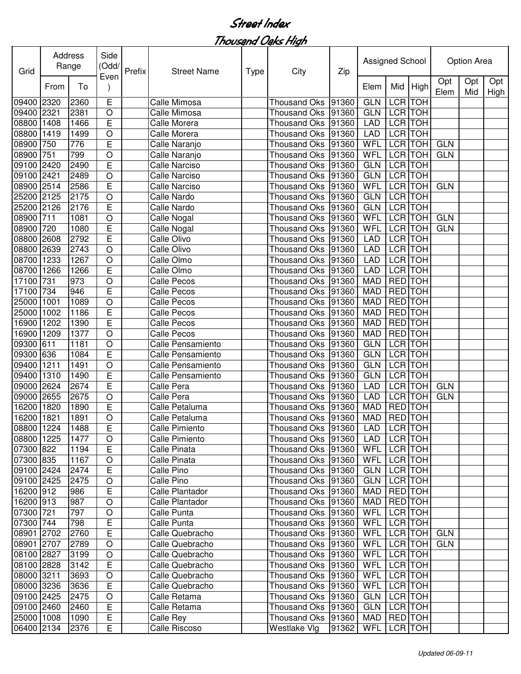| Grid       | Address | Range | Side<br>(Odd/  | Prefix | <b>Street Name</b>   | <b>Type</b> | City                 | Zip   | Assigned School |                |            |             | Option Area |             |
|------------|---------|-------|----------------|--------|----------------------|-------------|----------------------|-------|-----------------|----------------|------------|-------------|-------------|-------------|
|            | From    | To    | Even           |        |                      |             |                      |       | Elem            | Mid            | High       | Opt<br>Elem | Opt<br>Mid  | Opt<br>High |
| 09400      | 2320    | 2360  | Ε              |        | Calle Mimosa         |             | <b>Thousand Oks</b>  | 91360 | <b>GLN</b>      | LCR TOH        |            |             |             |             |
| 09400 2321 |         | 2381  | $\circ$        |        | Calle Mimosa         |             | <b>Thousand Oks</b>  | 91360 | <b>GLN</b>      | LCR TOH        |            |             |             |             |
| 08800      | 1408    | 1466  | E              |        | Calle Morera         |             | <b>Thousand Oks</b>  | 91360 | <b>LAD</b>      |                | LCR TOH    |             |             |             |
| 08800      | 1419    | 1499  | $\circ$        |        | Calle Morera         |             | <b>Thousand Oks</b>  | 91360 | <b>LAD</b>      |                | LCR TOH    |             |             |             |
| 08900      | 750     | 776   | E              |        | Calle Naranjo        |             | <b>Thousand Oks</b>  | 91360 | WFL             | <b>LCR</b> TOH |            | <b>GLN</b>  |             |             |
| 08900      | 751     | 799   | $\circ$        |        | Calle Naranjo        |             | <b>Thousand Oks</b>  | 91360 | WFL             | <b>LCR</b> TOH |            | <b>GLN</b>  |             |             |
| 09100      | 2420    | 2490  | E              |        | Calle Narciso        |             | <b>Thousand Oks</b>  | 91360 | <b>GLN</b>      | LCR TOH        |            |             |             |             |
| 09100      | 2421    | 2489  | $\circ$        |        | <b>Calle Narciso</b> |             | <b>Thousand Oks</b>  | 91360 | <b>GLN</b>      |                | LCR TOH    |             |             |             |
| 08900      | 2514    | 2586  | E              |        | <b>Calle Narciso</b> |             | <b>Thousand Oks</b>  | 91360 | WFL             | LCR TOH        |            | <b>GLN</b>  |             |             |
| 25200 2125 |         | 2175  | $\circ$        |        | Calle Nardo          |             | <b>Thousand Oks</b>  | 91360 | <b>GLN</b>      | LCR TOH        |            |             |             |             |
| 25200 2126 |         | 2176  | E              |        | Calle Nardo          |             | <b>Thousand Oks</b>  | 91360 | <b>GLN</b>      | LCR TOH        |            |             |             |             |
| 08900      | 711     | 1081  | $\circ$        |        | Calle Nogal          |             | <b>Thousand Oks</b>  | 91360 | WFL             | LCR TOH        |            | <b>GLN</b>  |             |             |
| 08900      | 720     | 1080  | E              |        | Calle Nogal          |             | <b>Thousand Oks</b>  | 91360 | WFL             | <b>LCR TOH</b> |            | <b>GLN</b>  |             |             |
| 08800      | 2608    | 2792  | E              |        | Calle Olivo          |             | <b>Thousand Oks</b>  | 91360 | <b>LAD</b>      | <b>LCR</b> TOH |            |             |             |             |
| 08800      | 2639    | 2743  | $\circ$        |        | Calle Olivo          |             | <b>Thousand Oks</b>  | 91360 | <b>LAD</b>      | LCR TOH        |            |             |             |             |
| 08700      | 1233    | 1267  | $\circ$        |        | Calle Olmo           |             | <b>Thousand Oks</b>  | 91360 | <b>LAD</b>      | <b>LCR</b>     | <b>TOH</b> |             |             |             |
| 08700      | 1266    | 1266  | E              |        | Calle Olmo           |             | <b>Thousand Oks</b>  | 91360 | <b>LAD</b>      | LCR TOH        |            |             |             |             |
| 17100      | 731     | 973   | $\circ$        |        | Calle Pecos          |             | <b>Thousand Oks</b>  | 91360 | <b>MAD</b>      | <b>RED</b> TOH |            |             |             |             |
| 17100      | 734     | 946   | E              |        | <b>Calle Pecos</b>   |             | <b>Thousand Oks</b>  | 91360 | <b>MAD</b>      | <b>RED</b> TOH |            |             |             |             |
| 25000      | 1001    | 1089  | $\circ$        |        | <b>Calle Pecos</b>   |             | <b>Thousand Oks</b>  | 91360 | <b>MAD</b>      | RED TOH        |            |             |             |             |
| 25000      | 1002    | 1186  | E              |        | Calle Pecos          |             | <b>Thousand Oks</b>  | 91360 | <b>MAD</b>      | <b>RED</b>     | <b>TOH</b> |             |             |             |
| 6900       | 1202    | 1390  | E              |        | <b>Calle Pecos</b>   |             | <b>Thousand Oks</b>  | 91360 | <b>MAD</b>      | RED TOH        |            |             |             |             |
| 16900      | 1209    | 1377  | $\circ$        |        | <b>Calle Pecos</b>   |             | <b>Thousand Oks</b>  | 91360 | <b>MAD</b>      | RED TOH        |            |             |             |             |
| 09300      | 611     | 1181  | $\circ$        |        | Calle Pensamiento    |             | <b>Thousand Oks</b>  | 91360 | <b>GLN</b>      | LCR TOH        |            |             |             |             |
| 09300      | 636     | 1084  | E              |        | Calle Pensamiento    |             | <b>Thousand Oks</b>  | 91360 | <b>GLN</b>      | LCR TOH        |            |             |             |             |
| 09400      | 1211    | 1491  | $\circ$        |        | Calle Pensamiento    |             | <b>Thousand Oks</b>  | 91360 | <b>GLN</b>      | LCR TOH        |            |             |             |             |
| 09400      | 1310    | 1490  | E              |        | Calle Pensamiento    |             | <b>Thousand Oks</b>  | 91360 | <b>GLN</b>      | LCR TOH        |            |             |             |             |
| 09000      | 2624    | 2674  | E              |        | Calle Pera           |             | <b>Thousand Oks</b>  | 91360 | <b>LAD</b>      | LCR TOH        |            | <b>GLN</b>  |             |             |
| 09000      | 2655    | 2675  | $\circ$        |        | Calle Pera           |             | <b>Thousand Oks</b>  | 91360 | <b>LAD</b>      | LCR TOH        |            | <b>GLN</b>  |             |             |
| 16200      | 1820    | 1890  | E              |        | Calle Petaluma       |             | <b>Thousand Oks</b>  | 91360 | <b>MAD</b>      | <b>RED</b>     | <b>TOH</b> |             |             |             |
| 16200      | 1821    | 1891  | $\circ$        |        | Calle Petaluma       |             | Thousand Oks 91360   |       | <b>MAD</b>      | <b>RED</b> TOH |            |             |             |             |
| 08800 1224 |         | 1488  | $\overline{E}$ |        | Calle Pimiento       |             | Thousand Oks 91360   |       | <b>LAD</b>      | LCR TOH        |            |             |             |             |
| 08800 1225 |         | 1477  | $\circ$        |        | Calle Pimiento       |             | Thousand Oks   91360 |       | LAD             | LCR TOH        |            |             |             |             |
| 07300 822  |         | 1194  | E              |        | Calle Pinata         |             | Thousand Oks   91360 |       | WFL             | LCR TOH        |            |             |             |             |
| 07300 835  |         | 1167  | $\circ$        |        | Calle Pinata         |             | Thousand Oks 91360   |       | <b>WFL</b>      |                | LCR TOH    |             |             |             |
| 09100 2424 |         | 2474  | E              |        | Calle Pino           |             | Thousand Oks   91360 |       | <b>GLN</b>      |                | LCR TOH    |             |             |             |
| 09100 2425 |         | 2475  | $\bigcirc$     |        | Calle Pino           |             | Thousand Oks 91360   |       | <b>GLN</b>      |                | LCR TOH    |             |             |             |
| 16200 912  |         | 986   | E              |        | Calle Plantador      |             | Thousand Oks   91360 |       | MAD             |                | RED TOH    |             |             |             |
| 16200 913  |         | 987   | O              |        | Calle Plantador      |             | Thousand Oks   91360 |       | MAD             | RED TOH        |            |             |             |             |
| 07300 721  |         | 797   | $\circ$        |        | Calle Punta          |             | Thousand Oks 91360   |       | WFL             |                | LCR TOH    |             |             |             |
| 07300 744  |         | 798   | Е              |        | Calle Punta          |             | Thousand Oks 91360   |       | WFL             | LCR TOH        |            |             |             |             |
| 08901 2702 |         | 2760  | E              |        | Calle Quebracho      |             | Thousand Oks 91360   |       | <b>WFL</b>      |                | LCR TOH    | <b>GLN</b>  |             |             |
| 08901 2707 |         | 2789  | $\bigcirc$     |        | Calle Quebracho      |             | Thousand Oks   91360 |       | WFL             | LCR TOH        |            | <b>GLN</b>  |             |             |
| 08100 2827 |         | 3199  | $\circ$        |        | Calle Quebracho      |             | Thousand Oks 91360   |       | WFL             | LCR TOH        |            |             |             |             |
| 08100 2828 |         | 3142  | E              |        | Calle Quebracho      |             | Thousand Oks 91360   |       | <b>WFL</b>      | LCR TOH        |            |             |             |             |
| 08000 3211 |         | 3693  | $\bigcirc$     |        | Calle Quebracho      |             | Thousand Oks   91360 |       | WFL             | LCR TOH        |            |             |             |             |
| 08000 3236 |         | 3636  | E              |        | Calle Quebracho      |             | Thousand Oks 91360   |       | <b>WFL</b>      | LCR TOH        |            |             |             |             |
| 09100 2425 |         | 2475  | $\bigcirc$     |        | Calle Retama         |             | Thousand Oks         | 91360 | <b>GLN</b>      | LCR TOH        |            |             |             |             |
| 09100 2460 |         | 2460  | E              |        | Calle Retama         |             | Thousand Oks 91360   |       | <b>GLN</b>      | LCR TOH        |            |             |             |             |
| 25000 1008 |         | 1090  | E              |        | Calle Rey            |             | Thousand Oks 91360   |       | MAD             | RED TOH        |            |             |             |             |
| 06400 2134 |         | 2376  | E              |        | Calle Riscoso        |             | Westlake Vlg         | 91362 | WFL             |                | LCR TOH    |             |             |             |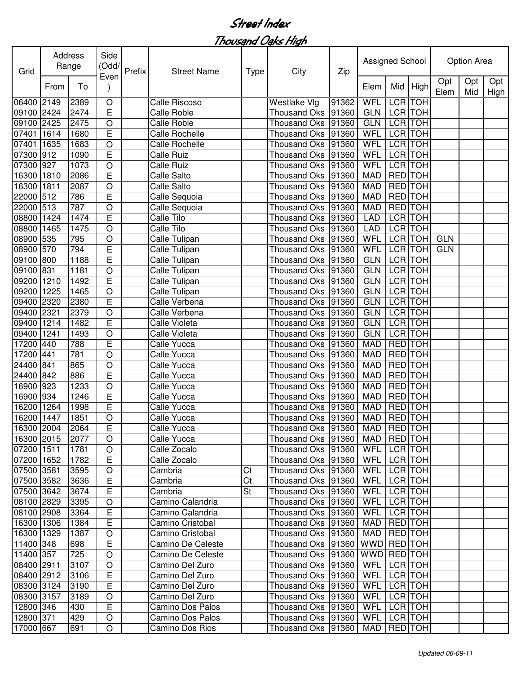Thousand Oaks High

| Grid       | Address | Range | Side<br>(Odd/      | Prefix | <b>Street Name</b>    | Type | City                 | Zip   | Assigned School |                |            |             | Option Area |             |
|------------|---------|-------|--------------------|--------|-----------------------|------|----------------------|-------|-----------------|----------------|------------|-------------|-------------|-------------|
|            | From    | To    | Even               |        |                       |      |                      |       | Elem            | Mid            | High       | Opt<br>Elem | Opt<br>Mid  | Opt<br>High |
| 06400      | 2149    | 2389  | $\circ$            |        | Calle Riscoso         |      | Westlake Vlg         | 91362 | WFL             | <b>LCR</b>     | <b>TOH</b> |             |             |             |
| 09100 2424 |         | 2474  | E                  |        | <b>Calle Roble</b>    |      | <b>Thousand Oks</b>  | 91360 | <b>GLN</b>      | LCR TOH        |            |             |             |             |
| 09100      | 2425    | 2475  | $\circ$            |        | <b>Calle Roble</b>    |      | <b>Thousand Oks</b>  | 91360 | <b>GLN</b>      | LCR TOH        |            |             |             |             |
| 07401      | 1614    | 1680  | E                  |        | Calle Rochelle        |      | <b>Thousand Oks</b>  | 91360 | WFL             | <b>LCR TOH</b> |            |             |             |             |
| 07401      | 1635    | 1683  | $\bigcirc$         |        | <b>Calle Rochelle</b> |      | Thousand Oks         | 91360 | WFL             | <b>LCR TOH</b> |            |             |             |             |
| 07300      | 912     | 1090  | E                  |        | <b>Calle Ruiz</b>     |      | Thousand Oks         | 91360 | WFL             | <b>LCR TOH</b> |            |             |             |             |
| 07300      | 927     | 1073  | $\bigcirc$         |        | <b>Calle Ruiz</b>     |      | <b>Thousand Oks</b>  | 91360 | <b>WFL</b>      | <b>LCR TOH</b> |            |             |             |             |
| 16300      | 1810    | 2086  | E                  |        | Calle Salto           |      | <b>Thousand Oks</b>  | 91360 | <b>MAD</b>      | <b>RED</b>     | <b>TOH</b> |             |             |             |
| 16300      | 1811    | 2087  | $\circ$            |        | Calle Salto           |      | <b>Thousand Oks</b>  | 91360 | <b>MAD</b>      | <b>RED</b>     | <b>TOH</b> |             |             |             |
| 22000      | 512     | 786   | E                  |        | Calle Sequoia         |      | <b>Thousand Oks</b>  | 91360 | <b>MAD</b>      | <b>RED</b>     | <b>TOH</b> |             |             |             |
| 22000      | 513     | 787   | O                  |        | Calle Sequoia         |      | <b>Thousand Oks</b>  | 91360 | <b>MAD</b>      | <b>RED</b>     | <b>TOH</b> |             |             |             |
| 08800      | 1424    | 1474  | E                  |        | Calle Tilo            |      | <b>Thousand Oks</b>  | 91360 | <b>LAD</b>      | <b>LCR TOH</b> |            |             |             |             |
| 08800      | 1465    | 1475  | $\circ$            |        | <b>Calle Tilo</b>     |      | <b>Thousand Oks</b>  | 91360 | <b>LAD</b>      | <b>LCR TOH</b> |            |             |             |             |
| 08900      | 535     | 795   | $\circ$            |        | Calle Tulipan         |      | <b>Thousand Oks</b>  | 91360 | WFL             | LCR TOH        |            | <b>GLN</b>  |             |             |
| 08900      | 570     | 794   | E                  |        | Calle Tulipan         |      | <b>Thousand Oks</b>  | 91360 | WFL             | <b>LCR</b>     | <b>TOH</b> | <b>GLN</b>  |             |             |
| 09100      | 800     | 1188  | E                  |        | Calle Tulipan         |      | <b>Thousand Oks</b>  | 91360 | <b>GLN</b>      | <b>LCR</b>     | <b>TOH</b> |             |             |             |
| 09100      | 831     | 1181  | $\circ$            |        | Calle Tulipan         |      | <b>Thousand Oks</b>  | 91360 | <b>GLN</b>      | LCR            | <b>TOH</b> |             |             |             |
| 09200      | 1210    | 1492  | E                  |        | Calle Tulipan         |      | <b>Thousand Oks</b>  | 91360 | <b>GLN</b>      | <b>LCR</b>     | <b>TOH</b> |             |             |             |
| 09200      | 1225    | 1465  | $\circ$            |        | Calle Tulipan         |      | Thousand Oks         | 91360 | <b>GLN</b>      | <b>LCR</b>     | <b>TOH</b> |             |             |             |
| 09400      | 2320    | 2380  | E                  |        | Calle Verbena         |      | Thousand Oks         | 91360 | <b>GLN</b>      | LCR TOH        |            |             |             |             |
| 09400      | 2321    | 2379  | $\circ$            |        | Calle Verbena         |      | Thousand Oks         | 91360 | <b>GLN</b>      | <b>LCR</b>     | <b>TOH</b> |             |             |             |
| 09400      | 1214    | 1482  | E                  |        | Calle Violeta         |      | Thousand Oks         | 91360 | <b>GLN</b>      | <b>LCR</b>     | <b>TOH</b> |             |             |             |
| 09400      | 1241    | 1493  | $\bigcirc$         |        | Calle Violeta         |      | Thousand Oks         | 91360 | <b>GLN</b>      | LCR TOH        |            |             |             |             |
| 17200      | 440     | 788   | E                  |        | Calle Yucca           |      | <b>Thousand Oks</b>  | 91360 | <b>MAD</b>      | <b>RED</b>     | <b>TOH</b> |             |             |             |
| 17200      | 441     | 781   | $\circ$            |        | Calle Yucca           |      | <b>Thousand Oks</b>  | 91360 | <b>MAD</b>      | <b>RED</b>     | <b>TOH</b> |             |             |             |
| 24400      | 841     | 865   | $\circ$            |        | Calle Yucca           |      | Thousand Oks         | 91360 | <b>MAD</b>      | <b>RED</b>     | <b>TOH</b> |             |             |             |
| 24400      | 842     | 886   | E                  |        | Calle Yucca           |      | <b>Thousand Oks</b>  | 91360 | <b>MAD</b>      | <b>RED</b>     | <b>TOH</b> |             |             |             |
| 16900      | 923     | 1233  | $\circ$            |        | Calle Yucca           |      | <b>Thousand Oks</b>  | 91360 | <b>MAD</b>      | <b>RED</b>     | <b>TOH</b> |             |             |             |
| 16900      | 934     | 1246  | E                  |        | Calle Yucca           |      | <b>Thousand Oks</b>  | 91360 | <b>MAD</b>      | RED TOH        |            |             |             |             |
| 16200      | 1264    | 1998  | Ē                  |        | Calle Yucca           |      | <b>Thousand Oks</b>  | 91360 | <b>MAD</b>      | RED TOH        |            |             |             |             |
| 16200      | 1447    | 1851  | $\circ$            |        | Calle Yucca           |      | <b>Thousand Oks</b>  | 91360 | <b>MAD</b>      | <b>RED</b> TOH |            |             |             |             |
| 16300 2004 |         | 2064  | E                  |        | Calle Yucca           |      | Thousand Oks 91360   |       | MAD             | <b>RED</b> TOH |            |             |             |             |
| 16300 2015 |         | 2077  | $\circ$            |        | Calle Yucca           |      | Thousand Oks   91360 |       | MAD   RED   TOH |                |            |             |             |             |
| 07200 1511 |         | 1781  | O                  |        | Calle Zocalo          |      | Thousand Oks   91360 |       | WFL             | LCR TOH        |            |             |             |             |
| 07200 1652 |         | 1782  | E                  |        | Calle Zocalo          |      | Thousand Oks 91360   |       | WFL             | LCR TOH        |            |             |             |             |
| 07500 3581 |         | 3595  | $\circ$            |        | Cambria               | Ct   | Thousand Oks 91360   |       | WFL             | LCR TOH        |            |             |             |             |
| 07500 3582 |         | 3636  | E                  |        | Cambria               | Ct   | Thousand Oks 91360   |       | WFL LCR TOH     |                |            |             |             |             |
| 07500 3642 |         | 3674  | E                  |        | Cambria               | St   | Thousand Oks   91360 |       | WFL LCR TOH     |                |            |             |             |             |
| 08100 2829 |         | 3395  | O                  |        | Camino Calandria      |      | Thousand Oks 91360   |       | WFL             | LCR TOH        |            |             |             |             |
| 08100 2908 |         | 3364  | E                  |        | Camino Calandria      |      | Thousand Oks   91360 |       | WFL             | LCR TOH        |            |             |             |             |
| 16300 1306 |         | 1384  | E                  |        | Camino Cristobal      |      | Thousand Oks   91360 |       | MAD             | RED TOH        |            |             |             |             |
| 16300 1329 |         | 1387  |                    |        | Camino Cristobal      |      | Thousand Oks   91360 |       | MAD             | RED TOH        |            |             |             |             |
| 11400 348  |         | 698   | O<br>E             |        | Camino De Celeste     |      | Thousand Oks   91360 |       | WWD RED TOH     |                |            |             |             |             |
| 11400 357  |         |       |                    |        | Camino De Celeste     |      |                      |       | WWD RED TOH     |                |            |             |             |             |
|            |         | 725   | $\circ$<br>$\circ$ |        |                       |      | Thousand Oks   91360 |       |                 |                |            |             |             |             |
| 08400 2911 |         | 3107  |                    |        | Camino Del Zuro       |      | Thousand Oks 91360   |       | WFL             | LCR TOH        |            |             |             |             |
| 08400 2912 |         | 3106  | E                  |        | Camino Del Zuro       |      | Thousand Oks   91360 |       | WFL   LCR   TOH |                |            |             |             |             |
| 08300 3124 |         | 3190  | Е                  |        | Camino Del Zuro       |      | Thousand Oks  91360  |       | WFL             | LCR TOH        |            |             |             |             |
| 08300 3157 |         | 3189  | O                  |        | Camino Del Zuro       |      | Thousand Oks 91360   |       | WFL             | LCR TOH        |            |             |             |             |
| 12800 346  |         | 430   | E                  |        | Camino Dos Palos      |      | Thousand Oks 91360   |       | WFL             | LCR TOH        |            |             |             |             |
| 12800 371  |         | 429   | $\circ$            |        | Camino Dos Palos      |      | Thousand Oks 91360   |       | WFL LCR TOH     |                |            |             |             |             |
| 17000 667  |         | 691   | O                  |        | Camino Dos Rios       |      | Thousand Oks   91360 |       | MAD   RED   TOH |                |            |             |             |             |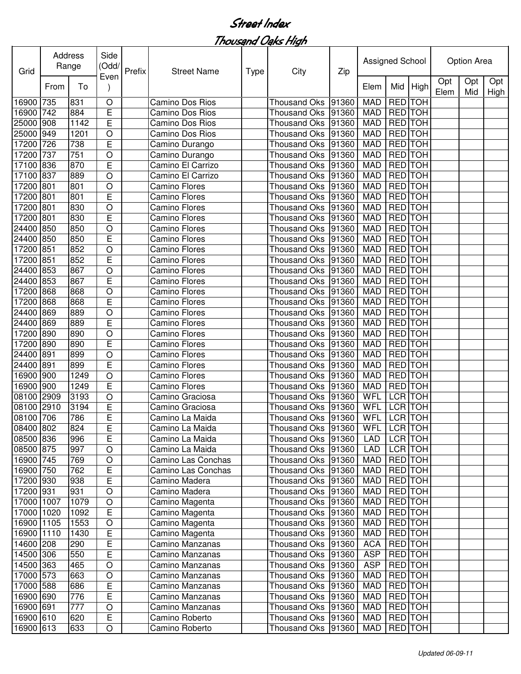Thousand Oaks High

| Opt<br>Opt<br>Opt<br>High<br>Mid<br>From<br>To<br>Elem<br>Elem<br>Mid<br>High<br><b>RED</b><br>$\circ$<br><b>MAD</b><br><b>TOH</b><br>16900<br>735<br>831<br>Camino Dos Rios<br><b>Thousand Oks</b><br>91360<br>E<br>742<br><b>MAD</b><br><b>RED</b> TOH<br>16900<br>91360<br>884<br>Camino Dos Rios<br>Thousand Oks<br>E<br>RED TOH<br>25000<br>1142<br>91360<br><b>MAD</b><br>908<br>Camino Dos Rios<br>Thousand Oks<br><b>RED TOH</b><br><b>MAD</b><br>25000<br>949<br>1201<br>$\bigcirc$<br>91360<br>Camino Dos Rios<br><b>Thousand Oks</b><br>E<br><b>RED TOH</b><br>17200<br>726<br>91360<br><b>MAD</b><br>738<br>Camino Durango<br><b>Thousand Oks</b><br><b>RED</b> TOH<br>17200<br>737<br>751<br>$\bigcirc$<br><b>MAD</b><br>91360<br>Camino Durango<br>Thousand Oks<br><b>RED TOH</b><br>836<br>E<br>17100<br><b>MAD</b><br>870<br>Camino El Carrizo<br><b>Thousand Oks</b><br>91360<br><b>RED TOH</b><br>17100<br>837<br>$\circ$<br><b>MAD</b><br>889<br>Camino El Carrizo<br><b>Thousand Oks</b><br>91360<br><b>TOH</b><br>17200<br>801<br><b>MAD</b><br><b>RED</b><br>801<br>$\circ$<br><b>Thousand Oks</b><br>91360<br>Camino Flores<br>E<br><b>RED</b><br><b>TOH</b><br>17200<br><b>MAD</b><br>801<br>801<br><b>Camino Flores</b><br><b>Thousand Oks</b><br>91360<br><b>TOH</b><br>17200<br><b>MAD</b><br><b>RED</b><br>801<br>830<br>$\circ$<br><b>Camino Flores</b><br><b>Thousand Oks</b><br>91360<br>E<br><b>RED</b> TOH<br>17200<br>801<br>830<br><b>Camino Flores</b><br><b>Thousand Oks</b><br>91360<br><b>MAD</b><br><b>RED</b> TOH<br>24400<br>850<br>850<br>$\circ$<br><b>Camino Flores</b><br><b>Thousand Oks</b><br>91360<br><b>MAD</b><br>24400<br>E<br>RED TOH<br>850<br>850<br>Camino Flores<br><b>Thousand Oks</b><br>91360<br><b>MAD</b><br>17200<br><b>MAD</b><br>RED TOH<br>851<br>852<br>$\bigcirc$<br><b>Camino Flores</b><br><b>Thousand Oks</b><br>91360<br>RED TOH<br>17200<br>E<br><b>MAD</b><br>851<br>852<br><b>Camino Flores</b><br><b>Thousand Oks</b><br>91360<br><b>TOH</b><br>24400<br><b>MAD</b><br><b>RED</b><br>853<br>867<br>$\circ$<br><b>Camino Flores</b><br><b>Thousand Oks</b><br>91360<br>E<br><b>TOH</b><br>24400<br>853<br><b>MAD</b><br><b>RED</b><br>867<br>91360<br><b>Camino Flores</b><br>Thousand Oks<br><b>TOH</b><br><b>MAD</b><br><b>RED</b><br>17200<br>868<br>$\circ$<br><b>Camino Flores</b><br>91360<br>868<br>Thousand Oks<br>E<br>RED TOH<br>17200<br>868<br>868<br>Camino Flores<br>91360<br><b>MAD</b><br>Thousand Oks<br>RED TOH<br>$\bigcirc$<br>24400<br>869<br>889<br><b>Camino Flores</b><br>91360<br><b>MAD</b><br>Thousand Oks<br>E<br><b>RED</b> TOH<br>24400<br>869<br>889<br>Camino Flores<br>91360<br><b>MAD</b><br>Thousand Oks<br>$\bigcirc$<br>RED TOH<br>890<br><b>MAD</b><br>17200<br>890<br>Camino Flores<br>91360<br>Thousand Oks<br>E<br>RED TOH<br>17200<br>890<br>890<br><b>Camino Flores</b><br><b>Thousand Oks</b><br>91360<br><b>MAD</b><br>$\circ$<br><b>TOH</b><br>24400<br>891<br><b>RED</b><br>899<br><b>Thousand Oks</b><br>91360<br><b>MAD</b><br><b>Camino Flores</b><br>E<br><b>TOH</b><br>891<br><b>RED</b><br>24400<br>91360<br><b>MAD</b><br>899<br>Camino Flores<br>Thousand Oks<br>$\circ$<br><b>RED</b><br><b>TOH</b><br>16900<br>1249<br><b>Thousand Oks</b><br>91360<br><b>MAD</b><br>900<br><b>Camino Flores</b><br>E<br>16900<br>RED TOH<br>900<br>1249<br><b>Thousand Oks</b><br>91360<br><b>MAD</b><br><b>Camino Flores</b><br>WFL<br>LCR TOH<br>08100<br>3193<br>$\circ$<br><b>Thousand Oks</b><br>2909<br>Camino Graciosa<br>91360<br>E<br>WFL<br>LCR TOH<br>08100<br>2910<br>3194<br><b>Thousand Oks</b><br>91360<br>Camino Graciosa<br>WFL<br><b>LCR</b> TOH<br>08100 706<br>786<br>E<br>Camino La Maida<br>Thousand Oks<br>91360<br>08400 802<br>E<br>Thousand Oks 91360<br>WFL<br>LCR TOH<br>824<br>Camino La Maida<br>08500 836<br>E<br>LCR TOH<br>996<br>Camino La Maida<br>Thousand Oks 91360<br>LAD<br>LCR TOH<br>08500 875<br>997<br>$\bigcirc$<br>Thousand Oks   91360<br>LAD<br>Camino La Maida<br><b>RED</b> TOH<br>16900 745<br>$\bigcirc$<br>MAD<br>769<br>Camino Las Conchas<br>Thousand Oks 91360<br>E<br><b>RED</b> TOH<br>16900 750<br>MAD<br>762<br>Camino Las Conchas<br>Thousand Oks 91360<br><b>RED</b> TOH<br>$\mathsf E$<br>17200 930<br>938<br>Thousand Oks 91360<br>MAD<br>Camino Madera<br><b>RED</b> TOH<br>17200 931<br>931<br>$\mathsf O$<br>Camino Madera<br>Thousand Oks 91360<br>MAD<br>RED TOH<br>17000 1007<br>1079<br>$\mathsf O$<br>Camino Magenta<br>Thousand Oks 91360<br>MAD<br>E<br>RED TOH<br>17000 1020<br>1092<br>Camino Magenta<br>Thousand Oks 91360<br>MAD<br>RED TOH<br>$\bigcirc$<br>16900 1105<br>1553<br>Camino Magenta<br>Thousand Oks 91360<br>MAD<br>E<br>RED TOH<br>16900 1110<br>1430<br>Camino Magenta<br>Thousand Oks 91360<br>MAD<br>E<br>RED TOH<br>14600 208<br>Thousand Oks 91360<br><b>ACA</b><br>290<br>Camino Manzanas<br>E<br>14500 306<br>Thousand Oks 91360<br><b>ASP</b><br>RED TOH<br>550<br>Camino Manzanas<br>14500 363<br>$\circ$<br>Thousand Oks 91360<br>RED TOH<br><b>ASP</b><br>465<br>Camino Manzanas<br>$\circ$<br>17000 573<br>Thousand Oks 91360<br>MAD<br>RED TOH<br>663<br>Camino Manzanas<br>E<br>17000 588<br>Thousand Oks 91360<br>MAD<br>RED TOH<br>686<br>Camino Manzanas<br>E<br>16900 690<br>RED TOH<br>776<br>Camino Manzanas<br>Thousand Oks 91360<br>MAD<br>16900 691<br>$\mathsf O$<br>RED TOH<br>777<br>Thousand Oks 91360<br>MAD<br>Camino Manzanas<br>E<br>16900 610<br>RED TOH<br>620<br>Thousand Oks 91360<br>MAD<br>Camino Roberto<br>16900 613<br>RED TOH<br>Thousand Oks   91360 | Grid | Address | Range | Side<br>(Odd/<br>Even | Prefix | <b>Street Name</b> | <b>Type</b> | City | Zip | Assigned School |  | Option Area |  |
|------------------------------------------------------------------------------------------------------------------------------------------------------------------------------------------------------------------------------------------------------------------------------------------------------------------------------------------------------------------------------------------------------------------------------------------------------------------------------------------------------------------------------------------------------------------------------------------------------------------------------------------------------------------------------------------------------------------------------------------------------------------------------------------------------------------------------------------------------------------------------------------------------------------------------------------------------------------------------------------------------------------------------------------------------------------------------------------------------------------------------------------------------------------------------------------------------------------------------------------------------------------------------------------------------------------------------------------------------------------------------------------------------------------------------------------------------------------------------------------------------------------------------------------------------------------------------------------------------------------------------------------------------------------------------------------------------------------------------------------------------------------------------------------------------------------------------------------------------------------------------------------------------------------------------------------------------------------------------------------------------------------------------------------------------------------------------------------------------------------------------------------------------------------------------------------------------------------------------------------------------------------------------------------------------------------------------------------------------------------------------------------------------------------------------------------------------------------------------------------------------------------------------------------------------------------------------------------------------------------------------------------------------------------------------------------------------------------------------------------------------------------------------------------------------------------------------------------------------------------------------------------------------------------------------------------------------------------------------------------------------------------------------------------------------------------------------------------------------------------------------------------------------------------------------------------------------------------------------------------------------------------------------------------------------------------------------------------------------------------------------------------------------------------------------------------------------------------------------------------------------------------------------------------------------------------------------------------------------------------------------------------------------------------------------------------------------------------------------------------------------------------------------------------------------------------------------------------------------------------------------------------------------------------------------------------------------------------------------------------------------------------------------------------------------------------------------------------------------------------------------------------------------------------------------------------------------------------------------------------------------------------------------------------------------------------------------------------------------------------------------------------------------------------------------------------------------------------------------------------------------------------------------------------------------------------------------------------------------------------------------------------------------------------------------------------------------------------------------------------------------------------------------------------------------------------------------------------------------------------------------------------------------------------------------------------------------------------------------------------------------------------------------------------------------------------------------------------------------------------------------------------------------------------------------------------------------------------------------------------------------------------------------------------------------------------------------------------------------------------------------------------------------------------------------------------------------------------------------------------------------------------------------------------------------------------------------------------------------------------|------|---------|-------|-----------------------|--------|--------------------|-------------|------|-----|-----------------|--|-------------|--|
|                                                                                                                                                                                                                                                                                                                                                                                                                                                                                                                                                                                                                                                                                                                                                                                                                                                                                                                                                                                                                                                                                                                                                                                                                                                                                                                                                                                                                                                                                                                                                                                                                                                                                                                                                                                                                                                                                                                                                                                                                                                                                                                                                                                                                                                                                                                                                                                                                                                                                                                                                                                                                                                                                                                                                                                                                                                                                                                                                                                                                                                                                                                                                                                                                                                                                                                                                                                                                                                                                                                                                                                                                                                                                                                                                                                                                                                                                                                                                                                                                                                                                                                                                                                                                                                                                                                                                                                                                                                                                                                                                                                                                                                                                                                                                                                                                                                                                                                                                                                                                                                                                                                                                                                                                                                                                                                                                                                                                                                                                                                                                                                                                  |      |         |       |                       |        |                    |             |      |     |                 |  |             |  |
|                                                                                                                                                                                                                                                                                                                                                                                                                                                                                                                                                                                                                                                                                                                                                                                                                                                                                                                                                                                                                                                                                                                                                                                                                                                                                                                                                                                                                                                                                                                                                                                                                                                                                                                                                                                                                                                                                                                                                                                                                                                                                                                                                                                                                                                                                                                                                                                                                                                                                                                                                                                                                                                                                                                                                                                                                                                                                                                                                                                                                                                                                                                                                                                                                                                                                                                                                                                                                                                                                                                                                                                                                                                                                                                                                                                                                                                                                                                                                                                                                                                                                                                                                                                                                                                                                                                                                                                                                                                                                                                                                                                                                                                                                                                                                                                                                                                                                                                                                                                                                                                                                                                                                                                                                                                                                                                                                                                                                                                                                                                                                                                                                  |      |         |       |                       |        |                    |             |      |     |                 |  |             |  |
|                                                                                                                                                                                                                                                                                                                                                                                                                                                                                                                                                                                                                                                                                                                                                                                                                                                                                                                                                                                                                                                                                                                                                                                                                                                                                                                                                                                                                                                                                                                                                                                                                                                                                                                                                                                                                                                                                                                                                                                                                                                                                                                                                                                                                                                                                                                                                                                                                                                                                                                                                                                                                                                                                                                                                                                                                                                                                                                                                                                                                                                                                                                                                                                                                                                                                                                                                                                                                                                                                                                                                                                                                                                                                                                                                                                                                                                                                                                                                                                                                                                                                                                                                                                                                                                                                                                                                                                                                                                                                                                                                                                                                                                                                                                                                                                                                                                                                                                                                                                                                                                                                                                                                                                                                                                                                                                                                                                                                                                                                                                                                                                                                  |      |         |       |                       |        |                    |             |      |     |                 |  |             |  |
|                                                                                                                                                                                                                                                                                                                                                                                                                                                                                                                                                                                                                                                                                                                                                                                                                                                                                                                                                                                                                                                                                                                                                                                                                                                                                                                                                                                                                                                                                                                                                                                                                                                                                                                                                                                                                                                                                                                                                                                                                                                                                                                                                                                                                                                                                                                                                                                                                                                                                                                                                                                                                                                                                                                                                                                                                                                                                                                                                                                                                                                                                                                                                                                                                                                                                                                                                                                                                                                                                                                                                                                                                                                                                                                                                                                                                                                                                                                                                                                                                                                                                                                                                                                                                                                                                                                                                                                                                                                                                                                                                                                                                                                                                                                                                                                                                                                                                                                                                                                                                                                                                                                                                                                                                                                                                                                                                                                                                                                                                                                                                                                                                  |      |         |       |                       |        |                    |             |      |     |                 |  |             |  |
|                                                                                                                                                                                                                                                                                                                                                                                                                                                                                                                                                                                                                                                                                                                                                                                                                                                                                                                                                                                                                                                                                                                                                                                                                                                                                                                                                                                                                                                                                                                                                                                                                                                                                                                                                                                                                                                                                                                                                                                                                                                                                                                                                                                                                                                                                                                                                                                                                                                                                                                                                                                                                                                                                                                                                                                                                                                                                                                                                                                                                                                                                                                                                                                                                                                                                                                                                                                                                                                                                                                                                                                                                                                                                                                                                                                                                                                                                                                                                                                                                                                                                                                                                                                                                                                                                                                                                                                                                                                                                                                                                                                                                                                                                                                                                                                                                                                                                                                                                                                                                                                                                                                                                                                                                                                                                                                                                                                                                                                                                                                                                                                                                  |      |         |       |                       |        |                    |             |      |     |                 |  |             |  |
|                                                                                                                                                                                                                                                                                                                                                                                                                                                                                                                                                                                                                                                                                                                                                                                                                                                                                                                                                                                                                                                                                                                                                                                                                                                                                                                                                                                                                                                                                                                                                                                                                                                                                                                                                                                                                                                                                                                                                                                                                                                                                                                                                                                                                                                                                                                                                                                                                                                                                                                                                                                                                                                                                                                                                                                                                                                                                                                                                                                                                                                                                                                                                                                                                                                                                                                                                                                                                                                                                                                                                                                                                                                                                                                                                                                                                                                                                                                                                                                                                                                                                                                                                                                                                                                                                                                                                                                                                                                                                                                                                                                                                                                                                                                                                                                                                                                                                                                                                                                                                                                                                                                                                                                                                                                                                                                                                                                                                                                                                                                                                                                                                  |      |         |       |                       |        |                    |             |      |     |                 |  |             |  |
|                                                                                                                                                                                                                                                                                                                                                                                                                                                                                                                                                                                                                                                                                                                                                                                                                                                                                                                                                                                                                                                                                                                                                                                                                                                                                                                                                                                                                                                                                                                                                                                                                                                                                                                                                                                                                                                                                                                                                                                                                                                                                                                                                                                                                                                                                                                                                                                                                                                                                                                                                                                                                                                                                                                                                                                                                                                                                                                                                                                                                                                                                                                                                                                                                                                                                                                                                                                                                                                                                                                                                                                                                                                                                                                                                                                                                                                                                                                                                                                                                                                                                                                                                                                                                                                                                                                                                                                                                                                                                                                                                                                                                                                                                                                                                                                                                                                                                                                                                                                                                                                                                                                                                                                                                                                                                                                                                                                                                                                                                                                                                                                                                  |      |         |       |                       |        |                    |             |      |     |                 |  |             |  |
|                                                                                                                                                                                                                                                                                                                                                                                                                                                                                                                                                                                                                                                                                                                                                                                                                                                                                                                                                                                                                                                                                                                                                                                                                                                                                                                                                                                                                                                                                                                                                                                                                                                                                                                                                                                                                                                                                                                                                                                                                                                                                                                                                                                                                                                                                                                                                                                                                                                                                                                                                                                                                                                                                                                                                                                                                                                                                                                                                                                                                                                                                                                                                                                                                                                                                                                                                                                                                                                                                                                                                                                                                                                                                                                                                                                                                                                                                                                                                                                                                                                                                                                                                                                                                                                                                                                                                                                                                                                                                                                                                                                                                                                                                                                                                                                                                                                                                                                                                                                                                                                                                                                                                                                                                                                                                                                                                                                                                                                                                                                                                                                                                  |      |         |       |                       |        |                    |             |      |     |                 |  |             |  |
|                                                                                                                                                                                                                                                                                                                                                                                                                                                                                                                                                                                                                                                                                                                                                                                                                                                                                                                                                                                                                                                                                                                                                                                                                                                                                                                                                                                                                                                                                                                                                                                                                                                                                                                                                                                                                                                                                                                                                                                                                                                                                                                                                                                                                                                                                                                                                                                                                                                                                                                                                                                                                                                                                                                                                                                                                                                                                                                                                                                                                                                                                                                                                                                                                                                                                                                                                                                                                                                                                                                                                                                                                                                                                                                                                                                                                                                                                                                                                                                                                                                                                                                                                                                                                                                                                                                                                                                                                                                                                                                                                                                                                                                                                                                                                                                                                                                                                                                                                                                                                                                                                                                                                                                                                                                                                                                                                                                                                                                                                                                                                                                                                  |      |         |       |                       |        |                    |             |      |     |                 |  |             |  |
|                                                                                                                                                                                                                                                                                                                                                                                                                                                                                                                                                                                                                                                                                                                                                                                                                                                                                                                                                                                                                                                                                                                                                                                                                                                                                                                                                                                                                                                                                                                                                                                                                                                                                                                                                                                                                                                                                                                                                                                                                                                                                                                                                                                                                                                                                                                                                                                                                                                                                                                                                                                                                                                                                                                                                                                                                                                                                                                                                                                                                                                                                                                                                                                                                                                                                                                                                                                                                                                                                                                                                                                                                                                                                                                                                                                                                                                                                                                                                                                                                                                                                                                                                                                                                                                                                                                                                                                                                                                                                                                                                                                                                                                                                                                                                                                                                                                                                                                                                                                                                                                                                                                                                                                                                                                                                                                                                                                                                                                                                                                                                                                                                  |      |         |       |                       |        |                    |             |      |     |                 |  |             |  |
|                                                                                                                                                                                                                                                                                                                                                                                                                                                                                                                                                                                                                                                                                                                                                                                                                                                                                                                                                                                                                                                                                                                                                                                                                                                                                                                                                                                                                                                                                                                                                                                                                                                                                                                                                                                                                                                                                                                                                                                                                                                                                                                                                                                                                                                                                                                                                                                                                                                                                                                                                                                                                                                                                                                                                                                                                                                                                                                                                                                                                                                                                                                                                                                                                                                                                                                                                                                                                                                                                                                                                                                                                                                                                                                                                                                                                                                                                                                                                                                                                                                                                                                                                                                                                                                                                                                                                                                                                                                                                                                                                                                                                                                                                                                                                                                                                                                                                                                                                                                                                                                                                                                                                                                                                                                                                                                                                                                                                                                                                                                                                                                                                  |      |         |       |                       |        |                    |             |      |     |                 |  |             |  |
|                                                                                                                                                                                                                                                                                                                                                                                                                                                                                                                                                                                                                                                                                                                                                                                                                                                                                                                                                                                                                                                                                                                                                                                                                                                                                                                                                                                                                                                                                                                                                                                                                                                                                                                                                                                                                                                                                                                                                                                                                                                                                                                                                                                                                                                                                                                                                                                                                                                                                                                                                                                                                                                                                                                                                                                                                                                                                                                                                                                                                                                                                                                                                                                                                                                                                                                                                                                                                                                                                                                                                                                                                                                                                                                                                                                                                                                                                                                                                                                                                                                                                                                                                                                                                                                                                                                                                                                                                                                                                                                                                                                                                                                                                                                                                                                                                                                                                                                                                                                                                                                                                                                                                                                                                                                                                                                                                                                                                                                                                                                                                                                                                  |      |         |       |                       |        |                    |             |      |     |                 |  |             |  |
|                                                                                                                                                                                                                                                                                                                                                                                                                                                                                                                                                                                                                                                                                                                                                                                                                                                                                                                                                                                                                                                                                                                                                                                                                                                                                                                                                                                                                                                                                                                                                                                                                                                                                                                                                                                                                                                                                                                                                                                                                                                                                                                                                                                                                                                                                                                                                                                                                                                                                                                                                                                                                                                                                                                                                                                                                                                                                                                                                                                                                                                                                                                                                                                                                                                                                                                                                                                                                                                                                                                                                                                                                                                                                                                                                                                                                                                                                                                                                                                                                                                                                                                                                                                                                                                                                                                                                                                                                                                                                                                                                                                                                                                                                                                                                                                                                                                                                                                                                                                                                                                                                                                                                                                                                                                                                                                                                                                                                                                                                                                                                                                                                  |      |         |       |                       |        |                    |             |      |     |                 |  |             |  |
|                                                                                                                                                                                                                                                                                                                                                                                                                                                                                                                                                                                                                                                                                                                                                                                                                                                                                                                                                                                                                                                                                                                                                                                                                                                                                                                                                                                                                                                                                                                                                                                                                                                                                                                                                                                                                                                                                                                                                                                                                                                                                                                                                                                                                                                                                                                                                                                                                                                                                                                                                                                                                                                                                                                                                                                                                                                                                                                                                                                                                                                                                                                                                                                                                                                                                                                                                                                                                                                                                                                                                                                                                                                                                                                                                                                                                                                                                                                                                                                                                                                                                                                                                                                                                                                                                                                                                                                                                                                                                                                                                                                                                                                                                                                                                                                                                                                                                                                                                                                                                                                                                                                                                                                                                                                                                                                                                                                                                                                                                                                                                                                                                  |      |         |       |                       |        |                    |             |      |     |                 |  |             |  |
|                                                                                                                                                                                                                                                                                                                                                                                                                                                                                                                                                                                                                                                                                                                                                                                                                                                                                                                                                                                                                                                                                                                                                                                                                                                                                                                                                                                                                                                                                                                                                                                                                                                                                                                                                                                                                                                                                                                                                                                                                                                                                                                                                                                                                                                                                                                                                                                                                                                                                                                                                                                                                                                                                                                                                                                                                                                                                                                                                                                                                                                                                                                                                                                                                                                                                                                                                                                                                                                                                                                                                                                                                                                                                                                                                                                                                                                                                                                                                                                                                                                                                                                                                                                                                                                                                                                                                                                                                                                                                                                                                                                                                                                                                                                                                                                                                                                                                                                                                                                                                                                                                                                                                                                                                                                                                                                                                                                                                                                                                                                                                                                                                  |      |         |       |                       |        |                    |             |      |     |                 |  |             |  |
|                                                                                                                                                                                                                                                                                                                                                                                                                                                                                                                                                                                                                                                                                                                                                                                                                                                                                                                                                                                                                                                                                                                                                                                                                                                                                                                                                                                                                                                                                                                                                                                                                                                                                                                                                                                                                                                                                                                                                                                                                                                                                                                                                                                                                                                                                                                                                                                                                                                                                                                                                                                                                                                                                                                                                                                                                                                                                                                                                                                                                                                                                                                                                                                                                                                                                                                                                                                                                                                                                                                                                                                                                                                                                                                                                                                                                                                                                                                                                                                                                                                                                                                                                                                                                                                                                                                                                                                                                                                                                                                                                                                                                                                                                                                                                                                                                                                                                                                                                                                                                                                                                                                                                                                                                                                                                                                                                                                                                                                                                                                                                                                                                  |      |         |       |                       |        |                    |             |      |     |                 |  |             |  |
|                                                                                                                                                                                                                                                                                                                                                                                                                                                                                                                                                                                                                                                                                                                                                                                                                                                                                                                                                                                                                                                                                                                                                                                                                                                                                                                                                                                                                                                                                                                                                                                                                                                                                                                                                                                                                                                                                                                                                                                                                                                                                                                                                                                                                                                                                                                                                                                                                                                                                                                                                                                                                                                                                                                                                                                                                                                                                                                                                                                                                                                                                                                                                                                                                                                                                                                                                                                                                                                                                                                                                                                                                                                                                                                                                                                                                                                                                                                                                                                                                                                                                                                                                                                                                                                                                                                                                                                                                                                                                                                                                                                                                                                                                                                                                                                                                                                                                                                                                                                                                                                                                                                                                                                                                                                                                                                                                                                                                                                                                                                                                                                                                  |      |         |       |                       |        |                    |             |      |     |                 |  |             |  |
|                                                                                                                                                                                                                                                                                                                                                                                                                                                                                                                                                                                                                                                                                                                                                                                                                                                                                                                                                                                                                                                                                                                                                                                                                                                                                                                                                                                                                                                                                                                                                                                                                                                                                                                                                                                                                                                                                                                                                                                                                                                                                                                                                                                                                                                                                                                                                                                                                                                                                                                                                                                                                                                                                                                                                                                                                                                                                                                                                                                                                                                                                                                                                                                                                                                                                                                                                                                                                                                                                                                                                                                                                                                                                                                                                                                                                                                                                                                                                                                                                                                                                                                                                                                                                                                                                                                                                                                                                                                                                                                                                                                                                                                                                                                                                                                                                                                                                                                                                                                                                                                                                                                                                                                                                                                                                                                                                                                                                                                                                                                                                                                                                  |      |         |       |                       |        |                    |             |      |     |                 |  |             |  |
|                                                                                                                                                                                                                                                                                                                                                                                                                                                                                                                                                                                                                                                                                                                                                                                                                                                                                                                                                                                                                                                                                                                                                                                                                                                                                                                                                                                                                                                                                                                                                                                                                                                                                                                                                                                                                                                                                                                                                                                                                                                                                                                                                                                                                                                                                                                                                                                                                                                                                                                                                                                                                                                                                                                                                                                                                                                                                                                                                                                                                                                                                                                                                                                                                                                                                                                                                                                                                                                                                                                                                                                                                                                                                                                                                                                                                                                                                                                                                                                                                                                                                                                                                                                                                                                                                                                                                                                                                                                                                                                                                                                                                                                                                                                                                                                                                                                                                                                                                                                                                                                                                                                                                                                                                                                                                                                                                                                                                                                                                                                                                                                                                  |      |         |       |                       |        |                    |             |      |     |                 |  |             |  |
|                                                                                                                                                                                                                                                                                                                                                                                                                                                                                                                                                                                                                                                                                                                                                                                                                                                                                                                                                                                                                                                                                                                                                                                                                                                                                                                                                                                                                                                                                                                                                                                                                                                                                                                                                                                                                                                                                                                                                                                                                                                                                                                                                                                                                                                                                                                                                                                                                                                                                                                                                                                                                                                                                                                                                                                                                                                                                                                                                                                                                                                                                                                                                                                                                                                                                                                                                                                                                                                                                                                                                                                                                                                                                                                                                                                                                                                                                                                                                                                                                                                                                                                                                                                                                                                                                                                                                                                                                                                                                                                                                                                                                                                                                                                                                                                                                                                                                                                                                                                                                                                                                                                                                                                                                                                                                                                                                                                                                                                                                                                                                                                                                  |      |         |       |                       |        |                    |             |      |     |                 |  |             |  |
|                                                                                                                                                                                                                                                                                                                                                                                                                                                                                                                                                                                                                                                                                                                                                                                                                                                                                                                                                                                                                                                                                                                                                                                                                                                                                                                                                                                                                                                                                                                                                                                                                                                                                                                                                                                                                                                                                                                                                                                                                                                                                                                                                                                                                                                                                                                                                                                                                                                                                                                                                                                                                                                                                                                                                                                                                                                                                                                                                                                                                                                                                                                                                                                                                                                                                                                                                                                                                                                                                                                                                                                                                                                                                                                                                                                                                                                                                                                                                                                                                                                                                                                                                                                                                                                                                                                                                                                                                                                                                                                                                                                                                                                                                                                                                                                                                                                                                                                                                                                                                                                                                                                                                                                                                                                                                                                                                                                                                                                                                                                                                                                                                  |      |         |       |                       |        |                    |             |      |     |                 |  |             |  |
|                                                                                                                                                                                                                                                                                                                                                                                                                                                                                                                                                                                                                                                                                                                                                                                                                                                                                                                                                                                                                                                                                                                                                                                                                                                                                                                                                                                                                                                                                                                                                                                                                                                                                                                                                                                                                                                                                                                                                                                                                                                                                                                                                                                                                                                                                                                                                                                                                                                                                                                                                                                                                                                                                                                                                                                                                                                                                                                                                                                                                                                                                                                                                                                                                                                                                                                                                                                                                                                                                                                                                                                                                                                                                                                                                                                                                                                                                                                                                                                                                                                                                                                                                                                                                                                                                                                                                                                                                                                                                                                                                                                                                                                                                                                                                                                                                                                                                                                                                                                                                                                                                                                                                                                                                                                                                                                                                                                                                                                                                                                                                                                                                  |      |         |       |                       |        |                    |             |      |     |                 |  |             |  |
|                                                                                                                                                                                                                                                                                                                                                                                                                                                                                                                                                                                                                                                                                                                                                                                                                                                                                                                                                                                                                                                                                                                                                                                                                                                                                                                                                                                                                                                                                                                                                                                                                                                                                                                                                                                                                                                                                                                                                                                                                                                                                                                                                                                                                                                                                                                                                                                                                                                                                                                                                                                                                                                                                                                                                                                                                                                                                                                                                                                                                                                                                                                                                                                                                                                                                                                                                                                                                                                                                                                                                                                                                                                                                                                                                                                                                                                                                                                                                                                                                                                                                                                                                                                                                                                                                                                                                                                                                                                                                                                                                                                                                                                                                                                                                                                                                                                                                                                                                                                                                                                                                                                                                                                                                                                                                                                                                                                                                                                                                                                                                                                                                  |      |         |       |                       |        |                    |             |      |     |                 |  |             |  |
|                                                                                                                                                                                                                                                                                                                                                                                                                                                                                                                                                                                                                                                                                                                                                                                                                                                                                                                                                                                                                                                                                                                                                                                                                                                                                                                                                                                                                                                                                                                                                                                                                                                                                                                                                                                                                                                                                                                                                                                                                                                                                                                                                                                                                                                                                                                                                                                                                                                                                                                                                                                                                                                                                                                                                                                                                                                                                                                                                                                                                                                                                                                                                                                                                                                                                                                                                                                                                                                                                                                                                                                                                                                                                                                                                                                                                                                                                                                                                                                                                                                                                                                                                                                                                                                                                                                                                                                                                                                                                                                                                                                                                                                                                                                                                                                                                                                                                                                                                                                                                                                                                                                                                                                                                                                                                                                                                                                                                                                                                                                                                                                                                  |      |         |       |                       |        |                    |             |      |     |                 |  |             |  |
|                                                                                                                                                                                                                                                                                                                                                                                                                                                                                                                                                                                                                                                                                                                                                                                                                                                                                                                                                                                                                                                                                                                                                                                                                                                                                                                                                                                                                                                                                                                                                                                                                                                                                                                                                                                                                                                                                                                                                                                                                                                                                                                                                                                                                                                                                                                                                                                                                                                                                                                                                                                                                                                                                                                                                                                                                                                                                                                                                                                                                                                                                                                                                                                                                                                                                                                                                                                                                                                                                                                                                                                                                                                                                                                                                                                                                                                                                                                                                                                                                                                                                                                                                                                                                                                                                                                                                                                                                                                                                                                                                                                                                                                                                                                                                                                                                                                                                                                                                                                                                                                                                                                                                                                                                                                                                                                                                                                                                                                                                                                                                                                                                  |      |         |       |                       |        |                    |             |      |     |                 |  |             |  |
|                                                                                                                                                                                                                                                                                                                                                                                                                                                                                                                                                                                                                                                                                                                                                                                                                                                                                                                                                                                                                                                                                                                                                                                                                                                                                                                                                                                                                                                                                                                                                                                                                                                                                                                                                                                                                                                                                                                                                                                                                                                                                                                                                                                                                                                                                                                                                                                                                                                                                                                                                                                                                                                                                                                                                                                                                                                                                                                                                                                                                                                                                                                                                                                                                                                                                                                                                                                                                                                                                                                                                                                                                                                                                                                                                                                                                                                                                                                                                                                                                                                                                                                                                                                                                                                                                                                                                                                                                                                                                                                                                                                                                                                                                                                                                                                                                                                                                                                                                                                                                                                                                                                                                                                                                                                                                                                                                                                                                                                                                                                                                                                                                  |      |         |       |                       |        |                    |             |      |     |                 |  |             |  |
|                                                                                                                                                                                                                                                                                                                                                                                                                                                                                                                                                                                                                                                                                                                                                                                                                                                                                                                                                                                                                                                                                                                                                                                                                                                                                                                                                                                                                                                                                                                                                                                                                                                                                                                                                                                                                                                                                                                                                                                                                                                                                                                                                                                                                                                                                                                                                                                                                                                                                                                                                                                                                                                                                                                                                                                                                                                                                                                                                                                                                                                                                                                                                                                                                                                                                                                                                                                                                                                                                                                                                                                                                                                                                                                                                                                                                                                                                                                                                                                                                                                                                                                                                                                                                                                                                                                                                                                                                                                                                                                                                                                                                                                                                                                                                                                                                                                                                                                                                                                                                                                                                                                                                                                                                                                                                                                                                                                                                                                                                                                                                                                                                  |      |         |       |                       |        |                    |             |      |     |                 |  |             |  |
|                                                                                                                                                                                                                                                                                                                                                                                                                                                                                                                                                                                                                                                                                                                                                                                                                                                                                                                                                                                                                                                                                                                                                                                                                                                                                                                                                                                                                                                                                                                                                                                                                                                                                                                                                                                                                                                                                                                                                                                                                                                                                                                                                                                                                                                                                                                                                                                                                                                                                                                                                                                                                                                                                                                                                                                                                                                                                                                                                                                                                                                                                                                                                                                                                                                                                                                                                                                                                                                                                                                                                                                                                                                                                                                                                                                                                                                                                                                                                                                                                                                                                                                                                                                                                                                                                                                                                                                                                                                                                                                                                                                                                                                                                                                                                                                                                                                                                                                                                                                                                                                                                                                                                                                                                                                                                                                                                                                                                                                                                                                                                                                                                  |      |         |       |                       |        |                    |             |      |     |                 |  |             |  |
|                                                                                                                                                                                                                                                                                                                                                                                                                                                                                                                                                                                                                                                                                                                                                                                                                                                                                                                                                                                                                                                                                                                                                                                                                                                                                                                                                                                                                                                                                                                                                                                                                                                                                                                                                                                                                                                                                                                                                                                                                                                                                                                                                                                                                                                                                                                                                                                                                                                                                                                                                                                                                                                                                                                                                                                                                                                                                                                                                                                                                                                                                                                                                                                                                                                                                                                                                                                                                                                                                                                                                                                                                                                                                                                                                                                                                                                                                                                                                                                                                                                                                                                                                                                                                                                                                                                                                                                                                                                                                                                                                                                                                                                                                                                                                                                                                                                                                                                                                                                                                                                                                                                                                                                                                                                                                                                                                                                                                                                                                                                                                                                                                  |      |         |       |                       |        |                    |             |      |     |                 |  |             |  |
|                                                                                                                                                                                                                                                                                                                                                                                                                                                                                                                                                                                                                                                                                                                                                                                                                                                                                                                                                                                                                                                                                                                                                                                                                                                                                                                                                                                                                                                                                                                                                                                                                                                                                                                                                                                                                                                                                                                                                                                                                                                                                                                                                                                                                                                                                                                                                                                                                                                                                                                                                                                                                                                                                                                                                                                                                                                                                                                                                                                                                                                                                                                                                                                                                                                                                                                                                                                                                                                                                                                                                                                                                                                                                                                                                                                                                                                                                                                                                                                                                                                                                                                                                                                                                                                                                                                                                                                                                                                                                                                                                                                                                                                                                                                                                                                                                                                                                                                                                                                                                                                                                                                                                                                                                                                                                                                                                                                                                                                                                                                                                                                                                  |      |         |       |                       |        |                    |             |      |     |                 |  |             |  |
|                                                                                                                                                                                                                                                                                                                                                                                                                                                                                                                                                                                                                                                                                                                                                                                                                                                                                                                                                                                                                                                                                                                                                                                                                                                                                                                                                                                                                                                                                                                                                                                                                                                                                                                                                                                                                                                                                                                                                                                                                                                                                                                                                                                                                                                                                                                                                                                                                                                                                                                                                                                                                                                                                                                                                                                                                                                                                                                                                                                                                                                                                                                                                                                                                                                                                                                                                                                                                                                                                                                                                                                                                                                                                                                                                                                                                                                                                                                                                                                                                                                                                                                                                                                                                                                                                                                                                                                                                                                                                                                                                                                                                                                                                                                                                                                                                                                                                                                                                                                                                                                                                                                                                                                                                                                                                                                                                                                                                                                                                                                                                                                                                  |      |         |       |                       |        |                    |             |      |     |                 |  |             |  |
|                                                                                                                                                                                                                                                                                                                                                                                                                                                                                                                                                                                                                                                                                                                                                                                                                                                                                                                                                                                                                                                                                                                                                                                                                                                                                                                                                                                                                                                                                                                                                                                                                                                                                                                                                                                                                                                                                                                                                                                                                                                                                                                                                                                                                                                                                                                                                                                                                                                                                                                                                                                                                                                                                                                                                                                                                                                                                                                                                                                                                                                                                                                                                                                                                                                                                                                                                                                                                                                                                                                                                                                                                                                                                                                                                                                                                                                                                                                                                                                                                                                                                                                                                                                                                                                                                                                                                                                                                                                                                                                                                                                                                                                                                                                                                                                                                                                                                                                                                                                                                                                                                                                                                                                                                                                                                                                                                                                                                                                                                                                                                                                                                  |      |         |       |                       |        |                    |             |      |     |                 |  |             |  |
|                                                                                                                                                                                                                                                                                                                                                                                                                                                                                                                                                                                                                                                                                                                                                                                                                                                                                                                                                                                                                                                                                                                                                                                                                                                                                                                                                                                                                                                                                                                                                                                                                                                                                                                                                                                                                                                                                                                                                                                                                                                                                                                                                                                                                                                                                                                                                                                                                                                                                                                                                                                                                                                                                                                                                                                                                                                                                                                                                                                                                                                                                                                                                                                                                                                                                                                                                                                                                                                                                                                                                                                                                                                                                                                                                                                                                                                                                                                                                                                                                                                                                                                                                                                                                                                                                                                                                                                                                                                                                                                                                                                                                                                                                                                                                                                                                                                                                                                                                                                                                                                                                                                                                                                                                                                                                                                                                                                                                                                                                                                                                                                                                  |      |         |       |                       |        |                    |             |      |     |                 |  |             |  |
|                                                                                                                                                                                                                                                                                                                                                                                                                                                                                                                                                                                                                                                                                                                                                                                                                                                                                                                                                                                                                                                                                                                                                                                                                                                                                                                                                                                                                                                                                                                                                                                                                                                                                                                                                                                                                                                                                                                                                                                                                                                                                                                                                                                                                                                                                                                                                                                                                                                                                                                                                                                                                                                                                                                                                                                                                                                                                                                                                                                                                                                                                                                                                                                                                                                                                                                                                                                                                                                                                                                                                                                                                                                                                                                                                                                                                                                                                                                                                                                                                                                                                                                                                                                                                                                                                                                                                                                                                                                                                                                                                                                                                                                                                                                                                                                                                                                                                                                                                                                                                                                                                                                                                                                                                                                                                                                                                                                                                                                                                                                                                                                                                  |      |         |       |                       |        |                    |             |      |     |                 |  |             |  |
|                                                                                                                                                                                                                                                                                                                                                                                                                                                                                                                                                                                                                                                                                                                                                                                                                                                                                                                                                                                                                                                                                                                                                                                                                                                                                                                                                                                                                                                                                                                                                                                                                                                                                                                                                                                                                                                                                                                                                                                                                                                                                                                                                                                                                                                                                                                                                                                                                                                                                                                                                                                                                                                                                                                                                                                                                                                                                                                                                                                                                                                                                                                                                                                                                                                                                                                                                                                                                                                                                                                                                                                                                                                                                                                                                                                                                                                                                                                                                                                                                                                                                                                                                                                                                                                                                                                                                                                                                                                                                                                                                                                                                                                                                                                                                                                                                                                                                                                                                                                                                                                                                                                                                                                                                                                                                                                                                                                                                                                                                                                                                                                                                  |      |         |       |                       |        |                    |             |      |     |                 |  |             |  |
|                                                                                                                                                                                                                                                                                                                                                                                                                                                                                                                                                                                                                                                                                                                                                                                                                                                                                                                                                                                                                                                                                                                                                                                                                                                                                                                                                                                                                                                                                                                                                                                                                                                                                                                                                                                                                                                                                                                                                                                                                                                                                                                                                                                                                                                                                                                                                                                                                                                                                                                                                                                                                                                                                                                                                                                                                                                                                                                                                                                                                                                                                                                                                                                                                                                                                                                                                                                                                                                                                                                                                                                                                                                                                                                                                                                                                                                                                                                                                                                                                                                                                                                                                                                                                                                                                                                                                                                                                                                                                                                                                                                                                                                                                                                                                                                                                                                                                                                                                                                                                                                                                                                                                                                                                                                                                                                                                                                                                                                                                                                                                                                                                  |      |         |       |                       |        |                    |             |      |     |                 |  |             |  |
|                                                                                                                                                                                                                                                                                                                                                                                                                                                                                                                                                                                                                                                                                                                                                                                                                                                                                                                                                                                                                                                                                                                                                                                                                                                                                                                                                                                                                                                                                                                                                                                                                                                                                                                                                                                                                                                                                                                                                                                                                                                                                                                                                                                                                                                                                                                                                                                                                                                                                                                                                                                                                                                                                                                                                                                                                                                                                                                                                                                                                                                                                                                                                                                                                                                                                                                                                                                                                                                                                                                                                                                                                                                                                                                                                                                                                                                                                                                                                                                                                                                                                                                                                                                                                                                                                                                                                                                                                                                                                                                                                                                                                                                                                                                                                                                                                                                                                                                                                                                                                                                                                                                                                                                                                                                                                                                                                                                                                                                                                                                                                                                                                  |      |         |       |                       |        |                    |             |      |     |                 |  |             |  |
|                                                                                                                                                                                                                                                                                                                                                                                                                                                                                                                                                                                                                                                                                                                                                                                                                                                                                                                                                                                                                                                                                                                                                                                                                                                                                                                                                                                                                                                                                                                                                                                                                                                                                                                                                                                                                                                                                                                                                                                                                                                                                                                                                                                                                                                                                                                                                                                                                                                                                                                                                                                                                                                                                                                                                                                                                                                                                                                                                                                                                                                                                                                                                                                                                                                                                                                                                                                                                                                                                                                                                                                                                                                                                                                                                                                                                                                                                                                                                                                                                                                                                                                                                                                                                                                                                                                                                                                                                                                                                                                                                                                                                                                                                                                                                                                                                                                                                                                                                                                                                                                                                                                                                                                                                                                                                                                                                                                                                                                                                                                                                                                                                  |      |         |       |                       |        |                    |             |      |     |                 |  |             |  |
|                                                                                                                                                                                                                                                                                                                                                                                                                                                                                                                                                                                                                                                                                                                                                                                                                                                                                                                                                                                                                                                                                                                                                                                                                                                                                                                                                                                                                                                                                                                                                                                                                                                                                                                                                                                                                                                                                                                                                                                                                                                                                                                                                                                                                                                                                                                                                                                                                                                                                                                                                                                                                                                                                                                                                                                                                                                                                                                                                                                                                                                                                                                                                                                                                                                                                                                                                                                                                                                                                                                                                                                                                                                                                                                                                                                                                                                                                                                                                                                                                                                                                                                                                                                                                                                                                                                                                                                                                                                                                                                                                                                                                                                                                                                                                                                                                                                                                                                                                                                                                                                                                                                                                                                                                                                                                                                                                                                                                                                                                                                                                                                                                  |      |         |       |                       |        |                    |             |      |     |                 |  |             |  |
|                                                                                                                                                                                                                                                                                                                                                                                                                                                                                                                                                                                                                                                                                                                                                                                                                                                                                                                                                                                                                                                                                                                                                                                                                                                                                                                                                                                                                                                                                                                                                                                                                                                                                                                                                                                                                                                                                                                                                                                                                                                                                                                                                                                                                                                                                                                                                                                                                                                                                                                                                                                                                                                                                                                                                                                                                                                                                                                                                                                                                                                                                                                                                                                                                                                                                                                                                                                                                                                                                                                                                                                                                                                                                                                                                                                                                                                                                                                                                                                                                                                                                                                                                                                                                                                                                                                                                                                                                                                                                                                                                                                                                                                                                                                                                                                                                                                                                                                                                                                                                                                                                                                                                                                                                                                                                                                                                                                                                                                                                                                                                                                                                  |      |         |       |                       |        |                    |             |      |     |                 |  |             |  |
|                                                                                                                                                                                                                                                                                                                                                                                                                                                                                                                                                                                                                                                                                                                                                                                                                                                                                                                                                                                                                                                                                                                                                                                                                                                                                                                                                                                                                                                                                                                                                                                                                                                                                                                                                                                                                                                                                                                                                                                                                                                                                                                                                                                                                                                                                                                                                                                                                                                                                                                                                                                                                                                                                                                                                                                                                                                                                                                                                                                                                                                                                                                                                                                                                                                                                                                                                                                                                                                                                                                                                                                                                                                                                                                                                                                                                                                                                                                                                                                                                                                                                                                                                                                                                                                                                                                                                                                                                                                                                                                                                                                                                                                                                                                                                                                                                                                                                                                                                                                                                                                                                                                                                                                                                                                                                                                                                                                                                                                                                                                                                                                                                  |      |         |       |                       |        |                    |             |      |     |                 |  |             |  |
|                                                                                                                                                                                                                                                                                                                                                                                                                                                                                                                                                                                                                                                                                                                                                                                                                                                                                                                                                                                                                                                                                                                                                                                                                                                                                                                                                                                                                                                                                                                                                                                                                                                                                                                                                                                                                                                                                                                                                                                                                                                                                                                                                                                                                                                                                                                                                                                                                                                                                                                                                                                                                                                                                                                                                                                                                                                                                                                                                                                                                                                                                                                                                                                                                                                                                                                                                                                                                                                                                                                                                                                                                                                                                                                                                                                                                                                                                                                                                                                                                                                                                                                                                                                                                                                                                                                                                                                                                                                                                                                                                                                                                                                                                                                                                                                                                                                                                                                                                                                                                                                                                                                                                                                                                                                                                                                                                                                                                                                                                                                                                                                                                  |      |         |       |                       |        |                    |             |      |     |                 |  |             |  |
|                                                                                                                                                                                                                                                                                                                                                                                                                                                                                                                                                                                                                                                                                                                                                                                                                                                                                                                                                                                                                                                                                                                                                                                                                                                                                                                                                                                                                                                                                                                                                                                                                                                                                                                                                                                                                                                                                                                                                                                                                                                                                                                                                                                                                                                                                                                                                                                                                                                                                                                                                                                                                                                                                                                                                                                                                                                                                                                                                                                                                                                                                                                                                                                                                                                                                                                                                                                                                                                                                                                                                                                                                                                                                                                                                                                                                                                                                                                                                                                                                                                                                                                                                                                                                                                                                                                                                                                                                                                                                                                                                                                                                                                                                                                                                                                                                                                                                                                                                                                                                                                                                                                                                                                                                                                                                                                                                                                                                                                                                                                                                                                                                  |      |         |       |                       |        |                    |             |      |     |                 |  |             |  |
|                                                                                                                                                                                                                                                                                                                                                                                                                                                                                                                                                                                                                                                                                                                                                                                                                                                                                                                                                                                                                                                                                                                                                                                                                                                                                                                                                                                                                                                                                                                                                                                                                                                                                                                                                                                                                                                                                                                                                                                                                                                                                                                                                                                                                                                                                                                                                                                                                                                                                                                                                                                                                                                                                                                                                                                                                                                                                                                                                                                                                                                                                                                                                                                                                                                                                                                                                                                                                                                                                                                                                                                                                                                                                                                                                                                                                                                                                                                                                                                                                                                                                                                                                                                                                                                                                                                                                                                                                                                                                                                                                                                                                                                                                                                                                                                                                                                                                                                                                                                                                                                                                                                                                                                                                                                                                                                                                                                                                                                                                                                                                                                                                  |      |         |       |                       |        |                    |             |      |     |                 |  |             |  |
|                                                                                                                                                                                                                                                                                                                                                                                                                                                                                                                                                                                                                                                                                                                                                                                                                                                                                                                                                                                                                                                                                                                                                                                                                                                                                                                                                                                                                                                                                                                                                                                                                                                                                                                                                                                                                                                                                                                                                                                                                                                                                                                                                                                                                                                                                                                                                                                                                                                                                                                                                                                                                                                                                                                                                                                                                                                                                                                                                                                                                                                                                                                                                                                                                                                                                                                                                                                                                                                                                                                                                                                                                                                                                                                                                                                                                                                                                                                                                                                                                                                                                                                                                                                                                                                                                                                                                                                                                                                                                                                                                                                                                                                                                                                                                                                                                                                                                                                                                                                                                                                                                                                                                                                                                                                                                                                                                                                                                                                                                                                                                                                                                  |      |         |       |                       |        |                    |             |      |     |                 |  |             |  |
|                                                                                                                                                                                                                                                                                                                                                                                                                                                                                                                                                                                                                                                                                                                                                                                                                                                                                                                                                                                                                                                                                                                                                                                                                                                                                                                                                                                                                                                                                                                                                                                                                                                                                                                                                                                                                                                                                                                                                                                                                                                                                                                                                                                                                                                                                                                                                                                                                                                                                                                                                                                                                                                                                                                                                                                                                                                                                                                                                                                                                                                                                                                                                                                                                                                                                                                                                                                                                                                                                                                                                                                                                                                                                                                                                                                                                                                                                                                                                                                                                                                                                                                                                                                                                                                                                                                                                                                                                                                                                                                                                                                                                                                                                                                                                                                                                                                                                                                                                                                                                                                                                                                                                                                                                                                                                                                                                                                                                                                                                                                                                                                                                  |      |         |       |                       |        |                    |             |      |     |                 |  |             |  |
|                                                                                                                                                                                                                                                                                                                                                                                                                                                                                                                                                                                                                                                                                                                                                                                                                                                                                                                                                                                                                                                                                                                                                                                                                                                                                                                                                                                                                                                                                                                                                                                                                                                                                                                                                                                                                                                                                                                                                                                                                                                                                                                                                                                                                                                                                                                                                                                                                                                                                                                                                                                                                                                                                                                                                                                                                                                                                                                                                                                                                                                                                                                                                                                                                                                                                                                                                                                                                                                                                                                                                                                                                                                                                                                                                                                                                                                                                                                                                                                                                                                                                                                                                                                                                                                                                                                                                                                                                                                                                                                                                                                                                                                                                                                                                                                                                                                                                                                                                                                                                                                                                                                                                                                                                                                                                                                                                                                                                                                                                                                                                                                                                  |      |         |       |                       |        |                    |             |      |     |                 |  |             |  |
|                                                                                                                                                                                                                                                                                                                                                                                                                                                                                                                                                                                                                                                                                                                                                                                                                                                                                                                                                                                                                                                                                                                                                                                                                                                                                                                                                                                                                                                                                                                                                                                                                                                                                                                                                                                                                                                                                                                                                                                                                                                                                                                                                                                                                                                                                                                                                                                                                                                                                                                                                                                                                                                                                                                                                                                                                                                                                                                                                                                                                                                                                                                                                                                                                                                                                                                                                                                                                                                                                                                                                                                                                                                                                                                                                                                                                                                                                                                                                                                                                                                                                                                                                                                                                                                                                                                                                                                                                                                                                                                                                                                                                                                                                                                                                                                                                                                                                                                                                                                                                                                                                                                                                                                                                                                                                                                                                                                                                                                                                                                                                                                                                  |      |         |       |                       |        |                    |             |      |     |                 |  |             |  |
|                                                                                                                                                                                                                                                                                                                                                                                                                                                                                                                                                                                                                                                                                                                                                                                                                                                                                                                                                                                                                                                                                                                                                                                                                                                                                                                                                                                                                                                                                                                                                                                                                                                                                                                                                                                                                                                                                                                                                                                                                                                                                                                                                                                                                                                                                                                                                                                                                                                                                                                                                                                                                                                                                                                                                                                                                                                                                                                                                                                                                                                                                                                                                                                                                                                                                                                                                                                                                                                                                                                                                                                                                                                                                                                                                                                                                                                                                                                                                                                                                                                                                                                                                                                                                                                                                                                                                                                                                                                                                                                                                                                                                                                                                                                                                                                                                                                                                                                                                                                                                                                                                                                                                                                                                                                                                                                                                                                                                                                                                                                                                                                                                  |      |         |       |                       |        |                    |             |      |     |                 |  |             |  |
|                                                                                                                                                                                                                                                                                                                                                                                                                                                                                                                                                                                                                                                                                                                                                                                                                                                                                                                                                                                                                                                                                                                                                                                                                                                                                                                                                                                                                                                                                                                                                                                                                                                                                                                                                                                                                                                                                                                                                                                                                                                                                                                                                                                                                                                                                                                                                                                                                                                                                                                                                                                                                                                                                                                                                                                                                                                                                                                                                                                                                                                                                                                                                                                                                                                                                                                                                                                                                                                                                                                                                                                                                                                                                                                                                                                                                                                                                                                                                                                                                                                                                                                                                                                                                                                                                                                                                                                                                                                                                                                                                                                                                                                                                                                                                                                                                                                                                                                                                                                                                                                                                                                                                                                                                                                                                                                                                                                                                                                                                                                                                                                                                  |      |         |       |                       |        |                    |             |      |     |                 |  |             |  |
|                                                                                                                                                                                                                                                                                                                                                                                                                                                                                                                                                                                                                                                                                                                                                                                                                                                                                                                                                                                                                                                                                                                                                                                                                                                                                                                                                                                                                                                                                                                                                                                                                                                                                                                                                                                                                                                                                                                                                                                                                                                                                                                                                                                                                                                                                                                                                                                                                                                                                                                                                                                                                                                                                                                                                                                                                                                                                                                                                                                                                                                                                                                                                                                                                                                                                                                                                                                                                                                                                                                                                                                                                                                                                                                                                                                                                                                                                                                                                                                                                                                                                                                                                                                                                                                                                                                                                                                                                                                                                                                                                                                                                                                                                                                                                                                                                                                                                                                                                                                                                                                                                                                                                                                                                                                                                                                                                                                                                                                                                                                                                                                                                  |      |         |       |                       |        |                    |             |      |     |                 |  |             |  |
|                                                                                                                                                                                                                                                                                                                                                                                                                                                                                                                                                                                                                                                                                                                                                                                                                                                                                                                                                                                                                                                                                                                                                                                                                                                                                                                                                                                                                                                                                                                                                                                                                                                                                                                                                                                                                                                                                                                                                                                                                                                                                                                                                                                                                                                                                                                                                                                                                                                                                                                                                                                                                                                                                                                                                                                                                                                                                                                                                                                                                                                                                                                                                                                                                                                                                                                                                                                                                                                                                                                                                                                                                                                                                                                                                                                                                                                                                                                                                                                                                                                                                                                                                                                                                                                                                                                                                                                                                                                                                                                                                                                                                                                                                                                                                                                                                                                                                                                                                                                                                                                                                                                                                                                                                                                                                                                                                                                                                                                                                                                                                                                                                  |      |         | 633   | $\mathsf O$           |        | Camino Roberto     |             |      |     | MAD             |  |             |  |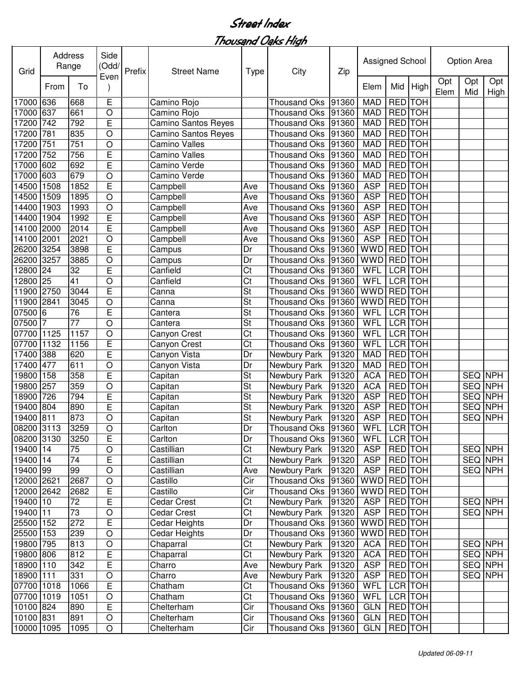| Opt<br>Opt<br>Opt<br>Mid<br>High<br>From<br>To<br>Elem<br>Mid<br>Elem<br>High<br>E<br>17000 636<br>Camino Rojo<br><b>MAD</b><br><b>RED</b> TOH<br>668<br><b>Thousand Oks</b><br>91360<br>661<br>$\circ$<br>RED TOH<br>637<br><b>MAD</b><br>17000<br>Camino Rojo<br>91360<br><b>Thousand Oks</b><br><b>RED</b> TOH<br>792<br>E<br>742<br><b>MAD</b><br>17200<br>Camino Santos Reyes<br>91360<br><b>Thousand Oks</b><br><b>RED TOH</b><br>17200<br>835<br>$\circ$<br><b>MAD</b><br>781<br>91360<br>Camino Santos Reyes<br><b>Thousand Oks</b><br><b>RED</b> TOH<br>751<br>751<br>$\circ$<br>Camino Valles<br>17200<br><b>Thousand Oks</b><br>91360<br><b>MAD</b><br>E<br><b>RED</b> TOH<br>17200<br>752<br>756<br><b>Camino Valles</b><br><b>Thousand Oks</b><br>91360<br><b>MAD</b><br><b>RED</b> TOH<br>E<br>602<br>Camino Verde<br><b>MAD</b><br>17000<br>692<br><b>Thousand Oks</b><br>91360<br><b>RED</b> TOH<br>17000<br>603<br>679<br><b>MAD</b><br>O<br>Camino Verde<br><b>Thousand Oks</b><br>91360<br>E<br><b>RED</b> TOH<br><b>ASP</b><br>14500<br>1508<br>1852<br><b>Thousand Oks</b><br>91360<br>Campbell<br>Ave<br><b>RED</b> TOH<br>14500<br>1509<br>1895<br>$\circ$<br>91360<br><b>ASP</b><br>Campbell<br><b>Thousand Oks</b><br>Ave<br><b>RED</b> TOH<br><b>ASP</b><br>14400<br>1903<br>1993<br>$\circ$<br><b>Thousand Oks</b><br>91360<br>Campbell<br>Ave<br><b>RED</b> TOH<br>E<br><b>ASP</b><br>14400<br>1904<br>1992<br>Campbell<br><b>Thousand Oks</b><br>91360<br>Ave<br><b>TOH</b><br>E<br><b>ASP</b><br><b>RED</b><br>14100<br>2014<br><b>Thousand Oks</b><br>91360<br>2000<br>Campbell<br>Ave<br><b>TOH</b><br><b>ASP</b><br><b>RED</b><br>14100<br>2001<br>2021<br>O<br>91360<br>Campbell<br>Ave<br><b>Thousand Oks</b><br><b>TOH</b><br><b>RED</b><br>E<br><b>WWD</b><br>26200<br>3254<br>3898<br>Dr<br>91360<br><b>Thousand Oks</b><br>Campus<br><b>WWD</b><br><b>TOH</b><br>3257<br><b>RED</b><br>26200<br>3885<br>O<br>91360<br>Dr<br><b>Thousand Oks</b><br>Campus<br>E<br>WFL<br><b>LCR</b><br><b>TOH</b><br>12800<br>Ct<br>24<br>32<br>91360<br>Canfield<br><b>Thousand Oks</b><br>41<br>LCR TOH<br>12800 25<br>$\circ$<br>Ct<br>91360<br>WFL<br>Canfield<br><b>Thousand Oks</b><br>E<br>St<br>RED TOH<br>11900 2750<br>3044<br><b>WWD</b><br>91360<br>Canna<br><b>Thousand Oks</b><br><b>RED</b> TOH<br>St<br>O<br><b>WWD</b><br>11900<br>2841<br>3045<br>91360<br>Canna<br><b>Thousand Oks</b><br>E<br>St<br>LCR TOH<br>07500<br>76<br>WFL<br>l6<br>91360<br>Cantera<br><b>Thousand Oks</b><br>$\circ$<br>LCR TOH<br>07500<br>77<br>St<br>WFL<br>91360<br>17<br>Cantera<br><b>Thousand Oks</b><br>LCR TOH<br>O<br><b>WFL</b><br>07700<br>1125<br>1157<br>Ct<br>91360<br><b>Thousand Oks</b><br>Canyon Crest<br>E<br>1132<br>WFL<br>LCR TOH<br>07700<br>1156<br>Ct<br><b>Thousand Oks</b><br>Canyon Crest<br>91360<br>Ē<br><b>RED</b> TOH<br>17400<br>388<br>620<br>Canyon Vista<br>Newbury Park<br>91320<br><b>MAD</b><br>Dr<br>O<br>RED TOH<br>17400<br>477<br>611<br>Newbury Park<br>91320<br><b>MAD</b><br>Canyon Vista<br>Dr<br>E<br>St<br><b>ACA</b><br>RED TOH<br>SEQ NPH<br>19800<br>358<br>Newbury Park<br>91320<br>158<br>Capitan<br>$\circ$<br>St<br><b>ACA</b><br>RED TOH<br><b>SEQ NPH</b><br>19800<br>257<br>Newbury Park<br>91320<br>359<br>Capitan<br>E<br>St<br><b>ASP</b><br>RED TOH<br><b>SEQ NPH</b><br>18900<br>726<br>794<br>Newbury Park<br>91320<br>Capitan<br>19400<br>E<br>St<br><b>ASP</b><br>RED TOH<br><b>SEQ NPH</b><br>804<br>890<br>Newbury Park<br>91320<br>Capitan<br><b>ASP</b><br><b>RED</b> TOH<br><b>SEQ NPH</b><br>19400 811<br>873<br>$\circ$<br>St<br>91320<br>Newbury Park<br>Capitan<br>08200 3113<br>WFL LCR TOH<br>3259<br>Dr<br>Thousand Oks 91360<br>$\bigcirc$<br>Carlton<br>08200 3130<br>E<br>Dr<br>LCR TOH<br>3250<br><b>WFL</b><br>Carlton<br>Thousand Oks<br>91360<br>19400 14<br>Ct<br>RED TOH<br>75<br>$\mathsf O$<br>Castillian<br>Newbury Park<br><b>ASP</b><br>SEQ NPH<br>91320<br>19400 14<br>$\overline{74}$<br>$\overline{\text{C}t}$<br>E<br>Newbury Park<br><b>ASP</b><br>RED TOH<br><b>SEQ NPH</b><br>Castillian<br>91320<br>99<br><b>RED</b> TOH<br><b>ASP</b><br><b>SEQ NPH</b><br>19400 99<br>$\bigcirc$<br>Castillian<br>Newbury Park<br>91320<br>Ave<br><b>RED</b> TOH<br>12000 2621<br>Cir<br><b>WWD</b><br>2687<br>$\bigcirc$<br>Castillo<br><b>Thousand Oks</b><br>91360<br><b>RED</b> TOH<br>E<br>Cir<br><b>WWD</b><br>12000 2642<br>2682<br>Castillo<br><b>Thousand Oks</b><br>91360<br>E<br>Newbury Park<br>RED TOH<br>SEQ NPH<br>19400 10<br>72<br><b>Cedar Crest</b><br>Ct<br>91320<br><b>ASP</b><br>Ct<br>RED TOH<br>19400 11<br>Newbury Park<br><b>ASP</b><br>SEQ NPH<br>73<br>O<br>91320<br><b>Cedar Crest</b><br>E<br><b>WWD</b><br>RED TOH<br>25500 152<br>272<br>Cedar Heights<br><b>Thousand Oks</b><br>Dr<br>91360<br><b>Thousand Oks</b><br>RED TOH<br>25500 153<br>O<br>91360<br><b>WWD</b><br>239<br>Cedar Heights<br>Dr<br>Newbury Park<br>19800 795<br>$\circ$<br>Ct<br>91320<br><b>ACA</b><br>RED TOH<br>SEQ NPH<br>813<br>Chaparral<br>19800 806<br>E<br>Ct<br>RED TOH<br>SEQ NPH<br>812<br>Newbury Park<br>91320<br><b>ACA</b><br>Chaparral<br>E<br>18900 110<br>Newbury Park<br><b>ASP</b><br>RED TOH<br>SEQ NPH<br>Charro<br>91320<br>342<br>Ave<br>18900 111<br>$\bigcirc$<br>Newbury Park<br>RED TOH<br>SEQ NPH<br>331<br>Charro<br>91320<br><b>ASP</b><br>Ave<br>E<br>WFL<br>LCR TOH<br>07700 1018<br>1066<br>Ct<br><b>Thousand Oks</b><br>91360<br>Chatham<br>LCR TOH<br>07700 1019<br>$\circ$<br>Ct<br>WFL<br>1051<br>91360<br>Chatham<br><b>Thousand Oks</b><br>10100 824<br>E<br>Cir<br>RED TOH<br>Thousand Oks<br><b>GLN</b><br>890<br>Chelterham<br>91360<br>10100 831<br>$\bigcirc$<br>891<br>Cir<br>RED TOH<br>Chelterham<br><b>Thousand Oks</b><br>91360<br><b>GLN</b><br>10000 1095<br>$\circ$<br>Chelterham<br>Cir<br>RED TOH<br>1095<br>Thousand Oks   91360<br><b>GLN</b> | Grid | Address | Range | Side<br>(Odd/ | Prefix | <b>Street Name</b> | <b>Type</b> | City | Zip | Assigned School |  | Option Area |  |
|---------------------------------------------------------------------------------------------------------------------------------------------------------------------------------------------------------------------------------------------------------------------------------------------------------------------------------------------------------------------------------------------------------------------------------------------------------------------------------------------------------------------------------------------------------------------------------------------------------------------------------------------------------------------------------------------------------------------------------------------------------------------------------------------------------------------------------------------------------------------------------------------------------------------------------------------------------------------------------------------------------------------------------------------------------------------------------------------------------------------------------------------------------------------------------------------------------------------------------------------------------------------------------------------------------------------------------------------------------------------------------------------------------------------------------------------------------------------------------------------------------------------------------------------------------------------------------------------------------------------------------------------------------------------------------------------------------------------------------------------------------------------------------------------------------------------------------------------------------------------------------------------------------------------------------------------------------------------------------------------------------------------------------------------------------------------------------------------------------------------------------------------------------------------------------------------------------------------------------------------------------------------------------------------------------------------------------------------------------------------------------------------------------------------------------------------------------------------------------------------------------------------------------------------------------------------------------------------------------------------------------------------------------------------------------------------------------------------------------------------------------------------------------------------------------------------------------------------------------------------------------------------------------------------------------------------------------------------------------------------------------------------------------------------------------------------------------------------------------------------------------------------------------------------------------------------------------------------------------------------------------------------------------------------------------------------------------------------------------------------------------------------------------------------------------------------------------------------------------------------------------------------------------------------------------------------------------------------------------------------------------------------------------------------------------------------------------------------------------------------------------------------------------------------------------------------------------------------------------------------------------------------------------------------------------------------------------------------------------------------------------------------------------------------------------------------------------------------------------------------------------------------------------------------------------------------------------------------------------------------------------------------------------------------------------------------------------------------------------------------------------------------------------------------------------------------------------------------------------------------------------------------------------------------------------------------------------------------------------------------------------------------------------------------------------------------------------------------------------------------------------------------------------------------------------------------------------------------------------------------------------------------------------------------------------------------------------------------------------------------------------------------------------------------------------------------------------------------------------------------------------------------------------------------------------------------------------------------------------------------------------------------------------------------------------------------------------------------------------------------------------------------------------------------------------------------------------------------------------------------------------------------------------------------------------------------------------------------------------------------------------------------------------------------------------------------------------------------------------------------------------------------------------------------------------------------------------------------------------------------------------------------------------------------------|------|---------|-------|---------------|--------|--------------------|-------------|------|-----|-----------------|--|-------------|--|
|                                                                                                                                                                                                                                                                                                                                                                                                                                                                                                                                                                                                                                                                                                                                                                                                                                                                                                                                                                                                                                                                                                                                                                                                                                                                                                                                                                                                                                                                                                                                                                                                                                                                                                                                                                                                                                                                                                                                                                                                                                                                                                                                                                                                                                                                                                                                                                                                                                                                                                                                                                                                                                                                                                                                                                                                                                                                                                                                                                                                                                                                                                                                                                                                                                                                                                                                                                                                                                                                                                                                                                                                                                                                                                                                                                                                                                                                                                                                                                                                                                                                                                                                                                                                                                                                                                                                                                                                                                                                                                                                                                                                                                                                                                                                                                                                                                                                                                                                                                                                                                                                                                                                                                                                                                                                                                                                                                                                                                                                                                                                                                                                                                                                                                                                                                                                                                                                                                                           |      |         |       | Even          |        |                    |             |      |     |                 |  |             |  |
|                                                                                                                                                                                                                                                                                                                                                                                                                                                                                                                                                                                                                                                                                                                                                                                                                                                                                                                                                                                                                                                                                                                                                                                                                                                                                                                                                                                                                                                                                                                                                                                                                                                                                                                                                                                                                                                                                                                                                                                                                                                                                                                                                                                                                                                                                                                                                                                                                                                                                                                                                                                                                                                                                                                                                                                                                                                                                                                                                                                                                                                                                                                                                                                                                                                                                                                                                                                                                                                                                                                                                                                                                                                                                                                                                                                                                                                                                                                                                                                                                                                                                                                                                                                                                                                                                                                                                                                                                                                                                                                                                                                                                                                                                                                                                                                                                                                                                                                                                                                                                                                                                                                                                                                                                                                                                                                                                                                                                                                                                                                                                                                                                                                                                                                                                                                                                                                                                                                           |      |         |       |               |        |                    |             |      |     |                 |  |             |  |
|                                                                                                                                                                                                                                                                                                                                                                                                                                                                                                                                                                                                                                                                                                                                                                                                                                                                                                                                                                                                                                                                                                                                                                                                                                                                                                                                                                                                                                                                                                                                                                                                                                                                                                                                                                                                                                                                                                                                                                                                                                                                                                                                                                                                                                                                                                                                                                                                                                                                                                                                                                                                                                                                                                                                                                                                                                                                                                                                                                                                                                                                                                                                                                                                                                                                                                                                                                                                                                                                                                                                                                                                                                                                                                                                                                                                                                                                                                                                                                                                                                                                                                                                                                                                                                                                                                                                                                                                                                                                                                                                                                                                                                                                                                                                                                                                                                                                                                                                                                                                                                                                                                                                                                                                                                                                                                                                                                                                                                                                                                                                                                                                                                                                                                                                                                                                                                                                                                                           |      |         |       |               |        |                    |             |      |     |                 |  |             |  |
|                                                                                                                                                                                                                                                                                                                                                                                                                                                                                                                                                                                                                                                                                                                                                                                                                                                                                                                                                                                                                                                                                                                                                                                                                                                                                                                                                                                                                                                                                                                                                                                                                                                                                                                                                                                                                                                                                                                                                                                                                                                                                                                                                                                                                                                                                                                                                                                                                                                                                                                                                                                                                                                                                                                                                                                                                                                                                                                                                                                                                                                                                                                                                                                                                                                                                                                                                                                                                                                                                                                                                                                                                                                                                                                                                                                                                                                                                                                                                                                                                                                                                                                                                                                                                                                                                                                                                                                                                                                                                                                                                                                                                                                                                                                                                                                                                                                                                                                                                                                                                                                                                                                                                                                                                                                                                                                                                                                                                                                                                                                                                                                                                                                                                                                                                                                                                                                                                                                           |      |         |       |               |        |                    |             |      |     |                 |  |             |  |
|                                                                                                                                                                                                                                                                                                                                                                                                                                                                                                                                                                                                                                                                                                                                                                                                                                                                                                                                                                                                                                                                                                                                                                                                                                                                                                                                                                                                                                                                                                                                                                                                                                                                                                                                                                                                                                                                                                                                                                                                                                                                                                                                                                                                                                                                                                                                                                                                                                                                                                                                                                                                                                                                                                                                                                                                                                                                                                                                                                                                                                                                                                                                                                                                                                                                                                                                                                                                                                                                                                                                                                                                                                                                                                                                                                                                                                                                                                                                                                                                                                                                                                                                                                                                                                                                                                                                                                                                                                                                                                                                                                                                                                                                                                                                                                                                                                                                                                                                                                                                                                                                                                                                                                                                                                                                                                                                                                                                                                                                                                                                                                                                                                                                                                                                                                                                                                                                                                                           |      |         |       |               |        |                    |             |      |     |                 |  |             |  |
|                                                                                                                                                                                                                                                                                                                                                                                                                                                                                                                                                                                                                                                                                                                                                                                                                                                                                                                                                                                                                                                                                                                                                                                                                                                                                                                                                                                                                                                                                                                                                                                                                                                                                                                                                                                                                                                                                                                                                                                                                                                                                                                                                                                                                                                                                                                                                                                                                                                                                                                                                                                                                                                                                                                                                                                                                                                                                                                                                                                                                                                                                                                                                                                                                                                                                                                                                                                                                                                                                                                                                                                                                                                                                                                                                                                                                                                                                                                                                                                                                                                                                                                                                                                                                                                                                                                                                                                                                                                                                                                                                                                                                                                                                                                                                                                                                                                                                                                                                                                                                                                                                                                                                                                                                                                                                                                                                                                                                                                                                                                                                                                                                                                                                                                                                                                                                                                                                                                           |      |         |       |               |        |                    |             |      |     |                 |  |             |  |
|                                                                                                                                                                                                                                                                                                                                                                                                                                                                                                                                                                                                                                                                                                                                                                                                                                                                                                                                                                                                                                                                                                                                                                                                                                                                                                                                                                                                                                                                                                                                                                                                                                                                                                                                                                                                                                                                                                                                                                                                                                                                                                                                                                                                                                                                                                                                                                                                                                                                                                                                                                                                                                                                                                                                                                                                                                                                                                                                                                                                                                                                                                                                                                                                                                                                                                                                                                                                                                                                                                                                                                                                                                                                                                                                                                                                                                                                                                                                                                                                                                                                                                                                                                                                                                                                                                                                                                                                                                                                                                                                                                                                                                                                                                                                                                                                                                                                                                                                                                                                                                                                                                                                                                                                                                                                                                                                                                                                                                                                                                                                                                                                                                                                                                                                                                                                                                                                                                                           |      |         |       |               |        |                    |             |      |     |                 |  |             |  |
|                                                                                                                                                                                                                                                                                                                                                                                                                                                                                                                                                                                                                                                                                                                                                                                                                                                                                                                                                                                                                                                                                                                                                                                                                                                                                                                                                                                                                                                                                                                                                                                                                                                                                                                                                                                                                                                                                                                                                                                                                                                                                                                                                                                                                                                                                                                                                                                                                                                                                                                                                                                                                                                                                                                                                                                                                                                                                                                                                                                                                                                                                                                                                                                                                                                                                                                                                                                                                                                                                                                                                                                                                                                                                                                                                                                                                                                                                                                                                                                                                                                                                                                                                                                                                                                                                                                                                                                                                                                                                                                                                                                                                                                                                                                                                                                                                                                                                                                                                                                                                                                                                                                                                                                                                                                                                                                                                                                                                                                                                                                                                                                                                                                                                                                                                                                                                                                                                                                           |      |         |       |               |        |                    |             |      |     |                 |  |             |  |
|                                                                                                                                                                                                                                                                                                                                                                                                                                                                                                                                                                                                                                                                                                                                                                                                                                                                                                                                                                                                                                                                                                                                                                                                                                                                                                                                                                                                                                                                                                                                                                                                                                                                                                                                                                                                                                                                                                                                                                                                                                                                                                                                                                                                                                                                                                                                                                                                                                                                                                                                                                                                                                                                                                                                                                                                                                                                                                                                                                                                                                                                                                                                                                                                                                                                                                                                                                                                                                                                                                                                                                                                                                                                                                                                                                                                                                                                                                                                                                                                                                                                                                                                                                                                                                                                                                                                                                                                                                                                                                                                                                                                                                                                                                                                                                                                                                                                                                                                                                                                                                                                                                                                                                                                                                                                                                                                                                                                                                                                                                                                                                                                                                                                                                                                                                                                                                                                                                                           |      |         |       |               |        |                    |             |      |     |                 |  |             |  |
|                                                                                                                                                                                                                                                                                                                                                                                                                                                                                                                                                                                                                                                                                                                                                                                                                                                                                                                                                                                                                                                                                                                                                                                                                                                                                                                                                                                                                                                                                                                                                                                                                                                                                                                                                                                                                                                                                                                                                                                                                                                                                                                                                                                                                                                                                                                                                                                                                                                                                                                                                                                                                                                                                                                                                                                                                                                                                                                                                                                                                                                                                                                                                                                                                                                                                                                                                                                                                                                                                                                                                                                                                                                                                                                                                                                                                                                                                                                                                                                                                                                                                                                                                                                                                                                                                                                                                                                                                                                                                                                                                                                                                                                                                                                                                                                                                                                                                                                                                                                                                                                                                                                                                                                                                                                                                                                                                                                                                                                                                                                                                                                                                                                                                                                                                                                                                                                                                                                           |      |         |       |               |        |                    |             |      |     |                 |  |             |  |
|                                                                                                                                                                                                                                                                                                                                                                                                                                                                                                                                                                                                                                                                                                                                                                                                                                                                                                                                                                                                                                                                                                                                                                                                                                                                                                                                                                                                                                                                                                                                                                                                                                                                                                                                                                                                                                                                                                                                                                                                                                                                                                                                                                                                                                                                                                                                                                                                                                                                                                                                                                                                                                                                                                                                                                                                                                                                                                                                                                                                                                                                                                                                                                                                                                                                                                                                                                                                                                                                                                                                                                                                                                                                                                                                                                                                                                                                                                                                                                                                                                                                                                                                                                                                                                                                                                                                                                                                                                                                                                                                                                                                                                                                                                                                                                                                                                                                                                                                                                                                                                                                                                                                                                                                                                                                                                                                                                                                                                                                                                                                                                                                                                                                                                                                                                                                                                                                                                                           |      |         |       |               |        |                    |             |      |     |                 |  |             |  |
|                                                                                                                                                                                                                                                                                                                                                                                                                                                                                                                                                                                                                                                                                                                                                                                                                                                                                                                                                                                                                                                                                                                                                                                                                                                                                                                                                                                                                                                                                                                                                                                                                                                                                                                                                                                                                                                                                                                                                                                                                                                                                                                                                                                                                                                                                                                                                                                                                                                                                                                                                                                                                                                                                                                                                                                                                                                                                                                                                                                                                                                                                                                                                                                                                                                                                                                                                                                                                                                                                                                                                                                                                                                                                                                                                                                                                                                                                                                                                                                                                                                                                                                                                                                                                                                                                                                                                                                                                                                                                                                                                                                                                                                                                                                                                                                                                                                                                                                                                                                                                                                                                                                                                                                                                                                                                                                                                                                                                                                                                                                                                                                                                                                                                                                                                                                                                                                                                                                           |      |         |       |               |        |                    |             |      |     |                 |  |             |  |
|                                                                                                                                                                                                                                                                                                                                                                                                                                                                                                                                                                                                                                                                                                                                                                                                                                                                                                                                                                                                                                                                                                                                                                                                                                                                                                                                                                                                                                                                                                                                                                                                                                                                                                                                                                                                                                                                                                                                                                                                                                                                                                                                                                                                                                                                                                                                                                                                                                                                                                                                                                                                                                                                                                                                                                                                                                                                                                                                                                                                                                                                                                                                                                                                                                                                                                                                                                                                                                                                                                                                                                                                                                                                                                                                                                                                                                                                                                                                                                                                                                                                                                                                                                                                                                                                                                                                                                                                                                                                                                                                                                                                                                                                                                                                                                                                                                                                                                                                                                                                                                                                                                                                                                                                                                                                                                                                                                                                                                                                                                                                                                                                                                                                                                                                                                                                                                                                                                                           |      |         |       |               |        |                    |             |      |     |                 |  |             |  |
|                                                                                                                                                                                                                                                                                                                                                                                                                                                                                                                                                                                                                                                                                                                                                                                                                                                                                                                                                                                                                                                                                                                                                                                                                                                                                                                                                                                                                                                                                                                                                                                                                                                                                                                                                                                                                                                                                                                                                                                                                                                                                                                                                                                                                                                                                                                                                                                                                                                                                                                                                                                                                                                                                                                                                                                                                                                                                                                                                                                                                                                                                                                                                                                                                                                                                                                                                                                                                                                                                                                                                                                                                                                                                                                                                                                                                                                                                                                                                                                                                                                                                                                                                                                                                                                                                                                                                                                                                                                                                                                                                                                                                                                                                                                                                                                                                                                                                                                                                                                                                                                                                                                                                                                                                                                                                                                                                                                                                                                                                                                                                                                                                                                                                                                                                                                                                                                                                                                           |      |         |       |               |        |                    |             |      |     |                 |  |             |  |
|                                                                                                                                                                                                                                                                                                                                                                                                                                                                                                                                                                                                                                                                                                                                                                                                                                                                                                                                                                                                                                                                                                                                                                                                                                                                                                                                                                                                                                                                                                                                                                                                                                                                                                                                                                                                                                                                                                                                                                                                                                                                                                                                                                                                                                                                                                                                                                                                                                                                                                                                                                                                                                                                                                                                                                                                                                                                                                                                                                                                                                                                                                                                                                                                                                                                                                                                                                                                                                                                                                                                                                                                                                                                                                                                                                                                                                                                                                                                                                                                                                                                                                                                                                                                                                                                                                                                                                                                                                                                                                                                                                                                                                                                                                                                                                                                                                                                                                                                                                                                                                                                                                                                                                                                                                                                                                                                                                                                                                                                                                                                                                                                                                                                                                                                                                                                                                                                                                                           |      |         |       |               |        |                    |             |      |     |                 |  |             |  |
|                                                                                                                                                                                                                                                                                                                                                                                                                                                                                                                                                                                                                                                                                                                                                                                                                                                                                                                                                                                                                                                                                                                                                                                                                                                                                                                                                                                                                                                                                                                                                                                                                                                                                                                                                                                                                                                                                                                                                                                                                                                                                                                                                                                                                                                                                                                                                                                                                                                                                                                                                                                                                                                                                                                                                                                                                                                                                                                                                                                                                                                                                                                                                                                                                                                                                                                                                                                                                                                                                                                                                                                                                                                                                                                                                                                                                                                                                                                                                                                                                                                                                                                                                                                                                                                                                                                                                                                                                                                                                                                                                                                                                                                                                                                                                                                                                                                                                                                                                                                                                                                                                                                                                                                                                                                                                                                                                                                                                                                                                                                                                                                                                                                                                                                                                                                                                                                                                                                           |      |         |       |               |        |                    |             |      |     |                 |  |             |  |
|                                                                                                                                                                                                                                                                                                                                                                                                                                                                                                                                                                                                                                                                                                                                                                                                                                                                                                                                                                                                                                                                                                                                                                                                                                                                                                                                                                                                                                                                                                                                                                                                                                                                                                                                                                                                                                                                                                                                                                                                                                                                                                                                                                                                                                                                                                                                                                                                                                                                                                                                                                                                                                                                                                                                                                                                                                                                                                                                                                                                                                                                                                                                                                                                                                                                                                                                                                                                                                                                                                                                                                                                                                                                                                                                                                                                                                                                                                                                                                                                                                                                                                                                                                                                                                                                                                                                                                                                                                                                                                                                                                                                                                                                                                                                                                                                                                                                                                                                                                                                                                                                                                                                                                                                                                                                                                                                                                                                                                                                                                                                                                                                                                                                                                                                                                                                                                                                                                                           |      |         |       |               |        |                    |             |      |     |                 |  |             |  |
|                                                                                                                                                                                                                                                                                                                                                                                                                                                                                                                                                                                                                                                                                                                                                                                                                                                                                                                                                                                                                                                                                                                                                                                                                                                                                                                                                                                                                                                                                                                                                                                                                                                                                                                                                                                                                                                                                                                                                                                                                                                                                                                                                                                                                                                                                                                                                                                                                                                                                                                                                                                                                                                                                                                                                                                                                                                                                                                                                                                                                                                                                                                                                                                                                                                                                                                                                                                                                                                                                                                                                                                                                                                                                                                                                                                                                                                                                                                                                                                                                                                                                                                                                                                                                                                                                                                                                                                                                                                                                                                                                                                                                                                                                                                                                                                                                                                                                                                                                                                                                                                                                                                                                                                                                                                                                                                                                                                                                                                                                                                                                                                                                                                                                                                                                                                                                                                                                                                           |      |         |       |               |        |                    |             |      |     |                 |  |             |  |
|                                                                                                                                                                                                                                                                                                                                                                                                                                                                                                                                                                                                                                                                                                                                                                                                                                                                                                                                                                                                                                                                                                                                                                                                                                                                                                                                                                                                                                                                                                                                                                                                                                                                                                                                                                                                                                                                                                                                                                                                                                                                                                                                                                                                                                                                                                                                                                                                                                                                                                                                                                                                                                                                                                                                                                                                                                                                                                                                                                                                                                                                                                                                                                                                                                                                                                                                                                                                                                                                                                                                                                                                                                                                                                                                                                                                                                                                                                                                                                                                                                                                                                                                                                                                                                                                                                                                                                                                                                                                                                                                                                                                                                                                                                                                                                                                                                                                                                                                                                                                                                                                                                                                                                                                                                                                                                                                                                                                                                                                                                                                                                                                                                                                                                                                                                                                                                                                                                                           |      |         |       |               |        |                    |             |      |     |                 |  |             |  |
|                                                                                                                                                                                                                                                                                                                                                                                                                                                                                                                                                                                                                                                                                                                                                                                                                                                                                                                                                                                                                                                                                                                                                                                                                                                                                                                                                                                                                                                                                                                                                                                                                                                                                                                                                                                                                                                                                                                                                                                                                                                                                                                                                                                                                                                                                                                                                                                                                                                                                                                                                                                                                                                                                                                                                                                                                                                                                                                                                                                                                                                                                                                                                                                                                                                                                                                                                                                                                                                                                                                                                                                                                                                                                                                                                                                                                                                                                                                                                                                                                                                                                                                                                                                                                                                                                                                                                                                                                                                                                                                                                                                                                                                                                                                                                                                                                                                                                                                                                                                                                                                                                                                                                                                                                                                                                                                                                                                                                                                                                                                                                                                                                                                                                                                                                                                                                                                                                                                           |      |         |       |               |        |                    |             |      |     |                 |  |             |  |
|                                                                                                                                                                                                                                                                                                                                                                                                                                                                                                                                                                                                                                                                                                                                                                                                                                                                                                                                                                                                                                                                                                                                                                                                                                                                                                                                                                                                                                                                                                                                                                                                                                                                                                                                                                                                                                                                                                                                                                                                                                                                                                                                                                                                                                                                                                                                                                                                                                                                                                                                                                                                                                                                                                                                                                                                                                                                                                                                                                                                                                                                                                                                                                                                                                                                                                                                                                                                                                                                                                                                                                                                                                                                                                                                                                                                                                                                                                                                                                                                                                                                                                                                                                                                                                                                                                                                                                                                                                                                                                                                                                                                                                                                                                                                                                                                                                                                                                                                                                                                                                                                                                                                                                                                                                                                                                                                                                                                                                                                                                                                                                                                                                                                                                                                                                                                                                                                                                                           |      |         |       |               |        |                    |             |      |     |                 |  |             |  |
|                                                                                                                                                                                                                                                                                                                                                                                                                                                                                                                                                                                                                                                                                                                                                                                                                                                                                                                                                                                                                                                                                                                                                                                                                                                                                                                                                                                                                                                                                                                                                                                                                                                                                                                                                                                                                                                                                                                                                                                                                                                                                                                                                                                                                                                                                                                                                                                                                                                                                                                                                                                                                                                                                                                                                                                                                                                                                                                                                                                                                                                                                                                                                                                                                                                                                                                                                                                                                                                                                                                                                                                                                                                                                                                                                                                                                                                                                                                                                                                                                                                                                                                                                                                                                                                                                                                                                                                                                                                                                                                                                                                                                                                                                                                                                                                                                                                                                                                                                                                                                                                                                                                                                                                                                                                                                                                                                                                                                                                                                                                                                                                                                                                                                                                                                                                                                                                                                                                           |      |         |       |               |        |                    |             |      |     |                 |  |             |  |
|                                                                                                                                                                                                                                                                                                                                                                                                                                                                                                                                                                                                                                                                                                                                                                                                                                                                                                                                                                                                                                                                                                                                                                                                                                                                                                                                                                                                                                                                                                                                                                                                                                                                                                                                                                                                                                                                                                                                                                                                                                                                                                                                                                                                                                                                                                                                                                                                                                                                                                                                                                                                                                                                                                                                                                                                                                                                                                                                                                                                                                                                                                                                                                                                                                                                                                                                                                                                                                                                                                                                                                                                                                                                                                                                                                                                                                                                                                                                                                                                                                                                                                                                                                                                                                                                                                                                                                                                                                                                                                                                                                                                                                                                                                                                                                                                                                                                                                                                                                                                                                                                                                                                                                                                                                                                                                                                                                                                                                                                                                                                                                                                                                                                                                                                                                                                                                                                                                                           |      |         |       |               |        |                    |             |      |     |                 |  |             |  |
|                                                                                                                                                                                                                                                                                                                                                                                                                                                                                                                                                                                                                                                                                                                                                                                                                                                                                                                                                                                                                                                                                                                                                                                                                                                                                                                                                                                                                                                                                                                                                                                                                                                                                                                                                                                                                                                                                                                                                                                                                                                                                                                                                                                                                                                                                                                                                                                                                                                                                                                                                                                                                                                                                                                                                                                                                                                                                                                                                                                                                                                                                                                                                                                                                                                                                                                                                                                                                                                                                                                                                                                                                                                                                                                                                                                                                                                                                                                                                                                                                                                                                                                                                                                                                                                                                                                                                                                                                                                                                                                                                                                                                                                                                                                                                                                                                                                                                                                                                                                                                                                                                                                                                                                                                                                                                                                                                                                                                                                                                                                                                                                                                                                                                                                                                                                                                                                                                                                           |      |         |       |               |        |                    |             |      |     |                 |  |             |  |
|                                                                                                                                                                                                                                                                                                                                                                                                                                                                                                                                                                                                                                                                                                                                                                                                                                                                                                                                                                                                                                                                                                                                                                                                                                                                                                                                                                                                                                                                                                                                                                                                                                                                                                                                                                                                                                                                                                                                                                                                                                                                                                                                                                                                                                                                                                                                                                                                                                                                                                                                                                                                                                                                                                                                                                                                                                                                                                                                                                                                                                                                                                                                                                                                                                                                                                                                                                                                                                                                                                                                                                                                                                                                                                                                                                                                                                                                                                                                                                                                                                                                                                                                                                                                                                                                                                                                                                                                                                                                                                                                                                                                                                                                                                                                                                                                                                                                                                                                                                                                                                                                                                                                                                                                                                                                                                                                                                                                                                                                                                                                                                                                                                                                                                                                                                                                                                                                                                                           |      |         |       |               |        |                    |             |      |     |                 |  |             |  |
|                                                                                                                                                                                                                                                                                                                                                                                                                                                                                                                                                                                                                                                                                                                                                                                                                                                                                                                                                                                                                                                                                                                                                                                                                                                                                                                                                                                                                                                                                                                                                                                                                                                                                                                                                                                                                                                                                                                                                                                                                                                                                                                                                                                                                                                                                                                                                                                                                                                                                                                                                                                                                                                                                                                                                                                                                                                                                                                                                                                                                                                                                                                                                                                                                                                                                                                                                                                                                                                                                                                                                                                                                                                                                                                                                                                                                                                                                                                                                                                                                                                                                                                                                                                                                                                                                                                                                                                                                                                                                                                                                                                                                                                                                                                                                                                                                                                                                                                                                                                                                                                                                                                                                                                                                                                                                                                                                                                                                                                                                                                                                                                                                                                                                                                                                                                                                                                                                                                           |      |         |       |               |        |                    |             |      |     |                 |  |             |  |
|                                                                                                                                                                                                                                                                                                                                                                                                                                                                                                                                                                                                                                                                                                                                                                                                                                                                                                                                                                                                                                                                                                                                                                                                                                                                                                                                                                                                                                                                                                                                                                                                                                                                                                                                                                                                                                                                                                                                                                                                                                                                                                                                                                                                                                                                                                                                                                                                                                                                                                                                                                                                                                                                                                                                                                                                                                                                                                                                                                                                                                                                                                                                                                                                                                                                                                                                                                                                                                                                                                                                                                                                                                                                                                                                                                                                                                                                                                                                                                                                                                                                                                                                                                                                                                                                                                                                                                                                                                                                                                                                                                                                                                                                                                                                                                                                                                                                                                                                                                                                                                                                                                                                                                                                                                                                                                                                                                                                                                                                                                                                                                                                                                                                                                                                                                                                                                                                                                                           |      |         |       |               |        |                    |             |      |     |                 |  |             |  |
|                                                                                                                                                                                                                                                                                                                                                                                                                                                                                                                                                                                                                                                                                                                                                                                                                                                                                                                                                                                                                                                                                                                                                                                                                                                                                                                                                                                                                                                                                                                                                                                                                                                                                                                                                                                                                                                                                                                                                                                                                                                                                                                                                                                                                                                                                                                                                                                                                                                                                                                                                                                                                                                                                                                                                                                                                                                                                                                                                                                                                                                                                                                                                                                                                                                                                                                                                                                                                                                                                                                                                                                                                                                                                                                                                                                                                                                                                                                                                                                                                                                                                                                                                                                                                                                                                                                                                                                                                                                                                                                                                                                                                                                                                                                                                                                                                                                                                                                                                                                                                                                                                                                                                                                                                                                                                                                                                                                                                                                                                                                                                                                                                                                                                                                                                                                                                                                                                                                           |      |         |       |               |        |                    |             |      |     |                 |  |             |  |
|                                                                                                                                                                                                                                                                                                                                                                                                                                                                                                                                                                                                                                                                                                                                                                                                                                                                                                                                                                                                                                                                                                                                                                                                                                                                                                                                                                                                                                                                                                                                                                                                                                                                                                                                                                                                                                                                                                                                                                                                                                                                                                                                                                                                                                                                                                                                                                                                                                                                                                                                                                                                                                                                                                                                                                                                                                                                                                                                                                                                                                                                                                                                                                                                                                                                                                                                                                                                                                                                                                                                                                                                                                                                                                                                                                                                                                                                                                                                                                                                                                                                                                                                                                                                                                                                                                                                                                                                                                                                                                                                                                                                                                                                                                                                                                                                                                                                                                                                                                                                                                                                                                                                                                                                                                                                                                                                                                                                                                                                                                                                                                                                                                                                                                                                                                                                                                                                                                                           |      |         |       |               |        |                    |             |      |     |                 |  |             |  |
|                                                                                                                                                                                                                                                                                                                                                                                                                                                                                                                                                                                                                                                                                                                                                                                                                                                                                                                                                                                                                                                                                                                                                                                                                                                                                                                                                                                                                                                                                                                                                                                                                                                                                                                                                                                                                                                                                                                                                                                                                                                                                                                                                                                                                                                                                                                                                                                                                                                                                                                                                                                                                                                                                                                                                                                                                                                                                                                                                                                                                                                                                                                                                                                                                                                                                                                                                                                                                                                                                                                                                                                                                                                                                                                                                                                                                                                                                                                                                                                                                                                                                                                                                                                                                                                                                                                                                                                                                                                                                                                                                                                                                                                                                                                                                                                                                                                                                                                                                                                                                                                                                                                                                                                                                                                                                                                                                                                                                                                                                                                                                                                                                                                                                                                                                                                                                                                                                                                           |      |         |       |               |        |                    |             |      |     |                 |  |             |  |
|                                                                                                                                                                                                                                                                                                                                                                                                                                                                                                                                                                                                                                                                                                                                                                                                                                                                                                                                                                                                                                                                                                                                                                                                                                                                                                                                                                                                                                                                                                                                                                                                                                                                                                                                                                                                                                                                                                                                                                                                                                                                                                                                                                                                                                                                                                                                                                                                                                                                                                                                                                                                                                                                                                                                                                                                                                                                                                                                                                                                                                                                                                                                                                                                                                                                                                                                                                                                                                                                                                                                                                                                                                                                                                                                                                                                                                                                                                                                                                                                                                                                                                                                                                                                                                                                                                                                                                                                                                                                                                                                                                                                                                                                                                                                                                                                                                                                                                                                                                                                                                                                                                                                                                                                                                                                                                                                                                                                                                                                                                                                                                                                                                                                                                                                                                                                                                                                                                                           |      |         |       |               |        |                    |             |      |     |                 |  |             |  |
|                                                                                                                                                                                                                                                                                                                                                                                                                                                                                                                                                                                                                                                                                                                                                                                                                                                                                                                                                                                                                                                                                                                                                                                                                                                                                                                                                                                                                                                                                                                                                                                                                                                                                                                                                                                                                                                                                                                                                                                                                                                                                                                                                                                                                                                                                                                                                                                                                                                                                                                                                                                                                                                                                                                                                                                                                                                                                                                                                                                                                                                                                                                                                                                                                                                                                                                                                                                                                                                                                                                                                                                                                                                                                                                                                                                                                                                                                                                                                                                                                                                                                                                                                                                                                                                                                                                                                                                                                                                                                                                                                                                                                                                                                                                                                                                                                                                                                                                                                                                                                                                                                                                                                                                                                                                                                                                                                                                                                                                                                                                                                                                                                                                                                                                                                                                                                                                                                                                           |      |         |       |               |        |                    |             |      |     |                 |  |             |  |
|                                                                                                                                                                                                                                                                                                                                                                                                                                                                                                                                                                                                                                                                                                                                                                                                                                                                                                                                                                                                                                                                                                                                                                                                                                                                                                                                                                                                                                                                                                                                                                                                                                                                                                                                                                                                                                                                                                                                                                                                                                                                                                                                                                                                                                                                                                                                                                                                                                                                                                                                                                                                                                                                                                                                                                                                                                                                                                                                                                                                                                                                                                                                                                                                                                                                                                                                                                                                                                                                                                                                                                                                                                                                                                                                                                                                                                                                                                                                                                                                                                                                                                                                                                                                                                                                                                                                                                                                                                                                                                                                                                                                                                                                                                                                                                                                                                                                                                                                                                                                                                                                                                                                                                                                                                                                                                                                                                                                                                                                                                                                                                                                                                                                                                                                                                                                                                                                                                                           |      |         |       |               |        |                    |             |      |     |                 |  |             |  |
|                                                                                                                                                                                                                                                                                                                                                                                                                                                                                                                                                                                                                                                                                                                                                                                                                                                                                                                                                                                                                                                                                                                                                                                                                                                                                                                                                                                                                                                                                                                                                                                                                                                                                                                                                                                                                                                                                                                                                                                                                                                                                                                                                                                                                                                                                                                                                                                                                                                                                                                                                                                                                                                                                                                                                                                                                                                                                                                                                                                                                                                                                                                                                                                                                                                                                                                                                                                                                                                                                                                                                                                                                                                                                                                                                                                                                                                                                                                                                                                                                                                                                                                                                                                                                                                                                                                                                                                                                                                                                                                                                                                                                                                                                                                                                                                                                                                                                                                                                                                                                                                                                                                                                                                                                                                                                                                                                                                                                                                                                                                                                                                                                                                                                                                                                                                                                                                                                                                           |      |         |       |               |        |                    |             |      |     |                 |  |             |  |
|                                                                                                                                                                                                                                                                                                                                                                                                                                                                                                                                                                                                                                                                                                                                                                                                                                                                                                                                                                                                                                                                                                                                                                                                                                                                                                                                                                                                                                                                                                                                                                                                                                                                                                                                                                                                                                                                                                                                                                                                                                                                                                                                                                                                                                                                                                                                                                                                                                                                                                                                                                                                                                                                                                                                                                                                                                                                                                                                                                                                                                                                                                                                                                                                                                                                                                                                                                                                                                                                                                                                                                                                                                                                                                                                                                                                                                                                                                                                                                                                                                                                                                                                                                                                                                                                                                                                                                                                                                                                                                                                                                                                                                                                                                                                                                                                                                                                                                                                                                                                                                                                                                                                                                                                                                                                                                                                                                                                                                                                                                                                                                                                                                                                                                                                                                                                                                                                                                                           |      |         |       |               |        |                    |             |      |     |                 |  |             |  |
|                                                                                                                                                                                                                                                                                                                                                                                                                                                                                                                                                                                                                                                                                                                                                                                                                                                                                                                                                                                                                                                                                                                                                                                                                                                                                                                                                                                                                                                                                                                                                                                                                                                                                                                                                                                                                                                                                                                                                                                                                                                                                                                                                                                                                                                                                                                                                                                                                                                                                                                                                                                                                                                                                                                                                                                                                                                                                                                                                                                                                                                                                                                                                                                                                                                                                                                                                                                                                                                                                                                                                                                                                                                                                                                                                                                                                                                                                                                                                                                                                                                                                                                                                                                                                                                                                                                                                                                                                                                                                                                                                                                                                                                                                                                                                                                                                                                                                                                                                                                                                                                                                                                                                                                                                                                                                                                                                                                                                                                                                                                                                                                                                                                                                                                                                                                                                                                                                                                           |      |         |       |               |        |                    |             |      |     |                 |  |             |  |
|                                                                                                                                                                                                                                                                                                                                                                                                                                                                                                                                                                                                                                                                                                                                                                                                                                                                                                                                                                                                                                                                                                                                                                                                                                                                                                                                                                                                                                                                                                                                                                                                                                                                                                                                                                                                                                                                                                                                                                                                                                                                                                                                                                                                                                                                                                                                                                                                                                                                                                                                                                                                                                                                                                                                                                                                                                                                                                                                                                                                                                                                                                                                                                                                                                                                                                                                                                                                                                                                                                                                                                                                                                                                                                                                                                                                                                                                                                                                                                                                                                                                                                                                                                                                                                                                                                                                                                                                                                                                                                                                                                                                                                                                                                                                                                                                                                                                                                                                                                                                                                                                                                                                                                                                                                                                                                                                                                                                                                                                                                                                                                                                                                                                                                                                                                                                                                                                                                                           |      |         |       |               |        |                    |             |      |     |                 |  |             |  |
|                                                                                                                                                                                                                                                                                                                                                                                                                                                                                                                                                                                                                                                                                                                                                                                                                                                                                                                                                                                                                                                                                                                                                                                                                                                                                                                                                                                                                                                                                                                                                                                                                                                                                                                                                                                                                                                                                                                                                                                                                                                                                                                                                                                                                                                                                                                                                                                                                                                                                                                                                                                                                                                                                                                                                                                                                                                                                                                                                                                                                                                                                                                                                                                                                                                                                                                                                                                                                                                                                                                                                                                                                                                                                                                                                                                                                                                                                                                                                                                                                                                                                                                                                                                                                                                                                                                                                                                                                                                                                                                                                                                                                                                                                                                                                                                                                                                                                                                                                                                                                                                                                                                                                                                                                                                                                                                                                                                                                                                                                                                                                                                                                                                                                                                                                                                                                                                                                                                           |      |         |       |               |        |                    |             |      |     |                 |  |             |  |
|                                                                                                                                                                                                                                                                                                                                                                                                                                                                                                                                                                                                                                                                                                                                                                                                                                                                                                                                                                                                                                                                                                                                                                                                                                                                                                                                                                                                                                                                                                                                                                                                                                                                                                                                                                                                                                                                                                                                                                                                                                                                                                                                                                                                                                                                                                                                                                                                                                                                                                                                                                                                                                                                                                                                                                                                                                                                                                                                                                                                                                                                                                                                                                                                                                                                                                                                                                                                                                                                                                                                                                                                                                                                                                                                                                                                                                                                                                                                                                                                                                                                                                                                                                                                                                                                                                                                                                                                                                                                                                                                                                                                                                                                                                                                                                                                                                                                                                                                                                                                                                                                                                                                                                                                                                                                                                                                                                                                                                                                                                                                                                                                                                                                                                                                                                                                                                                                                                                           |      |         |       |               |        |                    |             |      |     |                 |  |             |  |
|                                                                                                                                                                                                                                                                                                                                                                                                                                                                                                                                                                                                                                                                                                                                                                                                                                                                                                                                                                                                                                                                                                                                                                                                                                                                                                                                                                                                                                                                                                                                                                                                                                                                                                                                                                                                                                                                                                                                                                                                                                                                                                                                                                                                                                                                                                                                                                                                                                                                                                                                                                                                                                                                                                                                                                                                                                                                                                                                                                                                                                                                                                                                                                                                                                                                                                                                                                                                                                                                                                                                                                                                                                                                                                                                                                                                                                                                                                                                                                                                                                                                                                                                                                                                                                                                                                                                                                                                                                                                                                                                                                                                                                                                                                                                                                                                                                                                                                                                                                                                                                                                                                                                                                                                                                                                                                                                                                                                                                                                                                                                                                                                                                                                                                                                                                                                                                                                                                                           |      |         |       |               |        |                    |             |      |     |                 |  |             |  |
|                                                                                                                                                                                                                                                                                                                                                                                                                                                                                                                                                                                                                                                                                                                                                                                                                                                                                                                                                                                                                                                                                                                                                                                                                                                                                                                                                                                                                                                                                                                                                                                                                                                                                                                                                                                                                                                                                                                                                                                                                                                                                                                                                                                                                                                                                                                                                                                                                                                                                                                                                                                                                                                                                                                                                                                                                                                                                                                                                                                                                                                                                                                                                                                                                                                                                                                                                                                                                                                                                                                                                                                                                                                                                                                                                                                                                                                                                                                                                                                                                                                                                                                                                                                                                                                                                                                                                                                                                                                                                                                                                                                                                                                                                                                                                                                                                                                                                                                                                                                                                                                                                                                                                                                                                                                                                                                                                                                                                                                                                                                                                                                                                                                                                                                                                                                                                                                                                                                           |      |         |       |               |        |                    |             |      |     |                 |  |             |  |
|                                                                                                                                                                                                                                                                                                                                                                                                                                                                                                                                                                                                                                                                                                                                                                                                                                                                                                                                                                                                                                                                                                                                                                                                                                                                                                                                                                                                                                                                                                                                                                                                                                                                                                                                                                                                                                                                                                                                                                                                                                                                                                                                                                                                                                                                                                                                                                                                                                                                                                                                                                                                                                                                                                                                                                                                                                                                                                                                                                                                                                                                                                                                                                                                                                                                                                                                                                                                                                                                                                                                                                                                                                                                                                                                                                                                                                                                                                                                                                                                                                                                                                                                                                                                                                                                                                                                                                                                                                                                                                                                                                                                                                                                                                                                                                                                                                                                                                                                                                                                                                                                                                                                                                                                                                                                                                                                                                                                                                                                                                                                                                                                                                                                                                                                                                                                                                                                                                                           |      |         |       |               |        |                    |             |      |     |                 |  |             |  |
|                                                                                                                                                                                                                                                                                                                                                                                                                                                                                                                                                                                                                                                                                                                                                                                                                                                                                                                                                                                                                                                                                                                                                                                                                                                                                                                                                                                                                                                                                                                                                                                                                                                                                                                                                                                                                                                                                                                                                                                                                                                                                                                                                                                                                                                                                                                                                                                                                                                                                                                                                                                                                                                                                                                                                                                                                                                                                                                                                                                                                                                                                                                                                                                                                                                                                                                                                                                                                                                                                                                                                                                                                                                                                                                                                                                                                                                                                                                                                                                                                                                                                                                                                                                                                                                                                                                                                                                                                                                                                                                                                                                                                                                                                                                                                                                                                                                                                                                                                                                                                                                                                                                                                                                                                                                                                                                                                                                                                                                                                                                                                                                                                                                                                                                                                                                                                                                                                                                           |      |         |       |               |        |                    |             |      |     |                 |  |             |  |
|                                                                                                                                                                                                                                                                                                                                                                                                                                                                                                                                                                                                                                                                                                                                                                                                                                                                                                                                                                                                                                                                                                                                                                                                                                                                                                                                                                                                                                                                                                                                                                                                                                                                                                                                                                                                                                                                                                                                                                                                                                                                                                                                                                                                                                                                                                                                                                                                                                                                                                                                                                                                                                                                                                                                                                                                                                                                                                                                                                                                                                                                                                                                                                                                                                                                                                                                                                                                                                                                                                                                                                                                                                                                                                                                                                                                                                                                                                                                                                                                                                                                                                                                                                                                                                                                                                                                                                                                                                                                                                                                                                                                                                                                                                                                                                                                                                                                                                                                                                                                                                                                                                                                                                                                                                                                                                                                                                                                                                                                                                                                                                                                                                                                                                                                                                                                                                                                                                                           |      |         |       |               |        |                    |             |      |     |                 |  |             |  |
|                                                                                                                                                                                                                                                                                                                                                                                                                                                                                                                                                                                                                                                                                                                                                                                                                                                                                                                                                                                                                                                                                                                                                                                                                                                                                                                                                                                                                                                                                                                                                                                                                                                                                                                                                                                                                                                                                                                                                                                                                                                                                                                                                                                                                                                                                                                                                                                                                                                                                                                                                                                                                                                                                                                                                                                                                                                                                                                                                                                                                                                                                                                                                                                                                                                                                                                                                                                                                                                                                                                                                                                                                                                                                                                                                                                                                                                                                                                                                                                                                                                                                                                                                                                                                                                                                                                                                                                                                                                                                                                                                                                                                                                                                                                                                                                                                                                                                                                                                                                                                                                                                                                                                                                                                                                                                                                                                                                                                                                                                                                                                                                                                                                                                                                                                                                                                                                                                                                           |      |         |       |               |        |                    |             |      |     |                 |  |             |  |
|                                                                                                                                                                                                                                                                                                                                                                                                                                                                                                                                                                                                                                                                                                                                                                                                                                                                                                                                                                                                                                                                                                                                                                                                                                                                                                                                                                                                                                                                                                                                                                                                                                                                                                                                                                                                                                                                                                                                                                                                                                                                                                                                                                                                                                                                                                                                                                                                                                                                                                                                                                                                                                                                                                                                                                                                                                                                                                                                                                                                                                                                                                                                                                                                                                                                                                                                                                                                                                                                                                                                                                                                                                                                                                                                                                                                                                                                                                                                                                                                                                                                                                                                                                                                                                                                                                                                                                                                                                                                                                                                                                                                                                                                                                                                                                                                                                                                                                                                                                                                                                                                                                                                                                                                                                                                                                                                                                                                                                                                                                                                                                                                                                                                                                                                                                                                                                                                                                                           |      |         |       |               |        |                    |             |      |     |                 |  |             |  |
|                                                                                                                                                                                                                                                                                                                                                                                                                                                                                                                                                                                                                                                                                                                                                                                                                                                                                                                                                                                                                                                                                                                                                                                                                                                                                                                                                                                                                                                                                                                                                                                                                                                                                                                                                                                                                                                                                                                                                                                                                                                                                                                                                                                                                                                                                                                                                                                                                                                                                                                                                                                                                                                                                                                                                                                                                                                                                                                                                                                                                                                                                                                                                                                                                                                                                                                                                                                                                                                                                                                                                                                                                                                                                                                                                                                                                                                                                                                                                                                                                                                                                                                                                                                                                                                                                                                                                                                                                                                                                                                                                                                                                                                                                                                                                                                                                                                                                                                                                                                                                                                                                                                                                                                                                                                                                                                                                                                                                                                                                                                                                                                                                                                                                                                                                                                                                                                                                                                           |      |         |       |               |        |                    |             |      |     |                 |  |             |  |
|                                                                                                                                                                                                                                                                                                                                                                                                                                                                                                                                                                                                                                                                                                                                                                                                                                                                                                                                                                                                                                                                                                                                                                                                                                                                                                                                                                                                                                                                                                                                                                                                                                                                                                                                                                                                                                                                                                                                                                                                                                                                                                                                                                                                                                                                                                                                                                                                                                                                                                                                                                                                                                                                                                                                                                                                                                                                                                                                                                                                                                                                                                                                                                                                                                                                                                                                                                                                                                                                                                                                                                                                                                                                                                                                                                                                                                                                                                                                                                                                                                                                                                                                                                                                                                                                                                                                                                                                                                                                                                                                                                                                                                                                                                                                                                                                                                                                                                                                                                                                                                                                                                                                                                                                                                                                                                                                                                                                                                                                                                                                                                                                                                                                                                                                                                                                                                                                                                                           |      |         |       |               |        |                    |             |      |     |                 |  |             |  |
|                                                                                                                                                                                                                                                                                                                                                                                                                                                                                                                                                                                                                                                                                                                                                                                                                                                                                                                                                                                                                                                                                                                                                                                                                                                                                                                                                                                                                                                                                                                                                                                                                                                                                                                                                                                                                                                                                                                                                                                                                                                                                                                                                                                                                                                                                                                                                                                                                                                                                                                                                                                                                                                                                                                                                                                                                                                                                                                                                                                                                                                                                                                                                                                                                                                                                                                                                                                                                                                                                                                                                                                                                                                                                                                                                                                                                                                                                                                                                                                                                                                                                                                                                                                                                                                                                                                                                                                                                                                                                                                                                                                                                                                                                                                                                                                                                                                                                                                                                                                                                                                                                                                                                                                                                                                                                                                                                                                                                                                                                                                                                                                                                                                                                                                                                                                                                                                                                                                           |      |         |       |               |        |                    |             |      |     |                 |  |             |  |
|                                                                                                                                                                                                                                                                                                                                                                                                                                                                                                                                                                                                                                                                                                                                                                                                                                                                                                                                                                                                                                                                                                                                                                                                                                                                                                                                                                                                                                                                                                                                                                                                                                                                                                                                                                                                                                                                                                                                                                                                                                                                                                                                                                                                                                                                                                                                                                                                                                                                                                                                                                                                                                                                                                                                                                                                                                                                                                                                                                                                                                                                                                                                                                                                                                                                                                                                                                                                                                                                                                                                                                                                                                                                                                                                                                                                                                                                                                                                                                                                                                                                                                                                                                                                                                                                                                                                                                                                                                                                                                                                                                                                                                                                                                                                                                                                                                                                                                                                                                                                                                                                                                                                                                                                                                                                                                                                                                                                                                                                                                                                                                                                                                                                                                                                                                                                                                                                                                                           |      |         |       |               |        |                    |             |      |     |                 |  |             |  |
|                                                                                                                                                                                                                                                                                                                                                                                                                                                                                                                                                                                                                                                                                                                                                                                                                                                                                                                                                                                                                                                                                                                                                                                                                                                                                                                                                                                                                                                                                                                                                                                                                                                                                                                                                                                                                                                                                                                                                                                                                                                                                                                                                                                                                                                                                                                                                                                                                                                                                                                                                                                                                                                                                                                                                                                                                                                                                                                                                                                                                                                                                                                                                                                                                                                                                                                                                                                                                                                                                                                                                                                                                                                                                                                                                                                                                                                                                                                                                                                                                                                                                                                                                                                                                                                                                                                                                                                                                                                                                                                                                                                                                                                                                                                                                                                                                                                                                                                                                                                                                                                                                                                                                                                                                                                                                                                                                                                                                                                                                                                                                                                                                                                                                                                                                                                                                                                                                                                           |      |         |       |               |        |                    |             |      |     |                 |  |             |  |
|                                                                                                                                                                                                                                                                                                                                                                                                                                                                                                                                                                                                                                                                                                                                                                                                                                                                                                                                                                                                                                                                                                                                                                                                                                                                                                                                                                                                                                                                                                                                                                                                                                                                                                                                                                                                                                                                                                                                                                                                                                                                                                                                                                                                                                                                                                                                                                                                                                                                                                                                                                                                                                                                                                                                                                                                                                                                                                                                                                                                                                                                                                                                                                                                                                                                                                                                                                                                                                                                                                                                                                                                                                                                                                                                                                                                                                                                                                                                                                                                                                                                                                                                                                                                                                                                                                                                                                                                                                                                                                                                                                                                                                                                                                                                                                                                                                                                                                                                                                                                                                                                                                                                                                                                                                                                                                                                                                                                                                                                                                                                                                                                                                                                                                                                                                                                                                                                                                                           |      |         |       |               |        |                    |             |      |     |                 |  |             |  |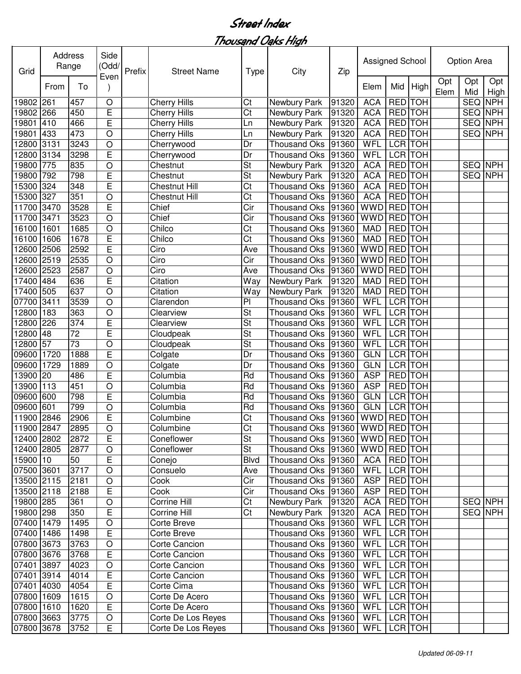| Opt<br>Opt<br>Opt<br>Mid<br>High<br>From<br>To<br>Elem<br>Mid<br>Elem<br>High<br>Ct<br><b>ACA</b><br>SEQ<br>19802 261<br>457<br>$\circ$<br><b>Cherry Hills</b><br>RED TOH<br><b>NPH</b><br>Newbury Park<br>91320<br>E<br>$\overline{\text{Ct}}$<br>RED TOH<br>450<br><b>ACA</b><br>SEQ NPH<br>19802 266<br><b>Cherry Hills</b><br>91320<br>Newbury Park<br>E<br><b>RED</b> TOH<br><b>ACA</b><br><b>NPH</b><br>410<br>466<br>SEQ<br>19801<br><b>Cherry Hills</b><br>Newbury Park<br>91320<br>Ln<br><b>RED TOH</b><br><b>NPH</b><br>433<br>473<br>$\circ$<br><b>ACA</b><br>SEQ<br>19801<br><b>Cherry Hills</b><br>Newbury Park<br>91320<br>Ln<br><b>LCR TOH</b><br>3131<br>$\circ$<br>WFL<br>12800<br>3243<br><b>Thousand Oks</b><br>91360<br>Cherrywood<br>Dr<br>E<br><b>LCR</b> TOH<br>3298<br><b>WFL</b><br>12800<br>3134<br><b>Thousand Oks</b><br>91360<br>Cherrywood<br>Dr<br><b>RED</b> TOH<br><b>St</b><br><b>ACA</b><br>SEQ NPH<br>19800<br>775<br>835<br>O<br>Newbury Park<br>91320<br>Chestnut<br>E<br><b>RED</b> TOH<br><b>SEQ NPH</b><br>19800<br>St<br><b>ACA</b><br>792<br>798<br>Chestnut<br>Newbury Park<br>91320<br>E<br><b>RED</b> TOH<br>324<br>Ct<br><b>ACA</b><br>15300<br>348<br><b>Chestnut Hill</b><br><b>Thousand Oks</b><br>91360<br><b>RED</b> TOH<br>15300<br>327<br>351<br>Ct<br><b>ACA</b><br>O<br><b>Chestnut Hill</b><br><b>Thousand Oks</b><br>91360<br><b>RED</b> TOH<br>11700 3470<br>E<br><b>WWD</b><br>3528<br>Chief<br>Cir<br>91360<br><b>Thousand Oks</b><br>Chief<br>Cir<br><b>WWD</b><br><b>RED</b> TOH<br>3523<br>$\circ$<br><b>Thousand Oks</b><br>91360<br>3471<br><b>TOH</b><br>Chilco<br>Ct<br><b>RED</b><br>16100<br>1685<br>$\circ$<br><b>Thousand Oks</b><br>91360<br><b>MAD</b><br>1601<br>E<br><b>TOH</b><br>Chilco<br>Ct<br><b>MAD</b><br><b>RED</b><br>16100<br>1606<br>1678<br>91360<br><b>Thousand Oks</b><br><b>TOH</b><br><b>WWD</b><br><b>RED</b><br>E<br>Ciro<br>12600<br>2506<br>2592<br>91360<br>Ave<br><b>Thousand Oks</b><br><b>WWD</b><br><b>TOH</b><br>2535<br>Ciro<br>Cir<br><b>RED</b><br>12600<br>2519<br>O<br>91360<br><b>Thousand Oks</b><br><b>TOH</b><br>12600<br>$\bigcirc$<br>Ciro<br><b>WWD</b><br><b>RED</b><br>2523<br>2587<br>91360<br>Ave<br><b>Thousand Oks</b><br>E<br>RED TOH<br>Citation<br>17400<br>484<br>636<br>91320<br><b>MAD</b><br>Way<br>Newbury Park<br>637<br>RED TOH<br>505<br>$\circ$<br><b>MAD</b><br>17400<br>Citation<br>91320<br>Way<br>Newbury Park<br><b>LCR</b> TOH<br>$\circ$<br>P <sub>1</sub><br><b>WFL</b><br>07700<br>3411<br>3539<br><b>Thousand Oks</b><br>91360<br>Clarendon<br>LCR TOH<br>O<br>St<br><b>WFL</b><br>12800<br>183<br>363<br>91360<br>Clearview<br><b>Thousand Oks</b><br>E<br>LCR TOH<br>226<br>St<br><b>WFL</b><br>12800<br>374<br>91360<br>Clearview<br><b>Thousand Oks</b><br>E<br>LCR TOH<br>St<br><b>WFL</b><br>12800<br>48<br>72<br>91360<br><b>Thousand Oks</b><br>Cloudpeak<br>O<br>57<br>73<br>WFL<br>LCR TOH<br>12800<br>St<br><b>Thousand Oks</b><br>Cloudpeak<br>91360<br>E<br>09600<br><b>GLN</b><br>LCR TOH<br>1720<br>1888<br>Colgate<br><b>Thousand Oks</b><br>91360<br>Dr<br>$\circ$<br>LCR TOH<br>09600<br>1729<br>1889<br><b>Thousand Oks</b><br>91360<br><b>GLN</b><br>Colgate<br>Dr<br>E<br>13900 20<br><b>ASP</b><br>RED TOH<br>486<br>Columbia<br>Rd<br><b>Thousand Oks</b><br>91360<br>$\circ$<br><b>ASP</b><br>RED TOH<br>13900<br>113<br>Columbia<br>Rd<br><b>Thousand Oks</b><br>91360<br>451<br>09600<br>E<br><b>GLN</b><br>LCR TOH<br>600<br>798<br>Columbia<br>Rd<br><b>Thousand Oks</b><br>91360<br>09600<br><b>GLN</b><br><b>LCR</b> TOH<br>601<br>799<br>O<br>Columbia<br>Rd<br><b>Thousand Oks</b><br>91360<br>11900 2846<br>E<br><b>WWD</b><br><b>RED</b> TOH<br>2906<br>Ct<br>Thousand Oks 91360<br>Columbine<br>11900 2847<br>$\overline{\text{Ct}}$<br>Thousand Oks 91360 WWD RED TOH<br>2895<br>$\mathsf O$<br>Columbine<br>12400 2802<br>E<br>St<br>WWD RED TOH<br>2872<br>Coneflower<br>Thousand Oks   91360<br>12400 2805<br>St<br>WWD RED TOH<br>2877<br>$\circ$<br>Coneflower<br>Thousand Oks   91360<br>15900 10<br>E<br>RED TOH<br>50<br>Thousand Oks   91360<br><b>ACA</b><br>Conejo<br><b>Blvd</b><br>LCR TOH<br>3717<br><b>WFL</b><br>07500 3601<br>$\mathsf O$<br>Consuelo<br>Thousand Oks   91360<br>Ave<br>Cir<br>RED TOH<br>13500 2115<br>2181<br>$\bigcirc$<br>Cook<br>Thousand Oks 91360<br><b>ASP</b><br><b>RED</b> TOH<br>E<br>Cir<br><b>ASP</b><br>13500 2118<br>Cook<br>Thousand Oks<br>2188<br>91360<br>Corrine Hill<br>RED TOH<br>SEQ NPH<br>19800 285<br>O<br>Ct<br>Newbury Park<br><b>ACA</b><br>361<br>91320<br>E<br>Ct<br>RED TOH<br>SEQ NPH<br>19800 298<br>Corrine Hill<br>Newbury Park<br><b>ACA</b><br>350<br>91320<br>WFL<br>LCR TOH<br>07400 1479<br>Thousand Oks 91360<br>1495<br>$\circ$<br>Corte Breve<br>E<br>07400 1486<br>Thousand Oks 91360<br><b>WFL</b><br>LCR TOH<br>1498<br>Corte Breve<br>07800 3673<br>Corte Cancion<br>Thousand Oks 91360<br><b>WFL</b><br>LCR TOH<br>3763<br>$\circ$<br>07800 3676<br>E<br>LCR TOH<br>Thousand Oks 91360<br><b>WFL</b><br>3768<br>Corte Cancion<br>07401 3897<br>WFL<br>LCR TOH<br>$\circ$<br>Corte Cancion<br>Thousand Oks 91360<br>4023<br>E<br>07401 3914<br>LCR TOH<br>Thousand Oks 91360<br><b>WFL</b><br>4014<br>Corte Cancion<br>E<br>07401 4030<br>LCR TOH<br>4054<br>Corte Cima<br>Thousand Oks 91360<br>WFL<br>07800 1609<br>WFL<br>LCR TOH<br>1615<br>$\circ$<br>Corte De Acero<br>Thousand Oks 91360<br>E<br>07800 1610<br>LCR TOH<br>1620<br>Corte De Acero<br>Thousand Oks<br>WFL<br>91360<br>07800 3663<br>3775<br>$\mathsf O$<br>LCR TOH<br>Corte De Los Reyes<br>Thousand Oks 91360<br><b>WFL</b><br>07800 3678<br>Е<br>LCR TOH<br>3752<br>Corte De Los Reyes<br>Thousand Oks 91360<br>WFL | Grid  | <b>Address</b><br>Range | Side<br>(Odd/ | Prefix | <b>Street Name</b> | <b>Type</b> | City | Zip | Assigned School |  | Option Area |  |
|---------------------------------------------------------------------------------------------------------------------------------------------------------------------------------------------------------------------------------------------------------------------------------------------------------------------------------------------------------------------------------------------------------------------------------------------------------------------------------------------------------------------------------------------------------------------------------------------------------------------------------------------------------------------------------------------------------------------------------------------------------------------------------------------------------------------------------------------------------------------------------------------------------------------------------------------------------------------------------------------------------------------------------------------------------------------------------------------------------------------------------------------------------------------------------------------------------------------------------------------------------------------------------------------------------------------------------------------------------------------------------------------------------------------------------------------------------------------------------------------------------------------------------------------------------------------------------------------------------------------------------------------------------------------------------------------------------------------------------------------------------------------------------------------------------------------------------------------------------------------------------------------------------------------------------------------------------------------------------------------------------------------------------------------------------------------------------------------------------------------------------------------------------------------------------------------------------------------------------------------------------------------------------------------------------------------------------------------------------------------------------------------------------------------------------------------------------------------------------------------------------------------------------------------------------------------------------------------------------------------------------------------------------------------------------------------------------------------------------------------------------------------------------------------------------------------------------------------------------------------------------------------------------------------------------------------------------------------------------------------------------------------------------------------------------------------------------------------------------------------------------------------------------------------------------------------------------------------------------------------------------------------------------------------------------------------------------------------------------------------------------------------------------------------------------------------------------------------------------------------------------------------------------------------------------------------------------------------------------------------------------------------------------------------------------------------------------------------------------------------------------------------------------------------------------------------------------------------------------------------------------------------------------------------------------------------------------------------------------------------------------------------------------------------------------------------------------------------------------------------------------------------------------------------------------------------------------------------------------------------------------------------------------------------------------------------------------------------------------------------------------------------------------------------------------------------------------------------------------------------------------------------------------------------------------------------------------------------------------------------------------------------------------------------------------------------------------------------------------------------------------------------------------------------------------------------------------------------------------------------------------------------------------------------------------------------------------------------------------------------------------------------------------------------------------------------------------------------------------------------------------------------------------------------------------------------------------------------------------------------------------------------------------------------------------------------------------------------------------------------------------------------------------------------------------------------------------------------------------------------------------------------------------------------------------------------------------------------------------------------------------------------------------------------------------------------------------------------------------------------------------------|-------|-------------------------|---------------|--------|--------------------|-------------|------|-----|-----------------|--|-------------|--|
|                                                                                                                                                                                                                                                                                                                                                                                                                                                                                                                                                                                                                                                                                                                                                                                                                                                                                                                                                                                                                                                                                                                                                                                                                                                                                                                                                                                                                                                                                                                                                                                                                                                                                                                                                                                                                                                                                                                                                                                                                                                                                                                                                                                                                                                                                                                                                                                                                                                                                                                                                                                                                                                                                                                                                                                                                                                                                                                                                                                                                                                                                                                                                                                                                                                                                                                                                                                                                                                                                                                                                                                                                                                                                                                                                                                                                                                                                                                                                                                                                                                                                                                                                                                                                                                                                                                                                                                                                                                                                                                                                                                                                                                                                                                                                                                                                                                                                                                                                                                                                                                                                                                                                                                                                                                                                                                                                                                                                                                                                                                                                                                                                                                                                                                                                               |       |                         | Even          |        |                    |             |      |     |                 |  |             |  |
|                                                                                                                                                                                                                                                                                                                                                                                                                                                                                                                                                                                                                                                                                                                                                                                                                                                                                                                                                                                                                                                                                                                                                                                                                                                                                                                                                                                                                                                                                                                                                                                                                                                                                                                                                                                                                                                                                                                                                                                                                                                                                                                                                                                                                                                                                                                                                                                                                                                                                                                                                                                                                                                                                                                                                                                                                                                                                                                                                                                                                                                                                                                                                                                                                                                                                                                                                                                                                                                                                                                                                                                                                                                                                                                                                                                                                                                                                                                                                                                                                                                                                                                                                                                                                                                                                                                                                                                                                                                                                                                                                                                                                                                                                                                                                                                                                                                                                                                                                                                                                                                                                                                                                                                                                                                                                                                                                                                                                                                                                                                                                                                                                                                                                                                                                               |       |                         |               |        |                    |             |      |     |                 |  |             |  |
|                                                                                                                                                                                                                                                                                                                                                                                                                                                                                                                                                                                                                                                                                                                                                                                                                                                                                                                                                                                                                                                                                                                                                                                                                                                                                                                                                                                                                                                                                                                                                                                                                                                                                                                                                                                                                                                                                                                                                                                                                                                                                                                                                                                                                                                                                                                                                                                                                                                                                                                                                                                                                                                                                                                                                                                                                                                                                                                                                                                                                                                                                                                                                                                                                                                                                                                                                                                                                                                                                                                                                                                                                                                                                                                                                                                                                                                                                                                                                                                                                                                                                                                                                                                                                                                                                                                                                                                                                                                                                                                                                                                                                                                                                                                                                                                                                                                                                                                                                                                                                                                                                                                                                                                                                                                                                                                                                                                                                                                                                                                                                                                                                                                                                                                                                               |       |                         |               |        |                    |             |      |     |                 |  |             |  |
|                                                                                                                                                                                                                                                                                                                                                                                                                                                                                                                                                                                                                                                                                                                                                                                                                                                                                                                                                                                                                                                                                                                                                                                                                                                                                                                                                                                                                                                                                                                                                                                                                                                                                                                                                                                                                                                                                                                                                                                                                                                                                                                                                                                                                                                                                                                                                                                                                                                                                                                                                                                                                                                                                                                                                                                                                                                                                                                                                                                                                                                                                                                                                                                                                                                                                                                                                                                                                                                                                                                                                                                                                                                                                                                                                                                                                                                                                                                                                                                                                                                                                                                                                                                                                                                                                                                                                                                                                                                                                                                                                                                                                                                                                                                                                                                                                                                                                                                                                                                                                                                                                                                                                                                                                                                                                                                                                                                                                                                                                                                                                                                                                                                                                                                                                               |       |                         |               |        |                    |             |      |     |                 |  |             |  |
|                                                                                                                                                                                                                                                                                                                                                                                                                                                                                                                                                                                                                                                                                                                                                                                                                                                                                                                                                                                                                                                                                                                                                                                                                                                                                                                                                                                                                                                                                                                                                                                                                                                                                                                                                                                                                                                                                                                                                                                                                                                                                                                                                                                                                                                                                                                                                                                                                                                                                                                                                                                                                                                                                                                                                                                                                                                                                                                                                                                                                                                                                                                                                                                                                                                                                                                                                                                                                                                                                                                                                                                                                                                                                                                                                                                                                                                                                                                                                                                                                                                                                                                                                                                                                                                                                                                                                                                                                                                                                                                                                                                                                                                                                                                                                                                                                                                                                                                                                                                                                                                                                                                                                                                                                                                                                                                                                                                                                                                                                                                                                                                                                                                                                                                                                               |       |                         |               |        |                    |             |      |     |                 |  |             |  |
|                                                                                                                                                                                                                                                                                                                                                                                                                                                                                                                                                                                                                                                                                                                                                                                                                                                                                                                                                                                                                                                                                                                                                                                                                                                                                                                                                                                                                                                                                                                                                                                                                                                                                                                                                                                                                                                                                                                                                                                                                                                                                                                                                                                                                                                                                                                                                                                                                                                                                                                                                                                                                                                                                                                                                                                                                                                                                                                                                                                                                                                                                                                                                                                                                                                                                                                                                                                                                                                                                                                                                                                                                                                                                                                                                                                                                                                                                                                                                                                                                                                                                                                                                                                                                                                                                                                                                                                                                                                                                                                                                                                                                                                                                                                                                                                                                                                                                                                                                                                                                                                                                                                                                                                                                                                                                                                                                                                                                                                                                                                                                                                                                                                                                                                                                               |       |                         |               |        |                    |             |      |     |                 |  |             |  |
|                                                                                                                                                                                                                                                                                                                                                                                                                                                                                                                                                                                                                                                                                                                                                                                                                                                                                                                                                                                                                                                                                                                                                                                                                                                                                                                                                                                                                                                                                                                                                                                                                                                                                                                                                                                                                                                                                                                                                                                                                                                                                                                                                                                                                                                                                                                                                                                                                                                                                                                                                                                                                                                                                                                                                                                                                                                                                                                                                                                                                                                                                                                                                                                                                                                                                                                                                                                                                                                                                                                                                                                                                                                                                                                                                                                                                                                                                                                                                                                                                                                                                                                                                                                                                                                                                                                                                                                                                                                                                                                                                                                                                                                                                                                                                                                                                                                                                                                                                                                                                                                                                                                                                                                                                                                                                                                                                                                                                                                                                                                                                                                                                                                                                                                                                               |       |                         |               |        |                    |             |      |     |                 |  |             |  |
|                                                                                                                                                                                                                                                                                                                                                                                                                                                                                                                                                                                                                                                                                                                                                                                                                                                                                                                                                                                                                                                                                                                                                                                                                                                                                                                                                                                                                                                                                                                                                                                                                                                                                                                                                                                                                                                                                                                                                                                                                                                                                                                                                                                                                                                                                                                                                                                                                                                                                                                                                                                                                                                                                                                                                                                                                                                                                                                                                                                                                                                                                                                                                                                                                                                                                                                                                                                                                                                                                                                                                                                                                                                                                                                                                                                                                                                                                                                                                                                                                                                                                                                                                                                                                                                                                                                                                                                                                                                                                                                                                                                                                                                                                                                                                                                                                                                                                                                                                                                                                                                                                                                                                                                                                                                                                                                                                                                                                                                                                                                                                                                                                                                                                                                                                               |       |                         |               |        |                    |             |      |     |                 |  |             |  |
|                                                                                                                                                                                                                                                                                                                                                                                                                                                                                                                                                                                                                                                                                                                                                                                                                                                                                                                                                                                                                                                                                                                                                                                                                                                                                                                                                                                                                                                                                                                                                                                                                                                                                                                                                                                                                                                                                                                                                                                                                                                                                                                                                                                                                                                                                                                                                                                                                                                                                                                                                                                                                                                                                                                                                                                                                                                                                                                                                                                                                                                                                                                                                                                                                                                                                                                                                                                                                                                                                                                                                                                                                                                                                                                                                                                                                                                                                                                                                                                                                                                                                                                                                                                                                                                                                                                                                                                                                                                                                                                                                                                                                                                                                                                                                                                                                                                                                                                                                                                                                                                                                                                                                                                                                                                                                                                                                                                                                                                                                                                                                                                                                                                                                                                                                               |       |                         |               |        |                    |             |      |     |                 |  |             |  |
|                                                                                                                                                                                                                                                                                                                                                                                                                                                                                                                                                                                                                                                                                                                                                                                                                                                                                                                                                                                                                                                                                                                                                                                                                                                                                                                                                                                                                                                                                                                                                                                                                                                                                                                                                                                                                                                                                                                                                                                                                                                                                                                                                                                                                                                                                                                                                                                                                                                                                                                                                                                                                                                                                                                                                                                                                                                                                                                                                                                                                                                                                                                                                                                                                                                                                                                                                                                                                                                                                                                                                                                                                                                                                                                                                                                                                                                                                                                                                                                                                                                                                                                                                                                                                                                                                                                                                                                                                                                                                                                                                                                                                                                                                                                                                                                                                                                                                                                                                                                                                                                                                                                                                                                                                                                                                                                                                                                                                                                                                                                                                                                                                                                                                                                                                               |       |                         |               |        |                    |             |      |     |                 |  |             |  |
|                                                                                                                                                                                                                                                                                                                                                                                                                                                                                                                                                                                                                                                                                                                                                                                                                                                                                                                                                                                                                                                                                                                                                                                                                                                                                                                                                                                                                                                                                                                                                                                                                                                                                                                                                                                                                                                                                                                                                                                                                                                                                                                                                                                                                                                                                                                                                                                                                                                                                                                                                                                                                                                                                                                                                                                                                                                                                                                                                                                                                                                                                                                                                                                                                                                                                                                                                                                                                                                                                                                                                                                                                                                                                                                                                                                                                                                                                                                                                                                                                                                                                                                                                                                                                                                                                                                                                                                                                                                                                                                                                                                                                                                                                                                                                                                                                                                                                                                                                                                                                                                                                                                                                                                                                                                                                                                                                                                                                                                                                                                                                                                                                                                                                                                                                               |       |                         |               |        |                    |             |      |     |                 |  |             |  |
|                                                                                                                                                                                                                                                                                                                                                                                                                                                                                                                                                                                                                                                                                                                                                                                                                                                                                                                                                                                                                                                                                                                                                                                                                                                                                                                                                                                                                                                                                                                                                                                                                                                                                                                                                                                                                                                                                                                                                                                                                                                                                                                                                                                                                                                                                                                                                                                                                                                                                                                                                                                                                                                                                                                                                                                                                                                                                                                                                                                                                                                                                                                                                                                                                                                                                                                                                                                                                                                                                                                                                                                                                                                                                                                                                                                                                                                                                                                                                                                                                                                                                                                                                                                                                                                                                                                                                                                                                                                                                                                                                                                                                                                                                                                                                                                                                                                                                                                                                                                                                                                                                                                                                                                                                                                                                                                                                                                                                                                                                                                                                                                                                                                                                                                                                               |       |                         |               |        |                    |             |      |     |                 |  |             |  |
|                                                                                                                                                                                                                                                                                                                                                                                                                                                                                                                                                                                                                                                                                                                                                                                                                                                                                                                                                                                                                                                                                                                                                                                                                                                                                                                                                                                                                                                                                                                                                                                                                                                                                                                                                                                                                                                                                                                                                                                                                                                                                                                                                                                                                                                                                                                                                                                                                                                                                                                                                                                                                                                                                                                                                                                                                                                                                                                                                                                                                                                                                                                                                                                                                                                                                                                                                                                                                                                                                                                                                                                                                                                                                                                                                                                                                                                                                                                                                                                                                                                                                                                                                                                                                                                                                                                                                                                                                                                                                                                                                                                                                                                                                                                                                                                                                                                                                                                                                                                                                                                                                                                                                                                                                                                                                                                                                                                                                                                                                                                                                                                                                                                                                                                                                               | 11700 |                         |               |        |                    |             |      |     |                 |  |             |  |
|                                                                                                                                                                                                                                                                                                                                                                                                                                                                                                                                                                                                                                                                                                                                                                                                                                                                                                                                                                                                                                                                                                                                                                                                                                                                                                                                                                                                                                                                                                                                                                                                                                                                                                                                                                                                                                                                                                                                                                                                                                                                                                                                                                                                                                                                                                                                                                                                                                                                                                                                                                                                                                                                                                                                                                                                                                                                                                                                                                                                                                                                                                                                                                                                                                                                                                                                                                                                                                                                                                                                                                                                                                                                                                                                                                                                                                                                                                                                                                                                                                                                                                                                                                                                                                                                                                                                                                                                                                                                                                                                                                                                                                                                                                                                                                                                                                                                                                                                                                                                                                                                                                                                                                                                                                                                                                                                                                                                                                                                                                                                                                                                                                                                                                                                                               |       |                         |               |        |                    |             |      |     |                 |  |             |  |
|                                                                                                                                                                                                                                                                                                                                                                                                                                                                                                                                                                                                                                                                                                                                                                                                                                                                                                                                                                                                                                                                                                                                                                                                                                                                                                                                                                                                                                                                                                                                                                                                                                                                                                                                                                                                                                                                                                                                                                                                                                                                                                                                                                                                                                                                                                                                                                                                                                                                                                                                                                                                                                                                                                                                                                                                                                                                                                                                                                                                                                                                                                                                                                                                                                                                                                                                                                                                                                                                                                                                                                                                                                                                                                                                                                                                                                                                                                                                                                                                                                                                                                                                                                                                                                                                                                                                                                                                                                                                                                                                                                                                                                                                                                                                                                                                                                                                                                                                                                                                                                                                                                                                                                                                                                                                                                                                                                                                                                                                                                                                                                                                                                                                                                                                                               |       |                         |               |        |                    |             |      |     |                 |  |             |  |
|                                                                                                                                                                                                                                                                                                                                                                                                                                                                                                                                                                                                                                                                                                                                                                                                                                                                                                                                                                                                                                                                                                                                                                                                                                                                                                                                                                                                                                                                                                                                                                                                                                                                                                                                                                                                                                                                                                                                                                                                                                                                                                                                                                                                                                                                                                                                                                                                                                                                                                                                                                                                                                                                                                                                                                                                                                                                                                                                                                                                                                                                                                                                                                                                                                                                                                                                                                                                                                                                                                                                                                                                                                                                                                                                                                                                                                                                                                                                                                                                                                                                                                                                                                                                                                                                                                                                                                                                                                                                                                                                                                                                                                                                                                                                                                                                                                                                                                                                                                                                                                                                                                                                                                                                                                                                                                                                                                                                                                                                                                                                                                                                                                                                                                                                                               |       |                         |               |        |                    |             |      |     |                 |  |             |  |
|                                                                                                                                                                                                                                                                                                                                                                                                                                                                                                                                                                                                                                                                                                                                                                                                                                                                                                                                                                                                                                                                                                                                                                                                                                                                                                                                                                                                                                                                                                                                                                                                                                                                                                                                                                                                                                                                                                                                                                                                                                                                                                                                                                                                                                                                                                                                                                                                                                                                                                                                                                                                                                                                                                                                                                                                                                                                                                                                                                                                                                                                                                                                                                                                                                                                                                                                                                                                                                                                                                                                                                                                                                                                                                                                                                                                                                                                                                                                                                                                                                                                                                                                                                                                                                                                                                                                                                                                                                                                                                                                                                                                                                                                                                                                                                                                                                                                                                                                                                                                                                                                                                                                                                                                                                                                                                                                                                                                                                                                                                                                                                                                                                                                                                                                                               |       |                         |               |        |                    |             |      |     |                 |  |             |  |
|                                                                                                                                                                                                                                                                                                                                                                                                                                                                                                                                                                                                                                                                                                                                                                                                                                                                                                                                                                                                                                                                                                                                                                                                                                                                                                                                                                                                                                                                                                                                                                                                                                                                                                                                                                                                                                                                                                                                                                                                                                                                                                                                                                                                                                                                                                                                                                                                                                                                                                                                                                                                                                                                                                                                                                                                                                                                                                                                                                                                                                                                                                                                                                                                                                                                                                                                                                                                                                                                                                                                                                                                                                                                                                                                                                                                                                                                                                                                                                                                                                                                                                                                                                                                                                                                                                                                                                                                                                                                                                                                                                                                                                                                                                                                                                                                                                                                                                                                                                                                                                                                                                                                                                                                                                                                                                                                                                                                                                                                                                                                                                                                                                                                                                                                                               |       |                         |               |        |                    |             |      |     |                 |  |             |  |
|                                                                                                                                                                                                                                                                                                                                                                                                                                                                                                                                                                                                                                                                                                                                                                                                                                                                                                                                                                                                                                                                                                                                                                                                                                                                                                                                                                                                                                                                                                                                                                                                                                                                                                                                                                                                                                                                                                                                                                                                                                                                                                                                                                                                                                                                                                                                                                                                                                                                                                                                                                                                                                                                                                                                                                                                                                                                                                                                                                                                                                                                                                                                                                                                                                                                                                                                                                                                                                                                                                                                                                                                                                                                                                                                                                                                                                                                                                                                                                                                                                                                                                                                                                                                                                                                                                                                                                                                                                                                                                                                                                                                                                                                                                                                                                                                                                                                                                                                                                                                                                                                                                                                                                                                                                                                                                                                                                                                                                                                                                                                                                                                                                                                                                                                                               |       |                         |               |        |                    |             |      |     |                 |  |             |  |
|                                                                                                                                                                                                                                                                                                                                                                                                                                                                                                                                                                                                                                                                                                                                                                                                                                                                                                                                                                                                                                                                                                                                                                                                                                                                                                                                                                                                                                                                                                                                                                                                                                                                                                                                                                                                                                                                                                                                                                                                                                                                                                                                                                                                                                                                                                                                                                                                                                                                                                                                                                                                                                                                                                                                                                                                                                                                                                                                                                                                                                                                                                                                                                                                                                                                                                                                                                                                                                                                                                                                                                                                                                                                                                                                                                                                                                                                                                                                                                                                                                                                                                                                                                                                                                                                                                                                                                                                                                                                                                                                                                                                                                                                                                                                                                                                                                                                                                                                                                                                                                                                                                                                                                                                                                                                                                                                                                                                                                                                                                                                                                                                                                                                                                                                                               |       |                         |               |        |                    |             |      |     |                 |  |             |  |
|                                                                                                                                                                                                                                                                                                                                                                                                                                                                                                                                                                                                                                                                                                                                                                                                                                                                                                                                                                                                                                                                                                                                                                                                                                                                                                                                                                                                                                                                                                                                                                                                                                                                                                                                                                                                                                                                                                                                                                                                                                                                                                                                                                                                                                                                                                                                                                                                                                                                                                                                                                                                                                                                                                                                                                                                                                                                                                                                                                                                                                                                                                                                                                                                                                                                                                                                                                                                                                                                                                                                                                                                                                                                                                                                                                                                                                                                                                                                                                                                                                                                                                                                                                                                                                                                                                                                                                                                                                                                                                                                                                                                                                                                                                                                                                                                                                                                                                                                                                                                                                                                                                                                                                                                                                                                                                                                                                                                                                                                                                                                                                                                                                                                                                                                                               |       |                         |               |        |                    |             |      |     |                 |  |             |  |
|                                                                                                                                                                                                                                                                                                                                                                                                                                                                                                                                                                                                                                                                                                                                                                                                                                                                                                                                                                                                                                                                                                                                                                                                                                                                                                                                                                                                                                                                                                                                                                                                                                                                                                                                                                                                                                                                                                                                                                                                                                                                                                                                                                                                                                                                                                                                                                                                                                                                                                                                                                                                                                                                                                                                                                                                                                                                                                                                                                                                                                                                                                                                                                                                                                                                                                                                                                                                                                                                                                                                                                                                                                                                                                                                                                                                                                                                                                                                                                                                                                                                                                                                                                                                                                                                                                                                                                                                                                                                                                                                                                                                                                                                                                                                                                                                                                                                                                                                                                                                                                                                                                                                                                                                                                                                                                                                                                                                                                                                                                                                                                                                                                                                                                                                                               |       |                         |               |        |                    |             |      |     |                 |  |             |  |
|                                                                                                                                                                                                                                                                                                                                                                                                                                                                                                                                                                                                                                                                                                                                                                                                                                                                                                                                                                                                                                                                                                                                                                                                                                                                                                                                                                                                                                                                                                                                                                                                                                                                                                                                                                                                                                                                                                                                                                                                                                                                                                                                                                                                                                                                                                                                                                                                                                                                                                                                                                                                                                                                                                                                                                                                                                                                                                                                                                                                                                                                                                                                                                                                                                                                                                                                                                                                                                                                                                                                                                                                                                                                                                                                                                                                                                                                                                                                                                                                                                                                                                                                                                                                                                                                                                                                                                                                                                                                                                                                                                                                                                                                                                                                                                                                                                                                                                                                                                                                                                                                                                                                                                                                                                                                                                                                                                                                                                                                                                                                                                                                                                                                                                                                                               |       |                         |               |        |                    |             |      |     |                 |  |             |  |
|                                                                                                                                                                                                                                                                                                                                                                                                                                                                                                                                                                                                                                                                                                                                                                                                                                                                                                                                                                                                                                                                                                                                                                                                                                                                                                                                                                                                                                                                                                                                                                                                                                                                                                                                                                                                                                                                                                                                                                                                                                                                                                                                                                                                                                                                                                                                                                                                                                                                                                                                                                                                                                                                                                                                                                                                                                                                                                                                                                                                                                                                                                                                                                                                                                                                                                                                                                                                                                                                                                                                                                                                                                                                                                                                                                                                                                                                                                                                                                                                                                                                                                                                                                                                                                                                                                                                                                                                                                                                                                                                                                                                                                                                                                                                                                                                                                                                                                                                                                                                                                                                                                                                                                                                                                                                                                                                                                                                                                                                                                                                                                                                                                                                                                                                                               |       |                         |               |        |                    |             |      |     |                 |  |             |  |
|                                                                                                                                                                                                                                                                                                                                                                                                                                                                                                                                                                                                                                                                                                                                                                                                                                                                                                                                                                                                                                                                                                                                                                                                                                                                                                                                                                                                                                                                                                                                                                                                                                                                                                                                                                                                                                                                                                                                                                                                                                                                                                                                                                                                                                                                                                                                                                                                                                                                                                                                                                                                                                                                                                                                                                                                                                                                                                                                                                                                                                                                                                                                                                                                                                                                                                                                                                                                                                                                                                                                                                                                                                                                                                                                                                                                                                                                                                                                                                                                                                                                                                                                                                                                                                                                                                                                                                                                                                                                                                                                                                                                                                                                                                                                                                                                                                                                                                                                                                                                                                                                                                                                                                                                                                                                                                                                                                                                                                                                                                                                                                                                                                                                                                                                                               |       |                         |               |        |                    |             |      |     |                 |  |             |  |
|                                                                                                                                                                                                                                                                                                                                                                                                                                                                                                                                                                                                                                                                                                                                                                                                                                                                                                                                                                                                                                                                                                                                                                                                                                                                                                                                                                                                                                                                                                                                                                                                                                                                                                                                                                                                                                                                                                                                                                                                                                                                                                                                                                                                                                                                                                                                                                                                                                                                                                                                                                                                                                                                                                                                                                                                                                                                                                                                                                                                                                                                                                                                                                                                                                                                                                                                                                                                                                                                                                                                                                                                                                                                                                                                                                                                                                                                                                                                                                                                                                                                                                                                                                                                                                                                                                                                                                                                                                                                                                                                                                                                                                                                                                                                                                                                                                                                                                                                                                                                                                                                                                                                                                                                                                                                                                                                                                                                                                                                                                                                                                                                                                                                                                                                                               |       |                         |               |        |                    |             |      |     |                 |  |             |  |
|                                                                                                                                                                                                                                                                                                                                                                                                                                                                                                                                                                                                                                                                                                                                                                                                                                                                                                                                                                                                                                                                                                                                                                                                                                                                                                                                                                                                                                                                                                                                                                                                                                                                                                                                                                                                                                                                                                                                                                                                                                                                                                                                                                                                                                                                                                                                                                                                                                                                                                                                                                                                                                                                                                                                                                                                                                                                                                                                                                                                                                                                                                                                                                                                                                                                                                                                                                                                                                                                                                                                                                                                                                                                                                                                                                                                                                                                                                                                                                                                                                                                                                                                                                                                                                                                                                                                                                                                                                                                                                                                                                                                                                                                                                                                                                                                                                                                                                                                                                                                                                                                                                                                                                                                                                                                                                                                                                                                                                                                                                                                                                                                                                                                                                                                                               |       |                         |               |        |                    |             |      |     |                 |  |             |  |
|                                                                                                                                                                                                                                                                                                                                                                                                                                                                                                                                                                                                                                                                                                                                                                                                                                                                                                                                                                                                                                                                                                                                                                                                                                                                                                                                                                                                                                                                                                                                                                                                                                                                                                                                                                                                                                                                                                                                                                                                                                                                                                                                                                                                                                                                                                                                                                                                                                                                                                                                                                                                                                                                                                                                                                                                                                                                                                                                                                                                                                                                                                                                                                                                                                                                                                                                                                                                                                                                                                                                                                                                                                                                                                                                                                                                                                                                                                                                                                                                                                                                                                                                                                                                                                                                                                                                                                                                                                                                                                                                                                                                                                                                                                                                                                                                                                                                                                                                                                                                                                                                                                                                                                                                                                                                                                                                                                                                                                                                                                                                                                                                                                                                                                                                                               |       |                         |               |        |                    |             |      |     |                 |  |             |  |
|                                                                                                                                                                                                                                                                                                                                                                                                                                                                                                                                                                                                                                                                                                                                                                                                                                                                                                                                                                                                                                                                                                                                                                                                                                                                                                                                                                                                                                                                                                                                                                                                                                                                                                                                                                                                                                                                                                                                                                                                                                                                                                                                                                                                                                                                                                                                                                                                                                                                                                                                                                                                                                                                                                                                                                                                                                                                                                                                                                                                                                                                                                                                                                                                                                                                                                                                                                                                                                                                                                                                                                                                                                                                                                                                                                                                                                                                                                                                                                                                                                                                                                                                                                                                                                                                                                                                                                                                                                                                                                                                                                                                                                                                                                                                                                                                                                                                                                                                                                                                                                                                                                                                                                                                                                                                                                                                                                                                                                                                                                                                                                                                                                                                                                                                                               |       |                         |               |        |                    |             |      |     |                 |  |             |  |
|                                                                                                                                                                                                                                                                                                                                                                                                                                                                                                                                                                                                                                                                                                                                                                                                                                                                                                                                                                                                                                                                                                                                                                                                                                                                                                                                                                                                                                                                                                                                                                                                                                                                                                                                                                                                                                                                                                                                                                                                                                                                                                                                                                                                                                                                                                                                                                                                                                                                                                                                                                                                                                                                                                                                                                                                                                                                                                                                                                                                                                                                                                                                                                                                                                                                                                                                                                                                                                                                                                                                                                                                                                                                                                                                                                                                                                                                                                                                                                                                                                                                                                                                                                                                                                                                                                                                                                                                                                                                                                                                                                                                                                                                                                                                                                                                                                                                                                                                                                                                                                                                                                                                                                                                                                                                                                                                                                                                                                                                                                                                                                                                                                                                                                                                                               |       |                         |               |        |                    |             |      |     |                 |  |             |  |
|                                                                                                                                                                                                                                                                                                                                                                                                                                                                                                                                                                                                                                                                                                                                                                                                                                                                                                                                                                                                                                                                                                                                                                                                                                                                                                                                                                                                                                                                                                                                                                                                                                                                                                                                                                                                                                                                                                                                                                                                                                                                                                                                                                                                                                                                                                                                                                                                                                                                                                                                                                                                                                                                                                                                                                                                                                                                                                                                                                                                                                                                                                                                                                                                                                                                                                                                                                                                                                                                                                                                                                                                                                                                                                                                                                                                                                                                                                                                                                                                                                                                                                                                                                                                                                                                                                                                                                                                                                                                                                                                                                                                                                                                                                                                                                                                                                                                                                                                                                                                                                                                                                                                                                                                                                                                                                                                                                                                                                                                                                                                                                                                                                                                                                                                                               |       |                         |               |        |                    |             |      |     |                 |  |             |  |
|                                                                                                                                                                                                                                                                                                                                                                                                                                                                                                                                                                                                                                                                                                                                                                                                                                                                                                                                                                                                                                                                                                                                                                                                                                                                                                                                                                                                                                                                                                                                                                                                                                                                                                                                                                                                                                                                                                                                                                                                                                                                                                                                                                                                                                                                                                                                                                                                                                                                                                                                                                                                                                                                                                                                                                                                                                                                                                                                                                                                                                                                                                                                                                                                                                                                                                                                                                                                                                                                                                                                                                                                                                                                                                                                                                                                                                                                                                                                                                                                                                                                                                                                                                                                                                                                                                                                                                                                                                                                                                                                                                                                                                                                                                                                                                                                                                                                                                                                                                                                                                                                                                                                                                                                                                                                                                                                                                                                                                                                                                                                                                                                                                                                                                                                                               |       |                         |               |        |                    |             |      |     |                 |  |             |  |
|                                                                                                                                                                                                                                                                                                                                                                                                                                                                                                                                                                                                                                                                                                                                                                                                                                                                                                                                                                                                                                                                                                                                                                                                                                                                                                                                                                                                                                                                                                                                                                                                                                                                                                                                                                                                                                                                                                                                                                                                                                                                                                                                                                                                                                                                                                                                                                                                                                                                                                                                                                                                                                                                                                                                                                                                                                                                                                                                                                                                                                                                                                                                                                                                                                                                                                                                                                                                                                                                                                                                                                                                                                                                                                                                                                                                                                                                                                                                                                                                                                                                                                                                                                                                                                                                                                                                                                                                                                                                                                                                                                                                                                                                                                                                                                                                                                                                                                                                                                                                                                                                                                                                                                                                                                                                                                                                                                                                                                                                                                                                                                                                                                                                                                                                                               |       |                         |               |        |                    |             |      |     |                 |  |             |  |
|                                                                                                                                                                                                                                                                                                                                                                                                                                                                                                                                                                                                                                                                                                                                                                                                                                                                                                                                                                                                                                                                                                                                                                                                                                                                                                                                                                                                                                                                                                                                                                                                                                                                                                                                                                                                                                                                                                                                                                                                                                                                                                                                                                                                                                                                                                                                                                                                                                                                                                                                                                                                                                                                                                                                                                                                                                                                                                                                                                                                                                                                                                                                                                                                                                                                                                                                                                                                                                                                                                                                                                                                                                                                                                                                                                                                                                                                                                                                                                                                                                                                                                                                                                                                                                                                                                                                                                                                                                                                                                                                                                                                                                                                                                                                                                                                                                                                                                                                                                                                                                                                                                                                                                                                                                                                                                                                                                                                                                                                                                                                                                                                                                                                                                                                                               |       |                         |               |        |                    |             |      |     |                 |  |             |  |
|                                                                                                                                                                                                                                                                                                                                                                                                                                                                                                                                                                                                                                                                                                                                                                                                                                                                                                                                                                                                                                                                                                                                                                                                                                                                                                                                                                                                                                                                                                                                                                                                                                                                                                                                                                                                                                                                                                                                                                                                                                                                                                                                                                                                                                                                                                                                                                                                                                                                                                                                                                                                                                                                                                                                                                                                                                                                                                                                                                                                                                                                                                                                                                                                                                                                                                                                                                                                                                                                                                                                                                                                                                                                                                                                                                                                                                                                                                                                                                                                                                                                                                                                                                                                                                                                                                                                                                                                                                                                                                                                                                                                                                                                                                                                                                                                                                                                                                                                                                                                                                                                                                                                                                                                                                                                                                                                                                                                                                                                                                                                                                                                                                                                                                                                                               |       |                         |               |        |                    |             |      |     |                 |  |             |  |
|                                                                                                                                                                                                                                                                                                                                                                                                                                                                                                                                                                                                                                                                                                                                                                                                                                                                                                                                                                                                                                                                                                                                                                                                                                                                                                                                                                                                                                                                                                                                                                                                                                                                                                                                                                                                                                                                                                                                                                                                                                                                                                                                                                                                                                                                                                                                                                                                                                                                                                                                                                                                                                                                                                                                                                                                                                                                                                                                                                                                                                                                                                                                                                                                                                                                                                                                                                                                                                                                                                                                                                                                                                                                                                                                                                                                                                                                                                                                                                                                                                                                                                                                                                                                                                                                                                                                                                                                                                                                                                                                                                                                                                                                                                                                                                                                                                                                                                                                                                                                                                                                                                                                                                                                                                                                                                                                                                                                                                                                                                                                                                                                                                                                                                                                                               |       |                         |               |        |                    |             |      |     |                 |  |             |  |
|                                                                                                                                                                                                                                                                                                                                                                                                                                                                                                                                                                                                                                                                                                                                                                                                                                                                                                                                                                                                                                                                                                                                                                                                                                                                                                                                                                                                                                                                                                                                                                                                                                                                                                                                                                                                                                                                                                                                                                                                                                                                                                                                                                                                                                                                                                                                                                                                                                                                                                                                                                                                                                                                                                                                                                                                                                                                                                                                                                                                                                                                                                                                                                                                                                                                                                                                                                                                                                                                                                                                                                                                                                                                                                                                                                                                                                                                                                                                                                                                                                                                                                                                                                                                                                                                                                                                                                                                                                                                                                                                                                                                                                                                                                                                                                                                                                                                                                                                                                                                                                                                                                                                                                                                                                                                                                                                                                                                                                                                                                                                                                                                                                                                                                                                                               |       |                         |               |        |                    |             |      |     |                 |  |             |  |
|                                                                                                                                                                                                                                                                                                                                                                                                                                                                                                                                                                                                                                                                                                                                                                                                                                                                                                                                                                                                                                                                                                                                                                                                                                                                                                                                                                                                                                                                                                                                                                                                                                                                                                                                                                                                                                                                                                                                                                                                                                                                                                                                                                                                                                                                                                                                                                                                                                                                                                                                                                                                                                                                                                                                                                                                                                                                                                                                                                                                                                                                                                                                                                                                                                                                                                                                                                                                                                                                                                                                                                                                                                                                                                                                                                                                                                                                                                                                                                                                                                                                                                                                                                                                                                                                                                                                                                                                                                                                                                                                                                                                                                                                                                                                                                                                                                                                                                                                                                                                                                                                                                                                                                                                                                                                                                                                                                                                                                                                                                                                                                                                                                                                                                                                                               |       |                         |               |        |                    |             |      |     |                 |  |             |  |
|                                                                                                                                                                                                                                                                                                                                                                                                                                                                                                                                                                                                                                                                                                                                                                                                                                                                                                                                                                                                                                                                                                                                                                                                                                                                                                                                                                                                                                                                                                                                                                                                                                                                                                                                                                                                                                                                                                                                                                                                                                                                                                                                                                                                                                                                                                                                                                                                                                                                                                                                                                                                                                                                                                                                                                                                                                                                                                                                                                                                                                                                                                                                                                                                                                                                                                                                                                                                                                                                                                                                                                                                                                                                                                                                                                                                                                                                                                                                                                                                                                                                                                                                                                                                                                                                                                                                                                                                                                                                                                                                                                                                                                                                                                                                                                                                                                                                                                                                                                                                                                                                                                                                                                                                                                                                                                                                                                                                                                                                                                                                                                                                                                                                                                                                                               |       |                         |               |        |                    |             |      |     |                 |  |             |  |
|                                                                                                                                                                                                                                                                                                                                                                                                                                                                                                                                                                                                                                                                                                                                                                                                                                                                                                                                                                                                                                                                                                                                                                                                                                                                                                                                                                                                                                                                                                                                                                                                                                                                                                                                                                                                                                                                                                                                                                                                                                                                                                                                                                                                                                                                                                                                                                                                                                                                                                                                                                                                                                                                                                                                                                                                                                                                                                                                                                                                                                                                                                                                                                                                                                                                                                                                                                                                                                                                                                                                                                                                                                                                                                                                                                                                                                                                                                                                                                                                                                                                                                                                                                                                                                                                                                                                                                                                                                                                                                                                                                                                                                                                                                                                                                                                                                                                                                                                                                                                                                                                                                                                                                                                                                                                                                                                                                                                                                                                                                                                                                                                                                                                                                                                                               |       |                         |               |        |                    |             |      |     |                 |  |             |  |
|                                                                                                                                                                                                                                                                                                                                                                                                                                                                                                                                                                                                                                                                                                                                                                                                                                                                                                                                                                                                                                                                                                                                                                                                                                                                                                                                                                                                                                                                                                                                                                                                                                                                                                                                                                                                                                                                                                                                                                                                                                                                                                                                                                                                                                                                                                                                                                                                                                                                                                                                                                                                                                                                                                                                                                                                                                                                                                                                                                                                                                                                                                                                                                                                                                                                                                                                                                                                                                                                                                                                                                                                                                                                                                                                                                                                                                                                                                                                                                                                                                                                                                                                                                                                                                                                                                                                                                                                                                                                                                                                                                                                                                                                                                                                                                                                                                                                                                                                                                                                                                                                                                                                                                                                                                                                                                                                                                                                                                                                                                                                                                                                                                                                                                                                                               |       |                         |               |        |                    |             |      |     |                 |  |             |  |
|                                                                                                                                                                                                                                                                                                                                                                                                                                                                                                                                                                                                                                                                                                                                                                                                                                                                                                                                                                                                                                                                                                                                                                                                                                                                                                                                                                                                                                                                                                                                                                                                                                                                                                                                                                                                                                                                                                                                                                                                                                                                                                                                                                                                                                                                                                                                                                                                                                                                                                                                                                                                                                                                                                                                                                                                                                                                                                                                                                                                                                                                                                                                                                                                                                                                                                                                                                                                                                                                                                                                                                                                                                                                                                                                                                                                                                                                                                                                                                                                                                                                                                                                                                                                                                                                                                                                                                                                                                                                                                                                                                                                                                                                                                                                                                                                                                                                                                                                                                                                                                                                                                                                                                                                                                                                                                                                                                                                                                                                                                                                                                                                                                                                                                                                                               |       |                         |               |        |                    |             |      |     |                 |  |             |  |
|                                                                                                                                                                                                                                                                                                                                                                                                                                                                                                                                                                                                                                                                                                                                                                                                                                                                                                                                                                                                                                                                                                                                                                                                                                                                                                                                                                                                                                                                                                                                                                                                                                                                                                                                                                                                                                                                                                                                                                                                                                                                                                                                                                                                                                                                                                                                                                                                                                                                                                                                                                                                                                                                                                                                                                                                                                                                                                                                                                                                                                                                                                                                                                                                                                                                                                                                                                                                                                                                                                                                                                                                                                                                                                                                                                                                                                                                                                                                                                                                                                                                                                                                                                                                                                                                                                                                                                                                                                                                                                                                                                                                                                                                                                                                                                                                                                                                                                                                                                                                                                                                                                                                                                                                                                                                                                                                                                                                                                                                                                                                                                                                                                                                                                                                                               |       |                         |               |        |                    |             |      |     |                 |  |             |  |
|                                                                                                                                                                                                                                                                                                                                                                                                                                                                                                                                                                                                                                                                                                                                                                                                                                                                                                                                                                                                                                                                                                                                                                                                                                                                                                                                                                                                                                                                                                                                                                                                                                                                                                                                                                                                                                                                                                                                                                                                                                                                                                                                                                                                                                                                                                                                                                                                                                                                                                                                                                                                                                                                                                                                                                                                                                                                                                                                                                                                                                                                                                                                                                                                                                                                                                                                                                                                                                                                                                                                                                                                                                                                                                                                                                                                                                                                                                                                                                                                                                                                                                                                                                                                                                                                                                                                                                                                                                                                                                                                                                                                                                                                                                                                                                                                                                                                                                                                                                                                                                                                                                                                                                                                                                                                                                                                                                                                                                                                                                                                                                                                                                                                                                                                                               |       |                         |               |        |                    |             |      |     |                 |  |             |  |
|                                                                                                                                                                                                                                                                                                                                                                                                                                                                                                                                                                                                                                                                                                                                                                                                                                                                                                                                                                                                                                                                                                                                                                                                                                                                                                                                                                                                                                                                                                                                                                                                                                                                                                                                                                                                                                                                                                                                                                                                                                                                                                                                                                                                                                                                                                                                                                                                                                                                                                                                                                                                                                                                                                                                                                                                                                                                                                                                                                                                                                                                                                                                                                                                                                                                                                                                                                                                                                                                                                                                                                                                                                                                                                                                                                                                                                                                                                                                                                                                                                                                                                                                                                                                                                                                                                                                                                                                                                                                                                                                                                                                                                                                                                                                                                                                                                                                                                                                                                                                                                                                                                                                                                                                                                                                                                                                                                                                                                                                                                                                                                                                                                                                                                                                                               |       |                         |               |        |                    |             |      |     |                 |  |             |  |
|                                                                                                                                                                                                                                                                                                                                                                                                                                                                                                                                                                                                                                                                                                                                                                                                                                                                                                                                                                                                                                                                                                                                                                                                                                                                                                                                                                                                                                                                                                                                                                                                                                                                                                                                                                                                                                                                                                                                                                                                                                                                                                                                                                                                                                                                                                                                                                                                                                                                                                                                                                                                                                                                                                                                                                                                                                                                                                                                                                                                                                                                                                                                                                                                                                                                                                                                                                                                                                                                                                                                                                                                                                                                                                                                                                                                                                                                                                                                                                                                                                                                                                                                                                                                                                                                                                                                                                                                                                                                                                                                                                                                                                                                                                                                                                                                                                                                                                                                                                                                                                                                                                                                                                                                                                                                                                                                                                                                                                                                                                                                                                                                                                                                                                                                                               |       |                         |               |        |                    |             |      |     |                 |  |             |  |
|                                                                                                                                                                                                                                                                                                                                                                                                                                                                                                                                                                                                                                                                                                                                                                                                                                                                                                                                                                                                                                                                                                                                                                                                                                                                                                                                                                                                                                                                                                                                                                                                                                                                                                                                                                                                                                                                                                                                                                                                                                                                                                                                                                                                                                                                                                                                                                                                                                                                                                                                                                                                                                                                                                                                                                                                                                                                                                                                                                                                                                                                                                                                                                                                                                                                                                                                                                                                                                                                                                                                                                                                                                                                                                                                                                                                                                                                                                                                                                                                                                                                                                                                                                                                                                                                                                                                                                                                                                                                                                                                                                                                                                                                                                                                                                                                                                                                                                                                                                                                                                                                                                                                                                                                                                                                                                                                                                                                                                                                                                                                                                                                                                                                                                                                                               |       |                         |               |        |                    |             |      |     |                 |  |             |  |
|                                                                                                                                                                                                                                                                                                                                                                                                                                                                                                                                                                                                                                                                                                                                                                                                                                                                                                                                                                                                                                                                                                                                                                                                                                                                                                                                                                                                                                                                                                                                                                                                                                                                                                                                                                                                                                                                                                                                                                                                                                                                                                                                                                                                                                                                                                                                                                                                                                                                                                                                                                                                                                                                                                                                                                                                                                                                                                                                                                                                                                                                                                                                                                                                                                                                                                                                                                                                                                                                                                                                                                                                                                                                                                                                                                                                                                                                                                                                                                                                                                                                                                                                                                                                                                                                                                                                                                                                                                                                                                                                                                                                                                                                                                                                                                                                                                                                                                                                                                                                                                                                                                                                                                                                                                                                                                                                                                                                                                                                                                                                                                                                                                                                                                                                                               |       |                         |               |        |                    |             |      |     |                 |  |             |  |
|                                                                                                                                                                                                                                                                                                                                                                                                                                                                                                                                                                                                                                                                                                                                                                                                                                                                                                                                                                                                                                                                                                                                                                                                                                                                                                                                                                                                                                                                                                                                                                                                                                                                                                                                                                                                                                                                                                                                                                                                                                                                                                                                                                                                                                                                                                                                                                                                                                                                                                                                                                                                                                                                                                                                                                                                                                                                                                                                                                                                                                                                                                                                                                                                                                                                                                                                                                                                                                                                                                                                                                                                                                                                                                                                                                                                                                                                                                                                                                                                                                                                                                                                                                                                                                                                                                                                                                                                                                                                                                                                                                                                                                                                                                                                                                                                                                                                                                                                                                                                                                                                                                                                                                                                                                                                                                                                                                                                                                                                                                                                                                                                                                                                                                                                                               |       |                         |               |        |                    |             |      |     |                 |  |             |  |
|                                                                                                                                                                                                                                                                                                                                                                                                                                                                                                                                                                                                                                                                                                                                                                                                                                                                                                                                                                                                                                                                                                                                                                                                                                                                                                                                                                                                                                                                                                                                                                                                                                                                                                                                                                                                                                                                                                                                                                                                                                                                                                                                                                                                                                                                                                                                                                                                                                                                                                                                                                                                                                                                                                                                                                                                                                                                                                                                                                                                                                                                                                                                                                                                                                                                                                                                                                                                                                                                                                                                                                                                                                                                                                                                                                                                                                                                                                                                                                                                                                                                                                                                                                                                                                                                                                                                                                                                                                                                                                                                                                                                                                                                                                                                                                                                                                                                                                                                                                                                                                                                                                                                                                                                                                                                                                                                                                                                                                                                                                                                                                                                                                                                                                                                                               |       |                         |               |        |                    |             |      |     |                 |  |             |  |
|                                                                                                                                                                                                                                                                                                                                                                                                                                                                                                                                                                                                                                                                                                                                                                                                                                                                                                                                                                                                                                                                                                                                                                                                                                                                                                                                                                                                                                                                                                                                                                                                                                                                                                                                                                                                                                                                                                                                                                                                                                                                                                                                                                                                                                                                                                                                                                                                                                                                                                                                                                                                                                                                                                                                                                                                                                                                                                                                                                                                                                                                                                                                                                                                                                                                                                                                                                                                                                                                                                                                                                                                                                                                                                                                                                                                                                                                                                                                                                                                                                                                                                                                                                                                                                                                                                                                                                                                                                                                                                                                                                                                                                                                                                                                                                                                                                                                                                                                                                                                                                                                                                                                                                                                                                                                                                                                                                                                                                                                                                                                                                                                                                                                                                                                                               |       |                         |               |        |                    |             |      |     |                 |  |             |  |
|                                                                                                                                                                                                                                                                                                                                                                                                                                                                                                                                                                                                                                                                                                                                                                                                                                                                                                                                                                                                                                                                                                                                                                                                                                                                                                                                                                                                                                                                                                                                                                                                                                                                                                                                                                                                                                                                                                                                                                                                                                                                                                                                                                                                                                                                                                                                                                                                                                                                                                                                                                                                                                                                                                                                                                                                                                                                                                                                                                                                                                                                                                                                                                                                                                                                                                                                                                                                                                                                                                                                                                                                                                                                                                                                                                                                                                                                                                                                                                                                                                                                                                                                                                                                                                                                                                                                                                                                                                                                                                                                                                                                                                                                                                                                                                                                                                                                                                                                                                                                                                                                                                                                                                                                                                                                                                                                                                                                                                                                                                                                                                                                                                                                                                                                                               |       |                         |               |        |                    |             |      |     |                 |  |             |  |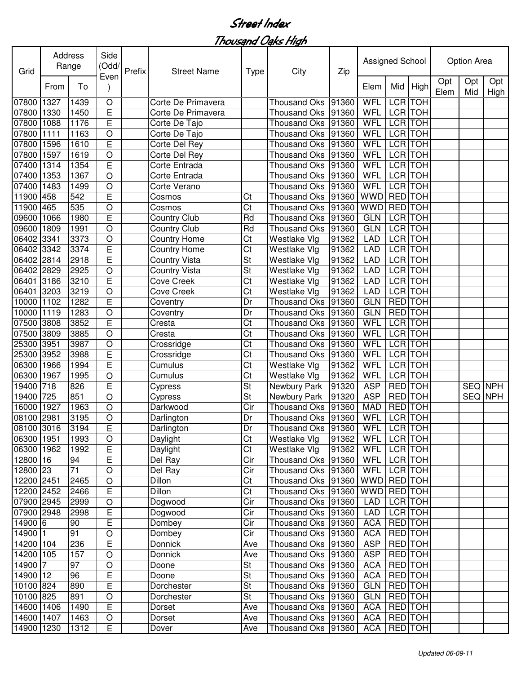| Grid       | Address | Range           | Side<br>(Odd/<br>Even | Prefix | <b>Street Name</b>   | <b>Type</b>            | City                | Zip   | Assigned School |                |                |             | Option Area |                |
|------------|---------|-----------------|-----------------------|--------|----------------------|------------------------|---------------------|-------|-----------------|----------------|----------------|-------------|-------------|----------------|
|            | From    | To              |                       |        |                      |                        |                     |       | Elem            | Mid            | High           | Opt<br>Elem | Opt<br>Mid  | Opt<br>High    |
| 07800      | 1327    | 1439            | $\circ$               |        | Corte De Primavera   |                        | <b>Thousand Oks</b> | 91360 | WFL             | LCR TOH        |                |             |             |                |
| 07800      | 1330    | 1450            | E                     |        | Corte De Primavera   |                        | <b>Thousand Oks</b> | 91360 | WFL             | LCR TOH        |                |             |             |                |
| 07800      | 1088    | 1176            | E                     |        | Corte De Tajo        |                        | <b>Thousand Oks</b> | 91360 | WFL             |                | <b>LCR</b> TOH |             |             |                |
| 07800      | 1111    | 1163            | $\circ$               |        | Corte De Tajo        |                        | <b>Thousand Oks</b> | 91360 | WFL             | <b>LCR</b> TOH |                |             |             |                |
| 07800      | 1596    | 1610            | E                     |        | Corte Del Rey        |                        | <b>Thousand Oks</b> | 91360 | WFL             | <b>LCR TOH</b> |                |             |             |                |
| 07800      | 1597    | 1619            | $\circ$               |        | Corte Del Rey        |                        | <b>Thousand Oks</b> | 91360 | WFL             |                | <b>LCR</b> TOH |             |             |                |
| 07400      | 1314    | 1354            | E                     |        | Corte Entrada        |                        | <b>Thousand Oks</b> | 91360 | WFL             | <b>LCR</b> TOH |                |             |             |                |
| 07400      | 1353    | 1367            | $\circ$               |        | Corte Entrada        |                        | <b>Thousand Oks</b> | 91360 | <b>WFL</b>      | <b>LCR</b> TOH |                |             |             |                |
| 07400      | 1483    | 1499            | $\circ$               |        | Corte Verano         |                        | <b>Thousand Oks</b> | 91360 | WFL             | <b>LCR TOH</b> |                |             |             |                |
| 11900      | 458     | 542             | E                     |        | Cosmos               | Ct                     | <b>Thousand Oks</b> | 91360 | <b>WWD</b>      | <b>RED</b> TOH |                |             |             |                |
| 11900      | 465     | 535             | $\circ$               |        | Cosmos               | Ct                     | <b>Thousand Oks</b> | 91360 | <b>WWD</b>      | <b>RED</b> TOH |                |             |             |                |
| 09600      | 1066    | 1980            | E                     |        | <b>Country Club</b>  | Rd                     | <b>Thousand Oks</b> | 91360 | <b>GLN</b>      | LCR TOH        |                |             |             |                |
| 09600      | 1809    | 1991            | $\circ$               |        | <b>Country Club</b>  | Rd                     | <b>Thousand Oks</b> | 91360 | <b>GLN</b>      | LCR TOH        |                |             |             |                |
| 06402      | 3341    | 3373            | $\circ$               |        | <b>Country Home</b>  | Ct                     | Westlake Vlg        | 91362 | <b>LAD</b>      | LCR TOH        |                |             |             |                |
| 06402 3342 |         | 3374            | E                     |        | <b>Country Home</b>  | Ct                     | <b>Westlake Vlg</b> | 91362 | <b>LAD</b>      | LCR TOH        |                |             |             |                |
| 06402 2814 |         | 2918            | E                     |        | <b>Country Vista</b> | St                     | <b>Westlake Vlg</b> | 91362 | <b>LAD</b>      | LCR TOH        |                |             |             |                |
| 06402 2829 |         | 2925            | $\bigcirc$            |        | Country Vista        | St                     | Westlake Vlg        | 91362 | <b>LAD</b>      | LCR TOH        |                |             |             |                |
| 06401      | 3186    | 3210            | E                     |        | <b>Cove Creek</b>    | Ct                     | Westlake Vlg        | 91362 | <b>LAD</b>      | LCR TOH        |                |             |             |                |
| 06401      | 3203    | 3219            | $\circ$               |        | Cove Creek           | Ct                     | Westlake Vlg        | 91362 | <b>LAD</b>      | LCR TOH        |                |             |             |                |
| 10000      | 1102    | 1282            | E                     |        | Coventry             | Dr                     | <b>Thousand Oks</b> | 91360 | <b>GLN</b>      | <b>RED</b> TOH |                |             |             |                |
| 10000      | 1119    | 1283            | $\circ$               |        | Coventry             | Dr                     | <b>Thousand Oks</b> | 91360 | <b>GLN</b>      | RED TOH        |                |             |             |                |
| 07500      | 3808    | 3852            | E                     |        | Cresta               | Ct                     | <b>Thousand Oks</b> | 91360 | <b>WFL</b>      |                | LCR TOH        |             |             |                |
| 07500      | 3809    | 3885            | O                     |        | Cresta               | Ct                     | <b>Thousand Oks</b> | 91360 | WFL             | LCR TOH        |                |             |             |                |
| 25300      | 3951    | 3987            | $\circ$               |        | Crossridge           | Ct                     | <b>Thousand Oks</b> | 91360 | WFL             |                | LCR TOH        |             |             |                |
| 25300      | 3952    | 3988            | E                     |        | Crossridge           | Ct                     | <b>Thousand Oks</b> | 91360 | WFL             | LCR TOH        |                |             |             |                |
| 06300      | 1966    | 1994            | E                     |        | Cumulus              | Ct                     | Westlake Vlg        | 91362 | WFL             | LCR TOH        |                |             |             |                |
| 06300      | 1967    | 1995            | $\circ$               |        | Cumulus              | Ct                     | Westlake Vlg        | 91362 | <b>WFL</b>      | LCR TOH        |                |             |             |                |
| 19400      | 718     | 826             | E                     |        | Cypress              | St                     | Newbury Park        | 91320 | <b>ASP</b>      | RED TOH        |                |             |             | SEQ NPH        |
| 19400      | 725     | 851             | $\circ$               |        | Cypress              | St                     | Newbury Park        | 91320 | <b>ASP</b>      | RED TOH        |                |             |             | <b>SEQ NPH</b> |
| 16000      | 1927    | 1963            | $\circ$               |        | Darkwood             | Cir                    | <b>Thousand Oks</b> | 91360 | <b>MAD</b>      | RED TOH        |                |             |             |                |
| 08100 2981 |         | 3195            | $\circ$               |        | Darlington           | Dr                     | Thousand Oks 91360  |       | WFL             | <b>LCR</b> TOH |                |             |             |                |
| 08100 3016 |         | 3194            | E                     |        | Darlington           | Dr                     | Thousand Oks 91360  |       | WFL LCR TOH     |                |                |             |             |                |
| 06300 1951 |         | 1993            | $\circ$               |        | Daylight             | $\overline{\text{C}t}$ | Westlake Vlg        | 91362 | WFL LCR TOH     |                |                |             |             |                |
| 06300 1962 |         | 1992            | E                     |        | Daylight             | Ct                     | Westlake Vlg        | 91362 | WFL             | LCR TOH        |                |             |             |                |
| $12800$ 16 |         | 94              | E                     |        | Del Ray              | Cir                    | Thousand Oks 91360  |       | WFL             | LCR TOH        |                |             |             |                |
| 12800 23   |         | $\overline{71}$ | $\bigcirc$            |        | Del Ray              | Cir                    | Thousand Oks 91360  |       | WFL             | LCR TOH        |                |             |             |                |
| 12200 2451 |         | 2465            | $\circ$               |        | Dillon               | Ct                     | Thousand Oks 91360  |       | WWD RED TOH     |                |                |             |             |                |
| 12200 2452 |         | 2466            | E                     |        | <b>Dillon</b>        | Ct                     | Thousand Oks 91360  |       | <b>WWD</b>      | RED TOH        |                |             |             |                |
| 07900 2945 |         | 2999            | $\bigcirc$            |        | Dogwood              | Cir                    | Thousand Oks 91360  |       | LAD             |                | LCR TOH        |             |             |                |
| 07900 2948 |         | 2998            | E                     |        | Dogwood              | Cir                    | Thousand Oks 91360  |       | LAD             |                | LCR TOH        |             |             |                |
| 14900 6    |         | 90              | E                     |        | Dombey               | Cir                    | Thousand Oks 91360  |       | <b>ACA</b>      |                | RED TOH        |             |             |                |
| 14900 1    |         | 91              | O                     |        | Dombey               | Cir                    | Thousand Oks 91360  |       | <b>ACA</b>      | RED TOH        |                |             |             |                |
| 14200 104  |         | 236             | E                     |        | <b>Donnick</b>       | Ave                    | Thousand Oks 91360  |       | <b>ASP</b>      |                | RED TOH        |             |             |                |
| 14200 105  |         | 157             | $\circ$               |        | Donnick              | Ave                    | Thousand Oks 91360  |       | <b>ASP</b>      | RED TOH        |                |             |             |                |
| 14900 7    |         | 97              | $\circ$               |        | Doone                | St                     | Thousand Oks 91360  |       | <b>ACA</b>      | RED TOH        |                |             |             |                |
| 14900 12   |         | 96              | Е                     |        | Doone                | St                     | Thousand Oks 91360  |       | <b>ACA</b>      | RED TOH        |                |             |             |                |
| 10100 824  |         | 890             | Е                     |        | Dorchester           | St                     | <b>Thousand Oks</b> | 91360 | <b>GLN</b>      | RED TOH        |                |             |             |                |
| 10100 825  |         | 891             | $\hbox{O}$            |        | Dorchester           | St                     | Thousand Oks 91360  |       | <b>GLN</b>      | RED TOH        |                |             |             |                |
| 14600 1406 |         | 1490            | E                     |        | Dorset               | Ave                    | Thousand Oks 91360  |       | <b>ACA</b>      | RED TOH        |                |             |             |                |
| 14600 1407 |         | 1463            | $\bigcirc$            |        | Dorset               | Ave                    | Thousand Oks 91360  |       | <b>ACA</b>      | RED TOH        |                |             |             |                |
| 14900 1230 |         | 1312            | E                     |        | Dover                | Ave                    | Thousand Oks 91360  |       | <b>ACA</b>      |                | RED TOH        |             |             |                |
|            |         |                 |                       |        |                      |                        |                     |       |                 |                |                |             |             |                |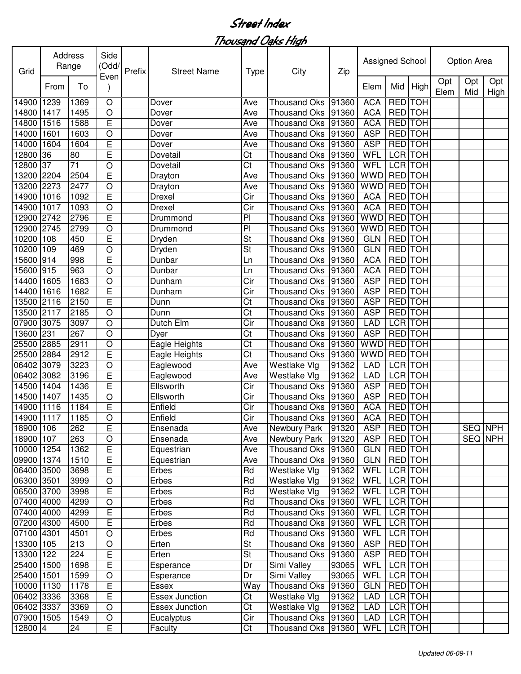| Grid       |      | Address<br>Range | Side<br>(Odd/<br>Even | Prefix | <b>Street Name</b>    | Type           | City                | Zip   | Assigned School |                |            |             | Option Area |                |
|------------|------|------------------|-----------------------|--------|-----------------------|----------------|---------------------|-------|-----------------|----------------|------------|-------------|-------------|----------------|
|            | From | To               |                       |        |                       |                |                     |       | Elem            | Mid            | High       | Opt<br>Elem | Opt<br>Mid  | Opt<br>High    |
| 14900      | 1239 | 1369             | $\circ$               |        | Dover                 | Ave            | <b>Thousand Oks</b> | 91360 | <b>ACA</b>      | <b>RED</b> TOH |            |             |             |                |
| 14800      | 1417 | 1495             | $\circ$               |        | Dover                 | Ave            | <b>Thousand Oks</b> | 91360 | <b>ACA</b>      | RED TOH        |            |             |             |                |
| 14800      | 1516 | 1588             | E                     |        | Dover                 | Ave            | <b>Thousand Oks</b> | 91360 | <b>ACA</b>      | <b>RED</b> TOH |            |             |             |                |
| 14000      | 1601 | 1603             | O                     |        | Dover                 | Ave            | <b>Thousand Oks</b> | 91360 | <b>ASP</b>      | <b>RED TOH</b> |            |             |             |                |
| 14000      | 1604 | 1604             | E                     |        | Dover                 | Ave            | <b>Thousand Oks</b> | 91360 | <b>ASP</b>      | <b>RED TOH</b> |            |             |             |                |
| 12800      | 36   | 80               | E                     |        | Dovetail              | Ct             | <b>Thousand Oks</b> | 91360 | <b>WFL</b>      | <b>LCR</b> TOH |            |             |             |                |
| 12800      | 37   | 71               | O                     |        | Dovetail              | Ct             | <b>Thousand Oks</b> | 91360 | WFL             | <b>LCR</b> TOH |            |             |             |                |
| 13200      | 2204 | 2504             | E                     |        | Drayton               | Ave            | <b>Thousand Oks</b> | 91360 | WWD             | <b>RED</b> TOH |            |             |             |                |
| 13200      | 2273 | 2477             | O                     |        | Drayton               | Ave            | <b>Thousand Oks</b> | 91360 | WWD             | <b>RED</b> TOH |            |             |             |                |
| 14900      | 1016 | 1092             | E                     |        | Drexel                | Cir            | <b>Thousand Oks</b> | 91360 | <b>ACA</b>      | <b>RED</b> TOH |            |             |             |                |
| 14900      | 1017 | 1093             | O                     |        | Drexel                | Cir            | <b>Thousand Oks</b> | 91360 | <b>ACA</b>      | RED TOH        |            |             |             |                |
| 12900 2742 |      | 2796             | E                     |        | Drummond              | P <sub>1</sub> | <b>Thousand Oks</b> | 91360 | WWD             | <b>RED</b> TOH |            |             |             |                |
| 12900 2745 |      | 2799             | O                     |        | Drummond              | $\overline{P}$ | <b>Thousand Oks</b> | 91360 | WWD             | <b>RED</b> TOH |            |             |             |                |
| 10200      | 108  | 450              | E                     |        | Dryden                | St             | <b>Thousand Oks</b> | 91360 | <b>GLN</b>      | RED TOH        |            |             |             |                |
| 10200      | 109  | 469              | O                     |        | Dryden                | St             | <b>Thousand Oks</b> | 91360 | <b>GLN</b>      | <b>RED</b>     | <b>TOH</b> |             |             |                |
| 15600      | 914  | 998              | E                     |        | Dunbar                | Ln             | <b>Thousand Oks</b> | 91360 | <b>ACA</b>      | <b>RED</b> TOH |            |             |             |                |
| 15600 915  |      | 963              | O                     |        | Dunbar                | Ln             | <b>Thousand Oks</b> | 91360 | <b>ACA</b>      | <b>RED</b>     | <b>TOH</b> |             |             |                |
| 14400      | 1605 | 1683             | O                     |        | Dunham                | Cir            | <b>Thousand Oks</b> | 91360 | <b>ASP</b>      | <b>RED</b> TOH |            |             |             |                |
| 14400      | 1616 | 1682             | E                     |        | Dunham                | Cir            | <b>Thousand Oks</b> | 91360 | <b>ASP</b>      | RED TOH        |            |             |             |                |
| 13500 2116 |      | 2150             | Ē                     |        | Dunn                  | Ct             | <b>Thousand Oks</b> | 91360 | <b>ASP</b>      | <b>RED</b> TOH |            |             |             |                |
| 13500 2117 |      | 2185             | $\circ$               |        | Dunn                  | Ct             | <b>Thousand Oks</b> | 91360 | <b>ASP</b>      | <b>RED</b> TOH |            |             |             |                |
| 07900      | 3075 | 3097             | $\circ$               |        | Dutch Elm             | Cir            | <b>Thousand Oks</b> | 91360 | <b>LAD</b>      | LCR TOH        |            |             |             |                |
| 13600      | 231  | 267              | $\circ$               |        | Dyer                  | Ct             | <b>Thousand Oks</b> | 91360 | <b>ASP</b>      | <b>RED</b>     | <b>TOH</b> |             |             |                |
| 25500      | 2885 | 2911             | $\circ$               |        | Eagle Heights         | Ct             | <b>Thousand Oks</b> | 91360 | <b>WWD</b>      | <b>RED</b> TOH |            |             |             |                |
| 25500      | 2884 | 2912             | E                     |        | Eagle Heights         | Ct             | <b>Thousand Oks</b> | 91360 | WWD             | RED TOH        |            |             |             |                |
| 06402      | 3079 | 3223             | O                     |        | Eaglewood             | Ave            | Westlake Vlg        | 91362 | <b>LAD</b>      | LCR TOH        |            |             |             |                |
| 06402 3082 |      | 3196             | E                     |        | Eaglewood             | Ave            | Westlake Vlg        | 91362 | <b>LAD</b>      | LCR TOH        |            |             |             |                |
| 14500 1404 |      | 1436             | E                     |        | Ellsworth             | Cir            | <b>Thousand Oks</b> | 91360 | <b>ASP</b>      | RED TOH        |            |             |             |                |
| 14500      | 1407 | 1435             | O                     |        | Ellsworth             | Cir            | <b>Thousand Oks</b> | 91360 | <b>ASP</b>      | RED TOH        |            |             |             |                |
| 14900      | 1116 | 1184             | E                     |        | Enfield               | Cir            | <b>Thousand Oks</b> | 91360 | <b>ACA</b>      | <b>RED</b> TOH |            |             |             |                |
| 14900 1117 |      | 1185             | O                     |        | Enfield               | Cir            | <b>Thousand Oks</b> | 91360 | <b>ACA</b>      | <b>RED</b> TOH |            |             |             |                |
| 18900 106  |      | 262              | E                     |        | Ensenada              | Ave            | Newbury Park 91320  |       | <b>ASP</b>      | <b>RED</b> TOH |            |             |             | <b>SEQ NPH</b> |
| 18900 107  |      | 263              | $\bigcirc$            |        | Ensenada              | Ave            | Newbury Park        | 91320 | <b>ASP</b>      | RED TOH        |            |             |             | SEQ NPH        |
| 10000 1254 |      | 1362             | E                     |        | Equestrian            | Ave            | Thousand Oks 91360  |       | GLN             | RED TOH        |            |             |             |                |
| 09900 1374 |      | 1510             | E                     |        | Equestrian            | Ave            | Thousand Oks 91360  |       | GLN             | RED TOH        |            |             |             |                |
| 06400 3500 |      | 3698             | E                     |        | Erbes                 | Rd             | Westlake Vlg        | 91362 | <b>WFL</b>      | LCR TOH        |            |             |             |                |
| 06300 3501 |      | 3999             | $\circ$               |        | Erbes                 | Rd             | Westlake Vlg        | 91362 | WFL             | LCR TOH        |            |             |             |                |
| 06500 3700 |      | 3998             | $\mathsf E$           |        | Erbes                 | Rd             | Westlake Vlg        | 91362 | WFL             | LCR TOH        |            |             |             |                |
| 07400 4000 |      | 4299             | $\bigcirc$            |        | Erbes                 | Rd             | Thousand Oks 91360  |       | <b>WFL</b>      | LCR TOH        |            |             |             |                |
| 07400 4000 |      | 4299             | E                     |        | Erbes                 | Rd             | Thousand Oks 91360  |       | <b>WFL</b>      | LCR TOH        |            |             |             |                |
| 07200 4300 |      | 4500             | E                     |        | Erbes                 | Rd             | Thousand Oks 91360  |       | <b>WFL</b>      | LCR TOH        |            |             |             |                |
| 07100 4301 |      | 4501             | $\bigcirc$            |        | Erbes                 | Rd             | Thousand Oks 91360  |       | WFL             | LCR TOH        |            |             |             |                |
| 13300 105  |      | 213              | $\circ$               |        | Erten                 | St             | Thousand Oks 91360  |       | <b>ASP</b>      | RED TOH        |            |             |             |                |
| 13300 122  |      | 224              | E                     |        | Erten                 | St             | <b>Thousand Oks</b> | 91360 | <b>ASP</b>      | RED TOH        |            |             |             |                |
| 25400 1500 |      | 1698             | E                     |        | Esperance             | Dr             | Simi Valley         | 93065 | <b>WFL</b>      | LCR TOH        |            |             |             |                |
| 25400 1501 |      | 1599             | $\bigcirc$            |        | Esperance             | Dr             | Simi Valley         | 93065 | WFL             | LCR TOH        |            |             |             |                |
| 10000 1130 |      | 1178             | E                     |        | Essex                 | Way            | <b>Thousand Oks</b> | 91360 | <b>GLN</b>      | RED TOH        |            |             |             |                |
| 06402 3336 |      | 3368             | E                     |        | <b>Essex Junction</b> | Ct             | Westlake Vlg        | 91362 | LAD             | LCR TOH        |            |             |             |                |
| 06402 3337 |      | 3369             | $\bigcirc$            |        | <b>Essex Junction</b> | Ct             | Westlake Vlg        | 91362 | <b>LAD</b>      | LCR TOH        |            |             |             |                |
| 07900 1505 |      | 1549             | $\bigcirc$            |        | Eucalyptus            | Cir            | Thousand Oks        | 91360 | <b>LAD</b>      | LCR TOH        |            |             |             |                |
| 12800 4    |      | 24               | E                     |        | Faculty               | Ct             | Thousand Oks 91360  |       | <b>WFL</b>      |                | LCR TOH    |             |             |                |
|            |      |                  |                       |        |                       |                |                     |       |                 |                |            |             |             |                |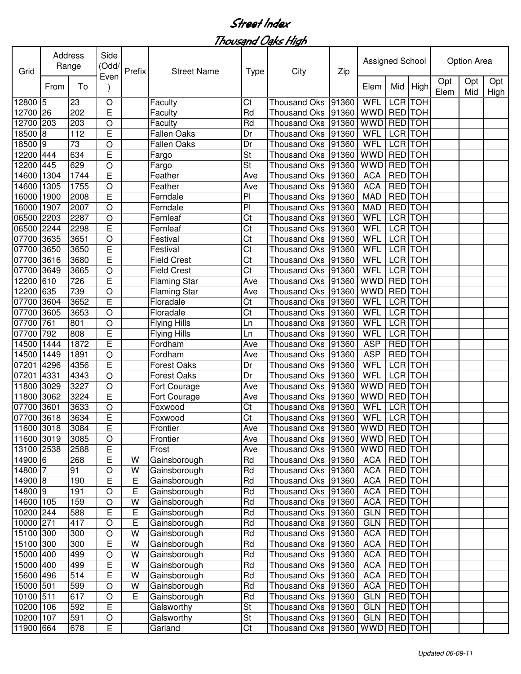| Grid       |      | Address<br>Range | Side<br>(Odd/   | Prefix         | <b>Street Name</b>           | <b>Type</b> | City                                       | Zip            | Assigned School          |                |      |             | <b>Option Area</b> |             |
|------------|------|------------------|-----------------|----------------|------------------------------|-------------|--------------------------------------------|----------------|--------------------------|----------------|------|-------------|--------------------|-------------|
|            | From | To               | Even            |                |                              |             |                                            |                | Elem                     | Mid            | High | Opt<br>Elem | Opt<br>Mid         | Opt<br>High |
| 12800 5    |      | 23               | O               |                | Faculty                      | Ct          | <b>Thousand Oks</b>                        | 91360          | WFL                      | LCR TOH        |      |             |                    |             |
| 12700 26   |      | 202              | E               |                | Faculty                      | Rd          | <b>Thousand Oks</b>                        | 91360          | <b>WWD</b>               | RED TOH        |      |             |                    |             |
| 12700      | 203  | 203              | $\bigcirc$      |                | Faculty                      | Rd          | <b>Thousand Oks</b>                        | 91360          | <b>WWD</b>               | <b>RED</b> TOH |      |             |                    |             |
| 18500      | 8    | 112              | E               |                | <b>Fallen Oaks</b>           | Dr          | <b>Thousand Oks</b>                        | 91360          | WFL                      | <b>LCR</b> TOH |      |             |                    |             |
| 18500      | 9    | 73               | $\circ$         |                | <b>Fallen Oaks</b>           | Dr          | <b>Thousand Oks</b>                        | 91360          | <b>WFL</b>               | <b>LCR</b> TOH |      |             |                    |             |
| 2200       | 444  | 634              | E               |                | Fargo                        | <b>St</b>   | <b>Thousand Oks</b>                        | 91360          | <b>WWD</b>               | <b>RED</b> TOH |      |             |                    |             |
| 2200       | 445  | 629              | $\circ$         |                | Fargo                        | St          | <b>Thousand Oks</b>                        | 91360          | <b>WWD</b>               | <b>RED</b> TOH |      |             |                    |             |
| 14600      | 1304 | 1744             | E               |                | Feather                      | Ave         | <b>Thousand Oks</b>                        | 91360          | <b>ACA</b>               | <b>RED</b> TOH |      |             |                    |             |
| 14600      | 1305 | 1755             | $\circ$         |                | Feather                      | Ave         | <b>Thousand Oks</b>                        | 91360          | <b>ACA</b>               | <b>RED</b> TOH |      |             |                    |             |
| 16000      | 1900 | 2008             | E               |                | Ferndale                     | PI          | <b>Thousand Oks</b>                        | 91360          | <b>MAD</b>               | <b>RED</b> TOH |      |             |                    |             |
| 16000      | 1907 | 2007             | $\circ$         |                | Ferndale                     | PI          | <b>Thousand Oks</b>                        | 91360          | <b>MAD</b>               | <b>RED</b> TOH |      |             |                    |             |
| 06500      | 2203 | 2287             | $\circ$         |                | Fernleaf                     | Ct          | <b>Thousand Oks</b>                        | 91360          | WFL                      | <b>LCR</b> TOH |      |             |                    |             |
| 06500      | 2244 | 2298             | E               |                | Fernleaf                     | Ct          | <b>Thousand Oks</b>                        | 91360          | <b>WFL</b>               | <b>LCR</b> TOH |      |             |                    |             |
| 07700      | 3635 | 3651             | $\circ$         |                | Festival                     | Ct          | <b>Thousand Oks</b>                        | 91360          | WFL                      | LCR TOH        |      |             |                    |             |
| 07700      | 3650 | 3650             | E               |                | Festival                     | Ct          | <b>Thousand Oks</b>                        | 91360          | WFL                      | LCR TOH        |      |             |                    |             |
| 07700      | 3616 | 3680             | E               |                | <b>Field Crest</b>           | Ct          | <b>Thousand Oks</b>                        | 91360          | WFL                      | LCR TOH        |      |             |                    |             |
| 07700      | 3649 | 3665             | $\circ$         |                | <b>Field Crest</b>           | Ct          | Thousand Oks                               | 91360          | WFL                      | LCR TOH        |      |             |                    |             |
| 12200 610  |      | 726              | E               |                | <b>Flaming Star</b>          | Ave         | Thousand Oks                               | 91360          | <b>WWD</b>               | <b>RED</b> TOH |      |             |                    |             |
| 12200      | 635  | 739              | $\circ$         |                | <b>Flaming Star</b>          | Ave         | <b>Thousand Oks</b>                        | 91360          | <b>WWD</b>               | <b>RED</b> TOH |      |             |                    |             |
| 07700      | 3604 | 3652             | E               |                | Floradale                    | Ct          | <b>Thousand Oks</b>                        | 91360          | WFL                      | LCR TOH        |      |             |                    |             |
| 07700      | 3605 | 3653             | $\circ$         |                | Floradale                    | Ct          | <b>Thousand Oks</b>                        | 91360          | WFL                      | LCR TOH        |      |             |                    |             |
| 07700      | 761  | 801              | $\circ$         |                | <b>Flying Hills</b>          | Ln          | <b>Thousand Oks</b>                        | 91360          | WFL                      | LCR TOH        |      |             |                    |             |
| 07700      | 792  | 808              | E               |                | <b>Flying Hills</b>          | Ln          | <b>Thousand Oks</b>                        | 91360          | <b>WFL</b>               | LCR TOH        |      |             |                    |             |
| 14500      | 1444 | 1872             | E               |                | Fordham                      | Ave         | <b>Thousand Oks</b>                        | 91360          | <b>ASP</b>               | <b>RED</b> TOH |      |             |                    |             |
| 14500      | 1449 | 1891             | $\circ$         |                | Fordham                      | Ave         | <b>Thousand Oks</b>                        | 91360          | <b>ASP</b>               | RED TOH        |      |             |                    |             |
| 07201      | 4296 | 4356             | E               |                | <b>Forest Oaks</b>           | Dr          | <b>Thousand Oks</b>                        | 91360          | WFL                      | LCR TOH        |      |             |                    |             |
| 07201      | 4331 | 4343             | $\circ$         |                | <b>Forest Oaks</b>           | Dr          | <b>Thousand Oks</b>                        | 91360          | WFL                      | LCR TOH        |      |             |                    |             |
| 11800      | 3029 | 3227             | $\circ$         |                | Fort Courage                 | Ave         | <b>Thousand Oks</b>                        | 91360          | <b>WWD</b>               | RED TOH        |      |             |                    |             |
| 11800      | 3062 | 3224             | E               |                | Fort Courage                 | Ave         | <b>Thousand Oks</b>                        | 91360          | <b>WWD</b>               | RED TOH        |      |             |                    |             |
| 07700      | 3601 | 3633             | O               |                | Foxwood                      | Ct          | <b>Thousand Oks</b>                        | 91360          | WFL                      | <b>LCR</b> TOH |      |             |                    |             |
| 07700 3618 |      | 3634             | E               |                | Foxwood                      | Ct          | Thousand Oks 91360                         |                | <b>WFL</b>               | <b>LCR</b> TOH |      |             |                    |             |
| 11600 3018 |      | 3084             | $\overline{E}$  |                | Frontier                     | Ave         | Thousand Oks 91360 WWD RED TOH             |                |                          |                |      |             |                    |             |
| 11600 3019 |      | 3085             | $\circ$         |                | Frontier                     | Ave         | Thousand Oks   91360                       |                | WWD RED TOH              |                |      |             |                    |             |
| 13100 2538 |      | 2588             | Е               |                | Frost                        | Ave         | Thousand Oks   91360                       |                | <b>WWD</b>               | RED TOH        |      |             |                    |             |
| 14900 6    |      | 268              | E               | W              | Gainsborough                 | Rd          | Thousand Oks                               | 91360          | <b>ACA</b>               | RED TOH        |      |             |                    |             |
| $14800$ 7  |      | 91               | $\circ$         | W              | Gainsborough                 | Rd          | <b>Thousand Oks</b>                        | 91360          | <b>ACA</b>               | <b>RED</b> TOH |      |             |                    |             |
| $14900$ 8  |      | 190              | Ε               | E              | Gainsborough                 | Rd          | <b>Thousand Oks</b>                        | 91360          | <b>ACA</b>               | <b>RED</b> TOH |      |             |                    |             |
| $14800$ 9  |      | 191              | $\circ$         | $\overline{E}$ | Gainsborough                 | Rd          | <b>Thousand Oks</b>                        | 91360          | <b>ACA</b>               | RED TOH        |      |             |                    |             |
| 14600 105  |      | 159              | O               | W              | Gainsborough                 | Rd          | <b>Thousand Oks</b>                        | 91360          | <b>ACA</b>               | RED TOH        |      |             |                    |             |
| 10200 244  |      | 588              | E               | E              | Gainsborough                 | Rd          | <b>Thousand Oks</b>                        | 91360          | <b>GLN</b>               | RED TOH        |      |             |                    |             |
| 10000 271  |      | 417              | O               | E              | Gainsborough                 | Rd          | <b>Thousand Oks</b>                        | 91360          | <b>GLN</b>               | RED TOH        |      |             |                    |             |
| 15100 300  |      | 300              | $\circ$         | W              | Gainsborough                 | Rd          | <b>Thousand Oks</b>                        | 91360          | <b>ACA</b>               | RED TOH        |      |             |                    |             |
| 15100 300  |      | 300              |                 | W              |                              | Rd          |                                            |                |                          | RED TOH        |      |             |                    |             |
| 15000 400  |      | 499              | Е<br>$\bigcirc$ | W              | Gainsborough<br>Gainsborough | Rd          | <b>Thousand Oks</b><br><b>Thousand Oks</b> | 91360<br>91360 | <b>ACA</b><br><b>ACA</b> | RED TOH        |      |             |                    |             |
|            |      |                  |                 | W              |                              |             |                                            |                |                          |                |      |             |                    |             |
| 15000 400  |      | 499              | Е               | W              | Gainsborough                 | Rd          | <b>Thousand Oks</b>                        | 91360          | <b>ACA</b>               | RED TOH        |      |             |                    |             |
| 15600 496  |      | 514              | E               |                | Gainsborough                 | Rd          | <b>Thousand Oks</b>                        | 91360          | <b>ACA</b>               | RED TOH        |      |             |                    |             |
| 15000 501  |      | 599              | $\circ$         | W              | Gainsborough                 | Rd          | Thousand Oks                               | 91360          | <b>ACA</b>               | RED TOH        |      |             |                    |             |
| 10100 511  |      | 617              | $\circ$         | E              | Gainsborough                 | Rd          | Thousand Oks                               | 91360          | <b>GLN</b>               | RED TOH        |      |             |                    |             |
| 10200 106  |      | 592              | E               |                | Galsworthy                   | St          | <b>Thousand Oks</b>                        | 91360          | <b>GLN</b>               | RED TOH        |      |             |                    |             |
| 10200 107  |      | 591              | $\circ$         |                | Galsworthy                   | <b>St</b>   | Thousand Oks                               | 91360          | <b>GLN</b>               | RED TOH        |      |             |                    |             |
| 11900 664  |      | 678              | E               |                | Garland                      | Ct          | Thousand Oks   91360                       |                | <b>WWD</b>               | RED TOH        |      |             |                    |             |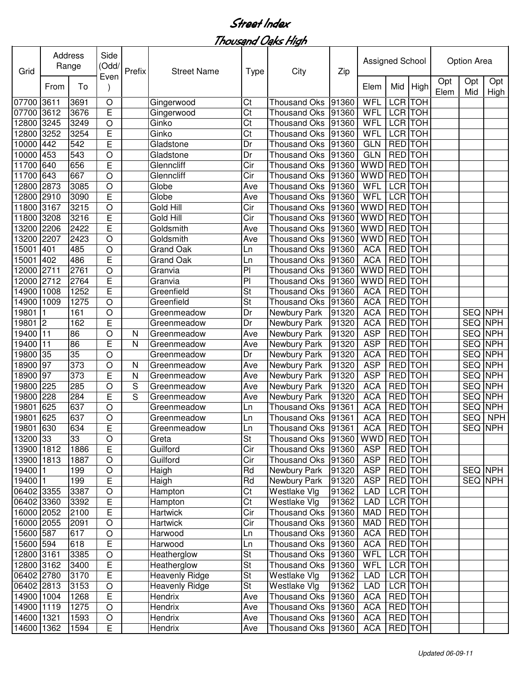| Grid       | Address        | Range | Side<br>(Odd/<br>Even | Prefix | <b>Street Name</b>    | <b>Type</b>              | City                 | Zip   | Assigned School |                |                |             | Option Area |                |
|------------|----------------|-------|-----------------------|--------|-----------------------|--------------------------|----------------------|-------|-----------------|----------------|----------------|-------------|-------------|----------------|
|            | From           | To    |                       |        |                       |                          |                      |       | Elem            | Mid            | High           | Opt<br>Elem | Opt<br>Mid  | Opt<br>High    |
| 07700      | 3611           | 3691  | $\circ$               |        | Gingerwood            | Ct                       | <b>Thousand Oks</b>  | 91360 | WFL             | <b>LCR</b>     | <b>TOH</b>     |             |             |                |
| 07700      | 3612           | 3676  | E                     |        | Gingerwood            | Ct                       | <b>Thousand Oks</b>  | 91360 | WFL             | LCR TOH        |                |             |             |                |
| 12800      | 3245           | 3249  | $\bigcirc$            |        | Ginko                 | Ct                       | <b>Thousand Oks</b>  | 91360 | WFL             | <b>LCR</b> TOH |                |             |             |                |
| 12800      | 3252           | 3254  | E                     |        | Ginko                 | Ct                       | <b>Thousand Oks</b>  | 91360 | WFL             |                | <b>LCR TOH</b> |             |             |                |
| 10000      | 442            | 542   | E                     |        | Gladstone             | Dr                       | <b>Thousand Oks</b>  | 91360 | <b>GLN</b>      | <b>RED</b> TOH |                |             |             |                |
| 10000      | 453            | 543   | $\circ$               |        | Gladstone             | Dr                       | <b>Thousand Oks</b>  | 91360 | <b>GLN</b>      | <b>RED</b>     | <b>TOH</b>     |             |             |                |
| 11700      | 640            | 656   | E                     |        | Glenncliff            | Cir                      | <b>Thousand Oks</b>  | 91360 | WWD             | <b>RED</b>     | <b>TOH</b>     |             |             |                |
| 11700      | 643            | 667   | $\circ$               |        | Glenncliff            | Cir                      | <b>Thousand Oks</b>  | 91360 | <b>WWD</b>      | <b>RED</b> TOH |                |             |             |                |
| 12800      | 2873           | 3085  | $\circ$               |        | Globe                 | Ave                      | <b>Thousand Oks</b>  | 91360 | WFL             | <b>LCR</b> TOH |                |             |             |                |
| 12800      | 2910           | 3090  | E                     |        | Globe                 | Ave                      | <b>Thousand Oks</b>  | 91360 | WFL             | LCR TOH        |                |             |             |                |
| 11800      | 3167           | 3215  | $\circ$               |        | Gold Hill             | Cir                      | <b>Thousand Oks</b>  | 91360 | <b>WWD</b>      | RED TOH        |                |             |             |                |
| 11800      | 3208           | 3216  | E                     |        | Gold Hill             | Cir                      | <b>Thousand Oks</b>  | 91360 | <b>WWD</b>      | <b>RED</b> TOH |                |             |             |                |
| 13200      | 2206           | 2422  | E                     |        | Goldsmith             | Ave                      | <b>Thousand Oks</b>  | 91360 | <b>WWD</b>      | RED TOH        |                |             |             |                |
| 13200      | 2207           | 2423  | $\circ$               |        | Goldsmith             | Ave                      | <b>Thousand Oks</b>  | 91360 | <b>WWD</b>      | <b>RED</b>     | <b>TOH</b>     |             |             |                |
| 15001      | 401            | 485   | $\circ$               |        | <b>Grand Oak</b>      | Ln                       | <b>Thousand Oks</b>  | 91360 | <b>ACA</b>      | <b>RED</b>     | <b>TOH</b>     |             |             |                |
| 5001       | 402            | 486   | E                     |        | <b>Grand Oak</b>      | Ln                       | <b>Thousand Oks</b>  | 91360 | <b>ACA</b>      | <b>RED</b>     | <b>TOH</b>     |             |             |                |
| 12000      | 2711           | 2761  | $\circ$               |        | Granvia               | P <sub>1</sub>           | <b>Thousand Oks</b>  | 91360 | <b>WWD</b>      | <b>RED</b>     | <b>TOH</b>     |             |             |                |
| 12000      | 2712           | 2764  | E                     |        | Granvia               | P <sub>1</sub>           | <b>Thousand Oks</b>  | 91360 | <b>WWD</b>      | <b>RED</b>     | <b>TOH</b>     |             |             |                |
| 14900      | 1008           | 1252  | E                     |        | Greenfield            | St                       | <b>Thousand Oks</b>  | 91360 | <b>ACA</b>      | <b>RED</b> TOH |                |             |             |                |
| 4900       | 1009           | 1275  | O                     |        | Greenfield            | St                       | <b>Thousand Oks</b>  | 91360 | <b>ACA</b>      | RED TOH        |                |             |             |                |
| 19801      |                | 161   | $\circ$               |        | Greenmeadow           | Dr                       | Newbury Park         | 91320 | <b>ACA</b>      | <b>RED</b>     | <b>TOH</b>     |             | SEQ         | <b>NPH</b>     |
| 9801       | $\overline{c}$ | 162   | E                     |        | Greenmeadow           | Dr                       | Newbury Park         | 91320 | <b>ACA</b>      | <b>RED</b>     | <b>TOH</b>     |             | SEQ         | <b>NPH</b>     |
| 9400       | 11             | 86    | O                     | N      | Greenmeadow           | Ave                      | Newbury Park         | 91320 | <b>ASP</b>      | <b>RED</b>     | <b>TOH</b>     |             |             | SEQ NPH        |
| 9400       | 11             | 86    | E                     | N      | Greenmeadow           | Ave                      | Newbury Park         | 91320 | <b>ASP</b>      | <b>RED</b>     | <b>TOH</b>     |             | <b>SEQ</b>  | <b>NPH</b>     |
| 9800       | 35             | 35    | $\circ$               |        | Greenmeadow           | Dr                       | Newbury Park         | 91320 | <b>ACA</b>      | <b>RED</b>     | <b>TOH</b>     |             | <b>SEQ</b>  | <b>NPH</b>     |
| 8900       | 97             | 373   | $\circ$               | N      | Greenmeadow           | Ave                      | Newbury Park         | 91320 | <b>ASP</b>      | <b>RED</b>     | <b>TOH</b>     |             | <b>SEQ</b>  | <b>NPH</b>     |
| 18900      | 97             | 373   | E                     | N      | Greenmeadow           | Ave                      | Newbury Park         | 91320 | <b>ASP</b>      | RED TOH        |                |             | SEQ         | <b>NPH</b>     |
| 9800       | 225            | 285   | O                     | S      | Greenmeadow           | Ave                      | Newbury Park         | 91320 | <b>ACA</b>      | RED TOH        |                |             |             | SEQ NPH        |
| 19800      | 228            | 284   | E                     | S      | Greenmeadow           | Ave                      | Newbury Park         | 91320 | <b>ACA</b>      | RED TOH        |                |             |             | SEQ NPH        |
| 19801      | 625            | 637   | $\circ$               |        | Greenmeadow           | Ln                       | <b>Thousand Oks</b>  | 91361 | <b>ACA</b>      | <b>RED</b> TOH |                |             |             | SEQ NPH        |
| 19801      | 625            | 637   | $\circ$               |        | Greenmeadow           | Ln                       | <b>Thousand Oks</b>  | 91361 | <b>ACA</b>      | <b>RED</b> TOH |                |             | <b>SEQ</b>  | <b>NPH</b>     |
| 19801 630  |                | 634   | E                     |        | Greenmeadow           | Ln                       | Thousand Oks 91361   |       | ACA RED TOH     |                |                |             |             | <b>SEQ NPH</b> |
| 13200 33   |                | 33    | $\circ$               |        | Greta                 | $\overline{\mathsf{St}}$ | Thousand Oks   91360 |       | <b>WWD</b>      | RED TOH        |                |             |             |                |
| 13900 1812 |                | 1886  | E                     |        | Guilford              | Cir                      | Thousand Oks         | 91360 | <b>ASP</b>      |                | RED TOH        |             |             |                |
| 13900 1813 |                | 1887  | $\circ$               |        | Guilford              | Cir                      | <b>Thousand Oks</b>  | 91360 | <b>ASP</b>      |                | RED TOH        |             |             |                |
| 19400      | l1.            | 199   | $\bigcirc$            |        | Haigh                 | Rd                       | Newbury Park         | 91320 | <b>ASP</b>      |                | RED TOH        |             |             | <b>SEQ NPH</b> |
| 19400 1    |                | 199   | E                     |        | Haigh                 | Rd                       | Newbury Park         | 91320 | <b>ASP</b>      | <b>RED</b> TOH |                |             |             | SEQ NPH        |
| 06402 3355 |                | 3387  | $\bigcirc$            |        | Hampton               | Ct                       | Westlake Vlg         | 91362 | LAD             |                | LCR TOH        |             |             |                |
| 06402 3360 |                | 3392  | Е                     |        | Hampton               | Ct                       | Westlake Vlg         | 91362 | <b>LAD</b>      |                | LCR TOH        |             |             |                |
| 16000 2052 |                | 2100  | E                     |        | Hartwick              | Cir                      | <b>Thousand Oks</b>  | 91360 | <b>MAD</b>      |                | RED TOH        |             |             |                |
| 16000 2055 |                | 2091  | $\circ$               |        | Hartwick              | Cir                      | Thousand Oks         | 91360 | <b>MAD</b>      |                | RED TOH        |             |             |                |
| 15600 587  |                | 617   | $\circ$               |        | Harwood               | Ln                       | <b>Thousand Oks</b>  | 91360 | <b>ACA</b>      |                | RED TOH        |             |             |                |
| 15600 594  |                | 618   | E                     |        | Harwood               | Ln                       | <b>Thousand Oks</b>  | 91360 | <b>ACA</b>      |                | RED TOH        |             |             |                |
| 12800 3161 |                | 3385  | $\bigcirc$            |        | Heatherglow           | <b>St</b>                | <b>Thousand Oks</b>  | 91360 | WFL             |                | LCR TOH        |             |             |                |
| 12800 3162 |                | 3400  | E                     |        | Heatherglow           | <b>St</b>                | <b>Thousand Oks</b>  | 91360 | WFL             |                | LCR TOH        |             |             |                |
| 06402 2780 |                | 3170  | E                     |        | <b>Heavenly Ridge</b> | <b>St</b>                | Westlake Vlg         | 91362 | LAD             |                | LCR TOH        |             |             |                |
| 06402 2813 |                | 3153  | $\circ$               |        | <b>Heavenly Ridge</b> | St                       | Westlake Vlg         | 91362 | <b>LAD</b>      |                | LCR TOH        |             |             |                |
| 14900 1004 |                | 1268  | E                     |        | Hendrix               | Ave                      | <b>Thousand Oks</b>  | 91360 | <b>ACA</b>      |                | RED TOH        |             |             |                |
| 14900 1119 |                | 1275  | $\bigcirc$            |        |                       |                          |                      | 91360 | <b>ACA</b>      |                | RED TOH        |             |             |                |
| 14600 1321 |                |       | $\bigcirc$            |        | Hendrix               | Ave                      | Thousand Oks         |       | <b>ACA</b>      | RED TOH        |                |             |             |                |
|            |                | 1593  |                       |        | Hendrix               | Ave                      | <b>Thousand Oks</b>  | 91360 |                 |                |                |             |             |                |
| 14600 1362 |                | 1594  | E                     |        | Hendrix               | Ave                      | <b>Thousand Oks</b>  | 91360 | <b>ACA</b>      |                | RED TOH        |             |             |                |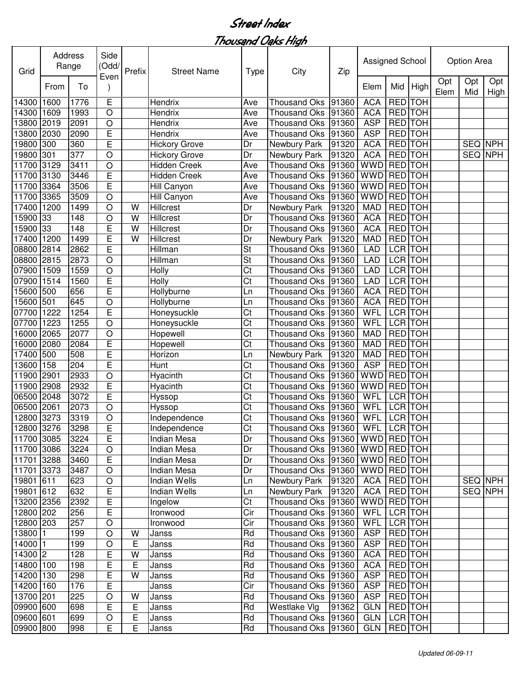| Grid       |      | Address<br>Range | Side<br>(Odd/<br>Even | Prefix      | <b>Street Name</b>   | <b>Type</b>            | City                                   | Zip   | Assigned School |                |            |             | Option Area |                |
|------------|------|------------------|-----------------------|-------------|----------------------|------------------------|----------------------------------------|-------|-----------------|----------------|------------|-------------|-------------|----------------|
|            | From | To               |                       |             |                      |                        |                                        |       | Elem            | Mid            | High       | Opt<br>Elem | Opt<br>Mid  | Opt<br>High    |
| 14300      | 1600 | 1776             | E                     |             | Hendrix              | Ave                    | <b>Thousand Oks</b>                    | 91360 | <b>ACA</b>      | <b>RED</b>     | <b>TOH</b> |             |             |                |
| 14300      | 1609 | 1993             | $\circ$               |             | Hendrix              | Ave                    | <b>Thousand Oks</b>                    | 91360 | <b>ACA</b>      | RED TOH        |            |             |             |                |
| 13800      | 2019 | 2091             | $\circ$               |             | Hendrix              | Ave                    | <b>Thousand Oks</b>                    | 91360 | <b>ASP</b>      | <b>RED</b>     | <b>TOH</b> |             |             |                |
| 13800      | 2030 | 2090             | E                     |             | Hendrix              | Ave                    | <b>Thousand Oks</b>                    | 91360 | <b>ASP</b>      | <b>RED</b>     | <b>TOH</b> |             |             |                |
| 19800      | 300  | 360              | E                     |             | <b>Hickory Grove</b> | Dr                     | Newbury Park                           | 91320 | <b>ACA</b>      | <b>RED</b>     | <b>TOH</b> |             |             | SEQ NPH        |
| 19800      | 301  | 377              | $\circ$               |             | <b>Hickory Grove</b> | Dr                     | Newbury Park                           | 91320 | <b>ACA</b>      | <b>RED</b>     | <b>TOH</b> |             |             | <b>SEQ NPH</b> |
| 11700      | 3129 | 3411             | $\circ$               |             | <b>Hidden Creek</b>  | Ave                    | <b>Thousand Oks</b>                    | 91360 | <b>WWD</b>      | <b>RED</b>     | <b>TOH</b> |             |             |                |
| 11700      | 3130 | 3446             | E                     |             | Hidden Creek         | Ave                    | <b>Thousand Oks</b>                    | 91360 | <b>WWD</b>      | <b>RED</b>     | <b>TOH</b> |             |             |                |
| 11700      | 3364 | 3506             | E                     |             | <b>Hill Canyon</b>   | Ave                    | <b>Thousand Oks</b>                    | 91360 | <b>WWD</b>      | <b>RED</b>     | <b>TOH</b> |             |             |                |
| 11700      | 3365 | 3509             | $\circ$               |             | <b>Hill Canyon</b>   | Ave                    | <b>Thousand Oks</b>                    | 91360 | <b>WWD</b>      | <b>RED</b>     | <b>TOH</b> |             |             |                |
| 17400      | 1200 | 1499             | $\circ$               | W           | Hillcrest            | Dr                     | Newbury Park                           | 91320 | <b>MAD</b>      | <b>RED</b> TOH |            |             |             |                |
| 15900      | 33   | 148              | $\circ$               | W           | Hillcrest            | Dr                     | <b>Thousand Oks</b>                    | 91360 | <b>ACA</b>      | <b>RED</b>     | <b>TOH</b> |             |             |                |
| 15900      | 33   | 148              | E                     | W           | <b>Hillcrest</b>     | Dr                     | <b>Thousand Oks</b>                    | 91360 | <b>ACA</b>      | <b>RED</b>     | <b>TOH</b> |             |             |                |
| 17400      | 1200 | 1499             | E                     | W           | Hillcrest            | Dr                     | Newbury Park                           | 91320 | <b>MAD</b>      | <b>RED</b>     | <b>TOH</b> |             |             |                |
| 08800      | 2814 | 2862             | E                     |             | Hillman              | St                     | <b>Thousand Oks</b>                    | 91360 | <b>LAD</b>      | <b>LCR</b>     | <b>TOH</b> |             |             |                |
| 08800      | 2815 | 2873             | $\circ$               |             | Hillman              | St                     | <b>Thousand Oks</b>                    | 91360 | <b>LAD</b>      | <b>LCR</b>     | <b>TOH</b> |             |             |                |
| 07900      | 1509 | 1559             | $\circ$               |             | Holly                | Ct                     | <b>Thousand Oks</b>                    | 91360 | <b>LAD</b>      | <b>LCR</b>     | <b>TOH</b> |             |             |                |
| 07900      | 1514 | 1560             | E                     |             | Holly                | Ct                     | <b>Thousand Oks</b>                    | 91360 | <b>LAD</b>      | <b>LCR</b>     | <b>TOH</b> |             |             |                |
| 15600      | 500  | 656              | E                     |             | Hollyburne           | Ln                     | <b>Thousand Oks</b>                    | 91360 | <b>ACA</b>      | <b>RED</b>     | <b>TOH</b> |             |             |                |
| 15600      | 501  | 645              | $\overline{O}$        |             | Hollyburne           | Ln                     | <b>Thousand Oks</b>                    | 91360 | <b>ACA</b>      | <b>RED</b>     | <b>TOH</b> |             |             |                |
| 07700      | 1222 | 1254             | E                     |             | Honeysuckle          | Ct                     | <b>Thousand Oks</b>                    | 91360 | WFL             | <b>LCR</b>     | <b>TOH</b> |             |             |                |
| 07700      | 1223 | 1255             | $\circ$               |             | Honeysuckle          | Ct                     | <b>Thousand Oks</b>                    | 91360 | WFL             | <b>LCR</b>     | <b>TOH</b> |             |             |                |
| 6000       | 2065 | 2077             | $\circ$               |             | Hopewell             | Ct                     | <b>Thousand Oks</b>                    | 91360 | <b>MAD</b>      | <b>RED</b>     | <b>TOH</b> |             |             |                |
| 6000       | 2080 | 2084             | E                     |             | Hopewell             | Ct                     | <b>Thousand Oks</b>                    | 91360 | <b>MAD</b>      | <b>RED</b>     | <b>TOH</b> |             |             |                |
| 17400      | 500  | 508              | E                     |             | Horizon              | Ln                     | Newbury Park                           | 91320 | <b>MAD</b>      | <b>RED</b>     | <b>TOH</b> |             |             |                |
| 13600      | 158  | 204              | E                     |             | Hunt                 | Ct                     | <b>Thousand Oks</b>                    | 91360 | <b>ASP</b>      | <b>RED</b>     | <b>TOH</b> |             |             |                |
| 11900      | 2901 | 2933             | $\circ$               |             | Hyacinth             | Ct                     | <b>Thousand Oks</b>                    | 91360 | <b>WWD</b>      | RED TOH        |            |             |             |                |
| 11900      | 2908 | 2932             | E                     |             | Hyacinth             | Ct                     | <b>Thousand Oks</b>                    | 91360 | <b>WWD</b>      | <b>RED</b>     | <b>TOH</b> |             |             |                |
| 06500      | 2048 | 3072             | E                     |             | Hyssop               | Ct                     | <b>Thousand Oks</b>                    | 91360 | WFL             | <b>LCR</b>     | <b>TOH</b> |             |             |                |
| 06500      | 2061 | 2073             | $\circ$               |             | Hyssop               | Ct                     | <b>Thousand Oks</b>                    | 91360 | WFL             | <b>LCR</b>     | <b>TOH</b> |             |             |                |
| 12800 3273 |      | 3319             | $\circ$               |             | Independence         | $\overline{\text{C}t}$ | <b>Thousand Oks</b>                    | 91360 | WFL             | <b>LCR</b> TOH |            |             |             |                |
| 12800 3276 |      | 3298             | E                     |             | Independence         | $\overline{\text{Ct}}$ | Thousand Oks 91360   WFL LCR TOH       |       |                 |                |            |             |             |                |
| 11700 3085 |      | 3224             | E                     |             | Indian Mesa          | Dr                     | Thousand Oks   91360                   |       | WWD RED TOH     |                |            |             |             |                |
| 11700 3086 |      | 3224             | $\circ$               |             | Indian Mesa          | Dr                     | Thousand Oks   91360   WWD   RED   TOH |       |                 |                |            |             |             |                |
| 11701 3288 |      | 3460             | E                     |             | Indian Mesa          | Dr                     | Thousand Oks   91360                   |       | WWD RED TOH     |                |            |             |             |                |
| 11701 3373 |      | 3487             | $\circ$               |             | Indian Mesa          | Dr                     | Thousand Oks 91360                     |       | WWD RED TOH     |                |            |             |             |                |
| 19801 611  |      | 623              | $\circ$               |             | <b>Indian Wells</b>  | Ln                     | Newbury Park                           | 91320 | <b>ACA</b>      | RED TOH        |            |             |             | SEQ NPH        |
| 19801 612  |      | 632              | E                     |             | <b>Indian Wells</b>  | Ln                     | Newbury Park                           | 91320 | <b>ACA</b>      | <b>RED</b> TOH |            |             |             | SEQ NPH        |
| 13200 2356 |      | 2392             | E                     |             | Ingelow              | Ct                     | Thousand Oks                           | 91360 | WWD RED TOH     |                |            |             |             |                |
| 12800 202  |      | 256              | E                     |             | Ironwood             | Cir                    | Thousand Oks 91360                     |       | WFL             | LCR TOH        |            |             |             |                |
| 12800 203  |      | 257              | O                     |             | Ironwood             | Cir                    | Thousand Oks 91360                     |       | WFL             | LCR TOH        |            |             |             |                |
| 13800 1    |      | 199              | $\circ$               | W           | Janss                | Rd                     | Thousand Oks 91360                     |       | <b>ASP</b>      | RED TOH        |            |             |             |                |
| 14000 1    |      | 199              | O                     | $\mathsf E$ | Janss                | Rd                     | Thousand Oks 91360                     |       | <b>ASP</b>      | RED TOH        |            |             |             |                |
| 14300 2    |      | 128              | Е                     | W           | Janss                | Rd                     | Thousand Oks 91360                     |       | <b>ACA</b>      | RED TOH        |            |             |             |                |
| 14800 100  |      | 198              | Е                     | $\mathsf E$ | Janss                | Rd                     | Thousand Oks                           | 91360 | <b>ACA</b>      | RED TOH        |            |             |             |                |
| 14200 130  |      | 298              | Е                     | W           | Janss                | Rd                     | Thousand Oks                           | 91360 | <b>ASP</b>      | RED TOH        |            |             |             |                |
| 14200 160  |      | 176              | Е                     |             | Janss                | Cir                    | Thousand Oks                           | 91360 | <b>ASP</b>      | RED TOH        |            |             |             |                |
| 13700 201  |      | 225              | O                     | W           | Janss                | Rd                     | Thousand Oks                           | 91360 | <b>ASP</b>      | RED TOH        |            |             |             |                |
| 09900 600  |      | 698              | E                     | E           | Janss                | Rd                     | Westlake Vlg                           | 91362 | <b>GLN</b>      | RED TOH        |            |             |             |                |
| 09600 601  |      | 699              | $\mathsf O$           | E           | Janss                | Rd                     | Thousand Oks 91360                     |       | <b>GLN</b>      | LCR TOH        |            |             |             |                |
| 09900 800  |      | 998              | E                     | E           | Janss                | Rd                     | Thousand Oks   91360                   |       | GLN   RED   TOH |                |            |             |             |                |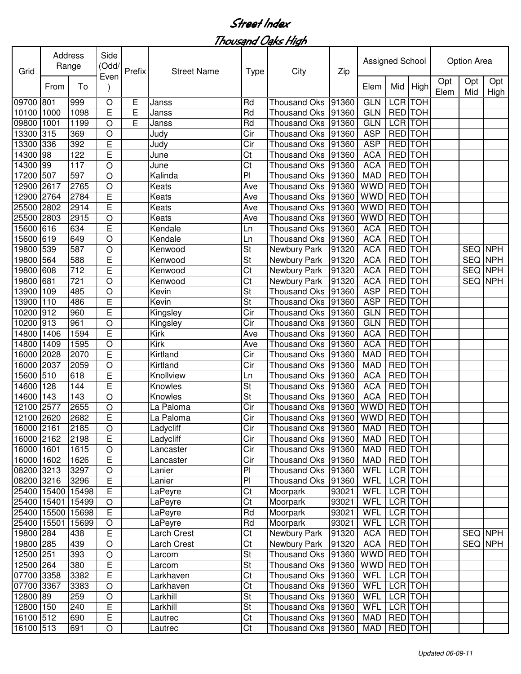| Grid        | Address           | Range | Side<br>(Odd/  | Prefix | <b>Street Name</b> | <b>Type</b>              | City                           | Zip   | Assigned School |                |            |             | Option Area |             |
|-------------|-------------------|-------|----------------|--------|--------------------|--------------------------|--------------------------------|-------|-----------------|----------------|------------|-------------|-------------|-------------|
|             | From              | To    | Even           |        |                    |                          |                                |       | Elem            | Mid            | High       | Opt<br>Elem | Opt<br>Mid  | Opt<br>High |
| 09700 801   |                   | 999   | $\circ$        | Ε      | Janss              | Rd                       | <b>Thousand Oks</b>            | 91360 | <b>GLN</b>      | LCR TOH        |            |             |             |             |
| 10100 1000  |                   | 1098  | E              | Ē      | Janss              | Rd                       | <b>Thousand Oks</b>            | 91360 | <b>GLN</b>      | RED TOH        |            |             |             |             |
| 09800       | 1001              | 1199  | $\bigcirc$     | E      | Janss              | Rd                       | <b>Thousand Oks</b>            | 91360 | <b>GLN</b>      | <b>LCR TOH</b> |            |             |             |             |
| 13300       | 315               | 369   | $\circ$        |        | Judy               | Cir                      | <b>Thousand Oks</b>            | 91360 | <b>ASP</b>      | <b>RED</b> TOH |            |             |             |             |
| 13300       | 336               | 392   | E              |        | Judy               | Cir                      | <b>Thousand Oks</b>            | 91360 | <b>ASP</b>      | <b>RED</b> TOH |            |             |             |             |
| 14300       | 98                | 122   | E              |        | June               | Ct                       | <b>Thousand Oks</b>            | 91360 | <b>ACA</b>      | <b>RED</b> TOH |            |             |             |             |
| 14300       | 99                | 117   | O              |        | June               | Ct                       | <b>Thousand Oks</b>            | 91360 | <b>ACA</b>      | <b>RED</b> TOH |            |             |             |             |
| 17200       | 507               | 597   | O              |        | Kalinda            | $\overline{P}$           | <b>Thousand Oks</b>            | 91360 | <b>MAD</b>      | <b>RED</b> TOH |            |             |             |             |
| 12900       | 2617              | 2765  | $\circ$        |        | Keats              | Ave                      | <b>Thousand Oks</b>            | 91360 | <b>WWD</b>      | <b>RED</b> TOH |            |             |             |             |
| 12900 2764  |                   | 2784  | E              |        | Keats              | Ave                      | <b>Thousand Oks</b>            | 91360 | <b>WWD</b>      | <b>RED</b> TOH |            |             |             |             |
| 25500 2802  |                   | 2914  | E              |        | Keats              | Ave                      | <b>Thousand Oks</b>            | 91360 | <b>WWD</b>      | <b>RED</b> TOH |            |             |             |             |
| 25500 2803  |                   | 2915  | O              |        | Keats              | Ave                      | <b>Thousand Oks</b>            | 91360 | <b>WWD</b>      | <b>RED</b> TOH |            |             |             |             |
| 15600       | 616               | 634   | E              |        | Kendale            | Ln                       | <b>Thousand Oks</b>            | 91360 | <b>ACA</b>      | <b>RED</b> TOH |            |             |             |             |
| 15600 619   |                   | 649   | O              |        | Kendale            | Ln                       | <b>Thousand Oks</b>            | 91360 | <b>ACA</b>      | <b>RED</b>     | <b>TOH</b> |             |             |             |
| 19800       | 539               | 587   | O              |        | Kenwood            | St                       | Newbury Park                   | 91320 | <b>ACA</b>      | <b>RED</b>     | <b>TOH</b> |             | SEQ NPH     |             |
| 19800       | 564               | 588   | E              |        | Kenwood            | St                       | Newbury Park                   | 91320 | <b>ACA</b>      | <b>RED</b>     | <b>TOH</b> |             | SEQ NPH     |             |
| 19800 608   |                   | 712   | E              |        | Kenwood            | Ct                       | Newbury Park                   | 91320 | <b>ACA</b>      | RED TOH        |            |             | SEQ NPH     |             |
| 19800 681   |                   | 721   | O              |        |                    | Ct                       |                                | 91320 | <b>ACA</b>      | <b>RED</b> TOH |            |             | SEQ NPH     |             |
|             |                   |       |                |        | Kenwood            | $\overline{\mathsf{St}}$ | Newbury Park                   |       |                 | <b>RED</b> TOH |            |             |             |             |
| 13900       | 109               | 485   | O              |        | Kevin              |                          | <b>Thousand Oks</b>            | 91360 | <b>ASP</b>      |                |            |             |             |             |
| 13900 110   |                   | 486   | E              |        | Kevin              | St                       | <b>Thousand Oks</b>            | 91360 | <b>ASP</b>      | <b>RED</b> TOH |            |             |             |             |
| 10200       | 912               | 960   | E              |        | Kingsley           | Cir                      | <b>Thousand Oks</b>            | 91360 | <b>GLN</b>      | <b>RED</b> TOH |            |             |             |             |
| 10200       | 913               | 961   | O              |        | Kingsley           | Cir                      | <b>Thousand Oks</b>            | 91360 | <b>GLN</b>      | RED TOH        |            |             |             |             |
| 14800       | 1406              | 1594  | E              |        | Kirk               | Ave                      | <b>Thousand Oks</b>            | 91360 | <b>ACA</b>      | RED TOH        |            |             |             |             |
| 14800       | 1409              | 1595  | O              |        | <b>Kirk</b>        | Ave                      | <b>Thousand Oks</b>            | 91360 | <b>ACA</b>      | RED TOH        |            |             |             |             |
| 16000       | 2028              | 2070  | E              |        | Kirtland           | Cir                      | <b>Thousand Oks</b>            | 91360 | <b>MAD</b>      | RED TOH        |            |             |             |             |
| 16000 2037  |                   | 2059  | O              |        | Kirtland           | Cir                      | <b>Thousand Oks</b>            | 91360 | <b>MAD</b>      | RED TOH        |            |             |             |             |
| 15600 510   |                   | 618   | E              |        | Knollview          | Ln                       | <b>Thousand Oks</b>            | 91360 | <b>ACA</b>      | RED TOH        |            |             |             |             |
| 14600       | 128               | 144   | E              |        | Knowles            | St                       | <b>Thousand Oks</b>            | 91360 | <b>ACA</b>      | RED TOH        |            |             |             |             |
| 14600       | 143               | 143   | O              |        | Knowles            | St                       | <b>Thousand Oks</b>            | 91360 | <b>ACA</b>      | RED TOH        |            |             |             |             |
| 12100       | 2577              | 2655  | $\circ$        |        | La Paloma          | Cir                      | <b>Thousand Oks</b>            | 91360 | <b>WWD</b>      | RED TOH        |            |             |             |             |
| 12100 2620  |                   | 2682  | E              |        | La Paloma          | Cir                      | Thousand Oks 91360             |       | <b>WWD</b>      | RED TOH        |            |             |             |             |
| 16000 2161  |                   | 2185  | $\mathsf O$    |        | Ladycliff          | Cir                      | Thousand Oks 91360 MAD RED TOH |       |                 |                |            |             |             |             |
| 16000 2162  |                   | 2198  | E              |        | Ladycliff          | $\overline{C}$ ir        | Thousand Oks 91360             |       | MAD             | RED TOH        |            |             |             |             |
| 16000 1601  |                   | 1615  | $\mathsf O$    |        | Lancaster          | Cir                      | Thousand Oks 91360             |       | MAD             | RED TOH        |            |             |             |             |
| 16000 1602  |                   | 1626  | $\overline{E}$ |        | Lancaster          | $\overline{C}$ ir        | Thousand Oks 91360             |       | <b>MAD</b>      | RED TOH        |            |             |             |             |
| 08200 3213  |                   | 3297  | $\circ$        |        | Lanier             | P <sub>1</sub>           | Thousand Oks 91360             |       | WFL             |                | LCR TOH    |             |             |             |
| 08200 3216  |                   | 3296  | E              |        | Lanier             | $\overline{P}$           | <b>Thousand Oks</b>            | 91360 | <b>WFL</b>      | LCR TOH        |            |             |             |             |
|             | 25400 15400 15498 |       | $\overline{E}$ |        | LaPeyre            | Ct                       | Moorpark                       | 93021 | WFL             |                | LCR TOH    |             |             |             |
|             | 25400 15401 15499 |       | $\mathsf O$    |        | LaPeyre            | Ct                       | Moorpark                       | 93021 | WFL             |                | LCR TOH    |             |             |             |
|             | 25400 15500 15698 |       | E              |        | LaPeyre            | Rd                       | Moorpark                       | 93021 | WFL             |                | LCR TOH    |             |             |             |
| 25400 15501 |                   | 15699 | O              |        | LaPeyre            | Rd                       | Moorpark                       | 93021 | <b>WFL</b>      | LCR TOH        |            |             |             |             |
| 19800 284   |                   | 438   | $\mathsf E$    |        | Larch Crest        | Ct                       | Newbury Park                   | 91320 | <b>ACA</b>      | RED TOH        |            |             |             | SEQ NPH     |
| 19800 285   |                   | 439   | $\bigcirc$     |        | Larch Crest        | Ct                       | Newbury Park                   | 91320 | <b>ACA</b>      | RED TOH        |            |             |             | SEQ NPH     |
| 12500 251   |                   | 393   | $\circ$        |        | Larcom             | St                       | Thousand Oks                   | 91360 | <b>WWD</b>      | RED TOH        |            |             |             |             |
| 12500 264   |                   | 380   | E              |        | Larcom             | St                       | Thousand Oks                   | 91360 | <b>WWD</b>      | <b>RED</b> TOH |            |             |             |             |
| 07700 3358  |                   | 3382  | E              |        | Larkhaven          | Ct                       | Thousand Oks                   | 91360 | WFL             | LCR TOH        |            |             |             |             |
| 07700 3367  |                   | 3383  | $\bigcirc$     |        | Larkhaven          | Ct                       | Thousand Oks                   | 91360 | WFL             | LCR TOH        |            |             |             |             |
| 12800 89    |                   | 259   | $\bigcirc$     |        | Larkhill           | St                       | Thousand Oks 91360             |       | WFL             | LCR TOH        |            |             |             |             |
| 12800 150   |                   | 240   | E              |        | Larkhill           | St                       | Thousand Oks                   | 91360 | WFL             | LCR TOH        |            |             |             |             |
| 16100 512   |                   | 690   | $\overline{E}$ |        | Lautrec            | Ct                       | Thousand Oks 91360             |       | <b>MAD</b>      | RED TOH        |            |             |             |             |
| 16100 513   |                   | 691   | $\bigcirc$     |        | Lautrec            | Ct                       | Thousand Oks   91360           |       | MAD             |                | RED TOH    |             |             |             |
|             |                   |       |                |        |                    |                          |                                |       |                 |                |            |             |             |             |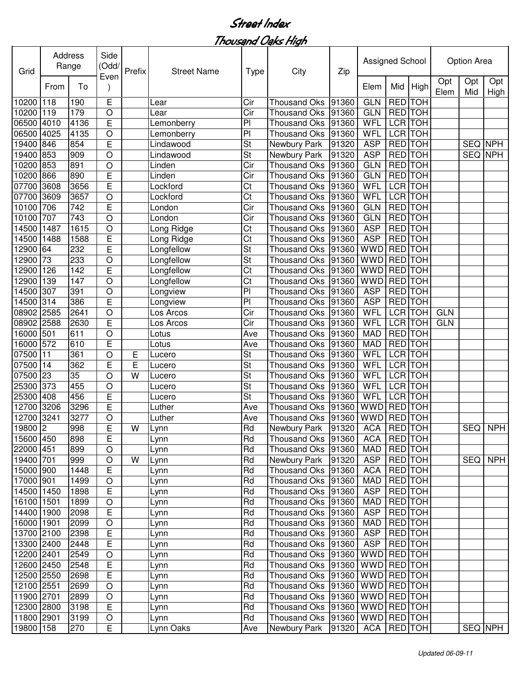| Grid       |      | Address<br>Range | Side<br>(Odd/<br>Even | Prefix | <b>Street Name</b> | <b>Type</b>              | City                 | Zip   | Assigned School |                |                |             | Option Area |                |
|------------|------|------------------|-----------------------|--------|--------------------|--------------------------|----------------------|-------|-----------------|----------------|----------------|-------------|-------------|----------------|
|            | From | To               |                       |        |                    |                          |                      |       | Elem            | Mid            | High           | Opt<br>Elem | Opt<br>Mid  | Opt<br>High    |
| 10200      | 118  | 190              | E                     |        | Lear               | Cir                      | <b>Thousand Oks</b>  | 91360 | <b>GLN</b>      | <b>RED</b> TOH |                |             |             |                |
| 10200 119  |      | 179              | $\bigcirc$            |        | Lear               | $\overline{C}$ ir        | <b>Thousand Oks</b>  | 91360 | <b>GLN</b>      | RED TOH        |                |             |             |                |
| 06500      | 4010 | 4136             | E                     |        | Lemonberry         | P <sub>1</sub>           | <b>Thousand Oks</b>  | 91360 | <b>WFL</b>      | <b>LCR TOH</b> |                |             |             |                |
| 06500      | 4025 | 4135             | $\bigcirc$            |        | Lemonberry         | P <sub>1</sub>           | <b>Thousand Oks</b>  | 91360 | <b>WFL</b>      |                | <b>LCR</b> TOH |             |             |                |
| 19400      | 846  | 854              | E                     |        | Lindawood          | <b>St</b>                | Newbury Park         | 91320 | <b>ASP</b>      | <b>RED</b> TOH |                |             |             | SEQ NPH        |
| 19400      | 853  | 909              | $\circ$               |        | Lindawood          | $\overline{\mathsf{St}}$ | Newbury Park         | 91320 | <b>ASP</b>      | <b>RED</b>     | <b>TOH</b>     |             |             | <b>SEQ NPH</b> |
| 10200      | 853  | 891              | O                     |        | Linden             | Cir                      | <b>Thousand Oks</b>  | 91360 | <b>GLN</b>      | <b>RED</b>     | <b>TOH</b>     |             |             |                |
| 10200      | 866  | 890              | E                     |        | Linden             | Cir                      | <b>Thousand Oks</b>  | 91360 | <b>GLN</b>      | <b>RED</b>     | <b>TOH</b>     |             |             |                |
| 07700      | 3608 | 3656             | E                     |        | Lockford           | Ct                       | <b>Thousand Oks</b>  | 91360 | <b>WFL</b>      | <b>LCR</b>     | <b>TOH</b>     |             |             |                |
| 07700      | 3609 | 3657             | O                     |        | Lockford           | Ct                       | <b>Thousand Oks</b>  | 91360 | <b>WFL</b>      |                | <b>LCR</b> TOH |             |             |                |
| 10100      | 706  | 742              | E                     |        | London             | Cir                      | <b>Thousand Oks</b>  | 91360 | <b>GLN</b>      | <b>RED</b> TOH |                |             |             |                |
| 10100      | 707  | 743              | $\bigcirc$            |        | London             | Cir                      | <b>Thousand Oks</b>  | 91360 | <b>GLN</b>      | <b>RED</b> TOH |                |             |             |                |
| 14500      | 1487 | 1615             | O                     |        | Long Ridge         | Ct                       | <b>Thousand Oks</b>  | 91360 | <b>ASP</b>      | <b>RED</b>     | <b>TOH</b>     |             |             |                |
| 14500      | 1488 | 1588             | E                     |        | Long Ridge         | Ct                       | <b>Thousand Oks</b>  | 91360 | <b>ASP</b>      | <b>RED</b>     | <b>TOH</b>     |             |             |                |
| 12900      | 64   | 232              | E                     |        | Longfellow         | <b>St</b>                | <b>Thousand Oks</b>  | 91360 | <b>WWD</b>      | <b>RED</b>     | <b>TOH</b>     |             |             |                |
| 12900      | 73   | 233              | $\circ$               |        | Longfellow         | <b>St</b>                | <b>Thousand Oks</b>  | 91360 | <b>WWD</b>      | <b>RED</b>     | <b>TOH</b>     |             |             |                |
| 12900      | 126  | 142              | E                     |        | Longfellow         | Ct                       | <b>Thousand Oks</b>  | 91360 | <b>WWD</b>      | <b>RED</b>     | <b>TOH</b>     |             |             |                |
| 12900      | 139  | 147              | $\bigcirc$            |        | Longfellow         | Ct                       | <b>Thousand Oks</b>  | 91360 | <b>WWD</b>      | RED TOH        |                |             |             |                |
| 14500      | 307  | 391              | $\bigcirc$            |        | Longview           | PI                       | <b>Thousand Oks</b>  | 91360 | <b>ASP</b>      | RED TOH        |                |             |             |                |
| 14500      | 314  | 386              | E                     |        | Longview           | P <sub>1</sub>           | <b>Thousand Oks</b>  | 91360 | <b>ASP</b>      | RED TOH        |                |             |             |                |
| 08902      | 2585 | 2641             | $\bigcirc$            |        | Los Arcos          | Cir                      | <b>Thousand Oks</b>  | 91360 | <b>WFL</b>      | <b>LCR</b>     | <b>TOH</b>     | <b>GLN</b>  |             |                |
| 08902      | 2588 | 2630             | E                     |        | Los Arcos          | Cir                      | <b>Thousand Oks</b>  | 91360 | <b>WFL</b>      | <b>LCR</b>     | <b>TOH</b>     | <b>GLN</b>  |             |                |
| 16000      | 501  | 611              | O                     |        | Lotus              | Ave                      | <b>Thousand Oks</b>  | 91360 | <b>MAD</b>      | <b>RED</b>     | <b>TOH</b>     |             |             |                |
| 16000      | 572  | 610              | E                     |        | Lotus              | Ave                      | <b>Thousand Oks</b>  | 91360 | <b>MAD</b>      | <b>RED</b>     | <b>TOH</b>     |             |             |                |
| 07500      | 11   | 361              | O                     | Ε      | Lucero             | St                       | <b>Thousand Oks</b>  | 91360 | <b>WFL</b>      | <b>LCR</b>     | <b>TOH</b>     |             |             |                |
| 07500      | 14   | 362              | E                     | E      | Lucero             | St                       | <b>Thousand Oks</b>  | 91360 | WFL             |                | LCR TOH        |             |             |                |
| 07500      | 23   | 35               | O                     | W      | Lucero             | St                       | <b>Thousand Oks</b>  | 91360 | WFL             | LCR TOH        |                |             |             |                |
| 25300      | 373  | 455              | $\circ$               |        | Lucero             | St                       | <b>Thousand Oks</b>  | 91360 | WFL             | LCR TOH        |                |             |             |                |
| 25300      | 408  | 456              | E                     |        | Lucero             | St                       | <b>Thousand Oks</b>  | 91360 | WFL             | LCR TOH        |                |             |             |                |
| 12700      | 3206 | 3296             | E                     |        | Luther             | Ave                      | <b>Thousand Oks</b>  | 91360 | WWD             | RED TOH        |                |             |             |                |
| 12700      | 3241 | 3277             | O                     |        | Luther             | Ave                      | <b>Thousand Oks</b>  | 91360 | <b>WWD</b>      | <b>RED</b> TOH |                |             |             |                |
| 19800 2    |      | 998              | E                     | W      | Lynn               | Rd                       | Newbury Park 91320   |       | <b>ACA</b>      | <b>RED</b> TOH |                |             |             | SEQ NPH        |
| 15600 450  |      | 898              | E                     |        | Lynn               | Rd                       | Thousand Oks 91360   |       | <b>ACA</b>      | RED TOH        |                |             |             |                |
| 22000 451  |      | 899              | $\circ$               |        | Lynn               | Rd                       | Thousand Oks 91360   |       | MAD             | RED TOH        |                |             |             |                |
| 19400 701  |      | 999              | $\mathsf O$           | W      | Lynn               | Rd                       | Newbury Park         | 91320 | <b>ASP</b>      |                | RED TOH        |             | SEQ         | <b>NPH</b>     |
| 15000 900  |      | 1448             | Ε                     |        | Lynn               | Rd                       | Thousand Oks 91360   |       | <b>ACA</b>      | <b>RED</b> TOH |                |             |             |                |
| 17000 901  |      | 1499             | $\mathsf O$           |        | Lynn               | Rd                       | Thousand Oks 91360   |       | <b>MAD</b>      | <b>RED</b> TOH |                |             |             |                |
| 14500 1450 |      | 1898             | Ε                     |        | Lynn               | Rd                       | <b>Thousand Oks</b>  | 91360 | <b>ASP</b>      | <b>RED</b> TOH |                |             |             |                |
| 16100 1501 |      | 1899             | $\bigcirc$            |        | Lynn               | Rd                       | Thousand Oks 91360   |       | <b>MAD</b>      |                | RED TOH        |             |             |                |
| 14400 1900 |      | 2098             | E                     |        | Lynn               | Rd                       | Thousand Oks 91360   |       | <b>ASP</b>      |                | RED TOH        |             |             |                |
| 16000 1901 |      | 2099             | $\circ$               |        | Lynn               | Rd                       | <b>Thousand Oks</b>  | 91360 | <b>MAD</b>      |                | RED TOH        |             |             |                |
| 13700 2100 |      | 2398             | E                     |        | Lynn               | Rd                       | Thousand Oks 91360   |       | <b>ASP</b>      | RED TOH        |                |             |             |                |
| 13300 2400 |      | 2448             | E                     |        | Lynn               | Rd                       | Thousand Oks 91360   |       | <b>ASP</b>      | RED TOH        |                |             |             |                |
| 12200 2401 |      | 2549             | $\circ$               |        | Lynn               | Rd                       | Thousand Oks   91360 |       | WWD RED TOH     |                |                |             |             |                |
| 12600 2450 |      | 2548             | E                     |        | Lynn               | Rd                       | Thousand Oks         | 91360 | WWD RED TOH     |                |                |             |             |                |
| 12500 2550 |      | 2698             | E                     |        | Lynn               | Rd                       | Thousand Oks   91360 |       | WWD RED TOH     |                |                |             |             |                |
| 12100 2551 |      | 2699             | $\bigcirc$            |        | Lynn               | Rd                       | Thousand Oks         | 91360 | WWD RED TOH     |                |                |             |             |                |
| 11900 2701 |      | 2899             | $\circ$               |        | Lynn               | Rd                       | Thousand Oks         | 91360 | WWD RED TOH     |                |                |             |             |                |
| 12300 2800 |      | 3198             | E                     |        | Lynn               | Rd                       | Thousand Oks         | 91360 | WWD RED TOH     |                |                |             |             |                |
| 11800 2901 |      | 3199             | $\mathsf O$           |        | Lynn               | Rd                       | Thousand Oks   91360 |       | WWD RED TOH     |                |                |             |             |                |
| 19800 158  |      | 270              | Е                     |        | Lynn Oaks          | Ave                      | Newbury Park         | 91320 | <b>ACA</b>      | RED TOH        |                |             |             | SEQ NPH        |
|            |      |                  |                       |        |                    |                          |                      |       |                 |                |                |             |             |                |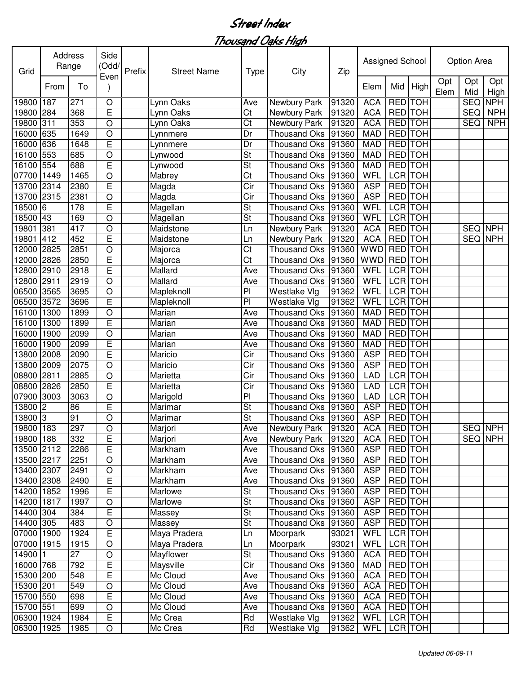| Grid       | Address | Range | Side<br>(Odd/<br>Even | Prefix | <b>Street Name</b> | <b>Type</b>              | City                | Zip   | Assigned School |                |            |             | Option Area    |             |
|------------|---------|-------|-----------------------|--------|--------------------|--------------------------|---------------------|-------|-----------------|----------------|------------|-------------|----------------|-------------|
|            | From    | To    |                       |        |                    |                          |                     |       | Elem            | Mid            | High       | Opt<br>Elem | Opt<br>Mid     | Opt<br>High |
| 19800      | 187     | 271   | $\circ$               |        | Lynn Oaks          | Ave                      | Newbury Park        | 91320 | <b>ACA</b>      | <b>RED</b>     | <b>TOH</b> |             | <b>SEQ</b>     | <b>NPH</b>  |
| 19800      | 284     | 368   | Ē                     |        | Lynn Oaks          | Ct                       | Newbury Park        | 91320 | <b>ACA</b>      | RED TOH        |            |             | <b>SEQ</b>     | <b>NPH</b>  |
| 19800      | 311     | 353   | $\circ$               |        | Lynn Oaks          | Ct                       | Newbury Park        | 91320 | <b>ACA</b>      | <b>RED</b>     | <b>TOH</b> |             | <b>SEQ</b>     | <b>NPH</b>  |
| 16000      | 635     | 1649  | $\circ$               |        | Lynnmere           | Dr                       | <b>Thousand Oks</b> | 91360 | <b>MAD</b>      | <b>RED</b>     | <b>TOH</b> |             |                |             |
| 16000      | 636     | 1648  | E                     |        | Lynnmere           | Dr                       | <b>Thousand Oks</b> | 91360 | <b>MAD</b>      | <b>RED</b>     | <b>TOH</b> |             |                |             |
| 16100      | 553     | 685   | $\overline{O}$        |        | Lynwood            | St                       | <b>Thousand Oks</b> | 91360 | <b>MAD</b>      | <b>RED</b>     | <b>TOH</b> |             |                |             |
| 16100      | 554     | 688   | E                     |        | Lynwood            | $\overline{\mathsf{St}}$ | <b>Thousand Oks</b> | 91360 | <b>MAD</b>      | <b>RED</b>     | <b>TOH</b> |             |                |             |
| 07700      | 1449    | 1465  | $\circ$               |        | Mabrey             | Ct                       | <b>Thousand Oks</b> | 91360 | <b>WFL</b>      | <b>LCR</b>     | <b>TOH</b> |             |                |             |
| 13700      | 2314    | 2380  | E                     |        | Magda              | Cir                      | <b>Thousand Oks</b> | 91360 | <b>ASP</b>      | <b>RED</b>     | <b>TOH</b> |             |                |             |
| 13700      | 2315    | 2381  | $\circ$               |        | Magda              | Cir                      | <b>Thousand Oks</b> | 91360 | <b>ASP</b>      | <b>RED</b>     | <b>TOH</b> |             |                |             |
| 18500      | l6      | 178   | E                     |        | Magellan           | St                       | <b>Thousand Oks</b> | 91360 | WFL             | <b>LCR</b> TOH |            |             |                |             |
| 18500      | 43      | 169   | $\circ$               |        | Magellan           | St                       | <b>Thousand Oks</b> | 91360 | WFL             | <b>LCR</b> TOH |            |             |                |             |
| 19801      | 381     | 417   | $\circ$               |        | Maidstone          | Ln                       | Newbury Park        | 91320 | <b>ACA</b>      | <b>RED</b>     | <b>TOH</b> |             | SEQ NPH        |             |
| 19801      | 412     | 452   | E                     |        | Maidstone          | Ln                       | Newbury Park        | 91320 | <b>ACA</b>      | <b>RED</b>     | <b>TOH</b> |             | SEQ NPH        |             |
| 12000      | 2825    | 2851  | $\circ$               |        | Majorca            | Ct                       | <b>Thousand Oks</b> | 91360 | <b>WWD</b>      | <b>RED</b>     | <b>TOH</b> |             |                |             |
| 12000      | 2826    | 2850  | E                     |        | Majorca            | Ct                       | <b>Thousand Oks</b> | 91360 | <b>WWD</b>      | <b>RED</b>     | <b>TOH</b> |             |                |             |
| 12800      | 2910    | 2918  | E                     |        | Mallard            | Ave                      | Thousand Oks        | 91360 | WFL             | <b>LCR</b>     | <b>TOH</b> |             |                |             |
| 12800      | 2911    | 2919  | $\circ$               |        | Mallard            | Ave                      | <b>Thousand Oks</b> | 91360 | WFL             | <b>LCR</b>     | <b>TOH</b> |             |                |             |
| 06500      | 3565    | 3695  | $\bigcirc$            |        | Mapleknoll         | PI                       | Westlake Vlg        | 91362 | WFL             | <b>LCR</b>     | <b>TOH</b> |             |                |             |
| 06500      | 3572    | 3696  | E                     |        | Mapleknoll         | PI                       | Westlake Vlg        | 91362 | WFL             | <b>LCR</b>     | <b>TOH</b> |             |                |             |
| 16100      | 1300    | 1899  | $\circ$               |        | Marian             | Ave                      | <b>Thousand Oks</b> | 91360 | <b>MAD</b>      | <b>RED</b>     | <b>TOH</b> |             |                |             |
| 16100      | 1300    | 1899  | E                     |        | Marian             | Ave                      | <b>Thousand Oks</b> | 91360 | <b>MAD</b>      | <b>RED</b>     | <b>TOH</b> |             |                |             |
| 16000      | 1900    | 2099  | O                     |        | Marian             | Ave                      | Thousand Oks        | 91360 | <b>MAD</b>      | <b>RED</b>     | <b>TOH</b> |             |                |             |
| 16000      | 1900    | 2099  | E                     |        | Marian             | Ave                      | <b>Thousand Oks</b> | 91360 | <b>MAD</b>      | <b>RED</b>     | <b>TOH</b> |             |                |             |
| 13800      | 2008    | 2090  | E                     |        | Maricio            | Cir                      | <b>Thousand Oks</b> | 91360 | <b>ASP</b>      | <b>RED</b>     | <b>TOH</b> |             |                |             |
| 13800      | 2009    | 2075  | $\circ$               |        | Maricio            | Cir                      | <b>Thousand Oks</b> | 91360 | <b>ASP</b>      | <b>RED</b>     | <b>TOH</b> |             |                |             |
| 08800      | 2811    | 2885  | $\circ$               |        | Marietta           | Cir                      | <b>Thousand Oks</b> | 91360 | <b>LAD</b>      | LCR TOH        |            |             |                |             |
| 08800      | 2826    | 2850  | E                     |        | Marietta           | Cir                      | <b>Thousand Oks</b> | 91360 | <b>LAD</b>      | <b>LCR</b>     | <b>TOH</b> |             |                |             |
| 07900      | 3003    | 3063  | $\circ$               |        | Marigold           | PI                       | <b>Thousand Oks</b> | 91360 | <b>LAD</b>      | <b>LCR</b>     | <b>TOH</b> |             |                |             |
| 13800      | 2       | 86    | E                     |        | Marimar            | St                       | <b>Thousand Oks</b> | 91360 | <b>ASP</b>      | <b>RED</b>     | <b>TOH</b> |             |                |             |
| 13800 3    |         | 91    | O                     |        | Marimar            | $\overline{\mathsf{St}}$ | <b>Thousand Oks</b> | 91360 | <b>ASP</b>      | <b>RED</b>     | <b>TOH</b> |             |                |             |
| 19800 183  |         | 297   | $\mathsf O$           |        | Marjori            | Ave                      | Newbury Park 91320  |       | <b>ACA</b>      | <b>RED</b> TOH |            |             | <b>SEQ NPH</b> |             |
| 19800 188  |         | 332   | E                     |        | Marjori            | Ave                      | Newbury Park        | 91320 | <b>ACA</b>      | <b>RED</b> TOH |            |             | SEQ NPH        |             |
| 13500 2112 |         | 2286  | $\mathsf E$           |        | Markham            | Ave                      | Thousand Oks 91360  |       | <b>ASP</b>      | RED TOH        |            |             |                |             |
| 13500 2217 |         | 2251  | $\bigcirc$            |        | Markham            | Ave                      | Thousand Oks        | 91360 | <b>ASP</b>      | <b>RED</b> TOH |            |             |                |             |
| 13400 2307 |         | 2491  | $\bigcirc$            |        | Markham            | Ave                      | Thousand Oks        | 91360 | <b>ASP</b>      | RED TOH        |            |             |                |             |
| 13400 2308 |         | 2490  | $\mathsf E$           |        | Markham            | Ave                      | Thousand Oks        | 91360 | <b>ASP</b>      | <b>RED</b> TOH |            |             |                |             |
| 14200 1852 |         | 1996  | E                     |        | Marlowe            | St                       | <b>Thousand Oks</b> | 91360 | ASP             | <b>RED</b> TOH |            |             |                |             |
| 14200 1817 |         | 1997  | $\circ$               |        | Marlowe            | St                       | Thousand Oks        | 91360 | <b>ASP</b>      | RED TOH        |            |             |                |             |
| 14400 304  |         | 384   | E                     |        | Massey             | St                       | <b>Thousand Oks</b> | 91360 | <b>ASP</b>      | RED TOH        |            |             |                |             |
| 14400 305  |         | 483   | $\bigcirc$            |        | Massey             | St                       | <b>Thousand Oks</b> | 91360 | <b>ASP</b>      | RED TOH        |            |             |                |             |
| 07000 1900 |         | 1924  | $\mathsf E$           |        | Maya Pradera       | Ln                       | Moorpark            | 93021 | WFL             | LCR TOH        |            |             |                |             |
| 07000 1915 |         | 1915  | $\bigcirc$            |        | Maya Pradera       | Ln                       | Moorpark            | 93021 | WFL             | LCR TOH        |            |             |                |             |
| 14900 1    |         | 27    | $\circ$               |        | Mayflower          | St                       | <b>Thousand Oks</b> | 91360 | <b>ACA</b>      | RED TOH        |            |             |                |             |
| 16000 768  |         | 792   | $\mathsf E$           |        | Maysville          | Cir                      | <b>Thousand Oks</b> | 91360 | <b>MAD</b>      | RED TOH        |            |             |                |             |
| 15300 200  |         | 548   | Е                     |        | Mc Cloud           | Ave                      | <b>Thousand Oks</b> | 91360 | <b>ACA</b>      | RED TOH        |            |             |                |             |
| 15300 201  |         | 549   | $\bigcirc$            |        | Mc Cloud           | Ave                      | <b>Thousand Oks</b> | 91360 | <b>ACA</b>      | RED TOH        |            |             |                |             |
| 15700 550  |         | 698   | $\overline{E}$        |        | Mc Cloud           | Ave                      | Thousand Oks        | 91360 | <b>ACA</b>      | RED TOH        |            |             |                |             |
| 15700 551  |         | 699   | $\bigcirc$            |        | Mc Cloud           | Ave                      | <b>Thousand Oks</b> | 91360 | <b>ACA</b>      | RED TOH        |            |             |                |             |
| 06300 1924 |         | 1984  | E                     |        | Mc Crea            | Rd                       | Westlake Vlg        | 91362 | WFL             | LCR TOH        |            |             |                |             |
| 06300 1925 |         |       |                       |        |                    | Rd                       |                     |       |                 |                |            |             |                |             |
|            |         | 1985  | $\bigcirc$            |        | Mc Crea            |                          | Westlake Vlg        | 91362 | WFL             | LCR TOH        |            |             |                |             |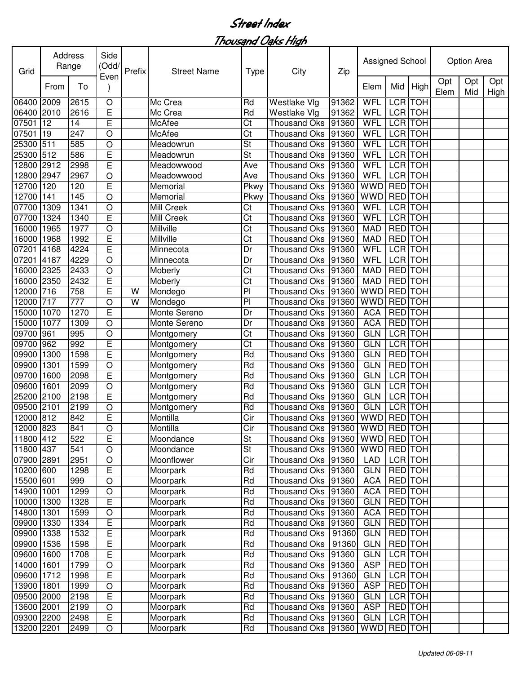| Grid       | Address | Range | Side<br>(Odd/<br>Even | Prefix | <b>Street Name</b> | <b>Type</b>              | City                 | Zip   | Assigned School |                |                |             | Option Area |             |
|------------|---------|-------|-----------------------|--------|--------------------|--------------------------|----------------------|-------|-----------------|----------------|----------------|-------------|-------------|-------------|
|            | From    | To    |                       |        |                    |                          |                      |       | Elem            | Mid            | High           | Opt<br>Elem | Opt<br>Mid  | Opt<br>High |
| 06400      | 2009    | 2615  | O                     |        | Mc Crea            | Rd                       | Westlake Vlg         | 91362 | WFL             | LCR TOH        |                |             |             |             |
| 06400      | 2010    | 2616  | E                     |        | Mc Crea            | Rd                       | Westlake Vlg         | 91362 | WFL             | LCR TOH        |                |             |             |             |
| 07501      | 12      | 14    | E                     |        | McAfee             | Ct                       | <b>Thousand Oks</b>  | 91360 | WFL             | LCR TOH        |                |             |             |             |
| 07501      | 19      | 247   | $\circ$               |        | McAfee             | Ct                       | <b>Thousand Oks</b>  | 91360 | WFL             |                | <b>LCR</b> TOH |             |             |             |
| 25300      | 511     | 585   | O                     |        | Meadowrun          | St                       | <b>Thousand Oks</b>  | 91360 | WFL             |                | <b>LCR</b> TOH |             |             |             |
| 25300      | 512     | 586   | E                     |        | Meadowrun          | St                       | <b>Thousand Oks</b>  | 91360 | WFL             |                | <b>LCR</b> TOH |             |             |             |
| 12800      | 2912    | 2998  | E                     |        | Meadowwood         | Ave                      | <b>Thousand Oks</b>  | 91360 | WFL             |                | <b>LCR</b> TOH |             |             |             |
| 12800      | 2947    | 2967  | $\circ$               |        | Meadowwood         | Ave                      | <b>Thousand Oks</b>  | 91360 | WFL             | <b>LCR</b> TOH |                |             |             |             |
| 12700      | 120     | 120   | E                     |        | Memorial           | Pkwy                     | <b>Thousand Oks</b>  | 91360 | <b>WWD</b>      | <b>RED</b> TOH |                |             |             |             |
| 12700      | 141     | 145   | $\circ$               |        | Memorial           | Pkwy                     | <b>Thousand Oks</b>  | 91360 | <b>WWD</b>      | <b>RED</b> TOH |                |             |             |             |
| 07700      | 1309    | 1341  | $\circ$               |        | Mill Creek         | Ct                       | <b>Thousand Oks</b>  | 91360 | WFL             | LCR TOH        |                |             |             |             |
| 07700      | 1324    | 1340  | E                     |        | Mill Creek         | Ct                       | <b>Thousand Oks</b>  | 91360 | WFL             | <b>LCR TOH</b> |                |             |             |             |
| 16000      | 1965    | 1977  | O                     |        | Millville          | Ct                       | <b>Thousand Oks</b>  | 91360 | <b>MAD</b>      | <b>RED</b>     | <b>TOH</b>     |             |             |             |
| 16000      | 1968    | 1992  | E                     |        | Millville          | Ct                       | <b>Thousand Oks</b>  | 91360 | <b>MAD</b>      | <b>RED</b>     | <b>TOH</b>     |             |             |             |
| 07201      | 4168    | 4224  | E                     |        | Minnecota          | Dr                       | <b>Thousand Oks</b>  | 91360 | WFL             | <b>LCR</b>     | <b>TOH</b>     |             |             |             |
| 07201      | 4187    | 4229  | $\circ$               |        | Minnecota          | Dr                       | <b>Thousand Oks</b>  | 91360 | WFL             | <b>LCR</b>     | <b>TOH</b>     |             |             |             |
| 16000      | 2325    | 2433  | $\circ$               |        | Moberly            | Ct                       | <b>Thousand Oks</b>  | 91360 | <b>MAD</b>      | RED TOH        |                |             |             |             |
| 16000      | 2350    | 2432  | E                     |        | Moberly            | Ct                       | <b>Thousand Oks</b>  | 91360 | <b>MAD</b>      | <b>RED</b> TOH |                |             |             |             |
| 12000      | 716     | 758   | E                     | W      | Mondego            | P <sub>1</sub>           | <b>Thousand Oks</b>  | 91360 | <b>WWD</b>      | <b>RED</b> TOH |                |             |             |             |
| 12000      | 717     | 777   | $\circ$               | W      | Mondego            | P <sub>1</sub>           | <b>Thousand Oks</b>  | 91360 | <b>WWD</b>      | RED TOH        |                |             |             |             |
| 15000      | 1070    | 1270  | E                     |        | Monte Sereno       | Dr                       | <b>Thousand Oks</b>  | 91360 | <b>ACA</b>      | <b>RED</b>     | <b>TOH</b>     |             |             |             |
| 5000       | 1077    | 1309  | O                     |        | Monte Sereno       | Dr                       | <b>Thousand Oks</b>  | 91360 | <b>ACA</b>      | <b>RED</b>     | <b>TOH</b>     |             |             |             |
| 09700      | 961     | 995   | $\circ$               |        | Montgomery         | Ct                       | <b>Thousand Oks</b>  | 91360 | <b>GLN</b>      |                | LCR TOH        |             |             |             |
| 09700      | 962     | 992   | E                     |        | Montgomery         | Ct                       | <b>Thousand Oks</b>  | 91360 | <b>GLN</b>      | LCR TOH        |                |             |             |             |
| 09900      | 1300    | 1598  | E                     |        | Montgomery         | Rd                       | <b>Thousand Oks</b>  | 91360 | <b>GLN</b>      | RED TOH        |                |             |             |             |
| 09900      | 1301    | 1599  | $\circ$               |        | Montgomery         | Rd                       | <b>Thousand Oks</b>  | 91360 | <b>GLN</b>      | RED TOH        |                |             |             |             |
| 09700      | 1600    | 2098  | E                     |        | Montgomery         | Rd                       | <b>Thousand Oks</b>  | 91360 | <b>GLN</b>      | LCR TOH        |                |             |             |             |
| 09600      | 1601    | 2099  | $\circ$               |        | Montgomery         | Rd                       | <b>Thousand Oks</b>  | 91360 | <b>GLN</b>      | LCR TOH        |                |             |             |             |
| 25200      | 2100    | 2198  | E                     |        | Montgomery         | Rd                       | <b>Thousand Oks</b>  | 91360 | <b>GLN</b>      | LCR TOH        |                |             |             |             |
| 09500      | 2101    | 2199  | O                     |        | Montgomery         | Rd                       | <b>Thousand Oks</b>  | 91360 | <b>GLN</b>      | <b>LCR</b> TOH |                |             |             |             |
| 12000      | 812     | 842   | E                     |        | Montilla           | Cir                      | <b>Thousand Oks</b>  | 91360 | <b>WWD</b>      | <b>RED</b> TOH |                |             |             |             |
| 12000 823  |         | 841   | $\bigcirc$            |        | Montilla           | Cir                      | Thousand Oks 91360   |       | WWD RED TOH     |                |                |             |             |             |
| 11800 412  |         | 522   | E                     |        | Moondance          | $\overline{\mathsf{St}}$ | Thousand Oks   91360 |       | WWD RED TOH     |                |                |             |             |             |
| 11800 437  |         | 541   | $\bigcirc$            |        | Moondance          | St                       | Thousand Oks   91360 |       | WWD RED TOH     |                |                |             |             |             |
| 07900 2891 |         | 2951  | $\bigcirc$            |        | Moonflower         | Cir                      | Thousand Oks         | 91360 | LAD             | LCR TOH        |                |             |             |             |
| 10200 600  |         | 1298  | E                     |        | Moorpark           | Rd                       | <b>Thousand Oks</b>  | 91360 | <b>GLN</b>      | <b>RED</b> TOH |                |             |             |             |
| 15500 601  |         | 999   | $\circ$               |        | Moorpark           | Rd                       | <b>Thousand Oks</b>  | 91360 | <b>ACA</b>      | <b>RED</b> TOH |                |             |             |             |
| 14900      | 1001    | 1299  | $\bigcirc$            |        | Moorpark           | Rd                       | <b>Thousand Oks</b>  | 91360 | <b>ACA</b>      |                | <b>RED</b> TOH |             |             |             |
| 10000      | 1300    | 1328  | E                     |        | Moorpark           | Rd                       | <b>Thousand Oks</b>  | 91360 | <b>GLN</b>      | RED TOH        |                |             |             |             |
| 14800      | 1301    | 1599  | $\bigcirc$            |        | Moorpark           | Rd                       | <b>Thousand Oks</b>  | 91360 | <b>ACA</b>      |                | RED TOH        |             |             |             |
| 09900      | 1330    | 1334  | E                     |        | Moorpark           | Rd                       | <b>Thousand Oks</b>  | 91360 | <b>GLN</b>      | RED TOH        |                |             |             |             |
| 09900      | 1338    | 1532  | E                     |        | Moorpark           | Rd                       | <b>Thousand Oks</b>  | 91360 | <b>GLN</b>      | RED TOH        |                |             |             |             |
| 09900      | 1536    | 1598  | E                     |        | Moorpark           | Rd                       | <b>Thousand Oks</b>  | 91360 | <b>GLN</b>      | RED TOH        |                |             |             |             |
| 09600      | 1600    | 1708  | E                     |        | Moorpark           | Rd                       | <b>Thousand Oks</b>  | 91360 | <b>GLN</b>      |                | LCR TOH        |             |             |             |
| 14000      | 1601    | 1799  | $\bigcirc$            |        | Moorpark           | Rd                       | <b>Thousand Oks</b>  | 91360 | <b>ASP</b>      | RED TOH        |                |             |             |             |
| 09600      | 1712    | 1998  | E                     |        | Moorpark           | Rd                       | <b>Thousand Oks</b>  | 91360 | <b>GLN</b>      |                | LCR TOH        |             |             |             |
| 13900      | 1801    | 1999  | $\bigcirc$            |        | Moorpark           | Rd                       | <b>Thousand Oks</b>  | 91360 | <b>ASP</b>      | RED TOH        |                |             |             |             |
| 09500 2000 |         | 2198  | E                     |        | Moorpark           | Rd                       | <b>Thousand Oks</b>  | 91360 | <b>GLN</b>      |                | LCR TOH        |             |             |             |
| 13600 2001 |         | 2199  | $\bigcirc$            |        | Moorpark           | Rd                       | <b>Thousand Oks</b>  | 91360 | <b>ASP</b>      | RED TOH        |                |             |             |             |
| 09300 2200 |         | 2498  | E                     |        | Moorpark           | Rd                       | Thousand Oks         | 91360 | <b>GLN</b>      |                | LCR TOH        |             |             |             |
|            |         |       |                       |        |                    |                          |                      |       |                 |                |                |             |             |             |
| 13200 2201 |         | 2499  | O                     |        | Moorpark           | Rd                       | Thousand Oks         | 91360 | <b>WWD</b>      | RED TOH        |                |             |             |             |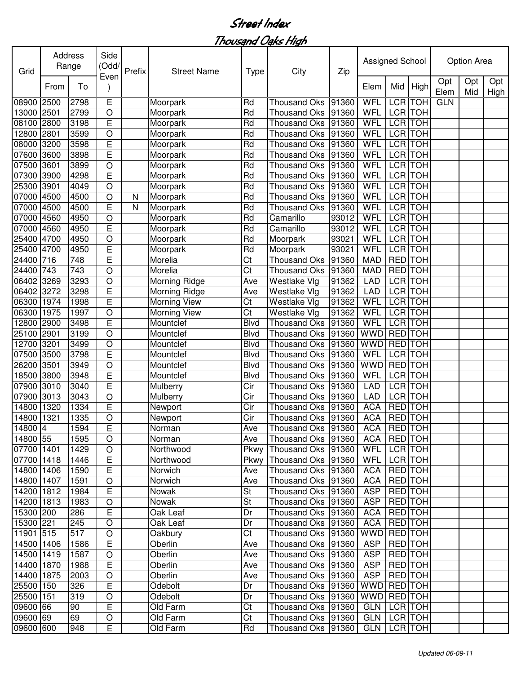| Grid       |      | Address<br>Range | Side<br>(Odd/<br>Even | Prefix | <b>Street Name</b> | <b>Type</b> | City                 | Zip   | Assigned School |                |                |             | Option Area |             |
|------------|------|------------------|-----------------------|--------|--------------------|-------------|----------------------|-------|-----------------|----------------|----------------|-------------|-------------|-------------|
|            | From | To               |                       |        |                    |             |                      |       | Elem            | Mid            | High           | Opt<br>Elem | Opt<br>Mid  | Opt<br>High |
| 08900      | 2500 | 2798             | E                     |        | Moorpark           | Rd          | <b>Thousand Oks</b>  | 91360 | WFL             | <b>LCR</b>     | <b>TOH</b>     | <b>GLN</b>  |             |             |
| 13000 2501 |      | 2799             | $\circ$               |        | Moorpark           | Rd          | <b>Thousand Oks</b>  | 91360 | WFL             | LCR TOH        |                |             |             |             |
| 08100      | 2800 | 3198             | E                     |        | Moorpark           | Rd          | <b>Thousand Oks</b>  | 91360 | WFL             |                | <b>LCR</b> TOH |             |             |             |
| 12800      | 2801 | 3599             | $\circ$               |        | Moorpark           | Rd          | <b>Thousand Oks</b>  | 91360 | WFL             | <b>LCR</b>     | <b>TOH</b>     |             |             |             |
| 08000      | 3200 | 3598             | E                     |        | Moorpark           | Rd          | <b>Thousand Oks</b>  | 91360 | <b>WFL</b>      | <b>LCR TOH</b> |                |             |             |             |
| 07600      | 3600 | 3898             | E                     |        | Moorpark           | Rd          | <b>Thousand Oks</b>  | 91360 | WFL             | <b>LCR</b> TOH |                |             |             |             |
| 07500      | 3601 | 3899             | $\circ$               |        | Moorpark           | Rd          | <b>Thousand Oks</b>  | 91360 | WFL             | <b>LCR</b> TOH |                |             |             |             |
| 07300      | 3900 | 4298             | E                     |        | Moorpark           | Rd          | <b>Thousand Oks</b>  | 91360 | WFL             | <b>LCR</b> TOH |                |             |             |             |
| 25300      | 3901 | 4049             | $\circ$               |        | Moorpark           | Rd          | <b>Thousand Oks</b>  | 91360 | WFL             | LCR TOH        |                |             |             |             |
| 07000      | 4500 | 4500             | $\circ$               | N      | Moorpark           | Rd          | <b>Thousand Oks</b>  | 91360 | <b>WFL</b>      | LCR TOH        |                |             |             |             |
| 07000      | 4500 | 4500             | E                     | N      | Moorpark           | Rd          | <b>Thousand Oks</b>  | 91360 | <b>WFL</b>      | <b>LCR</b> TOH |                |             |             |             |
| 07000      | 4560 | 4950             | $\circ$               |        | Moorpark           | Rd          | Camarillo            | 93012 | WFL             | LCR TOH        |                |             |             |             |
| 07000      | 4560 | 4950             | E                     |        | Moorpark           | Rd          | Camarillo            | 93012 | WFL             | <b>LCR</b>     | <b>TOH</b>     |             |             |             |
| 25400      | 4700 | 4950             | O                     |        | Moorpark           | Rd          | Moorpark             | 93021 | WFL             | LCR TOH        |                |             |             |             |
| 25400      | 4700 | 4950             | E                     |        | Moorpark           | Rd          | Moorpark             | 93021 | WFL             | LCR TOH        |                |             |             |             |
| 24400      | 716  | 748              | E                     |        | Morelia            | Ct          | <b>Thousand Oks</b>  | 91360 | <b>MAD</b>      | <b>RED</b>     | <b>TOH</b>     |             |             |             |
| 24400      | 743  | 743              | $\circ$               |        | Morelia            | Ct          | <b>Thousand Oks</b>  | 91360 | <b>MAD</b>      | <b>RED</b>     | <b>TOH</b>     |             |             |             |
| 06402      | 3269 | 3293             | $\circ$               |        | Morning Ridge      | Ave         | Westlake Vlg         | 91362 | <b>LAD</b>      | <b>LCR</b>     | <b>TOH</b>     |             |             |             |
| 06402      | 3272 | 3298             | E                     |        | Morning Ridge      | Ave         | Westlake Vlg         | 91362 | <b>LAD</b>      | <b>LCR</b> TOH |                |             |             |             |
| 06300      | 1974 | 1998             | Ē                     |        | Morning View       | Ct          | Westlake Vlg         | 91362 | WFL             | LCR TOH        |                |             |             |             |
| 06300      | 1975 | 1997             | $\circ$               |        | Morning View       | Ct          | Westlake Vlg         | 91362 | WFL             | <b>LCR</b>     | <b>TOH</b>     |             |             |             |
| 12800      | 2900 | 3498             | E                     |        | Mountclef          | <b>Blvd</b> | <b>Thousand Oks</b>  | 91360 | WFL             | LCR TOH        |                |             |             |             |
| 25100      | 2901 | 3199             | O                     |        | Mountclef          | <b>Blvd</b> | <b>Thousand Oks</b>  | 91360 | <b>WWD</b>      | <b>RED</b>     | <b>TOH</b>     |             |             |             |
| 12700      | 3201 | 3499             | $\circ$               |        | Mountclef          | <b>Blvd</b> | <b>Thousand Oks</b>  | 91360 | <b>WWD</b>      | <b>RED</b>     | <b>TOH</b>     |             |             |             |
| 07500      | 3500 | 3798             | E                     |        | Mountclef          | <b>Blvd</b> | <b>Thousand Oks</b>  | 91360 | WFL             | LCR TOH        |                |             |             |             |
| 26200      | 3501 | 3949             | O                     |        | Mountclef          | <b>Blvd</b> | <b>Thousand Oks</b>  | 91360 | <b>WWD</b>      | RED TOH        |                |             |             |             |
| 18500      | 3800 | 3948             | E                     |        | Mountclef          | <b>Blvd</b> | <b>Thousand Oks</b>  | 91360 | WFL             | LCR TOH        |                |             |             |             |
| 07900      | 3010 | 3040             | E                     |        | Mulberry           | Cir         | <b>Thousand Oks</b>  | 91360 | <b>LAD</b>      | LCR TOH        |                |             |             |             |
| 07900      | 3013 | 3043             | $\circ$               |        | Mulberry           | Cir         | <b>Thousand Oks</b>  | 91360 | <b>LAD</b>      | LCR TOH        |                |             |             |             |
| 14800      | 1320 | 1334             | E                     |        | Newport            | Cir         | <b>Thousand Oks</b>  | 91360 | <b>ACA</b>      | RED TOH        |                |             |             |             |
| 14800      | 1321 | 1335             | $\circ$               |        | Newport            | Cir         | <b>Thousand Oks</b>  | 91360 | <b>ACA</b>      | <b>RED</b> TOH |                |             |             |             |
| 14800 4    |      | 1594             | E                     |        | Norman             | Ave         | Thousand Oks 91360   |       | <b>ACA</b>      | <b>RED TOH</b> |                |             |             |             |
| 14800 55   |      | 1595             | $\circ$               |        | Norman             | Ave         | Thousand Oks   91360 |       | <b>ACA</b>      | RED TOH        |                |             |             |             |
| 07700 1401 |      | 1429             | $\circ$               |        | Northwood          | Pkwy        | Thousand Oks   91360 |       | WFL             | LCR TOH        |                |             |             |             |
| 07700 1418 |      | 1446             | E                     |        | Northwood          | Pkwy        | Thousand Oks 91360   |       | <b>WFL</b>      |                | LCR TOH        |             |             |             |
| 14800 1406 |      | 1590             | E                     |        | Norwich            | Ave         | Thousand Oks 91360   |       | <b>ACA</b>      | RED TOH        |                |             |             |             |
| 14800 1407 |      | 1591             | $\circ$               |        | Norwich            | Ave         | Thousand Oks 91360   |       | <b>ACA</b>      | <b>RED</b> TOH |                |             |             |             |
| 14200 1812 |      | 1984             | E                     |        | Nowak              | St          | Thousand Oks 91360   |       | <b>ASP</b>      | RED TOH        |                |             |             |             |
| 14200 1813 |      | 1983             | O                     |        | Nowak              | <b>St</b>   | Thousand Oks 91360   |       | <b>ASP</b>      |                | RED TOH        |             |             |             |
| 15300 200  |      | 286              | E                     |        | Oak Leaf           | Dr          | Thousand Oks 91360   |       | <b>ACA</b>      |                | RED TOH        |             |             |             |
| 15300 221  |      | 245              | O                     |        | Oak Leaf           | Dr          | Thousand Oks 91360   |       | <b>ACA</b>      | RED TOH        |                |             |             |             |
| 11901 515  |      | 517              | $\circ$               |        | Oakbury            | Ct          | Thousand Oks   91360 |       | WWD             | RED TOH        |                |             |             |             |
| 14500 1406 |      | 1586             | $\mathsf E$           |        | Oberlin            | Ave         | Thousand Oks 91360   |       | <b>ASP</b>      |                | RED TOH        |             |             |             |
| 14500 1419 |      | 1587             | $\circ$               |        | Oberlin            | Ave         | Thousand Oks   91360 |       | <b>ASP</b>      | RED TOH        |                |             |             |             |
| 14400 1870 |      | 1988             | E                     |        | Oberlin            | Ave         | Thousand Oks 91360   |       | <b>ASP</b>      | RED TOH        |                |             |             |             |
| 14400 1875 |      | 2003             | $\circ$               |        | Oberlin            | Ave         | Thousand Oks 91360   |       | <b>ASP</b>      | RED TOH        |                |             |             |             |
| 25500 150  |      | 326              | E                     |        | Odebolt            | Dr          | Thousand Oks 91360   |       | WWD             | RED TOH        |                |             |             |             |
| 25500 151  |      | 319              | $\bigcirc$            |        | Odebolt            | Dr          | Thousand Oks 91360   |       | WWD             | RED TOH        |                |             |             |             |
| 09600 66   |      | 90               | E                     |        | Old Farm           | Ct          | Thousand Oks 91360   |       | <b>GLN</b>      | LCR TOH        |                |             |             |             |
| 09600 69   |      | 69               | $\bigcirc$            |        | Old Farm           | Ct          | Thousand Oks 91360   |       | <b>GLN</b>      | LCR TOH        |                |             |             |             |
| 09600 600  |      | 948              | E                     |        | Old Farm           | Rd          | Thousand Oks   91360 |       | GLN   LCR   TOH |                |                |             |             |             |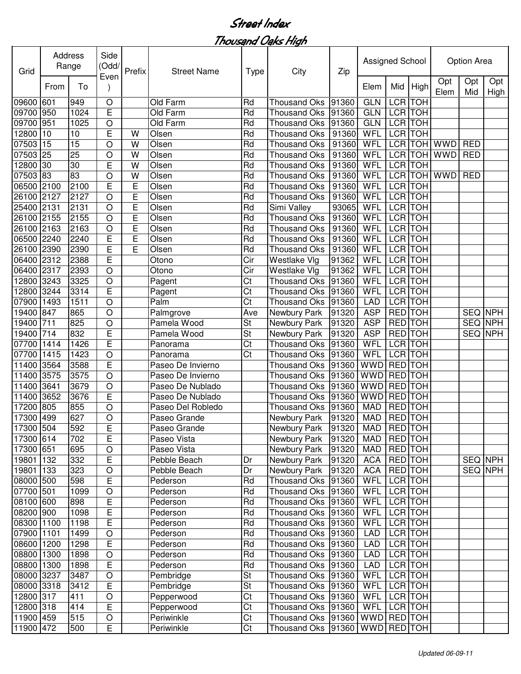| Grid       |      | Address<br>Range | Side<br>(Odd/<br>Even        | Prefix | <b>Street Name</b> | Type      | City                 | Zip   | Assigned School |                |                |             | Option Area |             |
|------------|------|------------------|------------------------------|--------|--------------------|-----------|----------------------|-------|-----------------|----------------|----------------|-------------|-------------|-------------|
|            | From | To               |                              |        |                    |           |                      |       | Elem            | Mid            | High           | Opt<br>Elem | Opt<br>Mid  | Opt<br>High |
| 09600 601  |      | 949              | $\circ$                      |        | Old Farm           | Rd        | <b>Thousand Oks</b>  | 91360 | <b>GLN</b>      | <b>LCR</b>     | <b>TOH</b>     |             |             |             |
| 09700 950  |      | 1024             | E                            |        | Old Farm           | Rd        | <b>Thousand Oks</b>  | 91360 | <b>GLN</b>      | LCR TOH        |                |             |             |             |
| 09700 951  |      | 1025             | O                            |        | Old Farm           | Rd        | <b>Thousand Oks</b>  | 91360 | <b>GLN</b>      |                | LCR TOH        |             |             |             |
| 12800 10   |      | 10               | E                            | W      | Olsen              | Rd        | <b>Thousand Oks</b>  | 91360 | <b>WFL</b>      |                | <b>LCR</b> TOH |             |             |             |
| 07503      | 15   | $\overline{15}$  | $\circ$                      | W      | Olsen              | Rd        | <b>Thousand Oks</b>  | 91360 | WFL             |                | LCR TOH        | <b>WWD</b>  | <b>RED</b>  |             |
| 07503 25   |      | 25               | $\circ$                      | W      | Olsen              | Rd        | <b>Thousand Oks</b>  | 91360 | WFL             |                | <b>LCR</b> TOH | <b>WWD</b>  | <b>RED</b>  |             |
| 12800      | 30   | 30               | E                            | W      | Olsen              | Rd        | <b>Thousand Oks</b>  | 91360 | WFL             |                | <b>LCR</b> TOH |             |             |             |
| 07503 83   |      | 83               | O                            | W      | Olsen              | Rd        | <b>Thousand Oks</b>  | 91360 | <b>WFL</b>      |                | LCR TOH        | <b>WWD</b>  | <b>RED</b>  |             |
| 06500 2100 |      | 2100             | E                            | E      | Olsen              | Rd        | <b>Thousand Oks</b>  | 91360 | WFL             | <b>LCR</b> TOH |                |             |             |             |
| 26100 2127 |      | 2127             | $\circ$                      | E      | Olsen              | Rd        | <b>Thousand Oks</b>  | 91360 | WFL             | LCR TOH        |                |             |             |             |
| 25400 2131 |      | 2131             | $\circ$                      | E      | Olsen              | Rd        | Simi Valley          | 93065 | WFL             | LCR TOH        |                |             |             |             |
| 26100 2155 |      | 2155             | $\circ$                      | E      | Olsen              | Rd        | <b>Thousand Oks</b>  | 91360 | WFL             | <b>LCR</b> TOH |                |             |             |             |
| 26100 2163 |      | 2163             | $\circ$                      | E      | Olsen              | Rd        | <b>Thousand Oks</b>  | 91360 | WFL             | LCR TOH        |                |             |             |             |
| 06500 2240 |      | 2240             | E                            | E      | Olsen              | Rd        | <b>Thousand Oks</b>  | 91360 | WFL             | LCR TOH        |                |             |             |             |
| 26100 2390 |      | 2390             | E                            | E      | Olsen              | Rd        | <b>Thousand Oks</b>  | 91360 | WFL             | LCR TOH        |                |             |             |             |
| 06400 2312 |      | 2388             | E                            |        | Otono              | Cir       | Westlake Vlg         | 91362 | WFL             | <b>LCR</b> TOH |                |             |             |             |
| 06400 2317 |      | 2393             | O                            |        | Otono              | Cir       | Westlake Vlg         | 91362 | WFL             | <b>LCR</b>     | <b>TOH</b>     |             |             |             |
| 12800 3243 |      | 3325             | O                            |        | Pagent             | Ct        | <b>Thousand Oks</b>  | 91360 | WFL             | <b>LCR</b>     | <b>TOH</b>     |             |             |             |
| 12800 3244 |      | 3314             | E                            |        | Pagent             | Ct        | <b>Thousand Oks</b>  | 91360 | WFL             |                | LCR TOH        |             |             |             |
| 07900      | 1493 | 1511             | O                            |        | Palm               | Ct        | <b>Thousand Oks</b>  | 91360 | <b>LAD</b>      |                | LCR TOH        |             |             |             |
| 19400 847  |      | 865              | $\circ$                      |        | Palmgrove          | Ave       | Newbury Park         | 91320 | <b>ASP</b>      | <b>RED</b> TOH |                |             |             | SEQ NPH     |
| 19400      | 711  | 825              | $\circ$                      |        | Pamela Wood        | <b>St</b> | Newbury Park         | 91320 | <b>ASP</b>      | RED TOH        |                |             |             | SEQ NPH     |
| 19400      | 714  | 832              | E                            |        | Pamela Wood        | St        | Newbury Park         | 91320 | <b>ASP</b>      | RED TOH        |                |             | SEQ NPH     |             |
| 07700      | 1414 | 1426             | E                            |        | Panorama           | Ct        | <b>Thousand Oks</b>  | 91360 | WFL             | LCR TOH        |                |             |             |             |
| 07700      | 1415 | 1423             | O                            |        | Panorama           | Ct        | <b>Thousand Oks</b>  | 91360 | WFL             | LCR TOH        |                |             |             |             |
| 11400      | 3564 | 3588             | E                            |        | Paseo De Invierno  |           | <b>Thousand Oks</b>  | 91360 | WWD             | RED TOH        |                |             |             |             |
| 11400 3575 |      | 3575             | $\circ$                      |        | Paseo De Invierno  |           | <b>Thousand Oks</b>  | 91360 | <b>WWD</b>      | RED TOH        |                |             |             |             |
| 11400 3641 |      | 3679             | $\circ$                      |        | Paseo De Nublado   |           | <b>Thousand Oks</b>  | 91360 | <b>WWD</b>      | RED TOH        |                |             |             |             |
| 11400 3652 |      | 3676             | E                            |        | Paseo De Nublado   |           | <b>Thousand Oks</b>  | 91360 | <b>WWD</b>      | RED TOH        |                |             |             |             |
| 17200      | 805  | 855              | O                            |        | Paseo Del Robledo  |           | <b>Thousand Oks</b>  | 91360 | <b>MAD</b>      | <b>RED</b> TOH |                |             |             |             |
| 17300 499  |      | 627              | O                            |        | Paseo Grande       |           | Newbury Park         | 91320 | <b>MAD</b>      | RED TOH        |                |             |             |             |
| 17300 504  |      | 592              | E                            |        | Paseo Grande       |           | Newbury Park         | 91320 | <b>MAD</b>      | <b>RED</b> TOH |                |             |             |             |
| 17300 614  |      | 702              | E                            |        | Paseo Vista        |           | Newbury Park         | 91320 | MAD             | RED TOH        |                |             |             |             |
| 17300 651  |      | 695              | O                            |        | Paseo Vista        |           | Newbury Park         | 91320 | <b>MAD</b>      | RED TOH        |                |             |             |             |
| 19801 132  |      | 332              | $\overline{E}$               |        | Pebble Beach       | Dr        | Newbury Park         | 91320 | <b>ACA</b>      | RED TOH        |                |             |             | SEQ NPH     |
| 19801 133  |      | 323              | $\mathsf O$                  |        | Pebble Beach       | Dr        | Newbury Park         | 91320 | <b>ACA</b>      | RED TOH        |                |             |             | SEQ NPH     |
| 08000 500  |      | 598              | $\overline{E}$               |        | Pederson           | Rd        | Thousand Oks 91360   |       | WFL             | LCR TOH        |                |             |             |             |
| 07700 501  |      | 1099             | $\bigcirc$                   |        | Pederson           | Rd        | Thousand Oks 91360   |       | <b>WFL</b>      |                | LCR TOH        |             |             |             |
| 08100 600  |      | 898              | $\mathsf E$                  |        | Pederson           | Rd        | Thousand Oks 91360   |       | WFL             |                | LCR TOH        |             |             |             |
| 08200 900  |      | 1098             | E                            |        | Pederson           | Rd        | Thousand Oks 91360   |       | WFL             |                | LCR TOH        |             |             |             |
| 08300 1100 |      | 1198             | E                            |        | Pederson           | Rd        | Thousand Oks 91360   |       | WFL             |                | LCR TOH        |             |             |             |
| 07900 1101 |      | 1499             | O                            |        | Pederson           | Rd        | Thousand Oks 91360   |       | <b>LAD</b>      |                | LCR TOH        |             |             |             |
| 08600 1200 |      | 1298             | E                            |        | Pederson           | Rd        | Thousand Oks 91360   |       | LAD             |                | LCR TOH        |             |             |             |
| 08800 1300 |      | 1898             | $\bigcirc$                   |        | Pederson           | Rd        | Thousand Oks 91360   |       | LAD             |                | LCR TOH        |             |             |             |
| 08800 1300 |      | 1898             | E                            |        | Pederson           | Rd        | Thousand Oks 91360   |       | <b>LAD</b>      |                | LCR TOH        |             |             |             |
| 08000 3237 |      | 3487             | $\circ$                      |        | Pembridge          | St        | <b>Thousand Oks</b>  | 91360 | WFL             |                | LCR TOH        |             |             |             |
| 08000 3318 |      | 3412             | E                            |        | Pembridge          | St        | Thousand Oks 91360   |       | WFL             | LCR TOH        |                |             |             |             |
|            |      |                  |                              |        |                    |           |                      |       |                 | LCR TOH        |                |             |             |             |
| 12800 317  |      | 411              | $\hbox{O}$<br>$\overline{E}$ |        | Pepperwood         | Ct        | Thousand Oks 91360   |       | WFL             |                |                |             |             |             |
| 12800 318  |      | 414              |                              |        | Pepperwood         | Ct        | Thousand Oks 91360   |       | WFL             | LCR TOH        |                |             |             |             |
| 11900 459  |      | 515              | $\hbox{O}$                   |        | Periwinkle         | Ct        | <b>Thousand Oks</b>  | 91360 | WWD RED TOH     |                |                |             |             |             |
| 11900 472  |      | 500              | E                            |        | Periwinkle         | Ct        | Thousand Oks   91360 |       | WWD RED TOH     |                |                |             |             |             |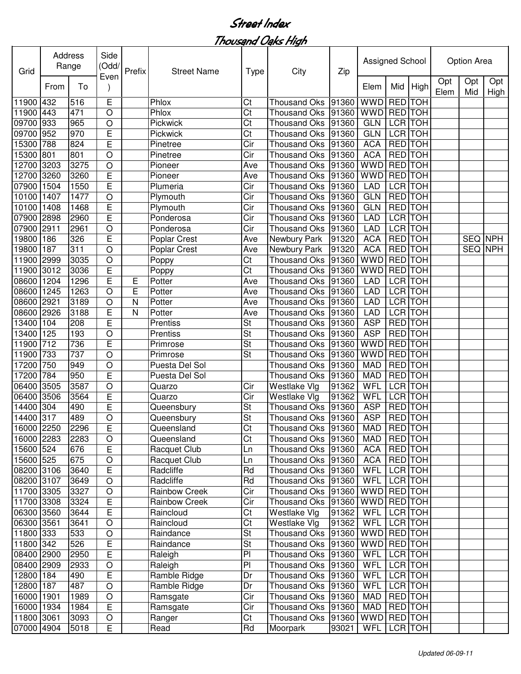| Grid       |      | Address<br>Range | Side<br>(Odd/<br>Even | Prefix | <b>Street Name</b>   | <b>Type</b>          | City                 | Zip   | Assigned School |                |                |             | Option Area    |             |
|------------|------|------------------|-----------------------|--------|----------------------|----------------------|----------------------|-------|-----------------|----------------|----------------|-------------|----------------|-------------|
|            | From | To               |                       |        |                      |                      |                      |       | Elem            | Mid            | High           | Opt<br>Elem | Opt<br>Mid     | Opt<br>High |
| 11900      | 432  | 516              | E                     |        | Phlox                | Ct                   | <b>Thousand Oks</b>  | 91360 | <b>WWD</b>      | RED TOH        |                |             |                |             |
| 11900 443  |      | 471              | $\circ$               |        | Phlox                | Ct                   | <b>Thousand Oks</b>  | 91360 | <b>WWD</b>      | RED TOH        |                |             |                |             |
| 09700      | 933  | 965              | $\circ$               |        | Pickwick             | Ct                   | <b>Thousand Oks</b>  | 91360 | <b>GLN</b>      |                | <b>LCR</b> TOH |             |                |             |
| 09700      | 952  | 970              | E                     |        | Pickwick             | Ct                   | <b>Thousand Oks</b>  | 91360 | <b>GLN</b>      | <b>LCR</b> TOH |                |             |                |             |
| 15300      | 788  | 824              | E                     |        | Pinetree             | Cir                  | <b>Thousand Oks</b>  | 91360 | <b>ACA</b>      | <b>RED TOH</b> |                |             |                |             |
| 15300      | 801  | 801              | O                     |        | Pinetree             | Cir                  | <b>Thousand Oks</b>  | 91360 | <b>ACA</b>      | <b>RED</b> TOH |                |             |                |             |
| 12700      | 3203 | 3275             | $\circ$               |        | Pioneer              | Ave                  | <b>Thousand Oks</b>  | 91360 | <b>WWD</b>      | <b>RED</b> TOH |                |             |                |             |
| 12700      | 3260 | 3260             | E                     |        | Pioneer              | Ave                  | <b>Thousand Oks</b>  | 91360 | <b>WWD</b>      | <b>RED</b> TOH |                |             |                |             |
| 07900      | 1504 | 1550             | E                     |        | Plumeria             | Cir                  | <b>Thousand Oks</b>  | 91360 | <b>LAD</b>      | <b>LCR</b> TOH |                |             |                |             |
| 10100      | 1407 | 1477             | O                     |        | Plymouth             | Cir                  | <b>Thousand Oks</b>  | 91360 | <b>GLN</b>      | <b>RED</b> TOH |                |             |                |             |
| 10100      | 1408 | 1468             | E                     |        | Plymouth             | Cir                  | <b>Thousand Oks</b>  | 91360 | <b>GLN</b>      | <b>RED</b> TOH |                |             |                |             |
| 07900      | 2898 | 2960             | E                     |        | Ponderosa            | Cir                  | <b>Thousand Oks</b>  | 91360 | <b>LAD</b>      | LCR TOH        |                |             |                |             |
| 07900      | 2911 | 2961             | $\circ$               |        | Ponderosa            | Cir                  | <b>Thousand Oks</b>  | 91360 | <b>LAD</b>      | <b>LCR</b> TOH |                |             |                |             |
| 19800      | 186  | 326              | E                     |        | <b>Poplar Crest</b>  | Ave                  | Newbury Park         | 91320 | <b>ACA</b>      | <b>RED</b>     | <b>TOH</b>     |             | <b>SEQ NPH</b> |             |
| 19800      | 187  | 311              | $\circ$               |        | <b>Poplar Crest</b>  | Ave                  | Newbury Park         | 91320 | <b>ACA</b>      | <b>RED</b>     | <b>TOH</b>     |             | SEQ NPH        |             |
| 11900      | 2999 | 3035             | $\circ$               |        | Poppy                | Ct                   | <b>Thousand Oks</b>  | 91360 | <b>WWD</b>      | <b>RED</b>     | <b>TOH</b>     |             |                |             |
| 11900      | 3012 | 3036             | E                     |        | Poppy                | Ct                   | <b>Thousand Oks</b>  | 91360 | <b>WWD</b>      | RED TOH        |                |             |                |             |
| 08600      | 1204 | 1296             | E                     | Е      | Potter               | Ave                  | <b>Thousand Oks</b>  | 91360 | <b>LAD</b>      | LCR TOH        |                |             |                |             |
| 08600      | 1245 | 1263             | $\circ$               | E      | Potter               | Ave                  | <b>Thousand Oks</b>  | 91360 | <b>LAD</b>      | LCR TOH        |                |             |                |             |
| 08600      | 2921 | 3189             | $\circ$               | N      | Potter               | Ave                  | <b>Thousand Oks</b>  | 91360 | <b>LAD</b>      | LCR TOH        |                |             |                |             |
| 08600      | 2926 | 3188             | E                     | N      | Potter               | Ave                  | <b>Thousand Oks</b>  | 91360 | <b>LAD</b>      | LCR TOH        |                |             |                |             |
| 13400      | 104  | 208              | E                     |        | Prentiss             | <b>St</b>            | <b>Thousand Oks</b>  | 91360 | <b>ASP</b>      |                | RED TOH        |             |                |             |
| 13400      | 125  | 193              | O                     |        | Prentiss             | <b>St</b>            | <b>Thousand Oks</b>  | 91360 | <b>ASP</b>      | RED TOH        |                |             |                |             |
| 11900      | 712  | 736              | E                     |        | Primrose             | <b>St</b>            | <b>Thousand Oks</b>  | 91360 | WWD             | <b>RED</b>     | <b>TOH</b>     |             |                |             |
| 11900      | 733  | 737              | $\circ$               |        | Primrose             | <b>St</b>            | <b>Thousand Oks</b>  | 91360 | <b>WWD</b>      | RED TOH        |                |             |                |             |
| 17200      | 750  | 949              | $\circ$               |        | Puesta Del Sol       |                      | <b>Thousand Oks</b>  | 91360 | <b>MAD</b>      | <b>RED</b> TOH |                |             |                |             |
| 17200      | 784  | 950              | E                     |        | Puesta Del Sol       |                      | <b>Thousand Oks</b>  | 91360 | <b>MAD</b>      | RED TOH        |                |             |                |             |
| 06400      | 3505 | 3587             | $\circ$               |        | Quarzo               | Cir                  | Westlake Vlg         | 91362 | <b>WFL</b>      | LCR TOH        |                |             |                |             |
| 06400      | 3506 | 3564             | E                     |        | Quarzo               | Cir                  | Westlake Vlg         | 91362 | <b>WFL</b>      | <b>LCR</b> TOH |                |             |                |             |
| 14400      | 304  | 490              | E                     |        | Queensbury           | St                   | <b>Thousand Oks</b>  | 91360 | <b>ASP</b>      | RED TOH        |                |             |                |             |
| 14400 317  |      | 489              | $\circ$               |        | Queensbury           | St                   | Thousand Oks 91360   |       | <b>ASP</b>      | <b>RED</b> TOH |                |             |                |             |
| 16000 2250 |      | 2296             | E                     |        | Queensland           | C <sub>t</sub>       | Thousand Oks 91360   |       | <b>MAD</b>      | <b>RED TOH</b> |                |             |                |             |
| 16000 2283 |      | 2283             | $\circ$               |        | Queensland           | Ct                   | Thousand Oks   91360 |       | <b>MAD</b>      | RED TOH        |                |             |                |             |
| 15600 524  |      | 676              | E                     |        | Racquet Club         | Ln                   | Thousand Oks   91360 |       | <b>ACA</b>      | RED TOH        |                |             |                |             |
| 15600 525  |      | 675              | $\bigcirc$            |        | Racquet Club         | Ln                   | Thousand Oks 91360   |       | <b>ACA</b>      | <b>RED</b> TOH |                |             |                |             |
| 08200 3106 |      | 3640             | E                     |        | Radcliffe            | Rd                   | Thousand Oks   91360 |       | WFL             |                | LCR TOH        |             |                |             |
| 08200 3107 |      | 3649             | $\circ$               |        | Radcliffe            | Rd                   | Thousand Oks 91360   |       | WFL             |                | LCR TOH        |             |                |             |
| 11700 3305 |      | 3327             | $\circ$               |        | Rainbow Creek        | Cir                  | <b>Thousand Oks</b>  | 91360 | <b>WWD</b>      | <b>RED</b> TOH |                |             |                |             |
| 11700 3308 |      | 3324             | E                     |        | <b>Rainbow Creek</b> | Cir                  | Thousand Oks         | 91360 | <b>WWD</b>      | <b>RED</b> TOH |                |             |                |             |
| 06300 3560 |      | 3644             | E                     |        | Raincloud            | Ct                   | Westlake Vlg         | 91362 | <b>WFL</b>      |                | LCR TOH        |             |                |             |
| 06300 3561 |      | 3641             |                       |        | Raincloud            | Ct                   | Westlake Vlg         | 91362 | WFL             |                | LCR TOH        |             |                |             |
| 11800 333  |      | 533              | O                     |        |                      | <b>St</b>            | Thousand Oks         | 91360 | <b>WWD</b>      | RED TOH        |                |             |                |             |
|            |      |                  | $\circ$               |        | Raindance            |                      |                      |       |                 |                |                |             |                |             |
| 11800 342  |      | 526              | E                     |        | Raindance            | St<br>P <sub>1</sub> | Thousand Oks         | 91360 | WWD RED TOH     |                |                |             |                |             |
| 08400 2900 |      | 2950             | E                     |        | Raleigh              |                      | Thousand Oks         | 91360 | WFL             | LCR TOH        |                |             |                |             |
| 08400 2909 |      | 2933             | $\bigcirc$            |        | Raleigh              | PI                   | <b>Thousand Oks</b>  | 91360 | WFL             |                | LCR TOH        |             |                |             |
| 12800 184  |      | 490              | E                     |        | Ramble Ridge         | Dr                   | <b>Thousand Oks</b>  | 91360 | WFL             |                | LCR TOH        |             |                |             |
| 12800 187  |      | 487              | $\bigcirc$            |        | Ramble Ridge         | Dr                   | Thousand Oks         | 91360 | WFL             |                | LCR TOH        |             |                |             |
| 16000 1901 |      | 1989             | O                     |        | Ramsgate             | Cir                  | Thousand Oks         | 91360 | <b>MAD</b>      | RED TOH        |                |             |                |             |
| 16000 1934 |      | 1984             | Е                     |        | Ramsgate             | Cir                  | <b>Thousand Oks</b>  | 91360 | <b>MAD</b>      | RED TOH        |                |             |                |             |
| 11800 3061 |      | 3093             | $\bigcirc$            |        | Ranger               | Ct                   | <b>Thousand Oks</b>  | 91360 | <b>WWD</b>      | RED TOH        |                |             |                |             |
| 07000 4904 |      | 5018             | E                     |        | Read                 | Rd                   | Moorpark             | 93021 | WFL             |                | LCR TOH        |             |                |             |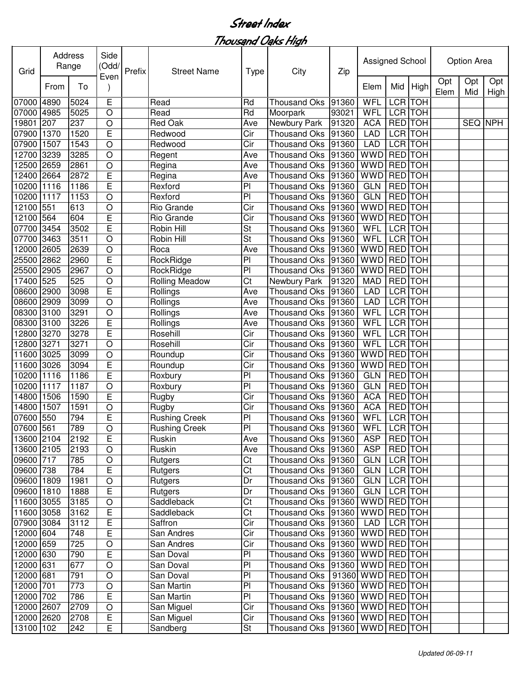| Grid                     | Address | Range | Side<br>(Odd/ | Prefix | <b>Street Name</b>    | Type      | City                                      | Zip   | Assigned School         |                |            |             | Option Area |             |
|--------------------------|---------|-------|---------------|--------|-----------------------|-----------|-------------------------------------------|-------|-------------------------|----------------|------------|-------------|-------------|-------------|
|                          | From    | To    | Even          |        |                       |           |                                           |       | Elem                    | Mid            | High       | Opt<br>Elem | Opt<br>Mid  | Opt<br>High |
| 07000                    | 4890    | 5024  | E             |        | Read                  | Rd        | <b>Thousand Oks</b>                       | 91360 | WFL                     | <b>LCR</b>     | <b>TOH</b> |             |             |             |
| 07000                    | 4985    | 5025  | $\bigcirc$    |        | Read                  | Rd        | Moorpark                                  | 93021 | WFL                     | LCR TOH        |            |             |             |             |
| 19801                    | 207     | 237   | $\circ$       |        | <b>Red Oak</b>        | Ave       | Newbury Park                              | 91320 | <b>ACA</b>              | <b>RED</b>     | <b>TOH</b> |             | SEQ NPH     |             |
| 07900                    | 1370    | 1520  | E             |        | Redwood               | Cir       | <b>Thousand Oks</b>                       | 91360 | <b>LAD</b>              | <b>LCR TOH</b> |            |             |             |             |
| 07900                    | 1507    | 1543  | $\circ$       |        | Redwood               | Cir       | <b>Thousand Oks</b>                       | 91360 | <b>LAD</b>              | <b>LCR</b>     | <b>TOH</b> |             |             |             |
| 12700                    | 3239    | 3285  | $\circ$       |        | Regent                | Ave       | Thousand Oks                              | 91360 | <b>WWD</b>              | <b>RED</b>     | <b>TOH</b> |             |             |             |
| 12500                    | 2659    | 2861  | $\circ$       |        | Regina                | Ave       | <b>Thousand Oks</b>                       | 91360 | <b>WWD</b>              | <b>RED</b>     | <b>TOH</b> |             |             |             |
| 12400                    | 2664    | 2872  | E             |        | Regina                | Ave       | <b>Thousand Oks</b>                       | 91360 | <b>WWD</b>              | <b>RED</b>     | <b>TOH</b> |             |             |             |
| 10200                    | 1116    | 1186  | E             |        | Rexford               | PI        | <b>Thousand Oks</b>                       | 91360 | <b>GLN</b>              | <b>RED</b> TOH |            |             |             |             |
| 10200                    | 1117    | 1153  | $\circ$       |        | Rexford               | PI        | <b>Thousand Oks</b>                       | 91360 | <b>GLN</b>              | <b>RED</b> TOH |            |             |             |             |
| 12100                    | 551     | 613   | $\circ$       |        | Rio Grande            | Cir       | <b>Thousand Oks</b>                       | 91360 | <b>WWD</b>              | <b>RED</b> TOH |            |             |             |             |
| 12100                    | 564     | 604   | E             |        | Rio Grande            | Cir       | <b>Thousand Oks</b>                       | 91360 | <b>WWD</b>              | <b>RED</b>     | <b>TOH</b> |             |             |             |
| 07700                    | 3454    | 3502  | E             |        | Robin Hill            | St        | <b>Thousand Oks</b>                       | 91360 | <b>WFL</b>              | <b>LCR</b>     | <b>TOH</b> |             |             |             |
| 07700                    | 3463    | 3511  | $\circ$       |        | Robin Hill            | <b>St</b> | <b>Thousand Oks</b>                       | 91360 | WFL                     | <b>LCR</b>     | <b>TOH</b> |             |             |             |
| 12000                    | 2605    | 2639  | $\circ$       |        | Roca                  | Ave       | <b>Thousand Oks</b>                       | 91360 | <b>WWD</b>              | <b>RED</b>     | <b>TOH</b> |             |             |             |
| 25500                    | 2862    | 2960  | E             |        | RockRidge             | PI        | <b>Thousand Oks</b>                       | 91360 | <b>WWD</b>              | <b>RED</b>     | <b>TOH</b> |             |             |             |
| 25500                    | 2905    | 2967  | $\bigcirc$    |        | RockRidge             | PI        | <b>Thousand Oks</b>                       | 91360 | <b>WWD</b>              | RED TOH        |            |             |             |             |
| 17400                    | 525     | 525   | $\circ$       |        | <b>Rolling Meadow</b> | Ct        | Newbury Park                              | 91320 | <b>MAD</b>              | <b>RED</b> TOH |            |             |             |             |
| 08600                    | 2900    | 3098  | E             |        | Rollings              | Ave       | <b>Thousand Oks</b>                       | 91360 | <b>LAD</b>              | <b>LCR</b>     | <b>TOH</b> |             |             |             |
| 08600                    | 2909    | 3099  | $\circ$       |        | Rollings              | Ave       | <b>Thousand Oks</b>                       | 91360 | <b>LAD</b>              | <b>LCR</b>     | <b>TOH</b> |             |             |             |
| 08300                    | 3100    | 3291  | $\circ$       |        | Rollings              | Ave       | Thousand Oks                              | 91360 | WFL                     | <b>LCR</b>     | <b>TOH</b> |             |             |             |
| 08300                    | 3100    | 3226  | E             |        | Rollings              | Ave       | Thousand Oks                              | 91360 | <b>WFL</b>              | <b>LCR</b>     | <b>TOH</b> |             |             |             |
| 2800                     | 3270    | 3278  | E             |        | Rosehill              | Cir       | <b>Thousand Oks</b>                       | 91360 | WFL                     | <b>LCR</b>     | <b>TOH</b> |             |             |             |
| 2800                     | 3271    | 3271  | $\circ$       |        | Rosehill              | Cir       | <b>Thousand Oks</b>                       | 91360 | WFL                     | LCR TOH        |            |             |             |             |
| 11600                    | 3025    | 3099  | $\circ$       |        | Roundup               | Cir       | <b>Thousand Oks</b>                       | 91360 | <b>WWD</b>              | RED TOH        |            |             |             |             |
| 11600                    | 3026    | 3094  | E             |        | Roundup               | Cir       | <b>Thousand Oks</b>                       | 91360 | <b>WWD</b>              | RED TOH        |            |             |             |             |
| 10200                    | 1116    | 1186  | E             |        | Roxbury               | PI        | <b>Thousand Oks</b>                       | 91360 | <b>GLN</b>              | RED TOH        |            |             |             |             |
| 10200                    | 1117    | 1187  | $\circ$       |        | Roxbury               | PI        | <b>Thousand Oks</b>                       | 91360 | <b>GLN</b>              | RED TOH        |            |             |             |             |
| 14800                    | 1506    | 1590  | E             |        | Rugby                 | Cir       | <b>Thousand Oks</b>                       | 91360 | <b>ACA</b>              | <b>RED</b>     | <b>TOH</b> |             |             |             |
| 14800                    | 1507    | 1591  | $\circ$       |        | Rugby                 | Cir       | <b>Thousand Oks</b>                       | 91360 | <b>ACA</b>              | <b>RED</b>     | <b>TOH</b> |             |             |             |
| 07600                    | 550     | 794   | E             |        | <b>Rushing Creek</b>  | PI        | Thousand Oks                              | 91360 | WFL                     | <b>LCR</b> TOH |            |             |             |             |
| 07600 561                |         | 789   | $\mathsf O$   |        | Rushing Creek         | PI        | Thousand Oks 91360 WFL LCR TOH            |       |                         |                |            |             |             |             |
| 13600 2104               |         | 2192  | E             |        | Ruskin                |           | Thousand Oks   91360                      |       | ASP   RED   TOH         |                |            |             |             |             |
| 13600 2105               |         | 2193  | $\circ$       |        | Ruskin                | Ave       | Thousand Oks 91360                        |       | ASP                     | RED TOH        |            |             |             |             |
| 09600 717                |         | 785   | $\mathsf O$   |        |                       | Ave<br>Ct | Thousand Oks   91360                      |       | GLN                     | LCR TOH        |            |             |             |             |
| 09600 738                |         | 784   |               |        | Rutgers               | Ct        |                                           |       | <b>GLN</b>              | LCR TOH        |            |             |             |             |
|                          |         |       | E             |        | Rutgers               | Dr        | Thousand Oks 91360<br><b>Thousand Oks</b> |       | <b>GLN</b>              | LCR TOH        |            |             |             |             |
| 09600 1809<br>09600 1810 |         | 1981  | $\bigcirc$    |        | Rutgers               |           |                                           | 91360 | GLN                     | LCR TOH        |            |             |             |             |
|                          |         | 1888  | E             |        | Rutgers               | Dr        | Thousand Oks 91360                        |       |                         |                |            |             |             |             |
| 11600 3055               |         | 3185  | $\circ$       |        | Saddleback            | Ct        | Thousand Oks   91360                      |       | WWD RED TOH             |                |            |             |             |             |
| 11600 3058               |         | 3162  | E             |        | Saddleback            | Ct        | Thousand Oks 91360                        |       | WWD RED TOH             |                |            |             |             |             |
| 07900 3084               |         | 3112  | E             |        | Saffron               | Cir       | Thousand Oks 91360                        |       | LAD                     | LCR TOH        |            |             |             |             |
| 12000 604                |         | 748   | E             |        | San Andres            | Cir       | Thousand Oks   91360   WWD   RED   TOH    |       |                         |                |            |             |             |             |
| 12000 659                |         | 725   | $\bigcirc$    |        | San Andres            | Cir       | Thousand Oks   91360   WWD   RED   TOH    |       |                         |                |            |             |             |             |
| 12000 630                |         | 790   | E             |        | San Doval             | PI        | Thousand Oks                              |       | 91360   WWD   RED   TOH |                |            |             |             |             |
| 12000 631                |         | 677   | $\mathsf O$   |        | San Doval             | PI        | Thousand Oks                              |       | 91360   WWD   RED   TOH |                |            |             |             |             |
| 12000 681                |         | 791   | $\bigcirc$    |        | San Doval             | PI        | Thousand Oks                              |       | 91360 WWD RED TOH       |                |            |             |             |             |
| 12000 701                |         | 773   | $\hbox{O}$    |        | San Martin            | PI        | <b>Thousand Oks</b>                       |       | 91360   WWD   RED   TOH |                |            |             |             |             |
| 12000 702                |         | 786   | $\mathsf E$   |        | San Martin            | PI        | <b>Thousand Oks</b>                       |       | 91360   WWD   RED   TOH |                |            |             |             |             |
| 12000 2607               |         | 2709  | $\mathsf O$   |        | San Miguel            | Cir       | Thousand Oks                              |       | $ 91360 $ WWD RED TOH   |                |            |             |             |             |
| 12000 2620               |         | 2708  | Е             |        | San Miguel            | Cir       | Thousand Oks   91360   WWD   RED   TOH    |       |                         |                |            |             |             |             |
| 13100 102                |         | 242   | E             |        | Sandberg              | St        | Thousand Oks  91360   WWD   RED   TOH     |       |                         |                |            |             |             |             |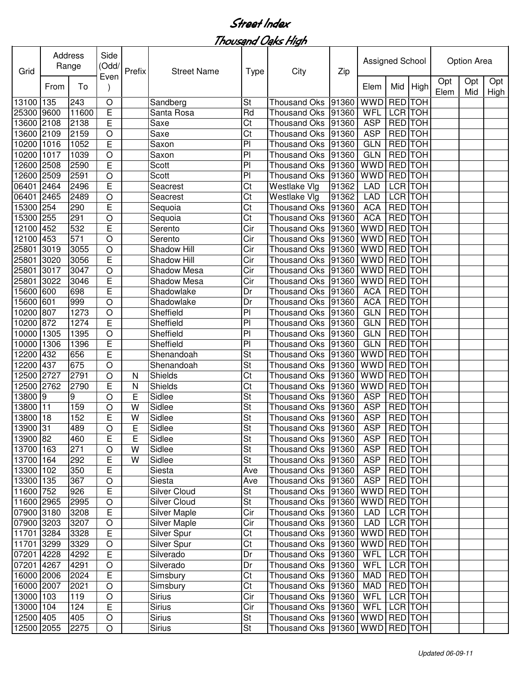| Grid       |      | Address<br>Range | Side<br>(Odd/<br>Even | Prefix         | <b>Street Name</b>  | <b>Type</b>              | City                 | Zip   | Assigned School |                |            |             | Option Area |             |
|------------|------|------------------|-----------------------|----------------|---------------------|--------------------------|----------------------|-------|-----------------|----------------|------------|-------------|-------------|-------------|
|            | From | To               |                       |                |                     |                          |                      |       | Elem            | Mid            | High       | Opt<br>Elem | Opt<br>Mid  | Opt<br>High |
| 13100      | 135  | 243              | $\circ$               |                | Sandberg            | <b>St</b>                | <b>Thousand Oks</b>  | 91360 | <b>WWD</b>      | <b>RED</b>     | <b>TOH</b> |             |             |             |
| 25300 9600 |      | 11600            | E                     |                | Santa Rosa          | Rd                       | <b>Thousand Oks</b>  | 91360 | WFL             | LCR TOH        |            |             |             |             |
| 13600 2108 |      | 2138             | E                     |                | Saxe                | Ct                       | <b>Thousand Oks</b>  | 91360 | <b>ASP</b>      | <b>RED</b> TOH |            |             |             |             |
| 13600 2109 |      | 2159             | $\bigcirc$            |                | Saxe                | Ct                       | <b>Thousand Oks</b>  | 91360 | <b>ASP</b>      | <b>RED</b>     | <b>TOH</b> |             |             |             |
| 10200      | 1016 | 1052             | E                     |                | Saxon               | P <sub>1</sub>           | <b>Thousand Oks</b>  | 91360 | <b>GLN</b>      | <b>RED</b>     | <b>TOH</b> |             |             |             |
| 10200      | 1017 | 1039             | O                     |                | Saxon               | P <sub>1</sub>           | <b>Thousand Oks</b>  | 91360 | <b>GLN</b>      | <b>RED</b>     | <b>TOH</b> |             |             |             |
| 12600      | 2508 | 2590             | E                     |                | Scott               | PI                       | <b>Thousand Oks</b>  | 91360 | <b>WWD</b>      | <b>RED</b>     | <b>TOH</b> |             |             |             |
| 12600      | 2509 | 2591             | O                     |                | Scott               | P <sub>1</sub>           | <b>Thousand Oks</b>  | 91360 | <b>WWD</b>      | <b>RED</b>     | <b>TOH</b> |             |             |             |
| 06401      | 2464 | 2496             | E                     |                | Seacrest            | Ct                       | Westlake Vlg         | 91362 | <b>LAD</b>      | <b>LCR</b>     | <b>TOH</b> |             |             |             |
| 06401      | 2465 | 2489             | O                     |                | Seacrest            | Ct                       | Westlake Vlg         | 91362 | <b>LAD</b>      | <b>LCR TOH</b> |            |             |             |             |
| 15300      | 254  | 290              | E                     |                | Sequoia             | Ct                       | <b>Thousand Oks</b>  | 91360 | <b>ACA</b>      | <b>RED</b>     | <b>TOH</b> |             |             |             |
| 15300 255  |      | 291              | O                     |                | Sequoia             | Ct                       | <b>Thousand Oks</b>  | 91360 | <b>ACA</b>      | <b>RED</b>     | <b>TOH</b> |             |             |             |
| 12100      | 452  | 532              | E                     |                | Serento             | Cir                      | <b>Thousand Oks</b>  | 91360 | <b>WWD</b>      | <b>RED</b>     | <b>TOH</b> |             |             |             |
| 12100      | 453  | 571              | O                     |                | Serento             | Cir                      | <b>Thousand Oks</b>  | 91360 | <b>WWD</b>      | <b>RED</b>     | <b>TOH</b> |             |             |             |
| 25801      | 3019 | 3055             | O                     |                | <b>Shadow Hill</b>  | Cir                      | <b>Thousand Oks</b>  | 91360 | <b>WWD</b>      | <b>RED</b>     | <b>TOH</b> |             |             |             |
| 25801      | 3020 | 3056             | E                     |                | Shadow Hill         | Cir                      | <b>Thousand Oks</b>  | 91360 | <b>WWD</b>      | <b>RED</b>     | <b>TOH</b> |             |             |             |
| 25801      | 3017 | 3047             | O                     |                | Shadow Mesa         | Cir                      | <b>Thousand Oks</b>  | 91360 | <b>WWD</b>      | <b>RED</b>     | <b>TOH</b> |             |             |             |
| 25801      | 3022 | 3046             | E                     |                | Shadow Mesa         | Cir                      | <b>Thousand Oks</b>  | 91360 | <b>WWD</b>      | <b>RED</b>     | <b>TOH</b> |             |             |             |
| 15600 600  |      | 698              | E                     |                | Shadowlake          | Dr                       | <b>Thousand Oks</b>  | 91360 | <b>ACA</b>      | <b>RED</b>     | <b>TOH</b> |             |             |             |
| 15600      | 601  | 999              | $\circ$               |                | Shadowlake          | Dr                       | <b>Thousand Oks</b>  | 91360 | <b>ACA</b>      | <b>RED</b>     | <b>TOH</b> |             |             |             |
| 10200      | 807  | 1273             | $\circ$               |                | Sheffield           | P <sub>1</sub>           | <b>Thousand Oks</b>  | 91360 | <b>GLN</b>      | <b>RED</b>     | <b>TOH</b> |             |             |             |
| 10200      | 872  | 1274             | E                     |                | Sheffield           | P <sub>1</sub>           | <b>Thousand Oks</b>  | 91360 | <b>GLN</b>      | <b>RED</b>     | <b>TOH</b> |             |             |             |
| 10000      | 1305 | 1395             | O                     |                | Sheffield           | P <sub>1</sub>           | <b>Thousand Oks</b>  | 91360 | <b>GLN</b>      | <b>RED</b>     | <b>TOH</b> |             |             |             |
| 10000      | 1306 | 1396             | E                     |                | Sheffield           | P <sub>1</sub>           | <b>Thousand Oks</b>  | 91360 | <b>GLN</b>      | <b>RED</b>     | <b>TOH</b> |             |             |             |
| 12200      | 432  | 656              | E                     |                | Shenandoah          | St                       | <b>Thousand Oks</b>  | 91360 | <b>WWD</b>      | <b>RED</b>     | <b>TOH</b> |             |             |             |
| 12200      | 437  | 675              | $\circ$               |                | Shenandoah          | St                       | <b>Thousand Oks</b>  | 91360 | <b>WWD</b>      | <b>RED</b>     | <b>TOH</b> |             |             |             |
| 12500 2727 |      | 2791             | $\circ$               | N              | Shields             | Ct                       | <b>Thousand Oks</b>  | 91360 | <b>WWD</b>      | RED TOH        |            |             |             |             |
| 12500 2762 |      | 2790             | E                     | $\mathsf{N}$   | <b>Shields</b>      | Ct                       | <b>Thousand Oks</b>  | 91360 | <b>WWD</b>      | <b>RED</b>     | <b>TOH</b> |             |             |             |
| 13800 9    |      | 9                | $\circ$               | E              | Sidlee              | St                       | <b>Thousand Oks</b>  | 91360 | <b>ASP</b>      | <b>RED</b> TOH |            |             |             |             |
| 13800      | 111  | 159              | $\circ$               | W              | Sidlee              | St                       | <b>Thousand Oks</b>  | 91360 | <b>ASP</b>      | <b>RED</b>     | <b>TOH</b> |             |             |             |
| 13800 18   |      | 152              | E                     | W              | Sidlee              | St                       | Thousand Oks 91360   |       | <b>ASP</b>      | <b>RED</b> TOH |            |             |             |             |
| 13900 31   |      | 489              | $\bigcirc$            | $\overline{E}$ | Sidlee              | <b>St</b>                | Thousand Oks 91360   |       | <b>ASP</b>      | <b>RED</b> TOH |            |             |             |             |
| 13900 82   |      | 460              | E                     | E              | Sidlee              | $\overline{\mathsf{St}}$ | Thousand Oks   91360 |       | <b>ASP</b>      | RED TOH        |            |             |             |             |
| 13700 163  |      | 271              | $\circ$               | W              | Sidlee              | <b>St</b>                | Thousand Oks   91360 |       | <b>ASP</b>      | RED TOH        |            |             |             |             |
| 13700 164  |      | 292              | E                     | W              | Sidlee              | $\overline{\mathsf{St}}$ | Thousand Oks 91360   |       | ASP             | RED TOH        |            |             |             |             |
| 13300 102  |      | 350              | Е                     |                | Siesta              | Ave                      | Thousand Oks 91360   |       | <b>ASP</b>      | <b>RED</b> TOH |            |             |             |             |
| 13300 135  |      | 367              | $\circ$               |                | Siesta              | Ave                      | Thousand Oks 91360   |       | ASP             | <b>RED</b> TOH |            |             |             |             |
| 11600 752  |      | 926              | E                     |                | Silver Cloud        | St                       | Thousand Oks 91360   |       | WWD RED TOH     |                |            |             |             |             |
| 11600 2965 |      | 2995             | $\hbox{O}$            |                | Silver Cloud        | St                       | Thousand Oks 91360   |       | WWD RED TOH     |                |            |             |             |             |
| 07900 3180 |      | 3208             | E                     |                | <b>Silver Maple</b> | Cir                      | Thousand Oks 91360   |       | LAD             | LCR TOH        |            |             |             |             |
| 07900 3203 |      | 3207             | $\bigcirc$            |                | <b>Silver Maple</b> | Cir                      | Thousand Oks 91360   |       | LAD             | LCR TOH        |            |             |             |             |
| 11701 3284 |      | 3328             | E                     |                | Silver Spur         | Ct                       | Thousand Oks   91360 |       | WWD RED TOH     |                |            |             |             |             |
| 11701 3299 |      | 3329             | $\circ$               |                | Silver Spur         | Ct                       | Thousand Oks 91360   |       | WWD RED TOH     |                |            |             |             |             |
| 07201 4228 |      | 4292             | E                     |                | Silverado           | Dr                       | Thousand Oks 91360   |       | <b>WFL</b>      | LCR TOH        |            |             |             |             |
| 07201 4267 |      | 4291             | $\circ$               |                | Silverado           | Dr                       | Thousand Oks 91360   |       | <b>WFL</b>      | LCR TOH        |            |             |             |             |
| 16000 2006 |      | 2024             | E                     |                | Simsbury            | Ct                       | Thousand Oks 91360   |       | MAD             | RED TOH        |            |             |             |             |
| 16000 2007 |      | 2021             | $\circ$               |                | Simsbury            | Ct                       | Thousand Oks 91360   |       | MAD             | RED TOH        |            |             |             |             |
| 13000 103  |      | 119              | $\circ$               |                | <b>Sirius</b>       | Cir                      | Thousand Oks 91360   |       | <b>WFL</b>      | LCR TOH        |            |             |             |             |
| 13000 104  |      | 124              | E                     |                | <b>Sirius</b>       | Cir                      | Thousand Oks 91360   |       | <b>WFL</b>      | LCR TOH        |            |             |             |             |
| 12500 405  |      | 405              | $\mathsf O$           |                | <b>Sirius</b>       | St                       | Thousand Oks   91360 |       | WWD RED TOH     |                |            |             |             |             |
| 12500 2055 |      | 2275             | O                     |                | <b>Sirius</b>       | <b>St</b>                | Thousand Oks   91360 |       | WWD RED TOH     |                |            |             |             |             |
|            |      |                  |                       |                |                     |                          |                      |       |                 |                |            |             |             |             |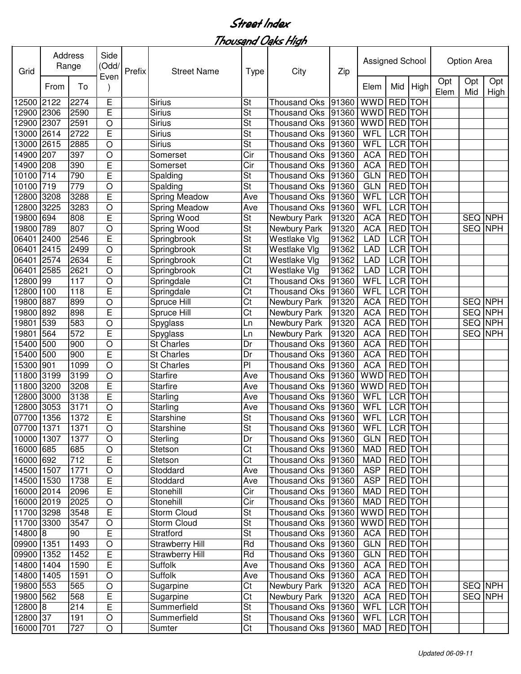| Grid       | Address<br>Range<br>From |                  | Side<br>(Odd/<br>Even | Prefix | <b>Street Name</b>     | <b>Type</b>              | City                 | Zip   | Assigned School |                |            |             | Option Area      |                |  |  |
|------------|--------------------------|------------------|-----------------------|--------|------------------------|--------------------------|----------------------|-------|-----------------|----------------|------------|-------------|------------------|----------------|--|--|
|            |                          | To               |                       |        |                        |                          |                      |       | Elem            | Mid            | High       | Opt<br>Elem | Opt<br>Mid       | Opt<br>High    |  |  |
| 12500      | 2122                     | 2274             | E                     |        | <b>Sirius</b>          | St                       | <b>Thousand Oks</b>  | 91360 | <b>WWD</b>      | <b>RED</b>     | <b>TOH</b> |             |                  |                |  |  |
| 12900      | 2306                     | 2590             | E                     |        | <b>Sirius</b>          | St                       | <b>Thousand Oks</b>  | 91360 | <b>WWD</b>      | RED TOH        |            |             |                  |                |  |  |
| 12900      | 2307                     | 2591             | $\bigcirc$            |        | <b>Sirius</b>          | St                       | <b>Thousand Oks</b>  | 91360 | <b>WWD</b>      | <b>RED</b> TOH |            |             |                  |                |  |  |
| 13000      | 2614                     | 2722             | E                     |        | <b>Sirius</b>          | $\overline{\mathsf{St}}$ | <b>Thousand Oks</b>  | 91360 | WFL             | <b>LCR TOH</b> |            |             |                  |                |  |  |
| 13000      | 2615                     | 2885             | $\circ$               |        | <b>Sirius</b>          | $\overline{\mathsf{St}}$ | <b>Thousand Oks</b>  | 91360 | WFL             | <b>LCR TOH</b> |            |             |                  |                |  |  |
| 14900      | 207                      | 397              | $\circ$               |        | Somerset               | Cir                      | <b>Thousand Oks</b>  | 91360 | <b>ACA</b>      | <b>RED</b> TOH |            |             |                  |                |  |  |
| 14900      | 208                      | 390              | E                     |        | Somerset               | Cir                      | <b>Thousand Oks</b>  | 91360 | <b>ACA</b>      | <b>RED</b>     | <b>TOH</b> |             |                  |                |  |  |
| 10100      | 714                      | 790              | E                     |        | Spalding               | <b>St</b>                | <b>Thousand Oks</b>  | 91360 | <b>GLN</b>      | <b>RED TOH</b> |            |             |                  |                |  |  |
| 10100      | 719                      | 779              | O                     |        | Spalding               | $\overline{\mathsf{St}}$ | <b>Thousand Oks</b>  | 91360 | <b>GLN</b>      | <b>RED</b>     | <b>TOH</b> |             |                  |                |  |  |
| 12800      | 3208                     | 3288             | E                     |        | <b>Spring Meadow</b>   | Ave                      | <b>Thousand Oks</b>  | 91360 | <b>WFL</b>      | <b>LCR</b> TOH |            |             |                  |                |  |  |
| 12800      | 3225                     | 3283             | $\circ$               |        | <b>Spring Meadow</b>   | Ave                      | <b>Thousand Oks</b>  | 91360 | <b>WFL</b>      | <b>LCR TOH</b> |            |             |                  |                |  |  |
| 19800      | 694                      | 808              | E                     |        | Spring Wood            | <b>St</b>                | Newbury Park         | 91320 | <b>ACA</b>      | <b>RED</b> TOH |            |             |                  | <b>SEQ NPH</b> |  |  |
| 19800      | 789                      | 807              | $\circ$               |        | Spring Wood            | St                       | Newbury Park         | 91320 | <b>ACA</b>      | <b>RED</b> TOH |            |             |                  | SEQ NPH        |  |  |
| 06401      | 2400                     | 2546             | E                     |        | Springbrook            | St                       | <b>Westlake Vlg</b>  | 91362 | <b>LAD</b>      | <b>LCR</b>     | <b>TOH</b> |             |                  |                |  |  |
| 06401      | 2415                     | 2499             | $\circ$               |        | Springbrook            | St                       | Westlake Vlg         | 91362 | LAD             | LCR TOH        |            |             |                  |                |  |  |
| 06401      | 2574                     | 2634             | E                     |        | Springbrook            | Ct                       | <b>Westlake Vlg</b>  | 91362 | <b>LAD</b>      | <b>LCR</b> TOH |            |             |                  |                |  |  |
| 06401      | 2585                     | 2621             | $\circ$               |        | Springbrook            | Ct                       | Westlake Vlg         | 91362 | LAD             | <b>LCR</b>     | <b>TOH</b> |             |                  |                |  |  |
| 12800      | 99                       | 117              | $\circ$               |        | Springdale             | Ct                       | <b>Thousand Oks</b>  | 91360 | WFL             | <b>LCR</b>     | <b>TOH</b> |             |                  |                |  |  |
| 12800      | 100                      | 118              | E                     |        | Springdale             | Ct                       | <b>Thousand Oks</b>  | 91360 | WFL             | LCR TOH        |            |             |                  |                |  |  |
| 19800      | 887                      | 899              | $\bigcirc$            |        | Spruce Hill            | Ct                       | Newbury Park         | 91320 | <b>ACA</b>      | RED TOH        |            |             | SEQ              | <b>NPH</b>     |  |  |
| 9800       | 892                      | 898              | E                     |        | Spruce Hill            | Ct                       | Newbury Park         | 91320 | <b>ACA</b>      | <b>RED</b>     | <b>TOH</b> |             | <b>SEQ</b>       | <b>NPH</b>     |  |  |
| 9801       | 539                      | 583              | $\circ$               |        | Spyglass               | Ln                       | Newbury Park         | 91320 | <b>ACA</b>      | <b>RED</b>     | <b>TOH</b> |             | SEQ <sup>I</sup> | <b>NPH</b>     |  |  |
| 9801       | 564                      | 572              | E                     |        | Spyglass               | Ln                       | Newbury Park         | 91320 | <b>ACA</b>      | <b>RED</b>     | <b>TOH</b> |             | SEQ NPH          |                |  |  |
| 5400       | 500                      | 900              | O                     |        | <b>St Charles</b>      | Dr                       | <b>Thousand Oks</b>  | 91360 | <b>ACA</b>      | <b>RED</b>     | <b>TOH</b> |             |                  |                |  |  |
| 5400       | 500                      | 900              | Ē                     |        | <b>St Charles</b>      | Dr                       | <b>Thousand Oks</b>  | 91360 | <b>ACA</b>      | <b>RED</b>     | <b>TOH</b> |             |                  |                |  |  |
| 15300      | 901                      | 1099             | $\circ$               |        | <b>St Charles</b>      | P <sub>1</sub>           | <b>Thousand Oks</b>  | 91360 | <b>ACA</b>      | <b>RED</b>     | <b>TOH</b> |             |                  |                |  |  |
| 11800      | 3199                     | 3199             | $\circ$               |        | <b>Starfire</b>        | Ave                      | <b>Thousand Oks</b>  | 91360 | <b>WWD</b>      | RED TOH        |            |             |                  |                |  |  |
| 11800      | 3200                     | 3208             | E                     |        | <b>Starfire</b>        | Ave                      | <b>Thousand Oks</b>  | 91360 | <b>WWD</b>      | RED TOH        |            |             |                  |                |  |  |
| 12800      | 3000                     | 3138             | E                     |        | Starling               | Ave                      | <b>Thousand Oks</b>  | 91360 | WFL             | LCR TOH        |            |             |                  |                |  |  |
| 12800      | 3053                     | 3171             | $\circ$               |        | Starling               | Ave                      | <b>Thousand Oks</b>  | 91360 | WFL             | LCR TOH        |            |             |                  |                |  |  |
| 07700      | 1356                     | 1372             | E                     |        | <b>Starshine</b>       | St                       | <b>Thousand Oks</b>  | 91360 | WFL             | <b>LCR</b> TOH |            |             |                  |                |  |  |
| 07700 1371 |                          | 1371             | $\bigcirc$            |        | Starshine              | St                       | Thousand Oks 91360   |       | <b>WFL</b>      | LCR TOH        |            |             |                  |                |  |  |
| 10000 1307 |                          | 1377             | $\circ$               |        | Sterling               | Dr                       | Thousand Oks   91360 |       | <b>GLN</b>      | RED TOH        |            |             |                  |                |  |  |
| 16000 685  |                          | 685              | $\circ$               |        | Stetson                | Ct                       | Thousand Oks 91360   |       | <b>MAD</b>      | RED TOH        |            |             |                  |                |  |  |
| 16000 692  |                          | $\overline{7}12$ | E                     |        | Stetson                | Ct                       | Thousand Oks 91360   |       | <b>MAD</b>      | <b>RED</b> TOH |            |             |                  |                |  |  |
| 14500 1507 |                          | 1771             | $\bigcirc$            |        | Stoddard               | Ave                      | Thousand Oks 91360   |       | <b>ASP</b>      | RED TOH        |            |             |                  |                |  |  |
| 14500 1530 |                          | 1738             | E                     |        | Stoddard               | Ave                      | Thousand Oks   91360 |       | <b>ASP</b>      | <b>RED</b> TOH |            |             |                  |                |  |  |
| 16000 2014 |                          | 2096             | Е                     |        | Stonehill              | Cir                      | Thousand Oks 91360   |       | MAD             | <b>RED</b> TOH |            |             |                  |                |  |  |
| 16000 2019 |                          | 2025             | $\circ$               |        | Stonehill              | Cir                      | Thousand Oks 91360   |       | <b>MAD</b>      | RED TOH        |            |             |                  |                |  |  |
| 11700 3298 |                          | 3548             | E                     |        | Storm Cloud            | <b>St</b>                | Thousand Oks 91360   |       | <b>WWD</b>      | RED TOH        |            |             |                  |                |  |  |
| 11700 3300 |                          | 3547             | $\circ$               |        | Storm Cloud            | St                       | Thousand Oks 91360   |       | <b>WWD</b>      | RED TOH        |            |             |                  |                |  |  |
| 14800 8    |                          | 90               | E                     |        | Stratford              | <b>St</b>                | Thousand Oks 91360   |       | <b>ACA</b>      | RED TOH        |            |             |                  |                |  |  |
| 09900 1351 |                          | 1493             | O                     |        | <b>Strawberry Hill</b> | Rd                       | <b>Thousand Oks</b>  | 91360 | <b>GLN</b>      | RED TOH        |            |             |                  |                |  |  |
| 09900 1352 |                          | 1452             | E                     |        | <b>Strawberry Hill</b> | Rd                       | Thousand Oks         | 91360 | <b>GLN</b>      | RED TOH        |            |             |                  |                |  |  |
| 14800 1404 |                          | 1590             | E                     |        | Suffolk                | Ave                      | Thousand Oks         | 91360 | <b>ACA</b>      | RED TOH        |            |             |                  |                |  |  |
| 14800 1405 |                          | 1591             | $\circ$               |        | <b>Suffolk</b>         | Ave                      | <b>Thousand Oks</b>  | 91360 | <b>ACA</b>      | RED TOH        |            |             |                  |                |  |  |
| 19800 553  |                          | 565              | $\circ$               |        | Sugarpine              | Ct                       | Newbury Park         | 91320 | <b>ACA</b>      | RED TOH        |            |             |                  | SEQ NPH        |  |  |
| 19800 562  |                          | 568              | Е                     |        | Sugarpine              | Ct                       | Newbury Park         | 91320 | <b>ACA</b>      | RED TOH        |            |             |                  | SEQ NPH        |  |  |
| 12800 8    |                          | 214              | E                     |        | Summerfield            | St                       | <b>Thousand Oks</b>  | 91360 | WFL             | LCR TOH        |            |             |                  |                |  |  |
| 12800 37   |                          | 191              | $\bigcirc$            |        | Summerfield            | <b>St</b>                | <b>Thousand Oks</b>  | 91360 | WFL             | LCR TOH        |            |             |                  |                |  |  |
| 16000 701  |                          | 727              | $\circ$               |        | Sumter                 | Ct                       | Thousand Oks 91360   |       | MAD             | RED TOH        |            |             |                  |                |  |  |
|            |                          |                  |                       |        |                        |                          |                      |       |                 |                |            |             |                  |                |  |  |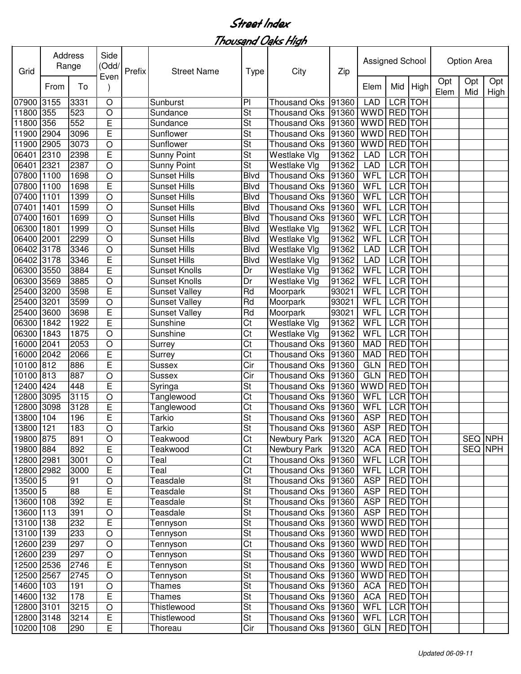| Grid       | Address<br>Range<br>To | Side<br>(Odd/ | Prefix         | <b>Street Name</b> | City<br>Type         |                          | Zip                  | Assigned School |             |                | <b>Option Area</b> |             |            |             |
|------------|------------------------|---------------|----------------|--------------------|----------------------|--------------------------|----------------------|-----------------|-------------|----------------|--------------------|-------------|------------|-------------|
|            | From                   |               | Even           |                    |                      |                          |                      |                 | Elem        | Mid            | High               | Opt<br>Elem | Opt<br>Mid | Opt<br>High |
| 07900 3155 |                        | 3331          | $\circ$        |                    | Sunburst             | P <sub>1</sub>           | <b>Thousand Oks</b>  | 91360           | <b>LAD</b>  | LCR TOH        |                    |             |            |             |
| 11800 355  |                        | 523           | O              |                    | Sundance             | $\overline{\mathsf{St}}$ | <b>Thousand Oks</b>  | 91360           | <b>WWD</b>  | RED TOH        |                    |             |            |             |
| 11800 356  |                        | 552           | E              |                    | Sundance             | St                       | <b>Thousand Oks</b>  | 91360           | <b>WWD</b>  | <b>RED</b> TOH |                    |             |            |             |
| 11900 2904 |                        | 3096          | E              |                    | Sunflower            | $\overline{\mathsf{St}}$ | <b>Thousand Oks</b>  | 91360           | <b>WWD</b>  | <b>RED</b> TOH |                    |             |            |             |
| 11900      | 2905                   | 3073          | O              |                    | Sunflower            | $\overline{\mathsf{St}}$ | <b>Thousand Oks</b>  | 91360           | <b>WWD</b>  | <b>RED</b> TOH |                    |             |            |             |
| 06401      | 2310                   | 2398          | E              |                    | <b>Sunny Point</b>   | $\overline{\mathsf{St}}$ | Westlake Vlg         | 91362           | <b>LAD</b>  | <b>LCR</b> TOH |                    |             |            |             |
| 06401      | 2321                   | 2387          | O              |                    | <b>Sunny Point</b>   | $\overline{\mathsf{St}}$ | Westlake Vlg         | 91362           | <b>LAD</b>  |                | <b>LCR</b> TOH     |             |            |             |
| 07800      | 1100                   | 1698          | $\circ$        |                    | <b>Sunset Hills</b>  | <b>Blvd</b>              | <b>Thousand Oks</b>  | 91360           | WFL         | <b>LCR</b> TOH |                    |             |            |             |
| 07800      | 1100                   | 1698          | E              |                    | <b>Sunset Hills</b>  | <b>Blvd</b>              | <b>Thousand Oks</b>  | 91360           | WFL         | LCR TOH        |                    |             |            |             |
| 07400      | 1101                   | 1399          | $\bigcirc$     |                    | <b>Sunset Hills</b>  | <b>Blvd</b>              | <b>Thousand Oks</b>  | 91360           | <b>WFL</b>  | <b>LCR</b> TOH |                    |             |            |             |
| 07401      | 1401                   | 1599          | $\circ$        |                    | <b>Sunset Hills</b>  | <b>Blvd</b>              | <b>Thousand Oks</b>  | 91360           | WFL         | <b>LCR</b> TOH |                    |             |            |             |
| 07400      | 1601                   | 1699          | $\circ$        |                    | <b>Sunset Hills</b>  | <b>Blvd</b>              | <b>Thousand Oks</b>  | 91360           | WFL         | LCR TOH        |                    |             |            |             |
| 06300      | 1801                   | 1999          | $\circ$        |                    | <b>Sunset Hills</b>  | <b>Blvd</b>              | Westlake Vlg         | 91362           | WFL         | LCR TOH        |                    |             |            |             |
| 06400 2001 |                        | 2299          | $\circ$        |                    | <b>Sunset Hills</b>  | <b>Blvd</b>              | Westlake Vlg         | 91362           | <b>WFL</b>  | LCR TOH        |                    |             |            |             |
| 06402 3178 |                        | 3346          | O              |                    | <b>Sunset Hills</b>  | <b>Blvd</b>              | Westlake Vlg         | 91362           | <b>LAD</b>  | LCR TOH        |                    |             |            |             |
| 06402 3178 |                        | 3346          | E              |                    | <b>Sunset Hills</b>  | <b>Blvd</b>              | Westlake Vlg         | 91362           | <b>LAD</b>  | LCR TOH        |                    |             |            |             |
| 06300 3550 |                        | 3884          | E              |                    | <b>Sunset Knolls</b> | Dr                       | Westlake Vlg         | 91362           | WFL         | LCR TOH        |                    |             |            |             |
| 06300 3569 |                        | 3885          | O              |                    | <b>Sunset Knolls</b> | Dr                       | Westlake Vlg         | 91362           | WFL         | LCR TOH        |                    |             |            |             |
| 25400 3200 |                        | 3598          | E              |                    | <b>Sunset Valley</b> | Rd                       | Moorpark             | 93021           | WFL         | LCR TOH        |                    |             |            |             |
| 25400 3201 |                        | 3599          | O              |                    | <b>Sunset Valley</b> | Rd                       | Moorpark             | 93021           | WFL         | LCR TOH        |                    |             |            |             |
| 25400      | 3600                   | 3698          | E              |                    | <b>Sunset Valley</b> | Rd                       | Moorpark             | 93021           | <b>WFL</b>  | LCR TOH        |                    |             |            |             |
| 06300      | 1842                   | 1922          | E              |                    | Sunshine             | Ct                       | Westlake Vlg         | 91362           | <b>WFL</b>  |                | LCR TOH            |             |            |             |
| 06300      | 1843                   | 1875          | O              |                    | Sunshine             | Ct                       | Westlake Vlg         | 91362           | WFL         | LCR TOH        |                    |             |            |             |
| 16000      | 2041                   | 2053          | O              |                    | Surrey               | Ct                       | <b>Thousand Oks</b>  | 91360           | <b>MAD</b>  | <b>RED</b> TOH |                    |             |            |             |
| 16000 2042 |                        | 2066          | E              |                    | Surrey               | Ct                       | <b>Thousand Oks</b>  | 91360           | <b>MAD</b>  | RED TOH        |                    |             |            |             |
| 10100 812  |                        | 886           | E              |                    | Sussex               | Cir                      | <b>Thousand Oks</b>  | 91360           | <b>GLN</b>  | RED TOH        |                    |             |            |             |
| 10100 813  |                        | 887           | O              |                    | Sussex               | Cir                      | <b>Thousand Oks</b>  | 91360           | <b>GLN</b>  | RED TOH        |                    |             |            |             |
| 12400 424  |                        | 448           | E              |                    | Syringa              | St                       | <b>Thousand Oks</b>  | 91360           | <b>WWD</b>  | RED TOH        |                    |             |            |             |
| 12800 3095 |                        | 3115          | O              |                    | Tanglewood           | Ct                       | <b>Thousand Oks</b>  | 91360           | WFL         | <b>LCR</b> TOH |                    |             |            |             |
| 12800      | 3098                   | 3128          | E              |                    | Tanglewood           | Ct                       | <b>Thousand Oks</b>  | 91360           | <b>WFL</b>  | <b>LCR</b> TOH |                    |             |            |             |
| 13800 104  |                        | 196           | E              |                    | Tarkio               | $\overline{\mathsf{St}}$ | Thousand Oks 91360   |                 | <b>ASP</b>  | <b>RED</b> TOH |                    |             |            |             |
| 13800 121  |                        | 183           | $\bigcirc$     |                    | Tarkio               | <b>St</b>                | Thousand Oks 91360   |                 | <b>ASP</b>  | <b>RED</b> TOH |                    |             |            |             |
| 19800 875  |                        | 891           | $\bigcirc$     |                    | Teakwood             | $\overline{\text{C}t}$   | Newbury Park         | 91320           | <b>ACA</b>  | RED TOH        |                    |             |            | SEQ NPH     |
| 19800 884  |                        | 892           | E              |                    | Teakwood             | Ct                       | Newbury Park         | 91320           | <b>ACA</b>  | RED TOH        |                    |             |            | SEQ NPH     |
| 12800 2981 |                        | 3001          | $\mathsf O$    |                    | Teal                 | $\overline{\text{C}t}$   | Thousand Oks 91360   |                 | WFL         |                | LCR TOH            |             |            |             |
| 12800 2982 |                        | 3000          | E              |                    | Teal                 | Ct                       | Thousand Oks 91360   |                 | <b>WFL</b>  |                | LCR TOH            |             |            |             |
| 13500 5    |                        | 91            | $\bigcirc$     |                    | Teasdale             | $\overline{\mathsf{St}}$ | Thousand Oks 91360   |                 | <b>ASP</b>  |                | <b>RED</b> TOH     |             |            |             |
| $13500$ 5  |                        | 88            | E              |                    | Teasdale             | $\overline{\mathsf{St}}$ | Thousand Oks 91360   |                 | <b>ASP</b>  | <b>RED</b> TOH |                    |             |            |             |
| 13600 108  |                        | 392           | E              |                    | Teasdale             | St                       | Thousand Oks 91360   |                 | <b>ASP</b>  | RED TOH        |                    |             |            |             |
| 13600 113  |                        |               |                |                    |                      | <b>St</b>                |                      |                 | ASP         |                | RED TOH            |             |            |             |
| 13100 138  |                        | 391           | O              |                    | Teasdale             | St                       | Thousand Oks 91360   |                 |             | RED TOH        |                    |             |            |             |
|            |                        | 232           | $\mathsf E$    |                    | Tennyson             | St                       | Thousand Oks 91360   |                 | WWD         |                |                    |             |            |             |
| 13100 139  |                        | 233           | $\bigcirc$     |                    | Tennyson             |                          | Thousand Oks 91360   |                 | <b>WWD</b>  | RED TOH        |                    |             |            |             |
| 12600 239  |                        | 297           | $\bigcirc$     |                    | Tennyson             | Ct                       | Thousand Oks   91360 |                 | WWD RED TOH |                |                    |             |            |             |
| 12600 239  |                        | 297           | $\circ$        |                    | Tennyson             | St                       | Thousand Oks 91360   |                 | WWD RED TOH |                |                    |             |            |             |
| 12500 2536 |                        | 2746          | E              |                    | Tennyson             | <b>St</b>                | Thousand Oks   91360 |                 | <b>WWD</b>  | <b>RED</b> TOH |                    |             |            |             |
| 12500 2567 |                        | 2745          | $\bigcirc$     |                    | Tennyson             | St                       | Thousand Oks 91360   |                 | <b>WWD</b>  | RED TOH        |                    |             |            |             |
| 14600 103  |                        | 191           | $\bigcirc$     |                    | Thames               | St                       | Thousand Oks         | 91360           | <b>ACA</b>  | RED TOH        |                    |             |            |             |
| 14600 132  |                        | 178           | $\overline{E}$ |                    | Thames               | St                       | Thousand Oks 91360   |                 | <b>ACA</b>  | RED TOH        |                    |             |            |             |
| 12800 3101 |                        | 3215          | $\bigcirc$     |                    | Thistlewood          | St                       | Thousand Oks 91360   |                 | WFL         | LCR TOH        |                    |             |            |             |
| 12800 3148 |                        | 3214          | E              |                    | Thistlewood          | St                       | Thousand Oks 91360   |                 | WFL         | LCR TOH        |                    |             |            |             |
| 10200 108  |                        | 290           | E              |                    | Thoreau              | Cir                      | Thousand Oks   91360 |                 | GLN         |                | RED TOH            |             |            |             |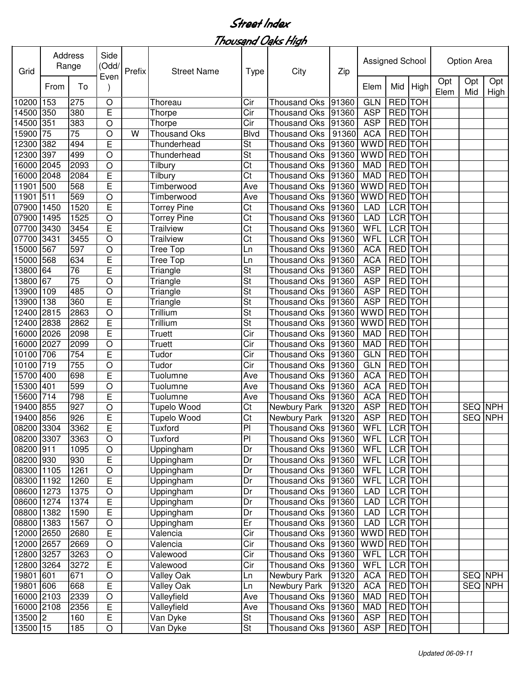| Grid                 | Address<br>Range | Side<br>(Odd/   | Prefix         | <b>Street Name</b> | <b>Type</b>         | City                     | Zip                  | Assigned School |             |                | Option Area |             |                |                |
|----------------------|------------------|-----------------|----------------|--------------------|---------------------|--------------------------|----------------------|-----------------|-------------|----------------|-------------|-------------|----------------|----------------|
|                      | From             | To              | Even           |                    |                     |                          |                      |                 | Elem        | Mid            | High        | Opt<br>Elem | Opt<br>Mid     | Opt<br>High    |
| 10200                | 153              | 275             | $\circ$        |                    | Thoreau             | Cir                      | <b>Thousand Oks</b>  | 91360           | <b>GLN</b>  | RED TOH        |             |             |                |                |
| 14500 350            |                  | 380             | E              |                    | Thorpe              | Cir                      | <b>Thousand Oks</b>  | 91360           | <b>ASP</b>  | RED TOH        |             |             |                |                |
| 14500 351            |                  | 383             | $\bigcirc$     |                    | Thorpe              | Cir                      | <b>Thousand Oks</b>  | 91360           | <b>ASP</b>  | <b>RED</b> TOH |             |             |                |                |
| 15900                | $\overline{75}$  | $\overline{75}$ | $\circ$        | W                  | <b>Thousand Oks</b> | <b>Blvd</b>              | <b>Thousand Oks</b>  | 91360           | <b>ACA</b>  | <b>RED</b> TOH |             |             |                |                |
| 12300                | 382              | 494             | E              |                    | Thunderhead         | <b>St</b>                | <b>Thousand Oks</b>  | 91360           | <b>WWD</b>  | <b>RED</b> TOH |             |             |                |                |
| 12300                | 397              | 499             | O              |                    | Thunderhead         | $\overline{\mathsf{St}}$ | <b>Thousand Oks</b>  | 91360           | WWD         | <b>RED</b> TOH |             |             |                |                |
| 16000                | 2045             | 2093            | O              |                    | Tilbury             | Ct                       | <b>Thousand Oks</b>  | 91360           | <b>MAD</b>  | <b>RED</b> TOH |             |             |                |                |
| 16000                | 2048             | 2084            | E              |                    | Tilbury             | Ct                       | <b>Thousand Oks</b>  | 91360           | <b>MAD</b>  | <b>RED TOH</b> |             |             |                |                |
| 11901                | 500              | 568             | E              |                    | Timberwood          | Ave                      | <b>Thousand Oks</b>  | 91360           | WWD         | <b>RED</b> TOH |             |             |                |                |
| 11901                | 511              | 569             | O              |                    | Timberwood          | Ave                      | <b>Thousand Oks</b>  | 91360           | WWD         | <b>RED</b> TOH |             |             |                |                |
| 07900 1450           |                  | 1520            | E              |                    | <b>Torrey Pine</b>  | Ct                       | <b>Thousand Oks</b>  | 91360           | <b>LAD</b>  | <b>LCR</b> TOH |             |             |                |                |
| 07900                | 1495             | 1525            | O              |                    | <b>Torrey Pine</b>  | Ct                       | <b>Thousand Oks</b>  | 91360           | <b>LAD</b>  | <b>LCR</b> TOH |             |             |                |                |
| 07700                | 3430             | 3454            | E              |                    | <b>Trailview</b>    | Ct                       | <b>Thousand Oks</b>  | 91360           | <b>WFL</b>  | <b>LCR</b> TOH |             |             |                |                |
| 07700                | 3431             | 3455            | O              |                    | <b>Trailview</b>    | Ct                       | <b>Thousand Oks</b>  | 91360           | WFL         | LCR TOH        |             |             |                |                |
| 15000                | 567              | 597             | O              |                    | Tree Top            | Ln                       | <b>Thousand Oks</b>  | 91360           | <b>ACA</b>  | <b>RED</b> TOH |             |             |                |                |
| 15000                | 568              | 634             | E              |                    | Tree Top            | Ln                       | <b>Thousand Oks</b>  | 91360           | <b>ACA</b>  | <b>RED</b> TOH |             |             |                |                |
| 13800 64             |                  | 76              | E              |                    | Triangle            | St                       |                      |                 | <b>ASP</b>  | RED TOH        |             |             |                |                |
| 13800 67             |                  | 75              |                |                    |                     |                          | <b>Thousand Oks</b>  | 91360           |             | RED TOH        |             |             |                |                |
|                      |                  |                 | O              |                    | Triangle            | St                       | <b>Thousand Oks</b>  | 91360           | <b>ASP</b>  |                |             |             |                |                |
| 13900 109            |                  | 485             | $\circ$        |                    | Triangle            | St                       | <b>Thousand Oks</b>  | 91360           | <b>ASP</b>  | <b>RED</b> TOH |             |             |                |                |
| 13900                | 138              | 360             | E              |                    | Triangle            | St                       | <b>Thousand Oks</b>  | 91360           | <b>ASP</b>  | <b>RED</b> TOH |             |             |                |                |
| 12400                | 2815             | 2863            | O              |                    | Trillium            | St                       | <b>Thousand Oks</b>  | 91360           | <b>WWD</b>  | RED TOH        |             |             |                |                |
| 12400                | 2838             | 2862            | E              |                    | Trillium            | St                       | <b>Thousand Oks</b>  | 91360           | WWD         | RED TOH        |             |             |                |                |
| 16000                | 2026             | 2098            | E              |                    | Truett              | Cir                      | <b>Thousand Oks</b>  | 91360           | <b>MAD</b>  | RED TOH        |             |             |                |                |
| 16000 2027           |                  | 2099            | O              |                    | Truett              | Cir                      | <b>Thousand Oks</b>  | 91360           | <b>MAD</b>  | RED TOH        |             |             |                |                |
| 10100 706            |                  | 754             | E              |                    | Tudor               | Cir                      | <b>Thousand Oks</b>  | 91360           | <b>GLN</b>  | RED TOH        |             |             |                |                |
| 10100 719            |                  | 755             | O              |                    | Tudor               | Cir                      | <b>Thousand Oks</b>  | 91360           | <b>GLN</b>  | RED TOH        |             |             |                |                |
| 15700 400            |                  | 698             | E              |                    | Tuolumne            | Ave                      | <b>Thousand Oks</b>  | 91360           | <b>ACA</b>  | RED TOH        |             |             |                |                |
| 15300 401            |                  | 599             | $\circ$        |                    | Tuolumne            | Ave                      | <b>Thousand Oks</b>  | 91360           | <b>ACA</b>  | RED TOH        |             |             |                |                |
| 15600                | 714              | 798             | E              |                    | Tuolumne            | Ave                      | <b>Thousand Oks</b>  | 91360           | <b>ACA</b>  | RED TOH        |             |             |                |                |
| 19400                | 855              | 927             | O              |                    | <b>Tupelo Wood</b>  | Ct                       | Newbury Park         | 91320           | <b>ASP</b>  | RED TOH        |             |             | <b>SEQ NPH</b> |                |
| 19400 856            |                  | 926             | E              |                    | <b>Tupelo Wood</b>  | Ct                       | Newbury Park         | 91320           | <b>ASP</b>  | <b>RED</b> TOH |             |             |                | <b>SEQ NPH</b> |
| 08200 3304           |                  | 3362            | $\overline{E}$ |                    | <b>Tuxford</b>      | P                        | Thousand Oks 91360   |                 | WFL LCR TOH |                |             |             |                |                |
| 08200 3307           |                  | 3363            | $\circ$        |                    | Tuxford             | $\overline{P}$           | Thousand Oks 91360   |                 | WFL         | LCR TOH        |             |             |                |                |
| 08200 911            |                  | 1095            | $\bigcirc$     |                    | Uppingham           | Dr                       | Thousand Oks 91360   |                 | <b>WFL</b>  | LCR TOH        |             |             |                |                |
| 08200 930            |                  | 930             | $\overline{E}$ |                    | Uppingham           | Dr                       | Thousand Oks 91360   |                 | <b>WFL</b>  | LCR TOH        |             |             |                |                |
| 08300 1105           |                  | 1261            | $\bigcirc$     |                    | Uppingham           | Dr                       | Thousand Oks   91360 |                 | WFL         |                | LCR TOH     |             |                |                |
| 08300 1192           |                  | 1260            | E              |                    | Uppingham           | Dr                       | Thousand Oks 91360   |                 | WFL         |                | LCR TOH     |             |                |                |
| 08600 1273           |                  | 1375            | $\bigcirc$     |                    | Uppingham           | Dr                       | Thousand Oks 91360   |                 | <b>LAD</b>  |                | LCR TOH     |             |                |                |
| 08600 1274           |                  | 1374            | E              |                    | Uppingham           | Dr                       | Thousand Oks 91360   |                 | <b>LAD</b>  |                | LCR TOH     |             |                |                |
| 08800 1382           |                  | 1590            | E              |                    | Uppingham           | Dr                       | Thousand Oks 91360   |                 | LAD         |                | LCR TOH     |             |                |                |
| 08800 1383           |                  | 1567            | O              |                    | Uppingham           | Er                       | <b>Thousand Oks</b>  | 91360           | <b>LAD</b>  |                | LCR TOH     |             |                |                |
| 12000 2650           |                  | 2680            | E              |                    | Valencia            | Cir                      | Thousand Oks 91360   |                 | WWD         | RED TOH        |             |             |                |                |
| 12000 2657           |                  | 2669            | $\bigcirc$     |                    | Valencia            | Cir                      | Thousand Oks 91360   |                 | <b>WWD</b>  | RED TOH        |             |             |                |                |
| 12800 3257           |                  | 3263            | $\circ$        |                    | Valewood            | Cir                      | Thousand Oks         | 91360           | <b>WFL</b>  | LCR TOH        |             |             |                |                |
| 12800 3264           |                  | 3272            | E              |                    | Valewood            | Cir                      | <b>Thousand Oks</b>  | 91360           | WFL         |                | LCR TOH     |             |                |                |
| 19801 601            |                  | 671             | $\hbox{O}$     |                    | Valley Oak          | Ln                       | Newbury Park         | 91320           | <b>ACA</b>  | RED TOH        |             |             |                | SEQ NPH        |
| 19801 606            |                  | 668             | $\overline{E}$ |                    | <b>Valley Oak</b>   | Ln                       | Newbury Park         | 91320           | <b>ACA</b>  | RED TOH        |             |             |                | SEQ NPH        |
| 16000 2103           |                  | 2339            | $\hbox{O}$     |                    | Valleyfield         | Ave                      | <b>Thousand Oks</b>  | 91360           | <b>MAD</b>  | RED TOH        |             |             |                |                |
| 16000 2108           |                  | 2356            | E              |                    | Valleyfield         | Ave                      | <b>Thousand Oks</b>  | 91360           | <b>MAD</b>  | RED TOH        |             |             |                |                |
| $13500$ <sup>2</sup> |                  | 160             | E              |                    | Van Dyke            | St                       | Thousand Oks 91360   |                 | <b>ASP</b>  | RED TOH        |             |             |                |                |
| 13500 15             |                  | 185             | $\bigcirc$     |                    | Van Dyke            | St                       | Thousand Oks 91360   |                 | <b>ASP</b>  | RED TOH        |             |             |                |                |
|                      |                  |                 |                |                    |                     |                          |                      |                 |             |                |             |             |                |                |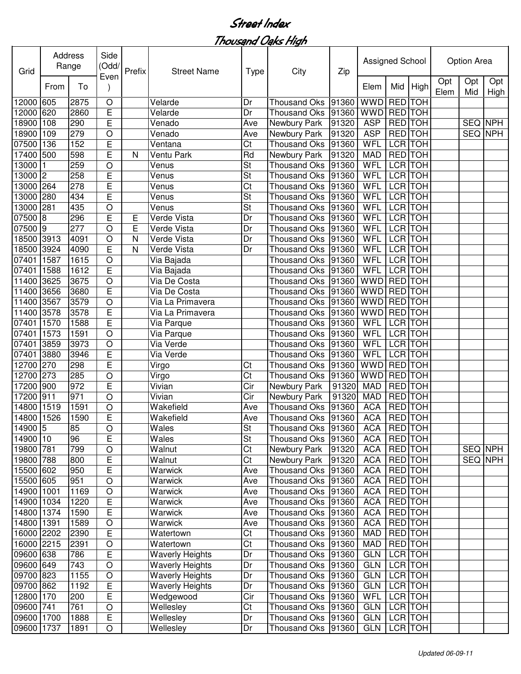| Grid       | Address<br>Range | Side<br>(Odd/ | Prefix     | <b>Street Name</b> | <b>Type</b>            | City                     | Zip                  |       | Assigned School |                | <b>Option Area</b> |             |            |                |
|------------|------------------|---------------|------------|--------------------|------------------------|--------------------------|----------------------|-------|-----------------|----------------|--------------------|-------------|------------|----------------|
|            | From             | To            | Even       |                    |                        |                          |                      |       | Elem            | Mid            | High               | Opt<br>Elem | Opt<br>Mid | Opt<br>High    |
| 12000      | 605              | 2875          | $\circ$    |                    | Velarde                | Dr                       | <b>Thousand Oks</b>  | 91360 | <b>WWD</b>      | RED TOH        |                    |             |            |                |
| 12000      | 620              | 2860          | E          |                    | Velarde                | Dr                       | <b>Thousand Oks</b>  | 91360 | <b>WWD</b>      | RED TOH        |                    |             |            |                |
| 18900      | 108              | 290           | E          |                    | Venado                 | Ave                      | Newbury Park         | 91320 | <b>ASP</b>      | <b>RED</b> TOH |                    |             | SEQ NPH    |                |
| 18900      | 109              | 279           | $\bigcirc$ |                    | Venado                 | Ave                      | Newbury Park         | 91320 | <b>ASP</b>      | <b>RED</b> TOH |                    |             |            | <b>SEQ NPH</b> |
| 07500      | 136              | 152           | E          |                    | Ventana                | Ct                       | <b>Thousand Oks</b>  | 91360 | <b>WFL</b>      |                | <b>LCR TOH</b>     |             |            |                |
| 17400      | 500              | 598           | E          | N                  | Ventu Park             | Rd                       | Newbury Park         | 91320 | <b>MAD</b>      | <b>RED TOH</b> |                    |             |            |                |
| 13000      |                  | 259           | $\circ$    |                    | Venus                  | $\overline{\mathsf{St}}$ | <b>Thousand Oks</b>  | 91360 | <b>WFL</b>      | <b>LCR</b> TOH |                    |             |            |                |
| 13000      | 2                | 258           | E          |                    | Venus                  | St                       | <b>Thousand Oks</b>  | 91360 | <b>WFL</b>      | <b>LCR</b> TOH |                    |             |            |                |
| 13000      | 264              | 278           | E          |                    | Venus                  | Ct                       | <b>Thousand Oks</b>  | 91360 | WFL             | <b>LCR TOH</b> |                    |             |            |                |
| 13000      | 280              | 434           | E          |                    | Venus                  | St                       | <b>Thousand Oks</b>  | 91360 | WFL             | <b>LCR</b> TOH |                    |             |            |                |
| 13000      | 281              | 435           | $\circ$    |                    | Venus                  | St                       | <b>Thousand Oks</b>  | 91360 | <b>WFL</b>      | LCR TOH        |                    |             |            |                |
| 07500      | 8                | 296           | E          | Е                  | Verde Vista            | Dr                       | <b>Thousand Oks</b>  | 91360 | WFL             | <b>LCR</b> TOH |                    |             |            |                |
| 07500      | 19               | 277           | O          | E                  | Verde Vista            | Dr                       | <b>Thousand Oks</b>  | 91360 | <b>WFL</b>      | <b>LCR</b> TOH |                    |             |            |                |
| 18500      | 3913             | 4091          | $\circ$    | N                  | Verde Vista            | Dr                       | <b>Thousand Oks</b>  | 91360 | WFL             | <b>LCR</b> TOH |                    |             |            |                |
| 18500      | 3924             | 4090          | E          | N                  | Verde Vista            | Dr                       | <b>Thousand Oks</b>  | 91360 | WFL             | LCR TOH        |                    |             |            |                |
| 07401      | 1587             | 1615          | $\circ$    |                    | Via Bajada             |                          | <b>Thousand Oks</b>  | 91360 | WFL             | LCR TOH        |                    |             |            |                |
| 07401      | 1588             | 1612          | E          |                    | Via Bajada             |                          | <b>Thousand Oks</b>  | 91360 | WFL             | LCR TOH        |                    |             |            |                |
| 11400      | 3625             | 3675          | $\bigcirc$ |                    | Via De Costa           |                          | <b>Thousand Oks</b>  | 91360 | <b>WWD</b>      | RED TOH        |                    |             |            |                |
| 11400      | 3656             | 3680          | E          |                    | Via De Costa           |                          | <b>Thousand Oks</b>  | 91360 | <b>WWD</b>      | <b>RED</b> TOH |                    |             |            |                |
| 11400      | 3567             | 3579          | $\circ$    |                    | Via La Primavera       |                          | <b>Thousand Oks</b>  | 91360 | <b>WWD</b>      | RED TOH        |                    |             |            |                |
| 11400      | 3578             | 3578          | E          |                    | Via La Primavera       |                          | <b>Thousand Oks</b>  | 91360 | <b>WWD</b>      | RED TOH        |                    |             |            |                |
| 07401      | 1570             | 1588          | E          |                    | Via Parque             |                          | <b>Thousand Oks</b>  | 91360 | WFL             | LCR TOH        |                    |             |            |                |
| 07401      | 1573             | 1591          | $\circ$    |                    | Via Parque             |                          | <b>Thousand Oks</b>  | 91360 | WFL             | LCR TOH        |                    |             |            |                |
| 07401      | 3859             | 3973          | $\circ$    |                    | Via Verde              |                          | <b>Thousand Oks</b>  | 91360 | WFL             | LCR TOH        |                    |             |            |                |
| 07401      | 3880             | 3946          | E          |                    | Via Verde              |                          | <b>Thousand Oks</b>  | 91360 | WFL             | LCR TOH        |                    |             |            |                |
| 12700      | 270              | 298           | E          |                    | Virgo                  | Ct                       | <b>Thousand Oks</b>  | 91360 | <b>WWD</b>      | RED TOH        |                    |             |            |                |
| 12700      | 273              | 285           | $\circ$    |                    | Virgo                  | Ct                       | <b>Thousand Oks</b>  | 91360 | <b>WWD</b>      | RED TOH        |                    |             |            |                |
| 17200      | 900              | 972           | E          |                    | Vivian                 | Cir                      | Newbury Park         | 91320 | <b>MAD</b>      | RED TOH        |                    |             |            |                |
| 17200      | 911              | 971           | $\circ$    |                    | Vivian                 | Cir                      | Newbury Park         | 91320 | <b>MAD</b>      | RED TOH        |                    |             |            |                |
| 14800      | 1519             | 1591          | $\circ$    |                    | Wakefield              | Ave                      | <b>Thousand Oks</b>  | 91360 | <b>ACA</b>      | <b>RED</b>     | <b>TOH</b>         |             |            |                |
| 14800      | 1526             | 1590          | E          |                    | Wakefield              | Ave                      | Thousand Oks         | 91360 | <b>ACA</b>      | <b>RED</b> TOH |                    |             |            |                |
| 14900 5    |                  | 85            | $\bigcirc$ |                    | Wales                  | St                       | Thousand Oks 91360   |       | <b>ACA</b>      | <b>RED TOH</b> |                    |             |            |                |
| 14900 10   |                  | 96            | E          |                    | Wales                  | $\overline{\mathsf{St}}$ | Thousand Oks         | 91360 | <b>ACA</b>      | RED TOH        |                    |             |            |                |
| 19800 781  |                  | 799           | $\bigcirc$ |                    | Walnut                 | $\overline{\text{C}t}$   | Newbury Park         | 91320 | <b>ACA</b>      | RED TOH        |                    |             |            | SEQ NPH        |
| 19800 788  |                  | 800           | E          |                    | Walnut                 | Ct                       | Newbury Park         | 91320 | <b>ACA</b>      | <b>RED</b> TOH |                    |             |            | SEQ NPH        |
| 15500 602  |                  | 950           | E          |                    | Warwick                | Ave                      | Thousand Oks         | 91360 | <b>ACA</b>      | <b>RED</b> TOH |                    |             |            |                |
| 15500 605  |                  | 951           | $\bigcirc$ |                    | Warwick                | Ave                      | <b>Thousand Oks</b>  | 91360 | <b>ACA</b>      | <b>RED</b> TOH |                    |             |            |                |
| 14900      | 1001             | 1169          | $\bigcirc$ |                    | Warwick                | Ave                      | Thousand Oks         | 91360 | <b>ACA</b>      |                | RED TOH            |             |            |                |
| 14900 1034 |                  | 1220          | E          |                    | Warwick                | Ave                      | Thousand Oks         | 91360 | <b>ACA</b>      | RED TOH        |                    |             |            |                |
| 14800 1374 |                  | 1590          | E          |                    | Warwick                | Ave                      | <b>Thousand Oks</b>  | 91360 | <b>ACA</b>      | RED TOH        |                    |             |            |                |
| 14800 1391 |                  | 1589          | $\bigcirc$ |                    | Warwick                | Ave                      | <b>Thousand Oks</b>  | 91360 | <b>ACA</b>      | RED TOH        |                    |             |            |                |
| 16000 2202 |                  | 2390          | E          |                    | Watertown              | Ct                       | <b>Thousand Oks</b>  | 91360 | <b>MAD</b>      | RED TOH        |                    |             |            |                |
| 16000 2215 |                  | 2391          | O          |                    | Watertown              | Ct                       | Thousand Oks         | 91360 | <b>MAD</b>      | RED TOH        |                    |             |            |                |
| 09600 638  |                  | 786           | E          |                    | <b>Waverly Heights</b> | Dr                       | <b>Thousand Oks</b>  | 91360 | <b>GLN</b>      | LCR TOH        |                    |             |            |                |
| 09600 649  |                  | 743           | $\bigcirc$ |                    | <b>Waverly Heights</b> | Dr                       | <b>Thousand Oks</b>  | 91360 | <b>GLN</b>      | LCR TOH        |                    |             |            |                |
| 09700 823  |                  | 1155          | $\circ$    |                    | <b>Waverly Heights</b> | Dr                       | <b>Thousand Oks</b>  | 91360 | <b>GLN</b>      | LCR TOH        |                    |             |            |                |
| 09700 862  |                  | 1192          | E          |                    | <b>Waverly Heights</b> | Dr                       | Thousand Oks         | 91360 | <b>GLN</b>      | LCR TOH        |                    |             |            |                |
| 12800 170  |                  |               | E          |                    |                        | Cir                      |                      |       | WFL             | LCR TOH        |                    |             |            |                |
|            |                  | 200           |            |                    | Wedgewood              |                          | Thousand Oks         | 91360 |                 |                |                    |             |            |                |
| 09600 741  |                  | 761           | $\bigcirc$ |                    | Wellesley              | Ct                       | <b>Thousand Oks</b>  | 91360 | <b>GLN</b>      | LCR TOH        |                    |             |            |                |
| 09600 1700 |                  | 1888          | E          |                    | Wellesley              | Dr                       | Thousand Oks 91360   |       | <b>GLN</b>      | LCR TOH        |                    |             |            |                |
| 09600 1737 |                  | 1891          | O          |                    | Wellesley              | Dr                       | Thousand Oks   91360 |       | <b>GLN</b>      |                | LCR TOH            |             |            |                |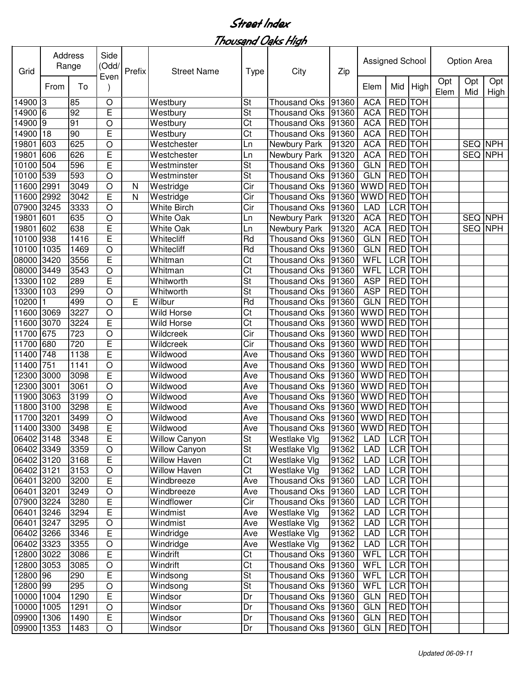| Address<br>Range<br>Grid |      |      | Side<br>(Odd/<br>Even | Prefix | <b>Street Name</b>   | <b>Type</b>              | City                           | Zip   | Assigned School |                |            |             | Option Area |                |  |  |
|--------------------------|------|------|-----------------------|--------|----------------------|--------------------------|--------------------------------|-------|-----------------|----------------|------------|-------------|-------------|----------------|--|--|
|                          | From | To   |                       |        |                      |                          |                                |       | Elem            | Mid            | High       | Opt<br>Elem | Opt<br>Mid  | Opt<br>High    |  |  |
| 14900 3                  |      | 85   | $\circ$               |        | Westbury             | St                       | <b>Thousand Oks</b>            | 91360 | <b>ACA</b>      | RED TOH        |            |             |             |                |  |  |
| 14900 6                  |      | 92   | E                     |        | Westbury             | $\overline{\mathsf{St}}$ | <b>Thousand Oks</b>            | 91360 | <b>ACA</b>      | RED TOH        |            |             |             |                |  |  |
| 14900                    | l9   | 91   | $\circ$               |        | Westbury             | Ct                       | <b>Thousand Oks</b>            | 91360 | <b>ACA</b>      | <b>RED</b> TOH |            |             |             |                |  |  |
| 14900                    | 18   | 90   | E                     |        | Westbury             | Ct                       | <b>Thousand Oks</b>            | 91360 | <b>ACA</b>      | <b>RED TOH</b> |            |             |             |                |  |  |
| 19801                    | 603  | 625  | $\circ$               |        | Westchester          | Ln                       | Newbury Park                   | 91320 | <b>ACA</b>      | <b>RED TOH</b> |            |             | SEQ NPH     |                |  |  |
| 19801                    | 606  | 626  | E                     |        | Westchester          | Ln                       | Newbury Park                   | 91320 | <b>ACA</b>      | <b>RED</b> TOH |            |             |             | <b>SEQ NPH</b> |  |  |
| 10100                    | 504  | 596  | E                     |        | Westminster          | <b>St</b>                | <b>Thousand Oks</b>            | 91360 | <b>GLN</b>      | <b>RED TOH</b> |            |             |             |                |  |  |
| 10100                    | 539  | 593  | O                     |        | Westminster          | St                       | <b>Thousand Oks</b>            | 91360 | <b>GLN</b>      | <b>RED TOH</b> |            |             |             |                |  |  |
| 11600                    | 2991 | 3049 | O                     | N      | Westridge            | Cir                      | <b>Thousand Oks</b>            | 91360 | <b>WWD</b>      | <b>RED</b> TOH |            |             |             |                |  |  |
| 11600                    | 2992 | 3042 | E                     | N      | Westridge            | Cir                      | <b>Thousand Oks</b>            | 91360 | <b>WWD</b>      | <b>RED</b> TOH |            |             |             |                |  |  |
| 07900                    | 3245 | 3333 | $\circ$               |        | <b>White Birch</b>   | Cir                      | <b>Thousand Oks</b>            | 91360 | <b>LAD</b>      | <b>LCR</b> TOH |            |             |             |                |  |  |
| 19801                    | 601  | 635  | $\circ$               |        | <b>White Oak</b>     | Ln                       | Newbury Park                   | 91320 | <b>ACA</b>      | <b>RED</b> TOH |            |             |             | <b>SEQ NPH</b> |  |  |
| 19801                    | 602  | 638  | E                     |        | <b>White Oak</b>     | Ln                       | Newbury Park                   | 91320 | <b>ACA</b>      | <b>RED</b>     | <b>TOH</b> |             | SEQ NPH     |                |  |  |
| 10100                    | 938  | 1416 | E                     |        | Whitecliff           | Rd                       | <b>Thousand Oks</b>            | 91360 | <b>GLN</b>      | <b>RED</b>     | <b>TOH</b> |             |             |                |  |  |
| 10100                    | 1035 | 1469 | $\circ$               |        | Whitecliff           | Rd                       | <b>Thousand Oks</b>            | 91360 | <b>GLN</b>      | <b>RED</b>     | <b>TOH</b> |             |             |                |  |  |
| 08000                    | 3420 | 3556 | E                     |        | Whitman              | Ct                       | <b>Thousand Oks</b>            | 91360 | WFL             | <b>LCR</b> TOH |            |             |             |                |  |  |
| 08000                    | 3449 | 3543 | $\circ$               |        | Whitman              | Ct                       | <b>Thousand Oks</b>            | 91360 | WFL             | LCR TOH        |            |             |             |                |  |  |
| 13300                    | 102  | 289  | E                     |        | Whitworth            | St                       | <b>Thousand Oks</b>            | 91360 | <b>ASP</b>      | RED TOH        |            |             |             |                |  |  |
| 13300                    | 103  | 299  | $\circ$               |        | Whitworth            | St                       | <b>Thousand Oks</b>            | 91360 | <b>ASP</b>      | <b>RED</b> TOH |            |             |             |                |  |  |
| 10200                    |      | 499  | $\circ$               | Е      | Wilbur               | Rd                       | <b>Thousand Oks</b>            | 91360 | <b>GLN</b>      | <b>RED</b> TOH |            |             |             |                |  |  |
| 11600                    | 3069 | 3227 | $\circ$               |        | Wild Horse           | Ct                       | <b>Thousand Oks</b>            | 91360 | <b>WWD</b>      | RED TOH        |            |             |             |                |  |  |
| 11600                    | 3070 | 3224 | E                     |        | Wild Horse           | Ct                       | <b>Thousand Oks</b>            | 91360 | <b>WWD</b>      | RED TOH        |            |             |             |                |  |  |
| 11700                    | 675  | 723  | O                     |        | Wildcreek            | Cir                      | <b>Thousand Oks</b>            | 91360 | <b>WWD</b>      | RED TOH        |            |             |             |                |  |  |
| 11700                    | 680  | 720  | E                     |        | Wildcreek            | Cir                      | <b>Thousand Oks</b>            | 91360 | <b>WWD</b>      | <b>RED</b>     | <b>TOH</b> |             |             |                |  |  |
| 11400                    | 748  | 1138 | E                     |        | Wildwood             | Ave                      | <b>Thousand Oks</b>            | 91360 | <b>WWD</b>      | RED TOH        |            |             |             |                |  |  |
| 11400                    | 751  | 1141 | $\circ$               |        | Wildwood             | Ave                      | <b>Thousand Oks</b>            | 91360 | <b>WWD</b>      | RED TOH        |            |             |             |                |  |  |
| 12300                    | 3000 | 3098 | E                     |        | Wildwood             | Ave                      | <b>Thousand Oks</b>            | 91360 | <b>WWD</b>      | <b>RED</b> TOH |            |             |             |                |  |  |
| 12300                    | 3001 | 3061 | $\circ$               |        | Wildwood             | Ave                      | <b>Thousand Oks</b>            | 91360 | <b>WWD</b>      | RED TOH        |            |             |             |                |  |  |
| 11900                    | 3063 | 3199 | $\circ$               |        | Wildwood             | Ave                      | <b>Thousand Oks</b>            | 91360 | <b>WWD</b>      | <b>RED</b> TOH |            |             |             |                |  |  |
| 11800                    | 3100 | 3298 | E                     |        | Wildwood             | Ave                      | <b>Thousand Oks</b>            | 91360 | <b>WWD</b>      | <b>RED</b> TOH |            |             |             |                |  |  |
| 11700 3201               |      | 3499 | $\circ$               |        | Wildwood             | Ave                      | Thousand Oks 91360             |       | <b>WWD</b>      | <b>RED</b> TOH |            |             |             |                |  |  |
| 11400 3300               |      | 3498 | E                     |        | Wildwood             | Ave                      | Thousand Oks 91360 WWD RED TOH |       |                 |                |            |             |             |                |  |  |
| 06402 3148               |      | 3348 | E                     |        | <b>Willow Canyon</b> | St                       | Westlake Vlg                   | 91362 | LAD             | LCR TOH        |            |             |             |                |  |  |
| 06402 3349               |      | 3359 | $\circ$               |        | <b>Willow Canyon</b> | St                       | Westlake Vlg                   | 91362 | LAD             |                | LCR TOH    |             |             |                |  |  |
| 06402 3120               |      | 3168 | E                     |        | <b>Willow Haven</b>  | Ct                       | Westlake Vlg                   | 91362 | LAD             |                | LCR TOH    |             |             |                |  |  |
| 06402 3121               |      | 3153 | $\circ$               |        | <b>Willow Haven</b>  | Ct                       | Westlake Vlg                   | 91362 | LAD             | LCR TOH        |            |             |             |                |  |  |
| 06401 3200               |      | 3200 | Ε                     |        | Windbreeze           | Ave                      | <b>Thousand Oks</b>            | 91360 | LAD             |                | LCR TOH    |             |             |                |  |  |
| 06401 3201               |      | 3249 | $\bigcirc$            |        | Windbreeze           | Ave                      | <b>Thousand Oks</b>            | 91360 | LAD             |                | LCR TOH    |             |             |                |  |  |
| 07900 3224               |      | 3280 | E                     |        | Windflower           | Cir                      | <b>Thousand Oks</b>            | 91360 | LAD             |                | LCR TOH    |             |             |                |  |  |
| 06401 3246               |      | 3294 | E                     |        | Windmist             | Ave                      | Westlake Vlg                   | 91362 | LAD             |                | LCR TOH    |             |             |                |  |  |
| 06401 3247               |      | 3295 | O                     |        | Windmist             | Ave                      | Westlake Vlg                   | 91362 | LAD             |                | LCR TOH    |             |             |                |  |  |
| 06402 3266               |      | 3346 | E                     |        | Windridge            | Ave                      | Westlake Vlg                   | 91362 | LAD             |                | LCR TOH    |             |             |                |  |  |
| 06402 3323               |      | 3355 | $\bigcirc$            |        | Windridge            | Ave                      | Westlake Vlg                   | 91362 | LAD             |                | LCR TOH    |             |             |                |  |  |
| 12800 3022               |      | 3086 | E                     |        | Windrift             | Ct                       | <b>Thousand Oks</b>            | 91360 | WFL             |                | LCR TOH    |             |             |                |  |  |
| 12800 3053               |      | 3085 | $\bigcirc$            |        | Windrift             | Ct                       | Thousand Oks                   | 91360 | WFL             |                | LCR TOH    |             |             |                |  |  |
| 12800 96                 |      | 290  | Е                     |        | Windsong             | St                       | Thousand Oks                   | 91360 | WFL             |                | LCR TOH    |             |             |                |  |  |
| 12800 99                 |      | 295  | $\bigcirc$            |        | Windsong             | St                       | <b>Thousand Oks</b>            | 91360 | WFL             |                | LCR TOH    |             |             |                |  |  |
| 10000 1004               |      | 1290 | E                     |        | Windsor              | Dr                       | <b>Thousand Oks</b>            | 91360 | <b>GLN</b>      | RED TOH        |            |             |             |                |  |  |
| 10000 1005               |      | 1291 | $\circ$               |        | Windsor              | Dr                       | Thousand Oks                   | 91360 | <b>GLN</b>      | RED TOH        |            |             |             |                |  |  |
| 09900 1306               |      | 1490 | E                     |        | Windsor              | Dr                       | Thousand Oks 91360             |       | <b>GLN</b>      | RED TOH        |            |             |             |                |  |  |
|                          |      |      | O                     |        |                      | Dr                       |                                |       |                 |                | RED TOH    |             |             |                |  |  |
| 09900 1353               |      | 1483 |                       |        | Windsor              |                          | Thousand Oks 91360             |       | <b>GLN</b>      |                |            |             |             |                |  |  |